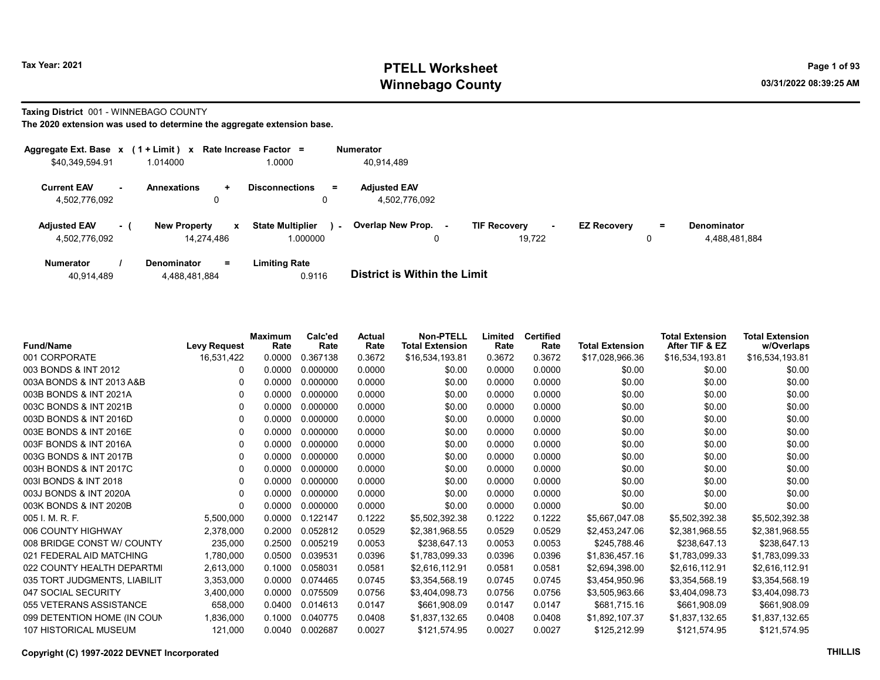# Tax Year: 2021 **PTELL Worksheet** Page 1 of 93 Winnebago County and the county of the county of the county of the county of the county of the county of the county of the county of the county of the county of the county of the county of the county of the county of the c

Taxing District 001 - WINNEBAGO COUNTY

The 2020 extension was used to determine the aggregate extension base.

| Aggregate Ext. Base $x$ (1 + Limit) $x$ |     |                                   |              | Rate Increase Factor =                        | <b>Numerator</b>                     |                               |        |                    |         |                                     |
|-----------------------------------------|-----|-----------------------------------|--------------|-----------------------------------------------|--------------------------------------|-------------------------------|--------|--------------------|---------|-------------------------------------|
| \$40,349,594.91                         |     | 1.014000                          |              | 1.0000                                        | 40,914,489                           |                               |        |                    |         |                                     |
| <b>Current EAV</b><br>4,502,776,092     |     | <b>Annexations</b><br>$\pm$<br>0  |              | <b>Disconnections</b><br>$\equiv$             | <b>Adjusted EAV</b><br>4.502.776.092 |                               |        |                    |         |                                     |
| <b>Adjusted EAV</b><br>4,502,776,092    | - 1 | <b>New Property</b><br>14.274.486 | $\mathbf{x}$ | <b>State Multiplier</b><br>$\sim$<br>1.000000 | Overlap New Prop.                    | <b>TIF Recovery</b><br>19.722 | $\sim$ | <b>EZ Recovery</b> | Ξ.<br>0 | <b>Denominator</b><br>4,488,481,884 |
| <b>Numerator</b>                        |     | <b>Denominator</b><br>Ξ.          |              | <b>Limiting Rate</b>                          |                                      |                               |        |                    |         |                                     |

40,914,489 4,488,481,884 0.9116 District is Within the Limit

| <b>Fund/Name</b>             | <b>Levy Request</b> | Maximum<br>Rate | Calc'ed<br>Rate | Actual<br>Rate | <b>Non-PTELL</b><br><b>Total Extension</b> | Limited<br>Rate | <b>Certified</b><br>Rate | <b>Total Extension</b> | <b>Total Extension</b><br>After TIF & EZ | <b>Total Extension</b><br>w/Overlaps |
|------------------------------|---------------------|-----------------|-----------------|----------------|--------------------------------------------|-----------------|--------------------------|------------------------|------------------------------------------|--------------------------------------|
| 001 CORPORATE                | 16,531,422          | 0.0000          | 0.367138        | 0.3672         | \$16,534,193.81                            | 0.3672          | 0.3672                   | \$17,028,966.36        | \$16,534,193.81                          | \$16,534,193.81                      |
| 003 BONDS & INT 2012         | 0                   | 0.0000          | 0.000000        | 0.0000         | \$0.00                                     | 0.0000          | 0.0000                   | \$0.00                 | \$0.00                                   | \$0.00                               |
| 003A BONDS & INT 2013 A&B    | 0                   | 0.0000          | 0.000000        | 0.0000         | \$0.00                                     | 0.0000          | 0.0000                   | \$0.00                 | \$0.00                                   | \$0.00                               |
| 003B BONDS & INT 2021A       | 0                   | 0.0000          | 0.000000        | 0.0000         | \$0.00                                     | 0.0000          | 0.0000                   | \$0.00                 | \$0.00                                   | \$0.00                               |
| 003C BONDS & INT 2021B       | 0                   | 0.0000          | 0.000000        | 0.0000         | \$0.00                                     | 0.0000          | 0.0000                   | \$0.00                 | \$0.00                                   | \$0.00                               |
| 003D BONDS & INT 2016D       | 0                   | 0.0000          | 0.000000        | 0.0000         | \$0.00                                     | 0.0000          | 0.0000                   | \$0.00                 | \$0.00                                   | \$0.00                               |
| 003E BONDS & INT 2016E       | 0                   | 0.0000          | 0.000000        | 0.0000         | \$0.00                                     | 0.0000          | 0.0000                   | \$0.00                 | \$0.00                                   | \$0.00                               |
| 003F BONDS & INT 2016A       | 0                   | 0.0000          | 0.000000        | 0.0000         | \$0.00                                     | 0.0000          | 0.0000                   | \$0.00                 | \$0.00                                   | \$0.00                               |
| 003G BONDS & INT 2017B       | 0                   | 0.0000          | 0.000000        | 0.0000         | \$0.00                                     | 0.0000          | 0.0000                   | \$0.00                 | \$0.00                                   | \$0.00                               |
| 003H BONDS & INT 2017C       | 0                   | 0.0000          | 0.000000        | 0.0000         | \$0.00                                     | 0.0000          | 0.0000                   | \$0.00                 | \$0.00                                   | \$0.00                               |
| 0031 BONDS & INT 2018        | 0                   | 0.0000          | 0.000000        | 0.0000         | \$0.00                                     | 0.0000          | 0.0000                   | \$0.00                 | \$0.00                                   | \$0.00                               |
| 003J BONDS & INT 2020A       | 0                   | 0.0000          | 0.000000        | 0.0000         | \$0.00                                     | 0.0000          | 0.0000                   | \$0.00                 | \$0.00                                   | \$0.00                               |
| 003K BONDS & INT 2020B       | $\Omega$            | 0.0000          | 0.000000        | 0.0000         | \$0.00                                     | 0.0000          | 0.0000                   | \$0.00                 | \$0.00                                   | \$0.00                               |
| 005 I. M. R. F.              | 5,500,000           | 0.0000          | 0.122147        | 0.1222         | \$5,502,392.38                             | 0.1222          | 0.1222                   | \$5,667,047.08         | \$5,502,392.38                           | \$5,502,392.38                       |
| 006 COUNTY HIGHWAY           | 2,378,000           | 0.2000          | 0.052812        | 0.0529         | \$2,381,968.55                             | 0.0529          | 0.0529                   | \$2,453,247.06         | \$2,381,968.55                           | \$2,381,968.55                       |
| 008 BRIDGE CONST W/ COUNTY   | 235.000             | 0.2500          | 0.005219        | 0.0053         | \$238,647.13                               | 0.0053          | 0.0053                   | \$245.788.46           | \$238.647.13                             | \$238,647.13                         |
| 021 FEDERAL AID MATCHING     | 1,780,000           | 0.0500          | 0.039531        | 0.0396         | \$1,783,099.33                             | 0.0396          | 0.0396                   | \$1,836,457.16         | \$1,783,099.33                           | \$1,783,099.33                       |
| 022 COUNTY HEALTH DEPARTMI   | 2,613,000           | 0.1000          | 0.058031        | 0.0581         | \$2,616,112.91                             | 0.0581          | 0.0581                   | \$2,694,398.00         | \$2,616,112.91                           | \$2,616,112.91                       |
| 035 TORT JUDGMENTS, LIABILIT | 3,353,000           | 0.0000          | 0.074465        | 0.0745         | \$3,354,568.19                             | 0.0745          | 0.0745                   | \$3,454,950.96         | \$3,354,568.19                           | \$3,354,568.19                       |
| 047 SOCIAL SECURITY          | 3,400,000           | 0.0000          | 0.075509        | 0.0756         | \$3,404,098.73                             | 0.0756          | 0.0756                   | \$3,505,963.66         | \$3,404,098.73                           | \$3,404,098.73                       |
| 055 VETERANS ASSISTANCE      | 658,000             | 0.0400          | 0.014613        | 0.0147         | \$661,908.09                               | 0.0147          | 0.0147                   | \$681,715.16           | \$661,908.09                             | \$661,908.09                         |
| 099 DETENTION HOME (IN COUN  | 1,836,000           | 0.1000          | 0.040775        | 0.0408         | \$1,837,132.65                             | 0.0408          | 0.0408                   | \$1,892,107.37         | \$1,837,132.65                           | \$1,837,132.65                       |
| 107 HISTORICAL MUSEUM        | 121,000             | 0.0040          | 0.002687        | 0.0027         | \$121,574.95                               | 0.0027          | 0.0027                   | \$125,212.99           | \$121,574.95                             | \$121,574.95                         |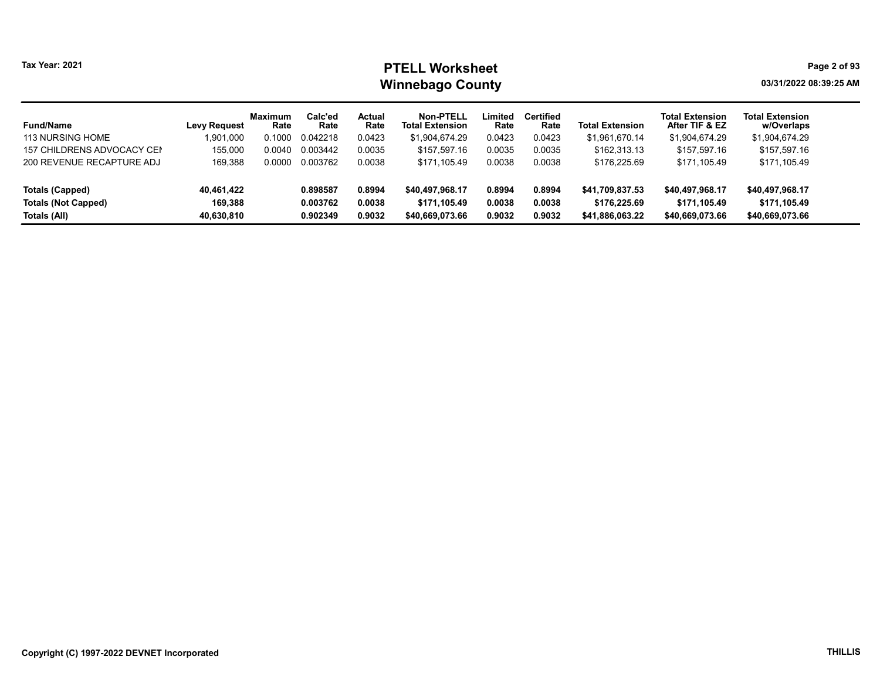# Tax Year: 2021 **PTELL Worksheet** Page 2 of 93 Winnebago County and the county of the county of the county of the county of the county of the county of the county of the county of the county of the county of the county of the county of the county of the county of the c

| <b>Fund/Name</b><br><b>113 NURSING HOME</b> | <b>Levy Request</b><br>901,000, | <b>Maximum</b><br>Rate<br>0.1000 | Calc'ed<br>Rate<br>0.042218 | Actual<br>Rate<br>0.0423 | <b>Non-PTELL</b><br><b>Total Extension</b><br>\$1,904,674.29 | ∟imited<br>Rate<br>0.0423 | <b>Certified</b><br>Rate<br>0.0423 | <b>Total Extension</b><br>\$1,961,670.14 | <b>Total Extension</b><br>After TIF & EZ<br>\$1,904,674.29 | <b>Total Extension</b><br>w/Overlaps<br>\$1,904,674.29 |
|---------------------------------------------|---------------------------------|----------------------------------|-----------------------------|--------------------------|--------------------------------------------------------------|---------------------------|------------------------------------|------------------------------------------|------------------------------------------------------------|--------------------------------------------------------|
| 157 CHILDRENS ADVOCACY CEN                  | 155.000                         | 0.0040                           | 0.003442                    | 0.0035                   | \$157,597.16                                                 | 0.0035                    | 0.0035                             | \$162,313.13                             | \$157,597.16                                               | \$157,597.16                                           |
| 200 REVENUE RECAPTURE ADJ                   | 169.388                         | 0.0000                           | 0.003762                    | 0.0038                   | \$171.105.49                                                 | 0.0038                    | 0.0038                             | \$176,225.69                             | \$171.105.49                                               | \$171.105.49                                           |
| Totals (Capped)                             | 40,461,422                      |                                  | 0.898587                    | 0.8994                   | \$40.497.968.17                                              | 0.8994                    | 0.8994                             | \$41.709.837.53                          | \$40.497.968.17                                            | \$40,497,968.17                                        |
| <b>Totals (Not Capped)</b>                  | 169.388                         |                                  | 0.003762                    | 0.0038                   | \$171.105.49                                                 | 0.0038                    | 0.0038                             | \$176,225.69                             | \$171.105.49                                               | \$171.105.49                                           |
| Totals (All)                                | 40,630,810                      |                                  | 0.902349                    | 0.9032                   | \$40,669,073.66                                              | 0.9032                    | 0.9032                             | \$41,886,063.22                          | \$40,669,073.66                                            | \$40,669,073.66                                        |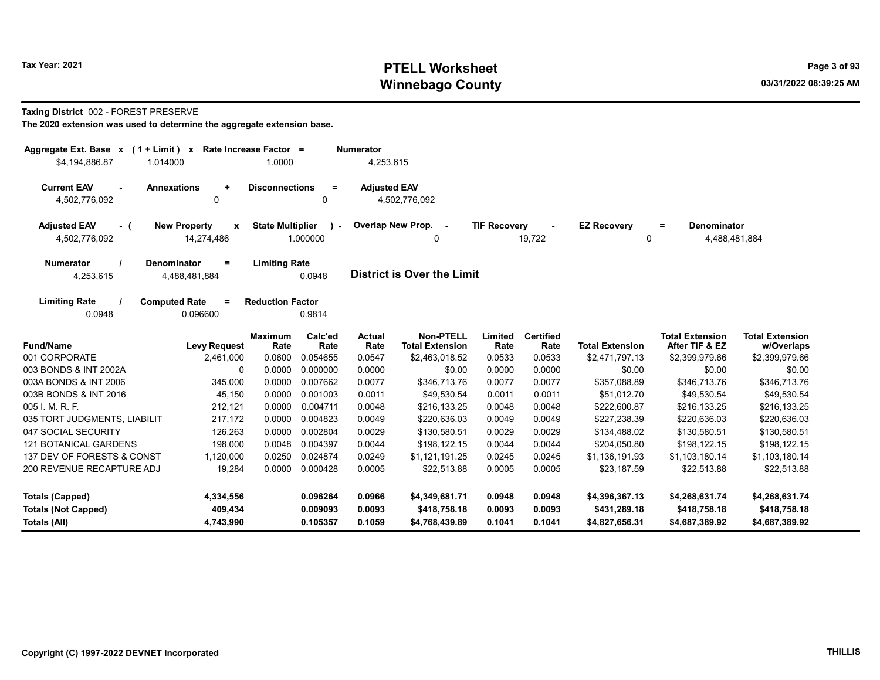# Tax Year: 2021 **PTELL Worksheet** Page 3 of 93 Winnebago County and the county of the county of the county of the county of the county of the county of the county of the county of the county of the county of the county of the county of the county of the county of the c

#### Taxing District 002 - FOREST PRESERVE

| Aggregate Ext. Base $x$ (1 + Limit) x Rate Increase Factor =<br>\$4,194,886.87 | 1.014000                                   | 1.0000                  |                           | <b>Numerator</b><br>4,253,615 |                                            |                     |                          |                         |                                                 |                                      |
|--------------------------------------------------------------------------------|--------------------------------------------|-------------------------|---------------------------|-------------------------------|--------------------------------------------|---------------------|--------------------------|-------------------------|-------------------------------------------------|--------------------------------------|
| <b>Current EAV</b><br>$\sim$<br>4,502,776,092                                  | <b>Annexations</b><br>$\ddot{}$<br>0       | <b>Disconnections</b>   | $\equiv$<br>0             | <b>Adjusted EAV</b>           | 4,502,776,092                              |                     |                          |                         |                                                 |                                      |
| <b>Adjusted EAV</b><br>$-$ (<br>4,502,776,092                                  | <b>New Property</b><br>x<br>14,274,486     | <b>State Multiplier</b> | $\rightarrow$<br>1.000000 |                               | Overlap New Prop. -<br>0                   | <b>TIF Recovery</b> | 19,722                   | <b>EZ Recovery</b><br>0 | <b>Denominator</b><br>$\equiv$<br>4,488,481,884 |                                      |
| <b>Numerator</b><br>4,253,615                                                  | <b>Denominator</b><br>$=$<br>4,488,481,884 | <b>Limiting Rate</b>    | 0.0948                    |                               | District is Over the Limit                 |                     |                          |                         |                                                 |                                      |
| <b>Limiting Rate</b><br>0.0948                                                 | <b>Computed Rate</b><br>$=$<br>0.096600    | <b>Reduction Factor</b> | 0.9814                    |                               |                                            |                     |                          |                         |                                                 |                                      |
| <b>Fund/Name</b>                                                               | <b>Levy Request</b>                        | <b>Maximum</b><br>Rate  | Calc'ed<br>Rate           | <b>Actual</b><br>Rate         | <b>Non-PTELL</b><br><b>Total Extension</b> | Limited<br>Rate     | <b>Certified</b><br>Rate | <b>Total Extension</b>  | <b>Total Extension</b><br>After TIF & EZ        | <b>Total Extension</b><br>w/Overlaps |
| 001 CORPORATE                                                                  | 2,461,000                                  | 0.0600                  | 0.054655                  | 0.0547                        | \$2,463,018.52                             | 0.0533              | 0.0533                   | \$2,471,797.13          | \$2,399,979.66                                  | \$2,399,979.66                       |
| 003 BONDS & INT 2002A                                                          | $\Omega$                                   | 0.0000                  | 0.000000                  | 0.0000                        | \$0.00                                     | 0.0000              | 0.0000                   | \$0.00                  | \$0.00                                          | \$0.00                               |
| 003A BONDS & INT 2006                                                          | 345,000                                    | 0.0000                  | 0.007662                  | 0.0077                        | \$346,713.76                               | 0.0077              | 0.0077                   | \$357,088.89            | \$346,713.76                                    | \$346,713.76                         |
| 003B BONDS & INT 2016                                                          | 45,150                                     | 0.0000                  | 0.001003                  | 0.0011                        | \$49,530.54                                | 0.0011              | 0.0011                   | \$51,012.70             | \$49,530.54                                     | \$49,530.54                          |
| 005 I. M. R. F.                                                                | 212,121                                    | 0.0000                  | 0.004711                  | 0.0048                        | \$216,133.25                               | 0.0048              | 0.0048                   | \$222,600.87            | \$216,133.25                                    | \$216,133.25                         |
| 035 TORT JUDGMENTS, LIABILIT                                                   | 217,172                                    | 0.0000                  | 0.004823                  | 0.0049                        | \$220,636.03                               | 0.0049              | 0.0049                   | \$227,238.39            | \$220,636.03                                    | \$220,636.03                         |
| 047 SOCIAL SECURITY                                                            | 126,263                                    | 0.0000                  | 0.002804                  | 0.0029                        | \$130,580.51                               | 0.0029              | 0.0029                   | \$134,488.02            | \$130,580.51                                    | \$130,580.51                         |
| <b>121 BOTANICAL GARDENS</b>                                                   | 198,000                                    | 0.0048                  | 0.004397                  | 0.0044                        | \$198,122.15                               | 0.0044              | 0.0044                   | \$204,050.80            | \$198,122.15                                    | \$198,122.15                         |
| 137 DEV OF FORESTS & CONST                                                     | 1,120,000                                  | 0.0250                  | 0.024874                  | 0.0249                        | \$1,121,191.25                             | 0.0245              | 0.0245                   | \$1,136,191.93          | \$1,103,180.14                                  | \$1,103,180.14                       |
| 200 REVENUE RECAPTURE ADJ                                                      | 19,284                                     | 0.0000                  | 0.000428                  | 0.0005                        | \$22,513.88                                | 0.0005              | 0.0005                   | \$23,187.59             | \$22,513.88                                     | \$22,513.88                          |
| <b>Totals (Capped)</b>                                                         | 4,334,556                                  |                         | 0.096264                  | 0.0966                        | \$4,349,681.71                             | 0.0948              | 0.0948                   | \$4,396,367.13          | \$4,268,631.74                                  | \$4,268,631.74                       |
| <b>Totals (Not Capped)</b>                                                     | 409,434                                    |                         | 0.009093                  | 0.0093                        | \$418,758.18                               | 0.0093              | 0.0093                   | \$431,289.18            | \$418,758.18                                    | \$418,758.18                         |
| Totals (All)                                                                   | 4,743,990                                  |                         | 0.105357                  | 0.1059                        | \$4,768,439.89                             | 0.1041              | 0.1041                   | \$4,827,656.31          | \$4,687,389.92                                  | \$4,687,389.92                       |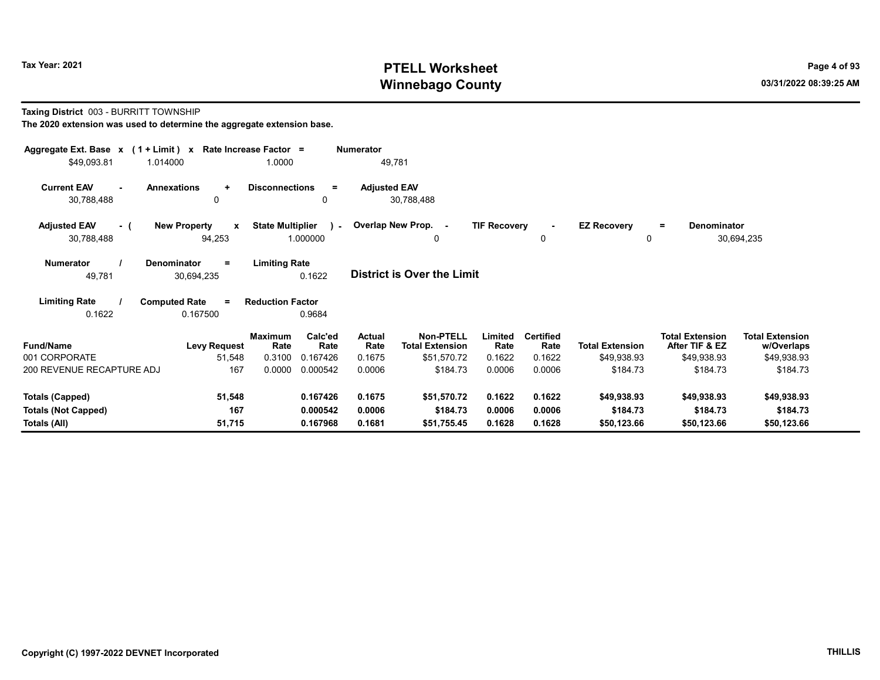# Tax Year: 2021 **PTELL Worksheet** Page 4 of 93 Winnebago County and the county of the county of the county of the county of the county of the county of the county of the county of the county of the county of the county of the county of the county of the county of the c

#### Taxing District 003 - BURRITT TOWNSHIP

|                                                                                                                                                                                                                                                                          | Aggregate Ext. Base $x$ (1 + Limit) x Rate Increase Factor =<br><b>Numerator</b><br>49,781<br>1.014000 |                         |               |                     |                         |                     |                  |                        |                          |                        |  |  |
|--------------------------------------------------------------------------------------------------------------------------------------------------------------------------------------------------------------------------------------------------------------------------|--------------------------------------------------------------------------------------------------------|-------------------------|---------------|---------------------|-------------------------|---------------------|------------------|------------------------|--------------------------|------------------------|--|--|
| \$49,093.81                                                                                                                                                                                                                                                              |                                                                                                        | 1.0000                  |               |                     |                         |                     |                  |                        |                          |                        |  |  |
| <b>Current EAV</b><br>$\blacksquare$<br>30,788,488                                                                                                                                                                                                                       | <b>Annexations</b><br>$\ddot{}$<br>$\Omega$                                                            | <b>Disconnections</b>   | $\equiv$<br>0 | <b>Adjusted EAV</b> | 30,788,488              |                     |                  |                        |                          |                        |  |  |
| <b>Adjusted EAV</b><br>- (                                                                                                                                                                                                                                               | <b>New Property</b><br>$\mathbf{x}$                                                                    | <b>State Multiplier</b> |               |                     | ) - Overlap New Prop. - | <b>TIF Recovery</b> | $\blacksquare$   | <b>EZ Recovery</b>     | <b>Denominator</b><br>Ξ. |                        |  |  |
| 30,788,488                                                                                                                                                                                                                                                               | 94,253                                                                                                 |                         | 1.000000      |                     | 0                       |                     | $\mathbf 0$      | $\mathbf{0}$           |                          | 30,694,235             |  |  |
| <b>Limiting Rate</b><br><b>Numerator</b><br><b>Denominator</b><br>$\equiv$<br><b>District is Over the Limit</b><br>0.1622<br>49,781<br>30,694,235<br><b>Limiting Rate</b><br><b>Computed Rate</b><br><b>Reduction Factor</b><br>$\equiv$<br>0.1622<br>0.167500<br>0.9684 |                                                                                                        |                         |               |                     |                         |                     |                  |                        |                          |                        |  |  |
|                                                                                                                                                                                                                                                                          |                                                                                                        | <b>Maximum</b>          | Calc'ed       | Actual              | <b>Non-PTELL</b>        | Limited             | <b>Certified</b> |                        | <b>Total Extension</b>   | <b>Total Extension</b> |  |  |
| <b>Fund/Name</b>                                                                                                                                                                                                                                                         | <b>Levy Request</b>                                                                                    | Rate                    | Rate          | Rate                | <b>Total Extension</b>  | Rate                | Rate             | <b>Total Extension</b> | After TIF & EZ           | w/Overlaps             |  |  |
| 001 CORPORATE                                                                                                                                                                                                                                                            | 51,548                                                                                                 | 0.3100                  | 0.167426      | 0.1675              | \$51,570.72             | 0.1622              | 0.1622           | \$49,938.93            | \$49,938.93              | \$49,938.93            |  |  |
| 200 REVENUE RECAPTURE ADJ                                                                                                                                                                                                                                                | 167                                                                                                    | 0.0000                  | 0.000542      | 0.0006              | \$184.73                | 0.0006              | 0.0006           | \$184.73               | \$184.73                 | \$184.73               |  |  |
| <b>Totals (Capped)</b>                                                                                                                                                                                                                                                   | 51,548                                                                                                 |                         | 0.167426      | 0.1675              | \$51,570.72             | 0.1622              | 0.1622           | \$49,938.93            | \$49,938.93              | \$49,938.93            |  |  |
| <b>Totals (Not Capped)</b>                                                                                                                                                                                                                                               | 167                                                                                                    |                         | 0.000542      | 0.0006              | \$184.73                | 0.0006              | 0.0006           | \$184.73               | \$184.73                 | \$184.73               |  |  |
| Totals (All)                                                                                                                                                                                                                                                             | 51,715                                                                                                 |                         | 0.167968      | 0.1681              | \$51,755.45             | 0.1628              | 0.1628           | \$50,123.66            | \$50,123.66              | \$50,123.66            |  |  |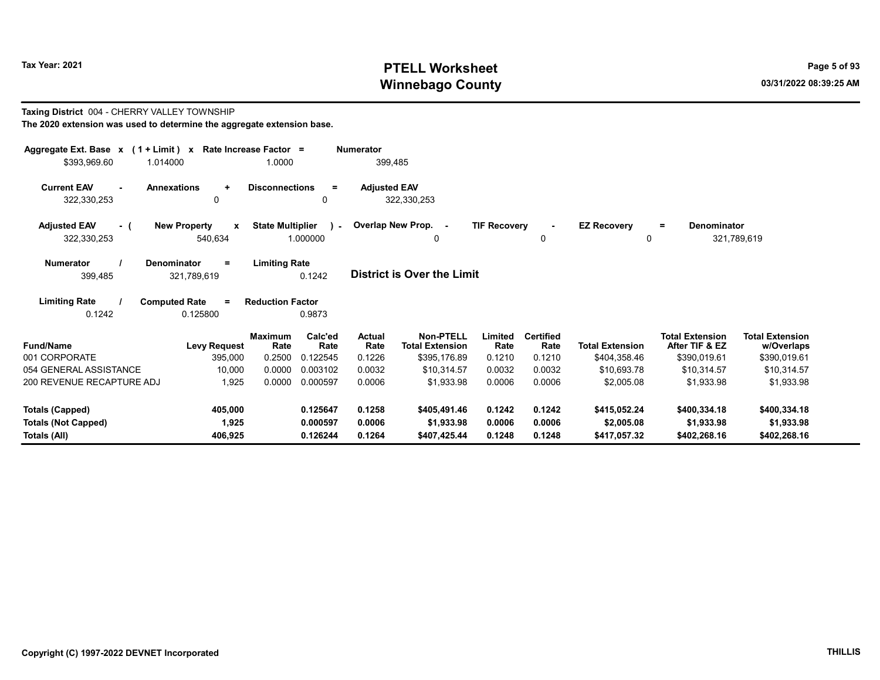Taxing District 004 - CHERRY VALLEY TOWNSHIP

# Tax Year: 2021 **PTELL Worksheet** Page 5 of 93 Winnebago County and the county of the county of the county of the county of the county of the county of the county of the county of the county of the county of the county of the county of the county of the county of the c

= Denominator

321,789,619

| The 2020 extension was used to determine the aggregate extension base. |     |                                                              |                      |                                        |         |                     |                                   |                     |             |                    |
|------------------------------------------------------------------------|-----|--------------------------------------------------------------|----------------------|----------------------------------------|---------|---------------------|-----------------------------------|---------------------|-------------|--------------------|
|                                                                        |     | Aggregate Ext. Base $x$ (1 + Limit) x Rate Increase Factor = |                      |                                        |         | <b>Numerator</b>    |                                   |                     |             |                    |
| \$393,969.60                                                           |     | 1.014000                                                     |                      | 1.0000                                 |         | 399.485             |                                   |                     |             |                    |
| <b>Current EAV</b>                                                     | ۰.  | <b>Annexations</b>                                           | $\ddot{\phantom{1}}$ | <b>Disconnections</b>                  | =       | <b>Adjusted EAV</b> |                                   |                     |             |                    |
| 322,330,253                                                            |     | 0                                                            |                      |                                        | 0       |                     | 322,330,253                       |                     |             |                    |
| <b>Adjusted EAV</b>                                                    | - ( | <b>New Property</b>                                          | $\mathbf{x}$         | State Multiplier ) - Overlap New Prop. |         |                     | $\sim$                            | <b>TIF Recovery</b> | ٠           | <b>EZ Recovery</b> |
| 322,330,253                                                            |     | 540,634                                                      |                      | 1.000000                               |         |                     | 0                                 |                     | $\mathbf 0$ | 0                  |
| <b>Numerator</b>                                                       |     | <b>Denominator</b>                                           | $=$                  | <b>Limiting Rate</b>                   |         |                     |                                   |                     |             |                    |
| 399,485                                                                |     | 321,789,619                                                  |                      | 0.1242                                 |         |                     | <b>District is Over the Limit</b> |                     |             |                    |
| <b>Limiting Rate</b>                                                   |     | <b>Computed Rate</b>                                         | $\equiv$             | <b>Reduction Factor</b>                |         |                     |                                   |                     |             |                    |
| 0.1242                                                                 |     | 0.125800                                                     |                      | 0.9873                                 |         |                     |                                   |                     |             |                    |
|                                                                        |     | $\blacksquare$                                               |                      | <b>Maximum</b>                         | Calc'ed | <b>Actual</b>       | <b>Non-PTELL</b>                  | Limited             | Certified   | _ _ _ _ _ _        |

| <b>Fund/Name</b>           | <b>Levy Request</b> | <b>Maximum</b><br>Rate | Calc'ed<br>Rate | <b>Actual</b><br>Rate | Non-PTELL<br><b>Total Extension</b> | Limited<br>Rate | Certified<br>Rate | <b>Total Extension</b> | <b>Total Extension</b><br>After TIF & EZ | <b>Total Extension</b><br>w/Overlaps |
|----------------------------|---------------------|------------------------|-----------------|-----------------------|-------------------------------------|-----------------|-------------------|------------------------|------------------------------------------|--------------------------------------|
| 001 CORPORATE              | 395,000             | 0.2500                 | 0.122545        | 0.1226                | \$395,176.89                        | 0.1210          | 0.1210            | \$404,358.46           | \$390,019.61                             | \$390,019.61                         |
| 054 GENERAL ASSISTANCE     | 10,000              | 0.0000                 | 0.003102        | 0.0032                | \$10.314.57                         | 0.0032          | 0.0032            | \$10,693.78            | \$10.314.57                              | \$10,314.57                          |
| 200 REVENUE RECAPTURE ADJ  | 1.925               | 0.0000                 | 0.000597        | 0.0006                | \$1.933.98                          | 0.0006          | 0.0006            | \$2,005.08             | \$1.933.98                               | \$1,933.98                           |
| Totals (Capped)            | 405.000             |                        | 0.125647        | 0.1258                | \$405.491.46                        | 0.1242          | 0.1242            | \$415,052.24           | \$400,334.18                             | \$400,334.18                         |
| <b>Totals (Not Capped)</b> | 1,925               |                        | 0.000597        | 0.0006                | \$1,933.98                          | 0.0006          | 0.0006            | \$2,005.08             | \$1,933.98                               | \$1,933.98                           |
| Totals (All)               | 406.925             |                        | 0.126244        | 0.1264                | \$407,425.44                        | 0.1248          | 0.1248            | \$417,057.32           | \$402,268.16                             | \$402,268.16                         |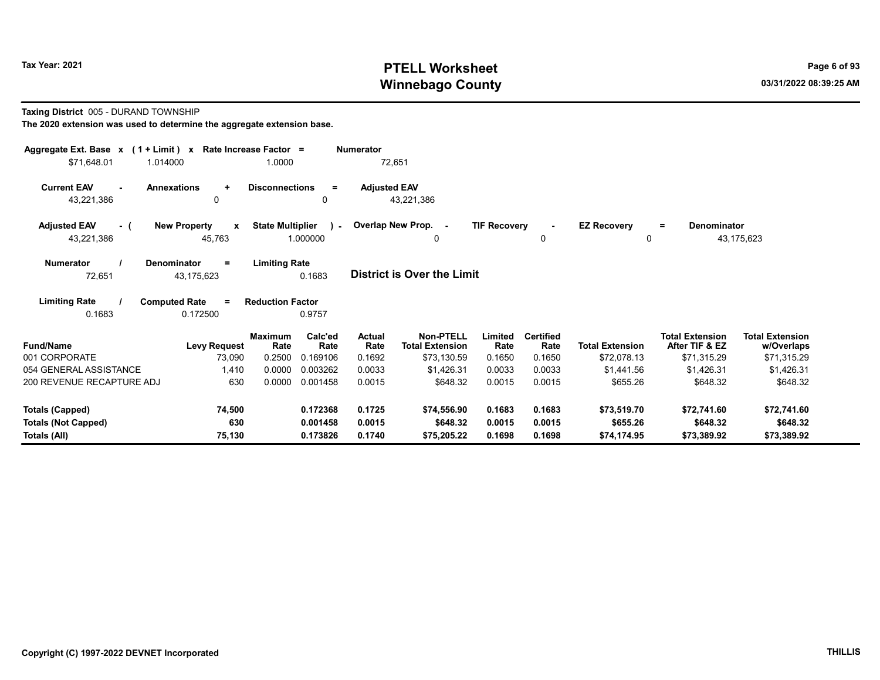# Tax Year: 2021 **PTELL Worksheet** Page 6 of 93 Winnebago County and the county of the county of the county of the county of the county of the county of the county of the county of the county of the county of the county of the county of the county of the county of the c

#### Taxing District 005 - DURAND TOWNSHIP

| Aggregate Ext. Base $x$ (1 + Limit) $x$ Rate Increase Factor =   |                                               |                                                      | <b>Numerator</b>      |                                     |                     |                          |                         |                                          |                                      |
|------------------------------------------------------------------|-----------------------------------------------|------------------------------------------------------|-----------------------|-------------------------------------|---------------------|--------------------------|-------------------------|------------------------------------------|--------------------------------------|
| \$71,648.01<br>1.014000                                          |                                               | 1.0000                                               | 72,651                |                                     |                     |                          |                         |                                          |                                      |
| <b>Current EAV</b><br><b>Annexations</b><br>$\sim$<br>43,221,386 | $\ddot{}$<br>0                                | <b>Disconnections</b><br>$=$<br>0                    | <b>Adjusted EAV</b>   | 43,221,386                          |                     |                          |                         |                                          |                                      |
| <b>Adjusted EAV</b><br>- (<br>43,221,386                         | <b>New Property</b><br>$\mathbf{x}$<br>45,763 | <b>State Multiplier</b><br>$\mathcal{L}$<br>1.000000 | Overlap New Prop. -   | 0                                   | <b>TIF Recovery</b> | 0                        | <b>EZ Recovery</b><br>0 | <b>Denominator</b><br>$\equiv$           | 43,175,623                           |
| <b>Denominator</b><br><b>Numerator</b><br>72,651                 | $=$<br>43,175,623                             | <b>Limiting Rate</b><br>0.1683                       |                       | <b>District is Over the Limit</b>   |                     |                          |                         |                                          |                                      |
| <b>Limiting Rate</b><br><b>Computed Rate</b><br>0.1683           | $\equiv$<br>0.172500                          | <b>Reduction Factor</b><br>0.9757                    |                       |                                     |                     |                          |                         |                                          |                                      |
| <b>Fund/Name</b>                                                 | <b>Maximum</b><br><b>Levy Request</b>         | Calc'ed<br>Rate<br>Rate                              | <b>Actual</b><br>Rate | Non-PTELL<br><b>Total Extension</b> | Limited<br>Rate     | <b>Certified</b><br>Rate | <b>Total Extension</b>  | <b>Total Extension</b><br>After TIF & EZ | <b>Total Extension</b><br>w/Overlaps |
| 001 CORPORATE                                                    | 73,090                                        | 0.2500<br>0.169106                                   | 0.1692                | \$73,130.59                         | 0.1650              | 0.1650                   | \$72,078.13             | \$71,315.29                              | \$71,315.29                          |
| 054 GENERAL ASSISTANCE                                           | 1,410                                         | 0.0000<br>0.003262                                   | 0.0033                | \$1,426.31                          | 0.0033              | 0.0033                   | \$1,441.56              | \$1,426.31                               | \$1,426.31                           |
| 200 REVENUE RECAPTURE ADJ                                        | 630                                           | 0.0000<br>0.001458                                   | 0.0015                | \$648.32                            | 0.0015              | 0.0015                   | \$655.26                | \$648.32                                 | \$648.32                             |
| <b>Totals (Capped)</b>                                           | 74,500                                        | 0.172368                                             | 0.1725                | \$74,556.90                         | 0.1683              | 0.1683                   | \$73,519.70             | \$72,741.60                              | \$72,741.60                          |
| <b>Totals (Not Capped)</b><br>Totals (All)                       | 630<br>75,130                                 | 0.001458<br>0.173826                                 | 0.0015<br>0.1740      | \$648.32<br>\$75,205.22             | 0.0015<br>0.1698    | 0.0015<br>0.1698         | \$655.26<br>\$74.174.95 | \$648.32<br>\$73,389.92                  | \$648.32<br>\$73,389.92              |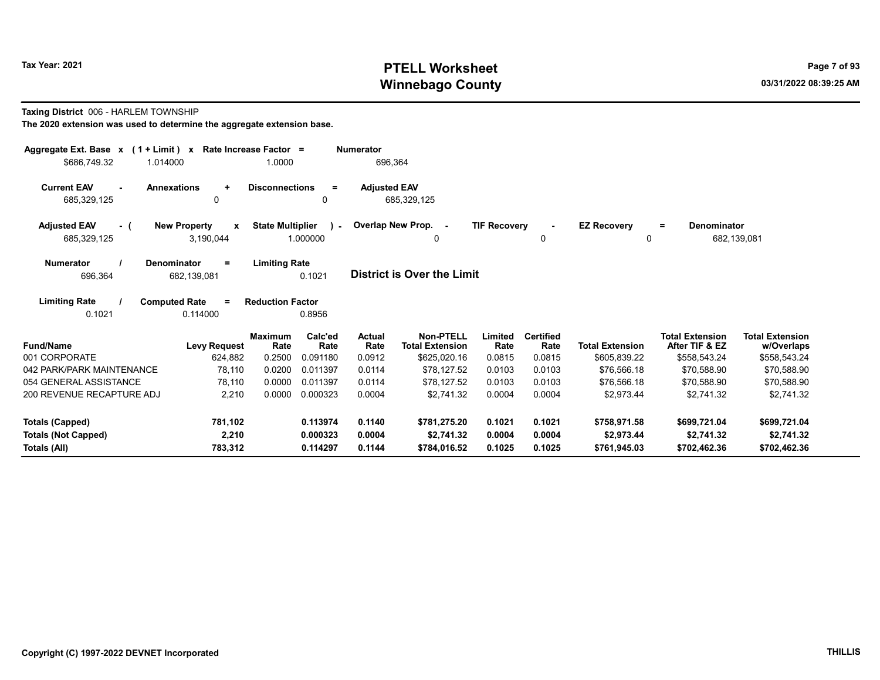# Tax Year: 2021 **PTELL Worksheet** Page 7 of 93 Winnebago County and the county of the county of the county of the county of the county of the county of the county of the county of the county of the county of the county of the county of the county of the county of the c

#### Taxing District 006 - HARLEM TOWNSHIP

| Aggregate Ext. Base $x$ (1 + Limit) $x$<br>\$686.749.32<br>1.014000 | Rate Increase Factor =                           | 1.0000                                              | <b>Numerator</b><br>696,364 |                                            |                     |                          |                         |                                          |                                      |
|---------------------------------------------------------------------|--------------------------------------------------|-----------------------------------------------------|-----------------------------|--------------------------------------------|---------------------|--------------------------|-------------------------|------------------------------------------|--------------------------------------|
| <b>Current EAV</b><br>$\sim$<br>685,329,125                         | <b>Annexations</b><br>$\ddot{}$<br>$\Omega$      | <b>Disconnections</b><br>$\equiv$<br>0              | <b>Adjusted EAV</b>         | 685,329,125                                |                     |                          |                         |                                          |                                      |
| <b>Adjusted EAV</b><br>- (<br>685,329,125                           | <b>New Property</b><br>$\mathbf{x}$<br>3,190,044 | <b>State Multiplier</b><br>$\mathbf{1}$<br>1.000000 | Overlap New Prop. -         | 0                                          | <b>TIF Recovery</b> | $\sim$<br>$\mathbf{0}$   | <b>EZ Recovery</b><br>0 | Denominator<br>$=$<br>682,139,081        |                                      |
| <b>Numerator</b><br>696,364                                         | Denominator<br>$=$<br>682,139,081                | <b>Limiting Rate</b><br>0.1021                      |                             | District is Over the Limit                 |                     |                          |                         |                                          |                                      |
| <b>Limiting Rate</b><br>0.1021                                      | <b>Computed Rate</b><br>$\equiv$<br>0.114000     | <b>Reduction Factor</b><br>0.8956                   |                             |                                            |                     |                          |                         |                                          |                                      |
| <b>Fund/Name</b>                                                    | <b>Maximum</b><br><b>Levy Request</b>            | Calc'ed<br>Rate<br>Rate                             | Actual<br>Rate              | <b>Non-PTELL</b><br><b>Total Extension</b> | Limited<br>Rate     | <b>Certified</b><br>Rate | <b>Total Extension</b>  | <b>Total Extension</b><br>After TIF & EZ | <b>Total Extension</b><br>w/Overlaps |
| 001 CORPORATE                                                       | 624,882                                          | 0.2500<br>0.091180                                  | 0.0912                      | \$625,020.16                               | 0.0815              | 0.0815                   | \$605,839.22            | \$558,543.24                             | \$558,543.24                         |
| 042 PARK/PARK MAINTENANCE                                           | 78,110                                           | 0.0200<br>0.011397                                  | 0.0114                      | \$78,127.52                                | 0.0103              | 0.0103                   | \$76,566.18             | \$70,588.90                              | \$70,588.90                          |
| 054 GENERAL ASSISTANCE                                              | 78.110                                           | 0.0000<br>0.011397                                  | 0.0114                      | \$78.127.52                                | 0.0103              | 0.0103                   | \$76,566.18             | \$70,588.90                              | \$70,588.90                          |
| 200 REVENUE RECAPTURE ADJ                                           | 2,210                                            | 0.0000<br>0.000323                                  | 0.0004                      | \$2,741.32                                 | 0.0004              | 0.0004                   | \$2,973.44              | \$2,741.32                               | \$2,741.32                           |
| <b>Totals (Capped)</b>                                              | 781,102                                          | 0.113974                                            | 0.1140                      | \$781,275.20                               | 0.1021              | 0.1021                   | \$758,971.58            | \$699,721.04                             | \$699,721.04                         |
| <b>Totals (Not Capped)</b>                                          | 2,210                                            | 0.000323                                            | 0.0004                      | \$2.741.32                                 | 0.0004              | 0.0004                   | \$2.973.44              | \$2,741.32                               | \$2,741.32                           |
| Totals (All)                                                        | 783,312                                          | 0.114297                                            | 0.1144                      | \$784,016.52                               | 0.1025              | 0.1025                   | \$761,945.03            | \$702,462.36                             | \$702,462.36                         |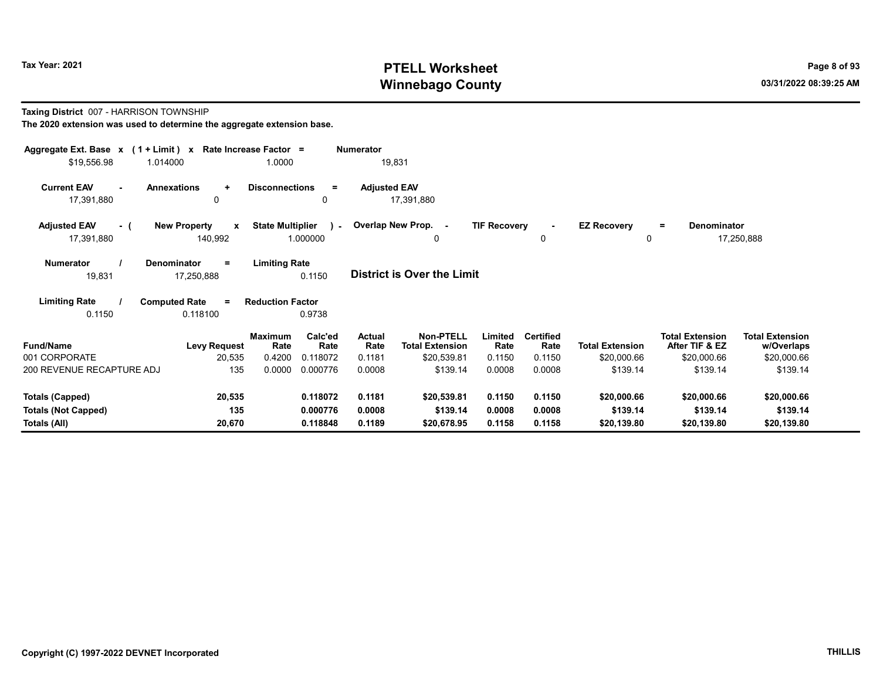# Tax Year: 2021 **PTELL Worksheet** Page 8 of 93 Winnebago County and the county of the county of the county of the county of the county of the county of the county of the county of the county of the county of the county of the county of the county of the county of the c

Taxing District 007 - HARRISON TOWNSHIP

| Aggregate Ext. Base x (1 + Limit) x Rate Increase Factor =<br>\$19,556.98<br>1.014000 |                                                 | 1.0000                                             | <b>Numerator</b><br>19,831        |                                                               |                          |                         |                                          |                                      |
|---------------------------------------------------------------------------------------|-------------------------------------------------|----------------------------------------------------|-----------------------------------|---------------------------------------------------------------|--------------------------|-------------------------|------------------------------------------|--------------------------------------|
| <b>Current EAV</b><br>17,391,880                                                      | <b>Annexations</b><br>$\ddot{}$<br>$\mathbf{0}$ | <b>Disconnections</b><br>$=$<br>0                  | <b>Adjusted EAV</b><br>17,391,880 |                                                               |                          |                         |                                          |                                      |
| <b>Adjusted EAV</b><br>- (<br>17,391,880                                              | <b>New Property</b><br>$\mathbf{x}$<br>140,992  | <b>State Multiplier</b><br>$\lambda$ -<br>1.000000 | Overlap New Prop. -               | <b>TIF Recovery</b><br>0                                      | $\blacksquare$<br>0      | <b>EZ Recovery</b><br>0 | <b>Denominator</b><br>$=$                | 17,250,888                           |
| <b>Numerator</b><br>19,831                                                            | <b>Denominator</b><br>$=$<br>17,250,888         | <b>Limiting Rate</b><br>0.1150                     | <b>District is Over the Limit</b> |                                                               |                          |                         |                                          |                                      |
| <b>Limiting Rate</b><br>0.1150                                                        | <b>Computed Rate</b><br>$=$<br>0.118100         | <b>Reduction Factor</b><br>0.9738                  |                                   |                                                               |                          |                         |                                          |                                      |
| <b>Fund/Name</b>                                                                      | <b>Levy Request</b>                             | Calc'ed<br>Maximum<br>Rate<br>Rate                 | Actual<br>Rate                    | <b>Non-PTELL</b><br>Limited<br><b>Total Extension</b><br>Rate | <b>Certified</b><br>Rate | <b>Total Extension</b>  | <b>Total Extension</b><br>After TIF & EZ | <b>Total Extension</b><br>w/Overlaps |
| 001 CORPORATE<br>200 REVENUE RECAPTURE ADJ                                            | 20,535<br>135                                   | 0.4200<br>0.118072<br>0.0000<br>0.000776           | 0.1181<br>0.0008                  | \$20,539.81<br>0.1150<br>\$139.14<br>0.0008                   | 0.1150<br>0.0008         | \$20,000.66<br>\$139.14 | \$20,000.66<br>\$139.14                  | \$20,000.66<br>\$139.14              |
|                                                                                       |                                                 |                                                    |                                   |                                                               |                          |                         |                                          |                                      |
| <b>Totals (Capped)</b>                                                                | 20,535                                          | 0.118072                                           | 0.1181                            | \$20,539.81<br>0.1150                                         | 0.1150                   | \$20,000.66             | \$20,000.66                              | \$20,000.66                          |
| <b>Totals (Not Capped)</b>                                                            | 135                                             | 0.000776                                           | 0.0008                            | \$139.14<br>0.0008                                            | 0.0008                   | \$139.14                | \$139.14                                 | \$139.14                             |
| Totals (All)                                                                          | 20,670                                          | 0.118848                                           | 0.1189                            | 0.1158<br>\$20,678.95                                         | 0.1158                   | \$20,139.80             | \$20,139.80                              | \$20,139.80                          |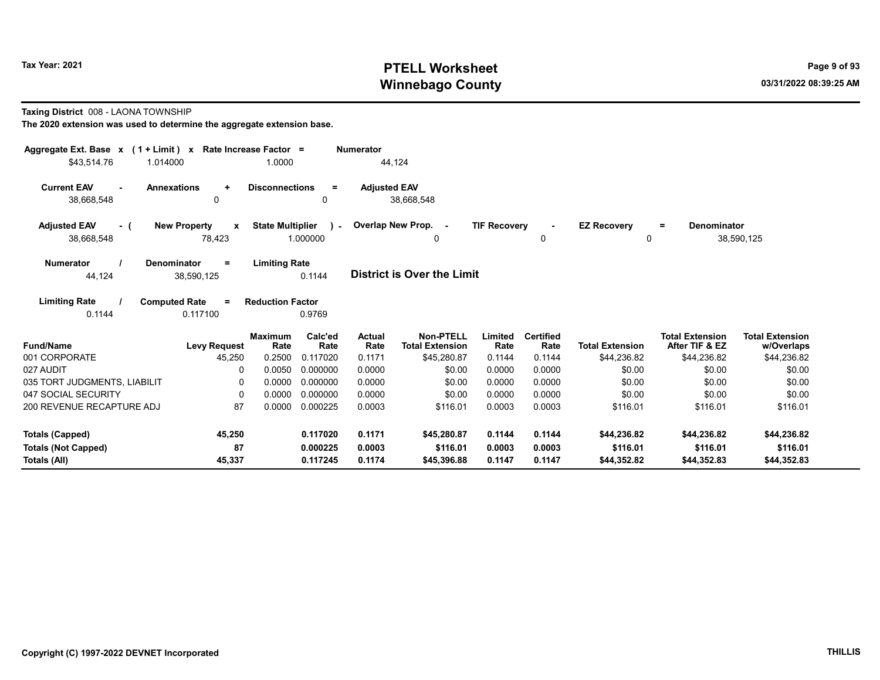# Tax Year: 2021 **PTELL Worksheet** Page 9 of 93 Winnebago County and the county of the county of the county of the county of the county of the county of the county of the county of the county of the county of the county of the county of the county of the county of the c

Taxing District 008 - LAONA TOWNSHIP

| Aggregate Ext. Base $x$ (1 + Limit) $x$                                                   | Rate Increase Factor =                           | <b>Numerator</b>                                             |                                             |                         |                                          |                                      |
|-------------------------------------------------------------------------------------------|--------------------------------------------------|--------------------------------------------------------------|---------------------------------------------|-------------------------|------------------------------------------|--------------------------------------|
| \$43.514.76<br>1.014000                                                                   | 1.0000                                           | 44.124                                                       |                                             |                         |                                          |                                      |
| <b>Current EAV</b><br><b>Annexations</b><br>$\ddot{}$<br>$\sim$<br>38,668,548<br>$\Omega$ | <b>Disconnections</b><br>$=$<br>$\mathbf{0}$     | <b>Adjusted EAV</b><br>38,668,548                            |                                             |                         |                                          |                                      |
| <b>New Property</b><br><b>Adjusted EAV</b><br>X<br>- (<br>38,668,548<br>78,423            | <b>State Multiplier</b><br>$\lambda$<br>1.000000 | Overlap New Prop. -<br>0                                     | <b>TIF Recovery</b><br>$\blacksquare$<br>0  | <b>EZ Recovery</b><br>0 | <b>Denominator</b><br>$=$                | 38,590,125                           |
| <b>Numerator</b><br>Denominator<br>$\equiv$<br>44,124<br>38,590,125                       | <b>Limiting Rate</b><br>0.1144                   | <b>District is Over the Limit</b>                            |                                             |                         |                                          |                                      |
| <b>Limiting Rate</b><br><b>Computed Rate</b><br>$\equiv$<br>0.1144<br>0.117100            | <b>Reduction Factor</b><br>0.9769                |                                                              |                                             |                         |                                          |                                      |
| <b>Fund/Name</b><br><b>Levy Request</b>                                                   | Calc'ed<br><b>Maximum</b><br>Rate<br>Rate        | <b>Non-PTELL</b><br>Actual<br><b>Total Extension</b><br>Rate | <b>Certified</b><br>Limited<br>Rate<br>Rate | <b>Total Extension</b>  | <b>Total Extension</b><br>After TIF & EZ | <b>Total Extension</b><br>w/Overlaps |
| 001 CORPORATE<br>45,250<br>027 AUDIT<br>n                                                 | 0.2500<br>0.117020<br>0.0050<br>0.000000         | \$45,280.87<br>0.1171<br>0.0000<br>\$0.00                    | 0.1144<br>0.1144<br>0.0000<br>0.0000        | \$44,236.82<br>\$0.00   | \$44,236.82<br>\$0.00                    | \$44,236.82                          |
| 035 TORT JUDGMENTS, LIABILIT                                                              | 0.0000<br>0.000000                               | 0.0000<br>\$0.00                                             | 0.0000<br>0.0000                            | \$0.00                  | \$0.00                                   | \$0.00<br>\$0.00                     |
| 047 SOCIAL SECURITY<br>$\Omega$                                                           | 0.0000<br>0.000000                               | 0.0000<br>\$0.00                                             | 0.0000<br>0.0000                            | \$0.00                  | \$0.00                                   | \$0.00                               |
| 200 REVENUE RECAPTURE ADJ<br>87                                                           | 0.0000<br>0.000225                               | 0.0003<br>\$116.01                                           | 0.0003<br>0.0003                            | \$116.01                | \$116.01                                 | \$116.01                             |
| 45,250<br><b>Totals (Capped)</b>                                                          | 0.117020                                         | 0.1171<br>\$45,280.87                                        | 0.1144<br>0.1144                            | \$44.236.82             | \$44.236.82                              | \$44,236.82                          |
| 87<br><b>Totals (Not Capped)</b><br>Totals (All)<br>45,337                                | 0.000225<br>0.117245                             | 0.0003<br>\$116.01<br>0.1174<br>\$45,396.88                  | 0.0003<br>0.0003<br>0.1147<br>0.1147        | \$116.01<br>\$44,352.82 | \$116.01<br>\$44,352.83                  | \$116.01<br>\$44,352.83              |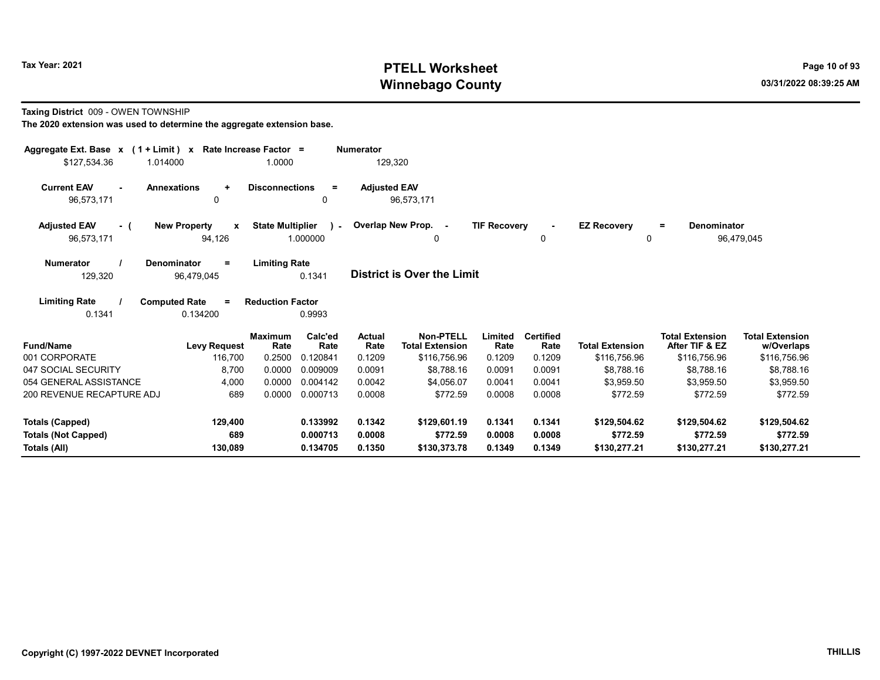# Tax Year: 2021 **PTELL Worksheet** Page 10 of 93 Winnebago County and the county of the county of the county of the county of the county of the county of the county of the county of the county of the county of the county of the county of the county of the county of the c

#### Taxing District 009 - OWEN TOWNSHIP

| Aggregate Ext. Base x (1 + Limit) x<br>\$127,534.36<br>1.014000 | Rate Increase Factor =                        | 1.0000                  |                          | <b>Numerator</b><br>129,320 |                                     |                     |                          |                         |                                          |                                      |
|-----------------------------------------------------------------|-----------------------------------------------|-------------------------|--------------------------|-----------------------------|-------------------------------------|---------------------|--------------------------|-------------------------|------------------------------------------|--------------------------------------|
| <b>Current EAV</b><br>$\sim$<br>96,573,171                      | <b>Annexations</b><br>$\ddot{}$<br>0          | <b>Disconnections</b>   | $\equiv$<br>0            | <b>Adjusted EAV</b>         | 96,573,171                          |                     |                          |                         |                                          |                                      |
| <b>Adjusted EAV</b><br>- (<br>96,573,171                        | <b>New Property</b><br>$\mathbf{x}$<br>94,126 | <b>State Multiplier</b> | $\mathbf{1}$<br>1.000000 |                             | Overlap New Prop. -<br>$\Omega$     | <b>TIF Recovery</b> | $\sim$<br>0              | <b>EZ Recovery</b><br>0 | Denominator<br>$=$                       | 96,479,045                           |
| <b>Numerator</b><br>129,320                                     | Denominator<br>$=$<br>96,479,045              | <b>Limiting Rate</b>    | 0.1341                   |                             | District is Over the Limit          |                     |                          |                         |                                          |                                      |
| <b>Limiting Rate</b><br>0.1341                                  | <b>Computed Rate</b><br>$=$<br>0.134200       | <b>Reduction Factor</b> | 0.9993                   |                             |                                     |                     |                          |                         |                                          |                                      |
| <b>Fund/Name</b>                                                | <b>Levy Request</b>                           | <b>Maximum</b><br>Rate  | Calc'ed<br>Rate          | Actual<br>Rate              | Non-PTELL<br><b>Total Extension</b> | Limited<br>Rate     | <b>Certified</b><br>Rate | <b>Total Extension</b>  | <b>Total Extension</b><br>After TIF & EZ | <b>Total Extension</b><br>w/Overlaps |
| 001 CORPORATE                                                   | 116,700                                       | 0.2500                  | 0.120841                 | 0.1209                      | \$116,756.96                        | 0.1209              | 0.1209                   | \$116,756.96            | \$116,756.96                             | \$116,756.96                         |
| 047 SOCIAL SECURITY                                             | 8.700                                         | 0.0000                  | 0.009009                 | 0.0091                      | \$8.788.16                          | 0.0091              | 0.0091                   | \$8.788.16              | \$8.788.16                               | \$8,788.16                           |
| 054 GENERAL ASSISTANCE                                          | 4,000                                         | 0.0000                  | 0.004142                 | 0.0042                      | \$4,056.07                          | 0.0041              | 0.0041                   | \$3,959.50              | \$3,959.50                               | \$3,959.50                           |
| 200 REVENUE RECAPTURE ADJ                                       | 689                                           | 0.0000                  | 0.000713                 | 0.0008                      | \$772.59                            | 0.0008              | 0.0008                   | \$772.59                | \$772.59                                 | \$772.59                             |
| <b>Totals (Capped)</b>                                          | 129,400                                       |                         | 0.133992                 | 0.1342                      | \$129,601.19                        | 0.1341              | 0.1341                   | \$129,504.62            | \$129,504.62                             | \$129,504.62                         |
| <b>Totals (Not Capped)</b>                                      | 689                                           |                         | 0.000713                 | 0.0008                      | \$772.59                            | 0.0008              | 0.0008                   | \$772.59                | \$772.59                                 | \$772.59                             |
| Totals (All)                                                    | 130,089                                       |                         | 0.134705                 | 0.1350                      | \$130,373.78                        | 0.1349              | 0.1349                   | \$130,277.21            | \$130,277.21                             | \$130,277.21                         |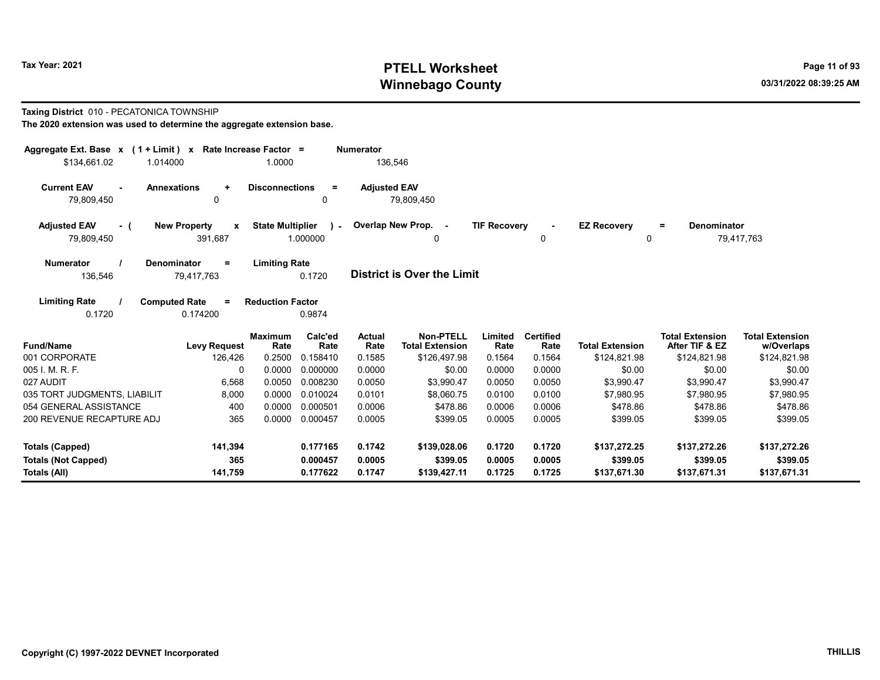# Tax Year: 2021 **PTELL Worksheet** Page 11 of 93 Winnebago County and the county of the county of the county of the county of the county of the county of the county of the county of the county of the county of the county of the county of the county of the county of the c

#### Taxing District 010 - PECATONICA TOWNSHIP

|                                                        | Aggregate Ext. Base $x$ (1 + Limit) x Rate Increase Factor =<br><b>Numerator</b> |                                           |                     |                                            |                     |                          |                        |                                          |                                      |  |  |  |
|--------------------------------------------------------|----------------------------------------------------------------------------------|-------------------------------------------|---------------------|--------------------------------------------|---------------------|--------------------------|------------------------|------------------------------------------|--------------------------------------|--|--|--|
| \$134,661.02<br>1.014000                               |                                                                                  | 1.0000                                    | 136,546             |                                            |                     |                          |                        |                                          |                                      |  |  |  |
| <b>Current EAV</b><br><b>Annexations</b><br>79,809,450 | $\ddot{\phantom{1}}$<br>$\Omega$                                                 | <b>Disconnections</b><br>$=$<br>0         | <b>Adjusted EAV</b> | 79,809,450                                 |                     |                          |                        |                                          |                                      |  |  |  |
| <b>New Property</b><br><b>Adjusted EAV</b><br>- (      | $\mathbf{x}$                                                                     | <b>State Multiplier</b><br>$\sim$         |                     | Overlap New Prop. -                        | <b>TIF Recovery</b> |                          | <b>EZ Recovery</b>     | <b>Denominator</b><br>$=$                |                                      |  |  |  |
| 79,809,450                                             | 391,687                                                                          | 1.000000                                  |                     | 0                                          |                     | 0                        | 0                      |                                          | 79,417,763                           |  |  |  |
| <b>Numerator</b><br><b>Denominator</b><br>136,546      | $=$<br>79,417,763                                                                | <b>Limiting Rate</b><br>0.1720            |                     | <b>District is Over the Limit</b>          |                     |                          |                        |                                          |                                      |  |  |  |
| <b>Limiting Rate</b><br><b>Computed Rate</b><br>0.1720 | $=$<br>0.174200                                                                  | <b>Reduction Factor</b><br>0.9874         |                     |                                            |                     |                          |                        |                                          |                                      |  |  |  |
| <b>Fund/Name</b>                                       | <b>Levy Request</b>                                                              | Calc'ed<br><b>Maximum</b><br>Rate<br>Rate | Actual<br>Rate      | <b>Non-PTELL</b><br><b>Total Extension</b> | Limited<br>Rate     | <b>Certified</b><br>Rate | <b>Total Extension</b> | <b>Total Extension</b><br>After TIF & EZ | <b>Total Extension</b><br>w/Overlaps |  |  |  |
| 001 CORPORATE                                          | 126,426                                                                          | 0.2500<br>0.158410                        | 0.1585              | \$126,497.98                               | 0.1564              | 0.1564                   | \$124,821.98           | \$124,821.98                             | \$124,821.98                         |  |  |  |
| 005 I. M. R. F.                                        | $\Omega$                                                                         | 0.0000<br>0.000000                        | 0.0000              | \$0.00                                     | 0.0000              | 0.0000                   | \$0.00                 | \$0.00                                   | \$0.00                               |  |  |  |
| 027 AUDIT                                              | 6,568                                                                            | 0.008230<br>0.0050                        | 0.0050              | \$3,990.47                                 | 0.0050              | 0.0050                   | \$3,990.47             | \$3,990.47                               | \$3,990.47                           |  |  |  |
| 035 TORT JUDGMENTS, LIABILIT                           | 8,000                                                                            | 0.0000<br>0.010024                        | 0.0101              | \$8,060.75                                 | 0.0100              | 0.0100                   | \$7.980.95             | \$7,980.95                               | \$7,980.95                           |  |  |  |
| 054 GENERAL ASSISTANCE                                 | 400                                                                              | 0.0000<br>0.000501                        | 0.0006              | \$478.86                                   | 0.0006              | 0.0006                   | \$478.86               | \$478.86                                 | \$478.86                             |  |  |  |
| 200 REVENUE RECAPTURE ADJ                              | 365                                                                              | 0.0000<br>0.000457                        | 0.0005              | \$399.05                                   | 0.0005              | 0.0005                   | \$399.05               | \$399.05                                 | \$399.05                             |  |  |  |
| <b>Totals (Capped)</b>                                 | 141,394                                                                          | 0.177165                                  | 0.1742              | \$139,028.06                               | 0.1720              | 0.1720                   | \$137,272.25           | \$137,272.26                             | \$137,272.26                         |  |  |  |
| <b>Totals (Not Capped)</b>                             | 365                                                                              | 0.000457                                  | 0.0005              | \$399.05                                   | 0.0005              | 0.0005                   | \$399.05               | \$399.05                                 | \$399.05                             |  |  |  |
| Totals (All)                                           | 141,759                                                                          | 0.177622                                  | 0.1747              | \$139,427.11                               | 0.1725              | 0.1725                   | \$137,671.30           | \$137,671.31                             | \$137,671.31                         |  |  |  |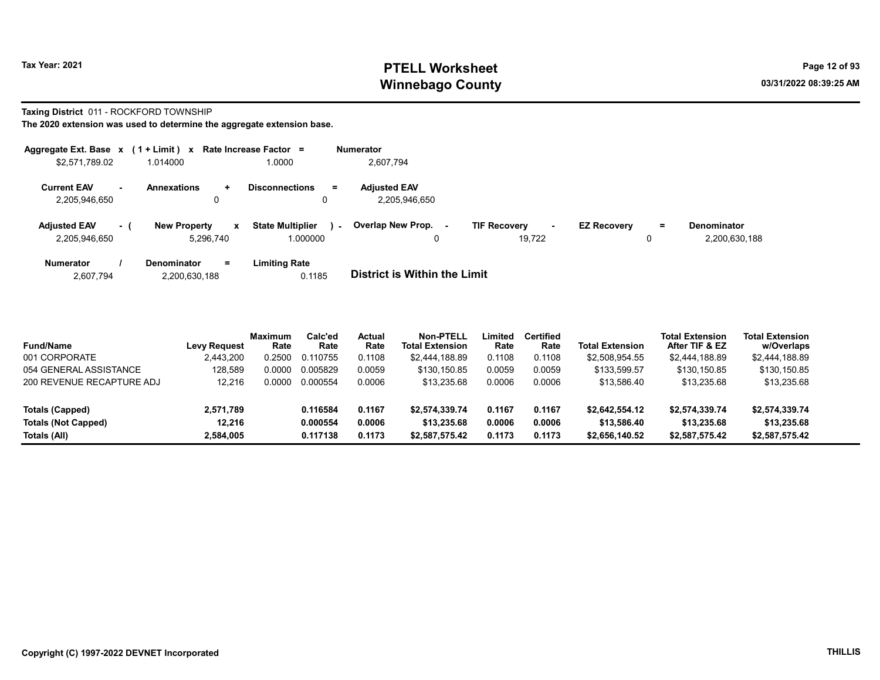# Tax Year: 2021 **PTELL Worksheet** Page 12 of 93 Winnebago County and the county of the county of the county of the county of the county of the county of the county of the county of the county of the county of the county of the county of the county of the county of the c

Taxing District 011 - ROCKFORD TOWNSHIP

The 2020 extension was used to determine the aggregate extension base.

| Aggregate Ext. Base $x$ (1 + Limit) $x$ Rate Increase Factor = |          |                                  |         |                                     |        | <b>Numerator</b>                     |                               |   |                    |          |                                     |
|----------------------------------------------------------------|----------|----------------------------------|---------|-------------------------------------|--------|--------------------------------------|-------------------------------|---|--------------------|----------|-------------------------------------|
| \$2,571,789.02                                                 |          | 1.014000                         |         | 1.0000                              |        | 2.607.794                            |                               |   |                    |          |                                     |
| <b>Current EAV</b><br>2,205,946,650                            | $\sim$   | <b>Annexations</b>               | ÷.<br>0 | <b>Disconnections</b><br>0          | $=$    | <b>Adiusted EAV</b><br>2.205.946.650 |                               |   |                    |          |                                     |
| <b>Adjusted EAV</b><br>2,205,946,650                           | $\sim$ 1 | <b>New Property</b><br>5.296.740 | x       | <b>State Multiplier</b><br>1.000000 | $\sim$ | <b>Overlap New Prop. -</b><br>0      | <b>TIF Recovery</b><br>19.722 | ۰ | <b>EZ Recovery</b> | $=$<br>0 | <b>Denominator</b><br>2,200,630,188 |
| <b>Numerator</b>                                               |          | <b>Denominator</b>               | Ξ.      | Limiting Rate                       |        | _ _ _ _ _ _ _ _ _ _ _ _ _ _ _ _      |                               |   |                    |          |                                     |

2,607,794 2,200,630,188 0.1185 District is Within the Limit

| <b>Fund/Name</b>           | Levy Request | <b>Maximum</b><br>Rate | Calc'ed<br>Rate | <b>Actual</b><br>Rate | Non-PTELL<br><b>Total Extension</b> | Limited<br>Rate | Certified<br>Rate | <b>Total Extension</b> | <b>Total Extension</b><br>After TIF & EZ | <b>Total Extension</b><br>w/Overlaps |
|----------------------------|--------------|------------------------|-----------------|-----------------------|-------------------------------------|-----------------|-------------------|------------------------|------------------------------------------|--------------------------------------|
| 001 CORPORATE              | 2,443,200    | 0.2500                 | 0.110755        | 0.1108                | \$2.444.188.89                      | 0.1108          | 0.1108            | \$2,508,954.55         | \$2,444,188.89                           | \$2,444,188.89                       |
| 054 GENERAL ASSISTANCE     | 128.589      | 0.0000                 | 0.005829        | 0.0059                | \$130,150.85                        | 0.0059          | 0.0059            | \$133,599.57           | \$130,150.85                             | \$130.150.85                         |
| 200 REVENUE RECAPTURE ADJ  | 12.216       | 0.0000                 | 0.000554        | 0.0006                | \$13,235.68                         | 0.0006          | 0.0006            | \$13.586.40            | \$13,235.68                              | \$13,235.68                          |
| Totals (Capped)            | 2,571,789    |                        | 0.116584        | 0.1167                | \$2.574.339.74                      | 0.1167          | 0.1167            | \$2,642,554,12         | \$2,574,339.74                           | \$2,574,339.74                       |
| <b>Totals (Not Capped)</b> | 12.216       |                        | 0.000554        | 0.0006                | \$13,235,68                         | 0.0006          | 0.0006            | \$13,586.40            | \$13,235.68                              | \$13,235,68                          |
| Totals (All)               | 2,584,005    |                        | 0.117138        | 0.1173                | \$2.587.575.42                      | 0.1173          | 0.1173            | \$2.656.140.52         | \$2,587,575.42                           | \$2,587,575.42                       |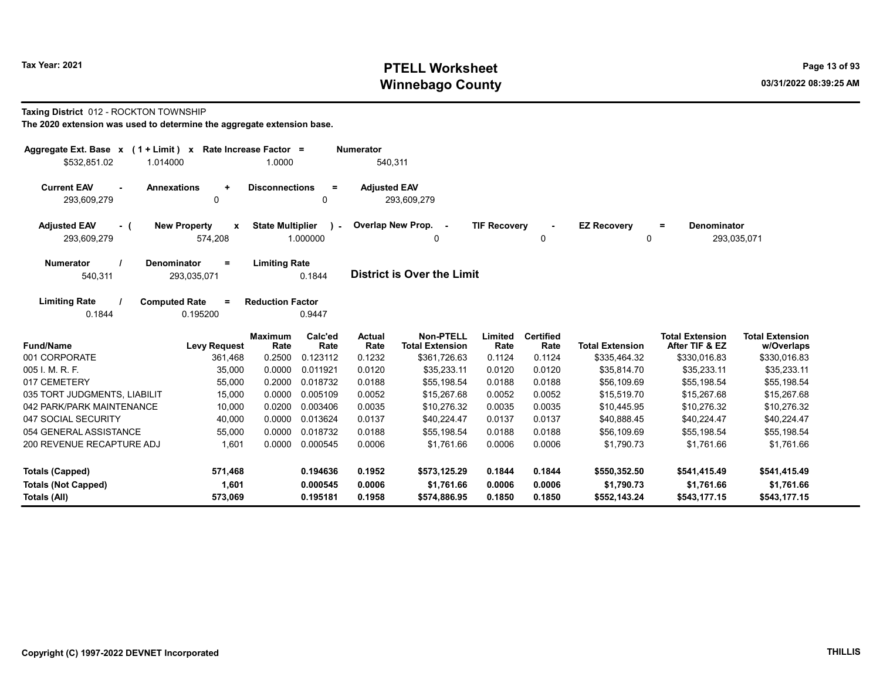# Tax Year: 2021 **PTELL Worksheet** Page 13 of 93 Winnebago County and the county of the county of the county of the county of the county of the county of the county of the county of the county of the county of the county of the county of the county of the county of the c

#### Taxing District 012 - ROCKTON TOWNSHIP

| Aggregate Ext. Base $x$ (1 + Limit) $x$                 | Rate Increase Factor =   |                                           | <b>Numerator</b>    |                                            |                     |                          |                        |                                          |                                      |
|---------------------------------------------------------|--------------------------|-------------------------------------------|---------------------|--------------------------------------------|---------------------|--------------------------|------------------------|------------------------------------------|--------------------------------------|
| \$532,851.02<br>1.014000                                |                          | 1.0000                                    | 540,311             |                                            |                     |                          |                        |                                          |                                      |
| <b>Current EAV</b><br><b>Annexations</b><br>293,609,279 | $\ddot{}$<br>0           | <b>Disconnections</b><br>$\equiv$<br>0    | <b>Adjusted EAV</b> | 293,609,279                                |                     |                          |                        |                                          |                                      |
| <b>Adjusted EAV</b><br>- (                              | <b>New Property</b><br>X | <b>State Multiplier</b><br>$\sim$         |                     | Overlap New Prop. -                        | <b>TIF Recovery</b> |                          | <b>EZ Recovery</b>     | <b>Denominator</b><br>$\equiv$           |                                      |
| 293,609,279                                             | 574,208                  | 1.000000                                  |                     | 0                                          |                     | 0                        | 0                      |                                          | 293,035,071                          |
| <b>Numerator</b><br>Denominator<br>540,311              | $=$<br>293,035,071       | <b>Limiting Rate</b><br>0.1844            |                     | District is Over the Limit                 |                     |                          |                        |                                          |                                      |
| <b>Limiting Rate</b><br><b>Computed Rate</b><br>0.1844  | $\equiv$<br>0.195200     | <b>Reduction Factor</b><br>0.9447         |                     |                                            |                     |                          |                        |                                          |                                      |
| <b>Fund/Name</b>                                        | <b>Levy Request</b>      | Calc'ed<br><b>Maximum</b><br>Rate<br>Rate | Actual<br>Rate      | <b>Non-PTELL</b><br><b>Total Extension</b> | Limited<br>Rate     | <b>Certified</b><br>Rate | <b>Total Extension</b> | <b>Total Extension</b><br>After TIF & EZ | <b>Total Extension</b><br>w/Overlaps |
| 001 CORPORATE                                           | 361,468                  | 0.2500<br>0.123112                        | 0.1232              | \$361,726.63                               | 0.1124              | 0.1124                   | \$335,464.32           | \$330,016.83                             | \$330,016.83                         |
| 005 I. M. R. F.                                         | 35,000                   | 0.0000<br>0.011921                        | 0.0120              | \$35,233.11                                | 0.0120              | 0.0120                   | \$35,814.70            | \$35,233.11                              | \$35,233.11                          |
| 017 CEMETERY                                            | 55,000                   | 0.2000<br>0.018732                        | 0.0188              | \$55,198.54                                | 0.0188              | 0.0188                   | \$56,109.69            | \$55,198.54                              | \$55,198.54                          |
| 035 TORT JUDGMENTS, LIABILIT                            | 15,000                   | 0.0000<br>0.005109                        | 0.0052              | \$15,267.68                                | 0.0052              | 0.0052                   | \$15,519.70            | \$15,267.68                              | \$15,267.68                          |
| 042 PARK/PARK MAINTENANCE                               | 10,000                   | 0.0200<br>0.003406                        | 0.0035              | \$10,276.32                                | 0.0035              | 0.0035                   | \$10,445.95            | \$10,276.32                              | \$10,276.32                          |
| 047 SOCIAL SECURITY                                     | 40,000                   | 0.0000<br>0.013624                        | 0.0137              | \$40,224.47                                | 0.0137              | 0.0137                   | \$40,888.45            | \$40,224.47                              | \$40,224.47                          |
| 054 GENERAL ASSISTANCE                                  | 55,000                   | 0.0000<br>0.018732                        | 0.0188              | \$55,198.54                                | 0.0188              | 0.0188                   | \$56,109.69            | \$55,198.54                              | \$55,198.54                          |
| 200 REVENUE RECAPTURE ADJ                               | 1,601                    | 0.0000<br>0.000545                        | 0.0006              | \$1,761.66                                 | 0.0006              | 0.0006                   | \$1,790.73             | \$1,761.66                               | \$1,761.66                           |
| Totals (Capped)                                         | 571,468                  | 0.194636                                  | 0.1952              | \$573,125.29                               | 0.1844              | 0.1844                   | \$550,352.50           | \$541,415.49                             | \$541,415.49                         |
| <b>Totals (Not Capped)</b>                              | 1,601                    | 0.000545                                  | 0.0006              | \$1,761.66                                 | 0.0006              | 0.0006                   | \$1,790.73             | \$1,761.66                               | \$1,761.66                           |
| Totals (All)                                            | 573,069                  | 0.195181                                  | 0.1958              | \$574,886.95                               | 0.1850              | 0.1850                   | \$552,143.24           | \$543,177.15                             | \$543,177.15                         |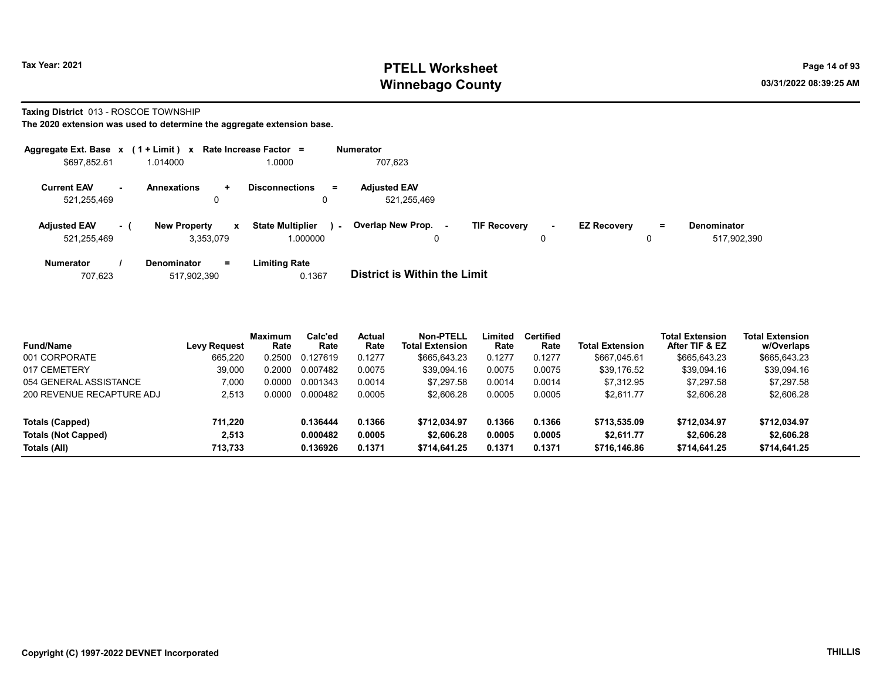# Tax Year: 2021 **PTELL Worksheet** Page 14 of 93 Winnebago County and the county of the county of the county of the county of the county of the county of the county of the county of the county of the county of the county of the county of the county of the county of the c

#### Taxing District 013 - ROSCOE TOWNSHIP

| Aggregate Ext. Base $x$ (1 + Limit) $x$ Rate Increase Factor = |          |                                  |              |                                     |        | <b>Numerator</b>                   |                     |             |                    |     |                                   |
|----------------------------------------------------------------|----------|----------------------------------|--------------|-------------------------------------|--------|------------------------------------|---------------------|-------------|--------------------|-----|-----------------------------------|
| \$697,852.61                                                   |          | 1.014000                         |              | .0000                               |        | 707,623                            |                     |             |                    |     |                                   |
| <b>Current EAV</b><br>521,255,469                              | н.       | <b>Annexations</b><br>0          | $\ddot{}$    | <b>Disconnections</b>               | $=$    | <b>Adjusted EAV</b><br>521,255,469 |                     |             |                    |     |                                   |
| <b>Adjusted EAV</b><br>521,255,469                             | $\sim$ 1 | <b>New Property</b><br>3.353.079 | $\mathbf{x}$ | <b>State Multiplier</b><br>1.000000 | $\sim$ | Overlap New Prop.<br>0             | <b>TIF Recovery</b> | $\sim$<br>0 | <b>EZ Recovery</b> | $=$ | <b>Denominator</b><br>517,902,390 |
| <b>Numerator</b>                                               |          | <b>Denominator</b>               | $=$          | <b>Limiting Rate</b>                |        |                                    |                     |             |                    |     |                                   |

| 707.623<br>517,902,390 | 0.1367 | <b>District is Within the Limit</b> |
|------------------------|--------|-------------------------------------|

| <b>Fund/Name</b>           | <b>Levy Request</b> | Maximum<br>Rate | Calc'ed<br>Rate | <b>Actual</b><br>Rate | Non-PTELL<br><b>Total Extension</b> | Limited<br>Rate | <b>Certified</b><br>Rate | <b>Total Extension</b> | <b>Total Extension</b><br>After TIF & EZ | <b>Total Extension</b><br>w/Overlaps |
|----------------------------|---------------------|-----------------|-----------------|-----------------------|-------------------------------------|-----------------|--------------------------|------------------------|------------------------------------------|--------------------------------------|
| 001 CORPORATE              | 665.220             | 0.2500          | 0.127619        | 0.1277                | \$665,643.23                        | 0.1277          | 0.1277                   | \$667.045.61           | \$665,643.23                             | \$665,643.23                         |
| 017 CEMETERY               | 39.000              | 0.2000          | 0.007482        | 0.0075                | \$39,094.16                         | 0.0075          | 0.0075                   | \$39.176.52            | \$39,094.16                              | \$39,094.16                          |
| 054 GENERAL ASSISTANCE     | 7,000               | 0.0000          | 0.001343        | 0.0014                | \$7.297.58                          | 0.0014          | 0.0014                   | \$7.312.95             | \$7.297.58                               | \$7,297.58                           |
| 200 REVENUE RECAPTURE ADJ  | 2.513               | 0.0000          | 0.000482        | 0.0005                | \$2.606.28                          | 0.0005          | 0.0005                   | \$2,611.77             | \$2,606.28                               | \$2,606.28                           |
| Totals (Capped)            | 711.220             |                 | 0.136444        | 0.1366                | \$712.034.97                        | 0.1366          | 0.1366                   | \$713,535.09           | \$712,034.97                             | \$712,034.97                         |
| <b>Totals (Not Capped)</b> | 2.513               |                 | 0.000482        | 0.0005                | \$2,606.28                          | 0.0005          | 0.0005                   | \$2.611.77             | \$2,606.28                               | \$2,606.28                           |
| Totals (All)               | 713.733             |                 | 0.136926        | 0.1371                | \$714.641.25                        | 0.1371          | 0.1371                   | \$716,146.86           | \$714,641.25                             | \$714,641.25                         |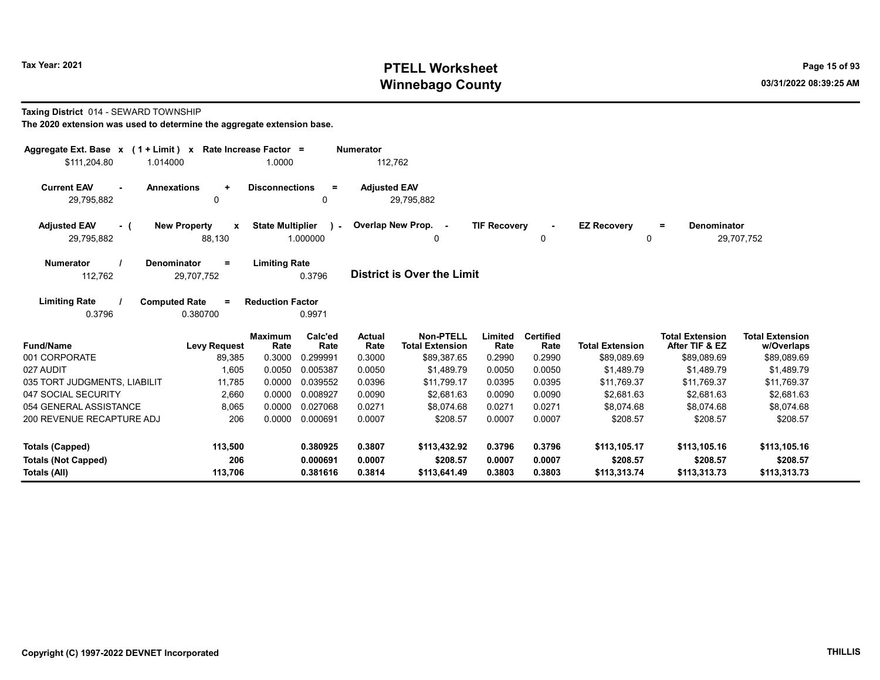# Tax Year: 2021 **PTELL Worksheet** Page 15 of 93 Winnebago County and the county of the county of the county of the county of the county of the county of the county of the county of the county of the county of the county of the county of the county of the county of the c

#### Taxing District 014 - SEWARD TOWNSHIP

| Aggregate Ext. Base $x$ (1 + Limit) x Rate Increase Factor =                                      |                                                    | <b>Numerator</b>                                |                                                        |                            |                                          |                                          |                                          |
|---------------------------------------------------------------------------------------------------|----------------------------------------------------|-------------------------------------------------|--------------------------------------------------------|----------------------------|------------------------------------------|------------------------------------------|------------------------------------------|
| \$111,204.80<br>1.014000                                                                          | 1.0000                                             | 112,762                                         |                                                        |                            |                                          |                                          |                                          |
| <b>Current EAV</b><br><b>Annexations</b><br>$\ddot{}$<br>0<br>29,795,882                          | <b>Disconnections</b><br>$=$<br>0                  | <b>Adjusted EAV</b><br>29,795,882               |                                                        |                            |                                          |                                          |                                          |
| <b>Adjusted EAV</b><br><b>New Property</b><br>X<br>- (<br>88,130<br>29,795,882                    | <b>State Multiplier</b><br>$\lambda$ -<br>1.000000 | Overlap New Prop. -<br>$\Omega$                 | <b>TIF Recovery</b>                                    | 0                          | <b>EZ Recovery</b><br>0                  | Denominator<br>$=$                       | 29,707,752                               |
| <b>Numerator</b><br>Denominator<br>$=$<br>112,762<br>29,707,752                                   | <b>Limiting Rate</b><br>0.3796                     | District is Over the Limit                      |                                                        |                            |                                          |                                          |                                          |
| <b>Limiting Rate</b><br><b>Computed Rate</b><br>$=$<br>0.3796<br>0.380700                         | <b>Reduction Factor</b><br>0.9971                  |                                                 |                                                        |                            |                                          |                                          |                                          |
| <b>Fund/Name</b><br><b>Levy Request</b>                                                           | Calc'ed<br><b>Maximum</b><br>Rate<br>Rate          | <b>Actual</b><br><b>Total Extension</b><br>Rate | <b>Non-PTELL</b><br>Limited<br>Rate                    | <b>Certified</b><br>Rate   | <b>Total Extension</b>                   | <b>Total Extension</b><br>After TIF & EZ | <b>Total Extension</b><br>w/Overlaps     |
| 001 CORPORATE<br>89,385                                                                           | 0.3000<br>0.299991                                 | 0.3000                                          | \$89,387.65<br>0.2990                                  | 0.2990                     | \$89,089.69                              | \$89,089.69                              | \$89,089.69                              |
| 027 AUDIT<br>1,605                                                                                | 0.0050<br>0.005387                                 | 0.0050                                          | \$1.489.79<br>0.0050                                   | 0.0050                     | \$1.489.79                               | \$1.489.79                               | \$1,489.79                               |
| 035 TORT JUDGMENTS, LIABILIT<br>11.785                                                            | 0.0000<br>0.039552                                 | 0.0396                                          | \$11.799.17<br>0.0395                                  | 0.0395                     | \$11.769.37                              | \$11.769.37                              | \$11,769.37                              |
| 047 SOCIAL SECURITY<br>2,660                                                                      | 0.0000<br>0.008927                                 | 0.0090                                          | \$2.681.63<br>0.0090                                   | 0.0090                     | \$2.681.63                               | \$2.681.63                               | \$2,681.63                               |
| 054 GENERAL ASSISTANCE<br>8,065                                                                   | 0.0000<br>0.027068                                 | 0.0271                                          | \$8,074.68<br>0.0271                                   | 0.0271                     | \$8,074.68                               | \$8,074.68                               | \$8,074.68                               |
| 206<br>200 REVENUE RECAPTURE ADJ                                                                  | 0.0000 0.000691                                    | 0.0007                                          | 0.0007<br>\$208.57                                     | 0.0007                     | \$208.57                                 | \$208.57                                 | \$208.57                                 |
| 113,500<br><b>Totals (Capped)</b><br>206<br><b>Totals (Not Capped)</b><br>113,706<br>Totals (All) | 0.380925<br>0.000691<br>0.381616                   | 0.3807<br>0.0007<br>0.3814<br>\$113,641.49      | \$113,432.92<br>0.3796<br>\$208.57<br>0.0007<br>0.3803 | 0.3796<br>0.0007<br>0.3803 | \$113,105.17<br>\$208.57<br>\$113,313.74 | \$113,105.16<br>\$208.57<br>\$113,313.73 | \$113,105.16<br>\$208.57<br>\$113,313.73 |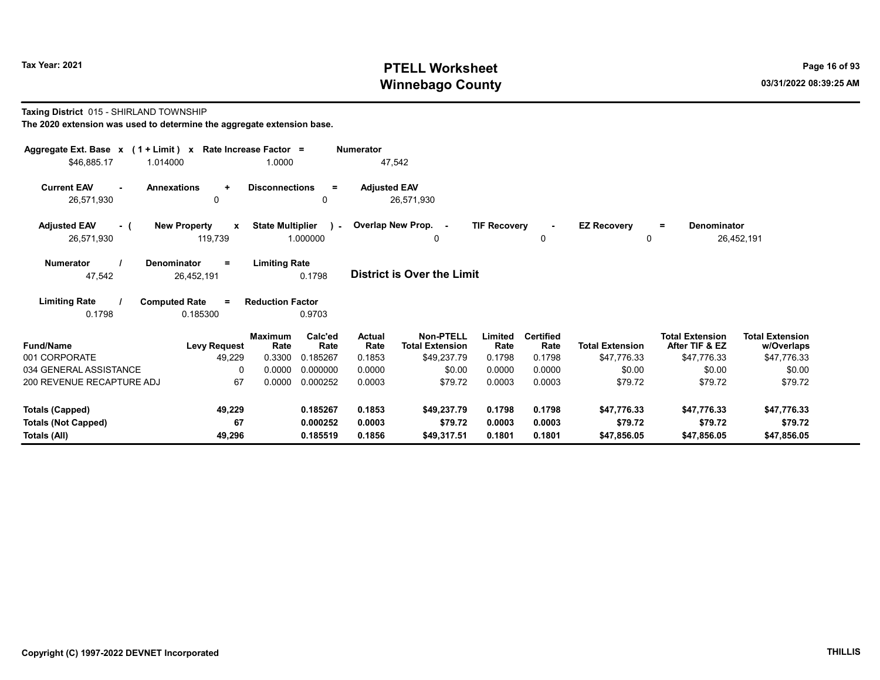# Tax Year: 2021 **PTELL Worksheet** Page 16 of 93 Winnebago County and the county of the county of the county of the county of the county of the county of the county of the county of the county of the county of the county of the county of the county of the county of the c

#### Taxing District 015 - SHIRLAND TOWNSHIP

| Aggregate Ext. Base $x$ (1 + Limit) $x$<br>\$46,885.17<br>1.014000 | Rate Increase Factor =                         | 1.0000                              |                 | <b>Numerator</b><br>47,542 |                                            |                     |                          |                                    |                                          |                                      |
|--------------------------------------------------------------------|------------------------------------------------|-------------------------------------|-----------------|----------------------------|--------------------------------------------|---------------------|--------------------------|------------------------------------|------------------------------------------|--------------------------------------|
|                                                                    |                                                |                                     |                 |                            |                                            |                     |                          |                                    |                                          |                                      |
| <b>Current EAV</b><br><b>Annexations</b><br>$\sim$                 | $\ddot{}$                                      | <b>Disconnections</b>               | $=$             | <b>Adjusted EAV</b>        |                                            |                     |                          |                                    |                                          |                                      |
| 26,571,930                                                         | 0                                              |                                     | $\mathbf{0}$    |                            | 26,571,930                                 |                     |                          |                                    |                                          |                                      |
| <b>Adjusted EAV</b><br>- (<br>26,571,930                           | <b>New Property</b><br>$\mathbf{x}$<br>119,739 | <b>State Multiplier</b><br>1.000000 | $\mathcal{L}$   |                            | Overlap New Prop. -<br>0                   | <b>TIF Recovery</b> | 0                        | <b>EZ Recovery</b><br>$\mathbf{0}$ | <b>Denominator</b><br>$\equiv$           | 26,452,191                           |
| <b>Numerator</b><br><b>Denominator</b>                             | $=$                                            | <b>Limiting Rate</b>                |                 |                            |                                            |                     |                          |                                    |                                          |                                      |
| 47,542                                                             | 26,452,191                                     |                                     | 0.1798          |                            | <b>District is Over the Limit</b>          |                     |                          |                                    |                                          |                                      |
| <b>Limiting Rate</b><br><b>Computed Rate</b>                       | $=$                                            | <b>Reduction Factor</b>             |                 |                            |                                            |                     |                          |                                    |                                          |                                      |
| 0.1798                                                             | 0.185300                                       |                                     | 0.9703          |                            |                                            |                     |                          |                                    |                                          |                                      |
| <b>Fund/Name</b>                                                   | <b>Levy Request</b>                            | <b>Maximum</b><br>Rate              | Calc'ed<br>Rate | <b>Actual</b><br>Rate      | <b>Non-PTELL</b><br><b>Total Extension</b> | Limited<br>Rate     | <b>Certified</b><br>Rate | <b>Total Extension</b>             | <b>Total Extension</b><br>After TIF & EZ | <b>Total Extension</b><br>w/Overlaps |
| 001 CORPORATE                                                      | 49,229                                         | 0.3300                              | 0.185267        | 0.1853                     | \$49,237.79                                | 0.1798              | 0.1798                   | \$47,776.33                        | \$47,776.33                              | \$47,776.33                          |
| 034 GENERAL ASSISTANCE                                             | $\Omega$                                       | 0.0000                              | 0.000000        | 0.0000                     | \$0.00                                     | 0.0000              | 0.0000                   | \$0.00                             | \$0.00                                   | \$0.00                               |
| 200 REVENUE RECAPTURE ADJ                                          | 67                                             | 0.0000                              | 0.000252        | 0.0003                     | \$79.72                                    | 0.0003              | 0.0003                   | \$79.72                            | \$79.72                                  | \$79.72                              |
| <b>Totals (Capped)</b>                                             | 49,229                                         |                                     | 0.185267        | 0.1853                     | \$49,237.79                                | 0.1798              | 0.1798                   | \$47,776.33                        | \$47,776.33                              | \$47,776.33                          |
| <b>Totals (Not Capped)</b>                                         | 67                                             |                                     | 0.000252        | 0.0003                     | \$79.72                                    | 0.0003              | 0.0003                   | \$79.72                            | \$79.72                                  | \$79.72                              |
| Totals (All)                                                       | 49,296                                         |                                     | 0.185519        | 0.1856                     | \$49,317.51                                | 0.1801              | 0.1801                   | \$47,856.05                        | \$47,856.05                              | \$47,856.05                          |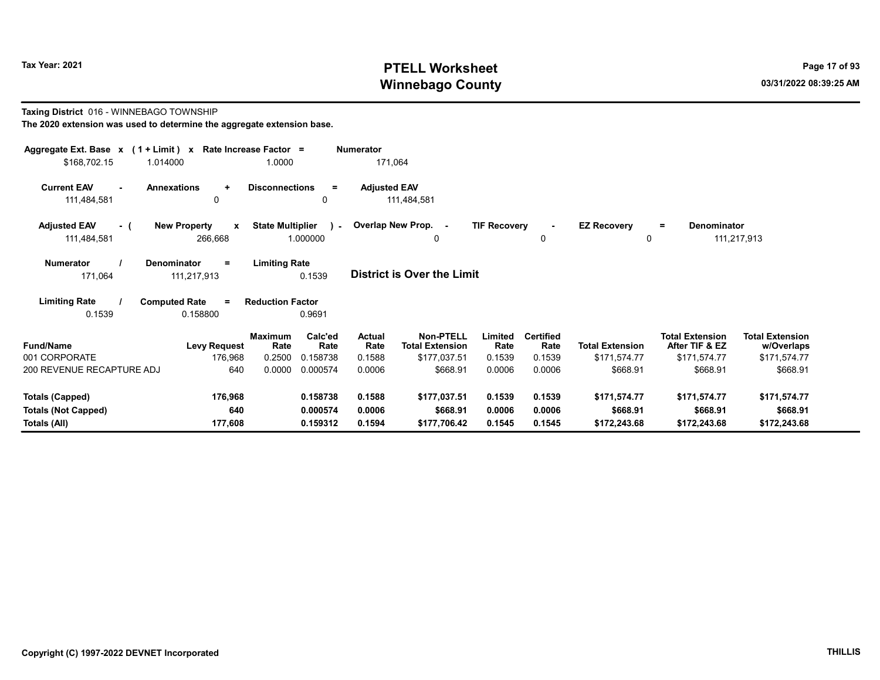# Tax Year: 2021 **PTELL Worksheet** Page 17 of 93 Winnebago County and the county of the county of the county of the county of the county of the county of the county of the county of the county of the county of the county of the county of the county of the county of the c

Taxing District 016 - WINNEBAGO TOWNSHIP The 2020 extension was used to determine the aggregate extension base.

| Aggregate Ext. Base $x$ (1 + Limit) x Rate Increase Factor =<br>\$168,702.15<br>1.014000                                                            |                                                | 1.0000                              | <b>Numerator</b><br>171,064 |                                            |                     |                          |                                |                                          |                                      |  |  |  |
|-----------------------------------------------------------------------------------------------------------------------------------------------------|------------------------------------------------|-------------------------------------|-----------------------------|--------------------------------------------|---------------------|--------------------------|--------------------------------|------------------------------------------|--------------------------------------|--|--|--|
| <b>Current EAV</b><br><b>Annexations</b><br>$\sim$<br>111,484,581                                                                                   | $\ddot{}$<br>0                                 | <b>Disconnections</b><br>$=$<br>0   | <b>Adjusted EAV</b>         | 111,484,581                                |                     |                          |                                |                                          |                                      |  |  |  |
| <b>Adjusted EAV</b><br>- (<br>111,484,581                                                                                                           | <b>New Property</b><br>$\mathbf{x}$<br>266,668 | <b>State Multiplier</b><br>1.000000 |                             | ) - Overlap New Prop. -<br>0               | <b>TIF Recovery</b> | 0                        | <b>EZ Recovery</b><br>$\Omega$ | <b>Denominator</b><br>$\equiv$           | 111,217,913                          |  |  |  |
| <b>Numerator</b><br><b>Denominator</b><br><b>Limiting Rate</b><br>$\equiv$<br><b>District is Over the Limit</b><br>171,064<br>0.1539<br>111,217,913 |                                                |                                     |                             |                                            |                     |                          |                                |                                          |                                      |  |  |  |
| <b>Limiting Rate</b><br><b>Computed Rate</b><br>0.1539                                                                                              | $=$<br>0.158800                                | <b>Reduction Factor</b><br>0.9691   |                             |                                            |                     |                          |                                |                                          |                                      |  |  |  |
| <b>Fund/Name</b>                                                                                                                                    | <b>Maximum</b><br><b>Levy Request</b>          | Calc'ed<br>Rate<br>Rate             | Actual<br>Rate              | <b>Non-PTELL</b><br><b>Total Extension</b> | Limited<br>Rate     | <b>Certified</b><br>Rate | <b>Total Extension</b>         | <b>Total Extension</b><br>After TIF & EZ | <b>Total Extension</b><br>w/Overlaps |  |  |  |
| 001 CORPORATE                                                                                                                                       | 176,968                                        | 0.2500<br>0.158738                  | 0.1588                      | \$177,037.51                               | 0.1539              | 0.1539                   | \$171,574.77                   | \$171,574.77                             | \$171,574.77                         |  |  |  |
| 200 REVENUE RECAPTURE ADJ                                                                                                                           | 640                                            | 0.0000<br>0.000574                  | 0.0006                      | \$668.91                                   | 0.0006              | 0.0006                   | \$668.91                       | \$668.91                                 | \$668.91                             |  |  |  |
| <b>Totals (Capped)</b>                                                                                                                              | 176,968                                        | 0.158738                            | 0.1588                      | \$177,037.51                               | 0.1539              | 0.1539                   | \$171,574.77                   | \$171,574.77                             | \$171,574.77                         |  |  |  |
| <b>Totals (Not Capped)</b>                                                                                                                          | 640                                            | 0.000574                            | 0.0006                      | \$668.91                                   | 0.0006              | 0.0006                   | \$668.91                       | \$668.91                                 | \$668.91                             |  |  |  |
| Totals (All)                                                                                                                                        | 177,608                                        | 0.159312                            | 0.1594                      | \$177,706.42                               | 0.1545              | 0.1545                   | \$172,243.68                   | \$172,243.68                             | \$172,243.68                         |  |  |  |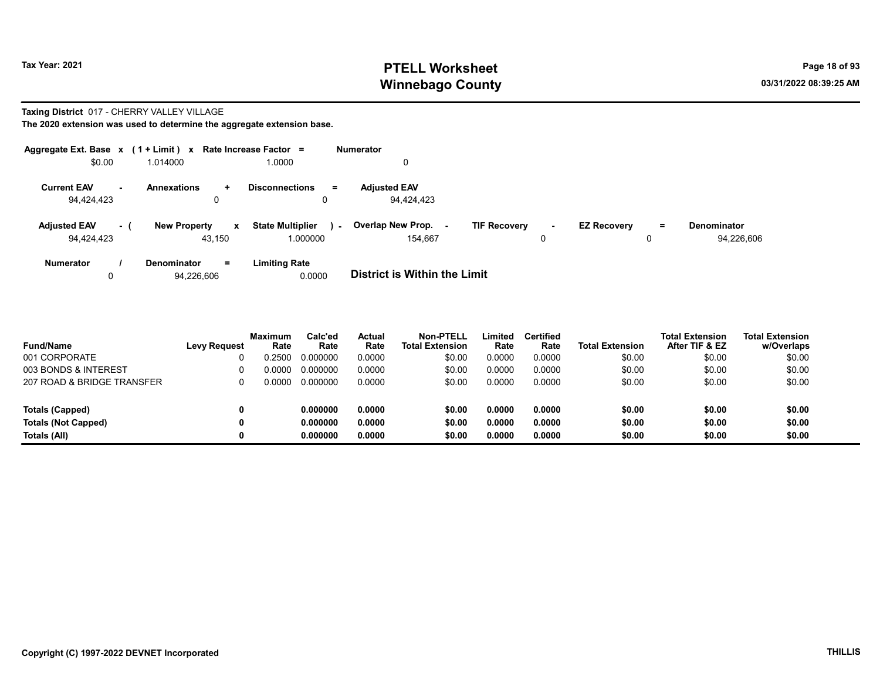# Tax Year: 2021 **PTELL Worksheet** Page 18 of 93 Winnebago County and the county of the county of the county of the county of the county of the county of the county of the county of the county of the county of the county of the county of the county of the county of the c

#### Taxing District 017 - CHERRY VALLEY VILLAGE

| Aggregate Ext. Base $x$ (1 + Limit) $x$ |                     | Rate Increase Factor =                  | <b>Numerator</b> |                                     |                               |                    |     |                    |
|-----------------------------------------|---------------------|-----------------------------------------|------------------|-------------------------------------|-------------------------------|--------------------|-----|--------------------|
| \$0.00                                  | 1.014000            | 1.0000                                  |                  |                                     |                               |                    |     |                    |
| <b>Current EAV</b><br>н.                | <b>Annexations</b>  | <b>Disconnections</b><br>÷              | $=$              | <b>Adiusted EAV</b>                 |                               |                    |     |                    |
| 94,424,423                              |                     | 0                                       | 0                | 94.424.423                          |                               |                    |     |                    |
| <b>Adjusted EAV</b><br>- (              | <b>New Property</b> | <b>State Multiplier</b><br>$\mathbf{x}$ | $\sim$           | Overlap New Prop.                   | <b>TIF Recovery</b><br>$\sim$ | <b>EZ Recovery</b> | $=$ | <b>Denominator</b> |
| 94,424,423                              |                     | 1.000000<br>43.150                      |                  | 154.667                             | 0                             |                    | 0   | 94,226,606         |
| <b>Numerator</b>                        | <b>Denominator</b>  | <b>Limiting Rate</b><br>$=$             |                  |                                     |                               |                    |     |                    |
|                                         | 94,226,606          |                                         | 0.0000           | <b>District is Within the Limit</b> |                               |                    |     |                    |

| <b>Fund/Name</b>           | <b>Levy Request</b> | <b>Maximum</b><br>Rate | Calc'ed<br>Rate | <b>Actual</b><br>Rate | Non-PTELL<br><b>Total Extension</b> | Limited<br>Rate | <b>Certified</b><br>Rate | <b>Total Extension</b> | <b>Total Extension</b><br>After TIF & EZ | <b>Total Extension</b><br>w/Overlaps |
|----------------------------|---------------------|------------------------|-----------------|-----------------------|-------------------------------------|-----------------|--------------------------|------------------------|------------------------------------------|--------------------------------------|
| 001 CORPORATE              |                     | 0.2500                 | 0.000000        | 0.0000                | \$0.00                              | 0.0000          | 0.0000                   | \$0.00                 | \$0.00                                   | \$0.00                               |
| 003 BONDS & INTEREST       |                     | 0.0000                 | 0.000000        | 0.0000                | \$0.00                              | 0.0000          | 0.0000                   | \$0.00                 | \$0.00                                   | \$0.00                               |
| 207 ROAD & BRIDGE TRANSFER |                     | 0.0000                 | 0.000000        | 0.0000                | \$0.00                              | 0.0000          | 0.0000                   | \$0.00                 | \$0.00                                   | \$0.00                               |
| Totals (Capped)            |                     |                        | 0.000000        | 0.0000                | \$0.00                              | 0.0000          | 0.0000                   | \$0.00                 | \$0.00                                   | \$0.00                               |
| <b>Totals (Not Capped)</b> |                     |                        | 0.000000        | 0.0000                | \$0.00                              | 0.0000          | 0.0000                   | \$0.00                 | \$0.00                                   | \$0.00                               |
| Totals (All)               |                     |                        | 0.000000        | 0.0000                | \$0.00                              | 0.0000          | 0.0000                   | \$0.00                 | \$0.00                                   | \$0.00                               |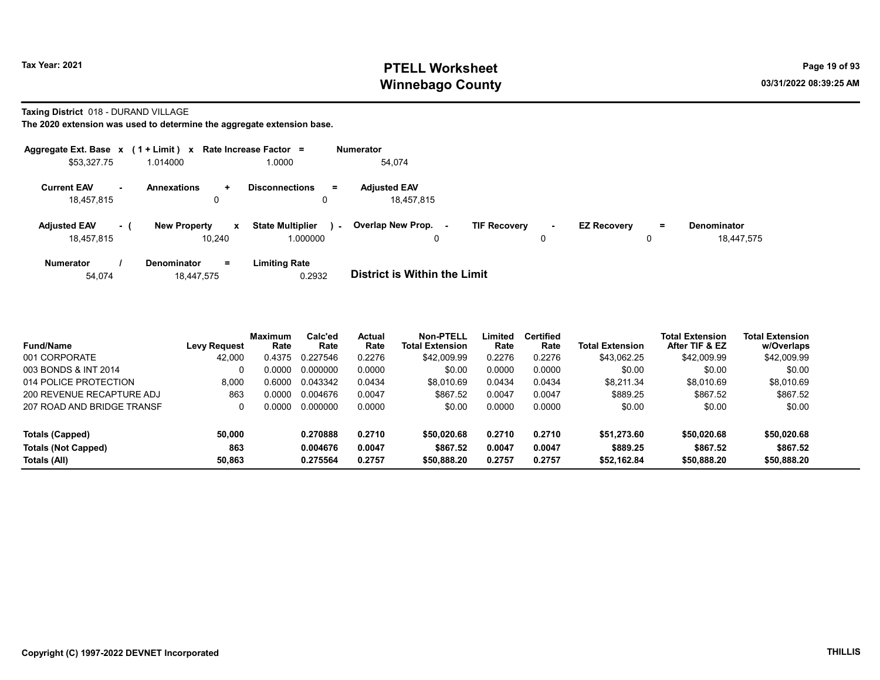# Tax Year: 2021 **PTELL Worksheet** Page 19 of 93 Winnebago County and the county of the county of the county of the county of the county of the county of the county of the county of the county of the county of the county of the county of the county of the county of the c

Taxing District 018 - DURAND VILLAGE

| Aggregate Ext. Base $x$ (1 + Limit) $x$ |     |                                               | Rate Increase Factor =              | <b>Numerator</b>                                                                                                                                 |  |
|-----------------------------------------|-----|-----------------------------------------------|-------------------------------------|--------------------------------------------------------------------------------------------------------------------------------------------------|--|
| \$53,327.75                             |     | 1.014000                                      | 1.0000                              | 54.074                                                                                                                                           |  |
| <b>Current EAV</b><br>18.457.815        | н.  | <b>Annexations</b><br>$\ddot{}$<br>0          | <b>Disconnections</b><br>Ξ.<br>0    | <b>Adjusted EAV</b><br>18.457.815                                                                                                                |  |
| <b>Adjusted EAV</b><br>18.457.815       | - ( | <b>New Property</b><br>$\mathbf{x}$<br>10.240 | <b>State Multiplier</b><br>1.000000 | Overlap New Prop.<br><b>TIF Recovery</b><br><b>EZ Recovery</b><br><b>Denominator</b><br>=<br>$\sim$<br>$\sim$<br>٠.<br>18.447.575<br>0<br>0<br>0 |  |
| <b>Numerator</b><br>54,074              |     | $=$<br><b>Denominator</b><br>18.447.575       | <b>Limiting Rate</b><br>0.2932      | <b>District is Within the Limit</b>                                                                                                              |  |

| <b>Fund/Name</b>           | Levy Request | Maximum<br>Rate | Calc'ed<br>Rate | Actual<br>Rate | <b>Non-PTELL</b><br><b>Total Extension</b> | Limited<br>Rate | <b>Certified</b><br>Rate | <b>Total Extension</b> | <b>Total Extension</b><br>After TIF & EZ | <b>Total Extension</b><br>w/Overlaps |  |
|----------------------------|--------------|-----------------|-----------------|----------------|--------------------------------------------|-----------------|--------------------------|------------------------|------------------------------------------|--------------------------------------|--|
| 001 CORPORATE              | 42.000       | 0.4375          | 0.227546        | 0.2276         | \$42,009.99                                | 0.2276          | 0.2276                   | \$43,062.25            | \$42,009.99                              | \$42,009.99                          |  |
| 003 BONDS & INT 2014       |              | 0.0000          | 0.000000        | 0.0000         | \$0.00                                     | 0.0000          | 0.0000                   | \$0.00                 | \$0.00                                   | \$0.00                               |  |
| 014 POLICE PROTECTION      | 8.000        | 0.6000          | 0.043342        | 0.0434         | \$8,010.69                                 | 0.0434          | 0.0434                   | \$8,211.34             | \$8,010.69                               | \$8,010.69                           |  |
| 200 REVENUE RECAPTURE ADJ  | 863          | 0.0000          | 0.004676        | 0.0047         | \$867.52                                   | 0.0047          | 0.0047                   | \$889.25               | \$867.52                                 | \$867.52                             |  |
| 207 ROAD AND BRIDGE TRANSF |              | ) በበበበ          | 0.000000        | 0.0000         | \$0.00                                     | 0.0000          | 0.0000                   | \$0.00                 | \$0.00                                   | \$0.00                               |  |
| Totals (Capped)            | 50.000       |                 | 0.270888        | 0.2710         | \$50,020.68                                | 0.2710          | 0.2710                   | \$51.273.60            | \$50,020.68                              | \$50,020.68                          |  |
| <b>Totals (Not Capped)</b> | 863          |                 | 0.004676        | 0.0047         | \$867.52                                   | 0.0047          | 0.0047                   | \$889.25               | \$867.52                                 | \$867.52                             |  |
| Totals (All)               | 50,863       |                 | 0.275564        | 0.2757         | \$50,888.20                                | 0.2757          | 0.2757                   | \$52,162.84            | \$50,888.20                              | \$50,888.20                          |  |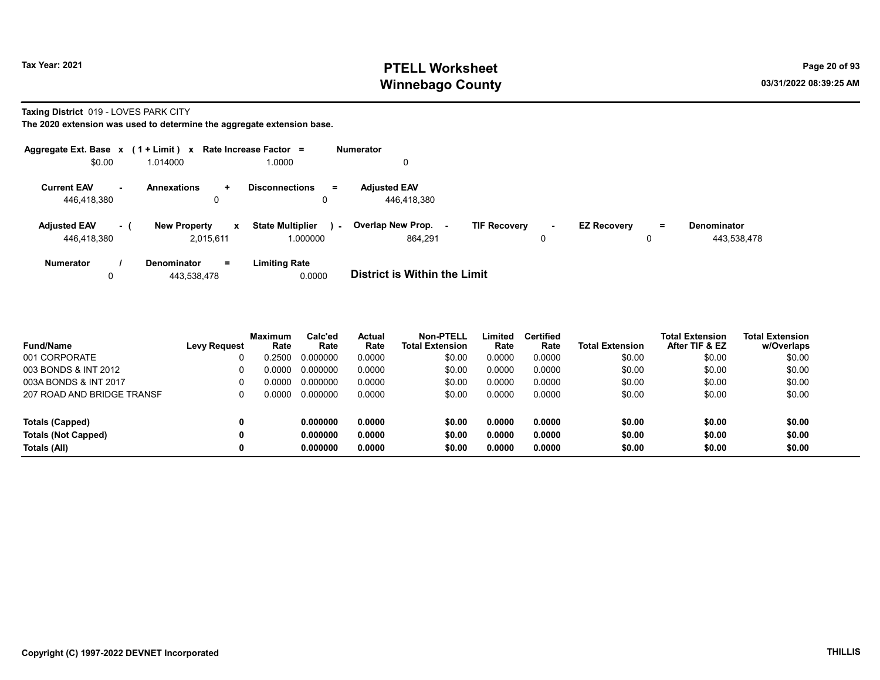# Tax Year: 2021 **PTELL Worksheet** Page 20 of 93 Winnebago County and the county of the county of the county of the county of the county of the county of the county of the county of the county of the county of the county of the county of the county of the county of the c

Taxing District 019 - LOVES PARK CITY

|                     |                | Aggregate Ext. Base $x$ (1 + Limit) $x$ Rate Increase Factor = |                                   | <b>Numerator</b>                         |        |                    |    |             |
|---------------------|----------------|----------------------------------------------------------------|-----------------------------------|------------------------------------------|--------|--------------------|----|-------------|
| \$0.00              |                | 1.014000                                                       | 1.0000                            | 0                                        |        |                    |    |             |
| <b>Current EAV</b>  | $\blacksquare$ | <b>Annexations</b><br>÷                                        | <b>Disconnections</b><br>Ξ.       | <b>Adjusted EAV</b>                      |        |                    |    |             |
| 446.418.380         |                | 0                                                              | 0                                 | 446.418.380                              |        |                    |    |             |
| <b>Adjusted EAV</b> | - 1            | <b>New Property</b><br>$\mathbf{x}$                            | <b>State Multiplier</b><br>$\sim$ | Overlap New Prop.<br><b>TIF Recovery</b> | $\sim$ | <b>EZ Recovery</b> | Ξ. | Denominator |
| 446.418.380         |                | 2.015.611                                                      | 1.000000                          | 864.291                                  | 0      |                    | 0  | 443,538,478 |
| <b>Numerator</b>    |                | $=$<br>Denominator                                             | <b>Limiting Rate</b>              |                                          |        |                    |    |             |
| 0                   |                | 443.538.478                                                    | 0.0000                            | <b>District is Within the Limit</b>      |        |                    |    |             |

| <b>Fund/Name</b>           | <b>Levy Request</b> | <b>Maximum</b><br>Rate | Calc'ed<br>Rate | Actual<br>Rate | Non-PTELL<br><b>Total Extension</b> | Limited<br>Rate | <b>Certified</b><br>Rate | <b>Total Extension</b> | <b>Total Extension</b><br>After TIF & EZ | <b>Total Extension</b><br>w/Overlaps |
|----------------------------|---------------------|------------------------|-----------------|----------------|-------------------------------------|-----------------|--------------------------|------------------------|------------------------------------------|--------------------------------------|
| 001 CORPORATE              |                     | 0.2500                 | 0.000000        | 0.0000         | \$0.00                              | 0.0000          | 0.0000                   | \$0.00                 | \$0.00                                   | \$0.00                               |
| 003 BONDS & INT 2012       |                     | 0.0000                 | 0.000000        | 0.0000         | \$0.00                              | 0.0000          | 0.0000                   | \$0.00                 | \$0.00                                   | \$0.00                               |
| 003A BONDS & INT 2017      |                     | 0.0000                 | 0.000000        | 0.0000         | \$0.00                              | 0.0000          | 0.0000                   | \$0.00                 | \$0.00                                   | \$0.00                               |
| 207 ROAD AND BRIDGE TRANSF |                     | 0.0000                 | 0.000000        | 0.0000         | \$0.00                              | 0.0000          | 0.0000                   | \$0.00                 | \$0.00                                   | \$0.00                               |
| Totals (Capped)            |                     |                        | 0.000000        | 0.0000         | \$0.00                              | 0.0000          | 0.0000                   | \$0.00                 | \$0.00                                   | \$0.00                               |
| <b>Totals (Not Capped)</b> |                     |                        | 0.000000        | 0.0000         | \$0.00                              | 0.0000          | 0.0000                   | \$0.00                 | \$0.00                                   | \$0.00                               |
| Totals (All)               |                     |                        | 0.000000        | 0.0000         | \$0.00                              | 0.0000          | 0.0000                   | \$0.00                 | \$0.00                                   | \$0.00                               |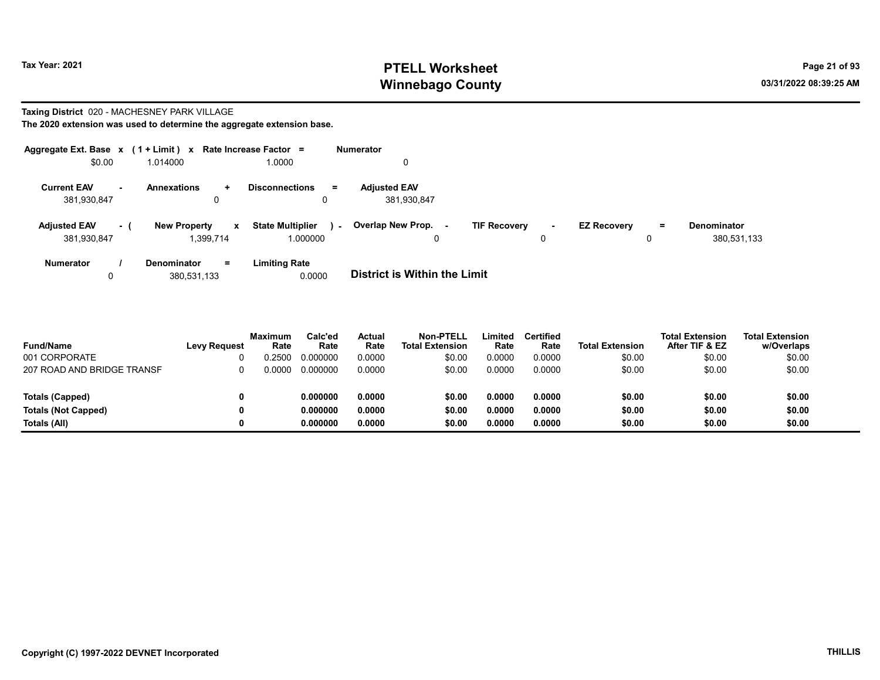# Tax Year: 2021 **PTELL Worksheet** Page 21 of 93 Winnebago County and the county of the county of the county of the county of the county of the county of the county of the county of the county of the county of the county of the county of the county of the county of the c

# Taxing District 020 - MACHESNEY PARK VILLAGE

| Aggregate Ext. Base $x$ (1 + Limit) $x$     |                            | Rate Increase Factor =    |                                               | <b>Numerator</b>                    |                                    |                               |                                   |
|---------------------------------------------|----------------------------|---------------------------|-----------------------------------------------|-------------------------------------|------------------------------------|-------------------------------|-----------------------------------|
| \$0.00                                      | 1.014000                   |                           | 0000.1                                        |                                     |                                    |                               |                                   |
| <b>Current EAV</b><br>$\sim$<br>381,930,847 | <b>Annexations</b>         | ÷<br>0                    | <b>Disconnections</b><br>$\equiv$             | <b>Adjusted EAV</b><br>381,930,847  |                                    |                               |                                   |
| <b>Adjusted EAV</b><br>381,930,847          | <b>New Property</b><br>- 1 | $\mathbf{x}$<br>1.399.714 | <b>State Multiplier</b><br>$\sim$<br>1.000000 | Overlap New Prop.<br>$\Omega$       | <b>TIF Recovery</b><br>$\sim$<br>0 | <b>EZ Recovery</b><br>Ξ.<br>0 | <b>Denominator</b><br>380,531,133 |
| <b>Numerator</b>                            | <b>Denominator</b>         | $=$<br>380.531.133        | <b>Limiting Rate</b><br>0.0000                | <b>District is Within the Limit</b> |                                    |                               |                                   |

| <b>Fund/Name</b>           | <b>Levy Request</b> | Maximum<br>Rate | Calc'ed<br>Rate | Actual<br>Rate | Non-PTELL<br><b>Total Extension</b> | Limited<br>Rate | <b>Certified</b><br>Rate | <b>Total Extension</b> | <b>Total Extension</b><br>After TIF & EZ | <b>Total Extension</b><br>w/Overlaps |
|----------------------------|---------------------|-----------------|-----------------|----------------|-------------------------------------|-----------------|--------------------------|------------------------|------------------------------------------|--------------------------------------|
| 001 CORPORATE              |                     | 0.2500          | 0.000000        | 0.0000         | \$0.00                              | 0.0000          | 0.0000                   | \$0.00                 | \$0.00                                   | \$0.00                               |
| 207 ROAD AND BRIDGE TRANSF |                     | 0.0000          | 0.000000        | 0.0000         | \$0.00                              | 0.0000          | 0.0000                   | \$0.00                 | \$0.00                                   | \$0.00                               |
|                            |                     |                 |                 |                |                                     |                 |                          |                        |                                          |                                      |
| Totals (Capped)            |                     |                 | 0.000000        | 0.0000         | \$0.00                              | 0.0000          | 0.0000                   | \$0.00                 | \$0.00                                   | \$0.00                               |
| <b>Totals (Not Capped)</b> |                     |                 | 0.000000        | 0.0000         | \$0.00                              | 0.0000          | 0.0000                   | \$0.00                 | \$0.00                                   | \$0.00                               |
| Totals (All)               |                     |                 | 0.000000        | 0.0000         | \$0.00                              | 0.0000          | 0.0000                   | \$0.00                 | \$0.00                                   | \$0.00                               |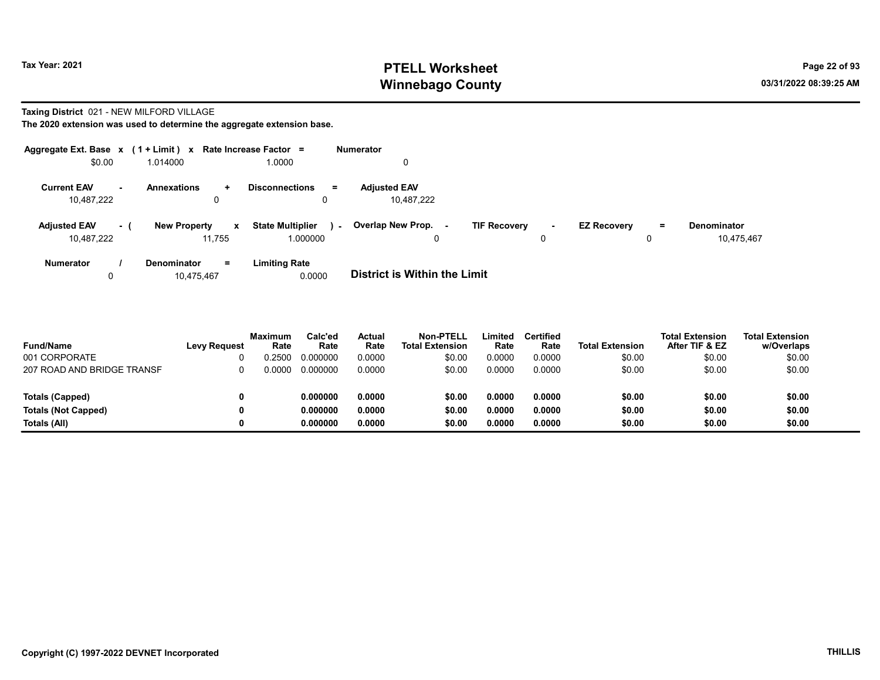# Tax Year: 2021 **PTELL Worksheet** Page 22 of 93 Winnebago County and the county of the county of the county of the county of the county of the county of the county of the county of the county of the county of the county of the county of the county of the county of the c

#### Taxing District 021 - NEW MILFORD VILLAGE

| Aggregate Ext. Base $x$ (1 + Limit) $x$            |                                               | Rate Increase Factor =                       | <b>Numerator</b>                                |                               |                                              |
|----------------------------------------------------|-----------------------------------------------|----------------------------------------------|-------------------------------------------------|-------------------------------|----------------------------------------------|
| \$0.00                                             | 1.014000                                      | 1.0000                                       | 0                                               |                               |                                              |
| <b>Current EAV</b><br>$\blacksquare$<br>10.487.222 | <b>Annexations</b><br>$\pm$                   | <b>Disconnections</b><br>$=$                 | <b>Adiusted EAV</b><br>10.487.222               |                               |                                              |
| <b>Adjusted EAV</b><br>- (<br>10.487.222           | <b>New Property</b><br>$\mathbf{x}$<br>11.755 | <b>State Multiplier</b><br>$\sim$<br>000000. | Overlap New Prop. -<br><b>TIF Recovery</b><br>0 | <b>EZ Recovery</b><br>۰.<br>0 | <b>Denominator</b><br>$=$<br>10.475.467<br>0 |
| <b>Numerator</b>                                   | <b>Denominator</b><br>$=$<br>10.475.467       | <b>Limiting Rate</b><br>0.0000               | <b>District is Within the Limit</b>             |                               |                                              |

| <b>Fund/Name</b><br>001 CORPORATE | <b>Levy Request</b> | <b>Maximum</b><br>Rate<br>.2500 | Calc'ed<br>Rate<br>0.000000 | Actual<br>Rate<br>0.0000 | <b>Non-PTELL</b><br><b>Total Extension</b><br>\$0.00 | Limited<br>Rate<br>0.0000 | Certified<br>Rate<br>0.0000 | <b>Total Extension</b><br>\$0.00 | <b>Total Extension</b><br>After TIF & EZ<br>\$0.00 | <b>Total Extension</b><br>w/Overlaps<br>\$0.00 |
|-----------------------------------|---------------------|---------------------------------|-----------------------------|--------------------------|------------------------------------------------------|---------------------------|-----------------------------|----------------------------------|----------------------------------------------------|------------------------------------------------|
| 207 ROAD AND BRIDGE TRANSF        |                     | ი იიიი                          | 0.000000                    | 0.0000                   | \$0.00                                               | 0.0000                    | 0.0000                      | \$0.00                           | \$0.00                                             | \$0.00                                         |
|                                   |                     |                                 |                             |                          |                                                      |                           |                             |                                  |                                                    |                                                |
| Totals (Capped)                   |                     |                                 | 0.000000                    | 0.0000                   | \$0.00                                               | 0.0000                    | 0.0000                      | \$0.00                           | \$0.00                                             | \$0.00                                         |
| <b>Totals (Not Capped)</b>        |                     |                                 | 0.000000                    | 0.0000                   | \$0.00                                               | 0.0000                    | 0.0000                      | \$0.00                           | \$0.00                                             | \$0.00                                         |
| Totals (All)                      |                     |                                 | 0.000000                    | 0.0000                   | \$0.00                                               | 0.0000                    | 0.0000                      | \$0.00                           | \$0.00                                             | \$0.00                                         |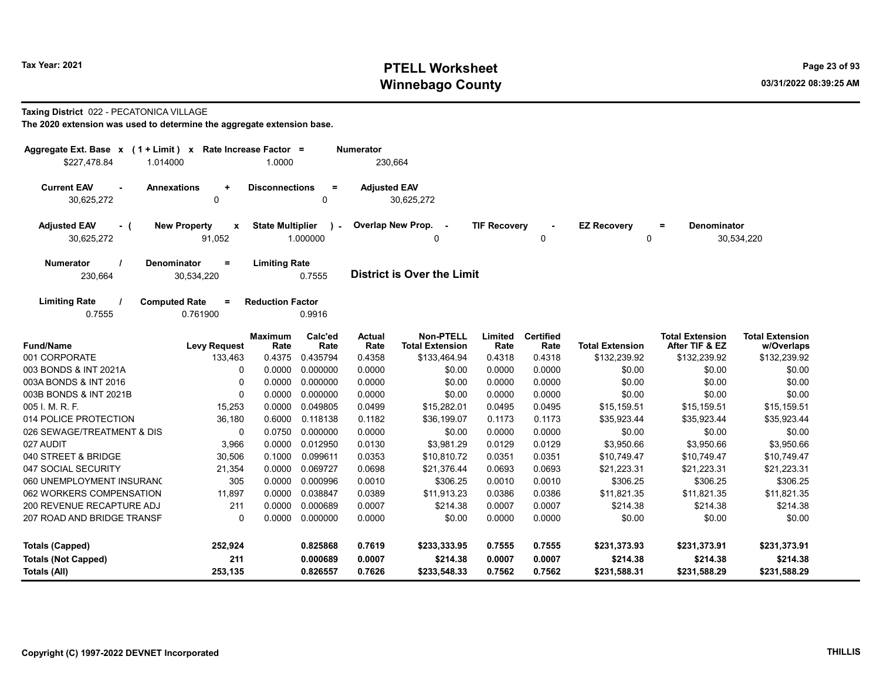# Tax Year: 2021 **PTELL Worksheet** Page 23 of 93 Winnebago County and the county of the county of the county of the county of the county of the county of the county of the county of the county of the county of the county of the county of the county of the county of the c

#### Taxing District 022 - PECATONICA VILLAGE

| \$227,478.84                                                         | Aggregate Ext. Base x (1 + Limit) x Rate Increase Factor =<br>Numerator<br>1.0000<br>230,664<br>1.014000 |                         |               |                     |                        |                     |                  |                        |                           |                        |
|----------------------------------------------------------------------|----------------------------------------------------------------------------------------------------------|-------------------------|---------------|---------------------|------------------------|---------------------|------------------|------------------------|---------------------------|------------------------|
|                                                                      |                                                                                                          |                         |               |                     |                        |                     |                  |                        |                           |                        |
| <b>Current EAV</b><br>$\overline{a}$                                 | <b>Annexations</b><br>$\ddot{}$                                                                          | <b>Disconnections</b>   | $\equiv$      | <b>Adjusted EAV</b> |                        |                     |                  |                        |                           |                        |
| 30,625,272                                                           | 0                                                                                                        |                         | 0             |                     | 30,625,272             |                     |                  |                        |                           |                        |
| <b>Adjusted EAV</b><br>- (                                           | <b>New Property</b><br>$\mathbf{x}$                                                                      | <b>State Multiplier</b> | $\mathcal{L}$ |                     | Overlap New Prop. -    | <b>TIF Recovery</b> |                  | <b>EZ Recovery</b>     | <b>Denominator</b><br>$=$ |                        |
| 30,625,272                                                           | 91.052                                                                                                   |                         | 1.000000      |                     | 0                      |                     | 0                | 0                      |                           | 30,534,220             |
| <b>Numerator</b>                                                     | <b>Denominator</b><br>$=$                                                                                | <b>Limiting Rate</b>    |               |                     |                        |                     |                  |                        |                           |                        |
| <b>District is Over the Limit</b><br>0.7555<br>230,664<br>30,534,220 |                                                                                                          |                         |               |                     |                        |                     |                  |                        |                           |                        |
| <b>Limiting Rate</b>                                                 | <b>Computed Rate</b><br>$=$                                                                              | <b>Reduction Factor</b> |               |                     |                        |                     |                  |                        |                           |                        |
| 0.7555                                                               | 0.761900                                                                                                 |                         | 0.9916        |                     |                        |                     |                  |                        |                           |                        |
|                                                                      |                                                                                                          | <b>Maximum</b>          | Calc'ed       | <b>Actual</b>       | <b>Non-PTELL</b>       | Limited             | <b>Certified</b> |                        | <b>Total Extension</b>    | <b>Total Extension</b> |
| <b>Fund/Name</b>                                                     | <b>Levy Request</b>                                                                                      | Rate                    | Rate          | Rate                | <b>Total Extension</b> | Rate                | Rate             | <b>Total Extension</b> | After TIF & EZ            | w/Overlaps             |
| 001 CORPORATE                                                        | 133,463                                                                                                  | 0.4375                  | 0.435794      | 0.4358              | \$133,464.94           | 0.4318              | 0.4318           | \$132,239.92           | \$132,239.92              | \$132,239.92           |
| 003 BONDS & INT 2021A                                                | 0                                                                                                        | 0.0000                  | 0.000000      | 0.0000              | \$0.00                 | 0.0000              | 0.0000           | \$0.00                 | \$0.00                    | \$0.00                 |
| 003A BONDS & INT 2016                                                | 0                                                                                                        | 0.0000                  | 0.000000      | 0.0000              | \$0.00                 | 0.0000              | 0.0000           | \$0.00                 | \$0.00                    | \$0.00                 |
| 003B BONDS & INT 2021B                                               | $\Omega$                                                                                                 | 0.0000                  | 0.000000      | 0.0000              | \$0.00                 | 0.0000              | 0.0000           | \$0.00                 | \$0.00                    | \$0.00                 |
| 005 I. M. R. F.                                                      | 15,253                                                                                                   | 0.0000                  | 0.049805      | 0.0499              | \$15,282.01            | 0.0495              | 0.0495           | \$15,159.51            | \$15,159.51               | \$15,159.51            |
| 014 POLICE PROTECTION                                                | 36,180                                                                                                   | 0.6000                  | 0.118138      | 0.1182              | \$36,199.07            | 0.1173              | 0.1173           | \$35,923.44            | \$35,923.44               | \$35,923.44            |
| 026 SEWAGE/TREATMENT & DIS                                           | 0                                                                                                        | 0.0750                  | 0.000000      | 0.0000              | \$0.00                 | 0.0000              | 0.0000           | \$0.00                 | \$0.00                    | \$0.00                 |
| 027 AUDIT                                                            | 3,966                                                                                                    | 0.0000                  | 0.012950      | 0.0130              | \$3,981.29             | 0.0129              | 0.0129           | \$3,950.66             | \$3,950.66                | \$3,950.66             |
| 040 STREET & BRIDGE                                                  | 30,506                                                                                                   | 0.1000                  | 0.099611      | 0.0353              | \$10,810.72            | 0.0351              | 0.0351           | \$10,749.47            | \$10,749.47               | \$10,749.47            |
| 047 SOCIAL SECURITY                                                  | 21,354                                                                                                   | 0.0000                  | 0.069727      | 0.0698              | \$21,376.44            | 0.0693              | 0.0693           | \$21,223.31            | \$21,223.31               | \$21,223.31            |
| 060 UNEMPLOYMENT INSURANO                                            | 305                                                                                                      | 0.0000                  | 0.000996      | 0.0010              | \$306.25               | 0.0010              | 0.0010           | \$306.25               | \$306.25                  | \$306.25               |
| 062 WORKERS COMPENSATION                                             | 11,897                                                                                                   | 0.0000                  | 0.038847      | 0.0389              | \$11,913.23            | 0.0386              | 0.0386           | \$11,821.35            | \$11,821.35               | \$11,821.35            |
| 200 REVENUE RECAPTURE ADJ                                            | 211                                                                                                      | 0.0000                  | 0.000689      | 0.0007              | \$214.38               | 0.0007              | 0.0007           | \$214.38               | \$214.38                  | \$214.38               |
| 207 ROAD AND BRIDGE TRANSF                                           | 0                                                                                                        | 0.0000                  | 0.000000      | 0.0000              | \$0.00                 | 0.0000              | 0.0000           | \$0.00                 | \$0.00                    | \$0.00                 |
| <b>Totals (Capped)</b>                                               | 252,924                                                                                                  |                         | 0.825868      | 0.7619              | \$233,333.95           | 0.7555              | 0.7555           | \$231,373.93           | \$231,373.91              | \$231,373.91           |
| <b>Totals (Not Capped)</b>                                           | 211                                                                                                      |                         | 0.000689      | 0.0007              | \$214.38               | 0.0007              | 0.0007           | \$214.38               | \$214.38                  | \$214.38               |
| Totals (All)                                                         | 253,135                                                                                                  |                         | 0.826557      | 0.7626              | \$233,548.33           | 0.7562              | 0.7562           | \$231,588.31           | \$231,588.29              | \$231,588.29           |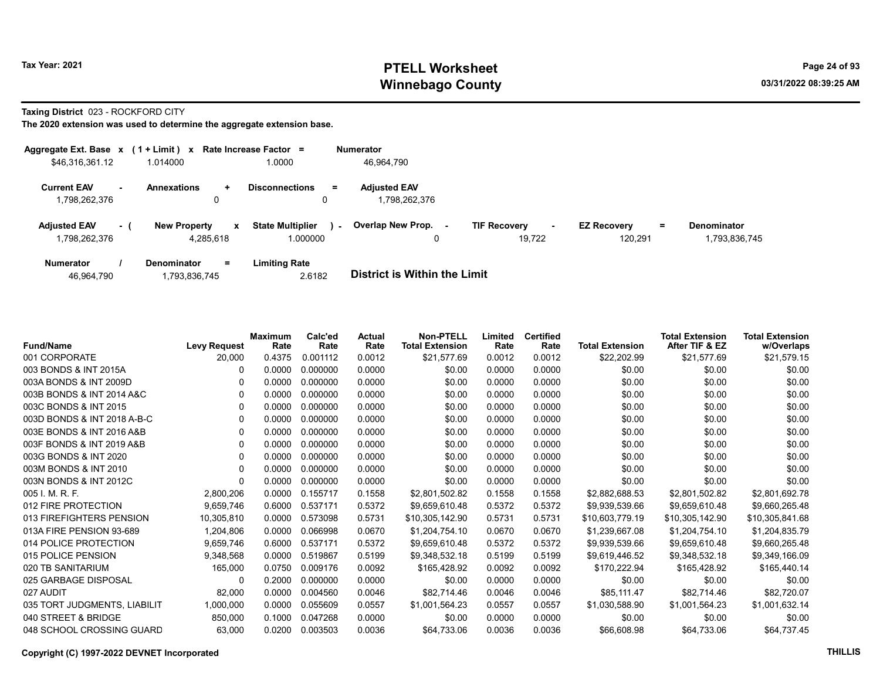# Tax Year: 2021 **PTELL Worksheet** Page 24 of 93 Winnebago County and the county of the county of the county of the county of the county of the county of the county of the county of the county of the county of the county of the county of the county of the county of the c

Taxing District 023 - ROCKFORD CITY

| Aggregate Ext. Base x               |     | $(1 + Limit)$ x     |           | Rate Increase Factor =                 | <b>Numerator</b>                     |                            |                           |                    |
|-------------------------------------|-----|---------------------|-----------|----------------------------------------|--------------------------------------|----------------------------|---------------------------|--------------------|
| \$46,316,361.12                     |     | 1.014000            |           | 1.0000                                 | 46,964,790                           |                            |                           |                    |
| <b>Current EAV</b><br>1,798,262,376 |     | <b>Annexations</b>  | ÷.<br>0   | <b>Disconnections</b><br>$\equiv$<br>0 | <b>Adiusted EAV</b><br>1,798,262,376 |                            |                           |                    |
|                                     |     |                     |           |                                        |                                      |                            |                           |                    |
| <b>Adjusted EAV</b>                 | - 1 | <b>New Property</b> | x         | <b>State Multiplier</b><br>$\sim$      | Overlap New Prop. -                  | <b>TIF Recovery</b><br>. — | <b>EZ Recovery</b><br>$=$ | <b>Denominator</b> |
| 1,798,262,376                       |     |                     | 4,285,618 | 1.000000                               | 0                                    | 19.722                     | 120,291                   | 1,793,836,745      |
| <b>Numerator</b>                    |     | <b>Denominator</b>  | Ξ.        | Limiting Rate                          |                                      |                            |                           |                    |

| 46,964,790 | .793,836,745 | 2.6182 | <b>District is Within the Limit</b> |
|------------|--------------|--------|-------------------------------------|

| <b>Fund/Name</b>             | <b>Levy Request</b> | Maximum<br>Rate | Calc'ed<br>Rate | <b>Actual</b><br>Rate | <b>Non-PTELL</b><br><b>Total Extension</b> | Limited<br>Rate | <b>Certified</b><br>Rate | <b>Total Extension</b> | <b>Total Extension</b><br>After TIF & EZ | <b>Total Extension</b><br>w/Overlaps |
|------------------------------|---------------------|-----------------|-----------------|-----------------------|--------------------------------------------|-----------------|--------------------------|------------------------|------------------------------------------|--------------------------------------|
| 001 CORPORATE                | 20,000              | 0.4375          | 0.001112        | 0.0012                | \$21,577.69                                | 0.0012          | 0.0012                   | \$22,202.99            | \$21,577.69                              | \$21,579.15                          |
| 003 BONDS & INT 2015A        |                     | 0.0000          | 0.000000        | 0.0000                | \$0.00                                     | 0.0000          | 0.0000                   | \$0.00                 | \$0.00                                   | \$0.00                               |
| 003A BONDS & INT 2009D       |                     | 0.0000          | 0.000000        | 0.0000                | \$0.00                                     | 0.0000          | 0.0000                   | \$0.00                 | \$0.00                                   | \$0.00                               |
| 003B BONDS & INT 2014 A&C    | 0                   | 0.0000          | 0.000000        | 0.0000                | \$0.00                                     | 0.0000          | 0.0000                   | \$0.00                 | \$0.00                                   | \$0.00                               |
| 003C BONDS & INT 2015        | 0                   | 0.0000          | 0.000000        | 0.0000                | \$0.00                                     | 0.0000          | 0.0000                   | \$0.00                 | \$0.00                                   | \$0.00                               |
| 003D BONDS & INT 2018 A-B-C  | 0                   | 0.0000          | 0.000000        | 0.0000                | \$0.00                                     | 0.0000          | 0.0000                   | \$0.00                 | \$0.00                                   | \$0.00                               |
| 003E BONDS & INT 2016 A&B    | 0                   | 0.0000          | 0.000000        | 0.0000                | \$0.00                                     | 0.0000          | 0.0000                   | \$0.00                 | \$0.00                                   | \$0.00                               |
| 003F BONDS & INT 2019 A&B    | 0                   | 0.0000          | 0.000000        | 0.0000                | \$0.00                                     | 0.0000          | 0.0000                   | \$0.00                 | \$0.00                                   | \$0.00                               |
| 003G BONDS & INT 2020        | 0                   | 0.0000          | 0.000000        | 0.0000                | \$0.00                                     | 0.0000          | 0.0000                   | \$0.00                 | \$0.00                                   | \$0.00                               |
| 003M BONDS & INT 2010        | 0                   | 0.0000          | 0.000000        | 0.0000                | \$0.00                                     | 0.0000          | 0.0000                   | \$0.00                 | \$0.00                                   | \$0.00                               |
| 003N BONDS & INT 2012C       | 0                   | 0.0000          | 0.000000        | 0.0000                | \$0.00                                     | 0.0000          | 0.0000                   | \$0.00                 | \$0.00                                   | \$0.00                               |
| 005 I. M. R. F.              | 2,800,206           | 0.0000          | 0.155717        | 0.1558                | \$2,801,502.82                             | 0.1558          | 0.1558                   | \$2,882,688.53         | \$2,801,502.82                           | \$2,801,692.78                       |
| 012 FIRE PROTECTION          | 9,659,746           | 0.6000          | 0.537171        | 0.5372                | \$9,659,610.48                             | 0.5372          | 0.5372                   | \$9,939,539.66         | \$9,659,610.48                           | \$9,660,265.48                       |
| 013 FIREFIGHTERS PENSION     | 10,305,810          | 0.0000          | 0.573098        | 0.5731                | \$10,305,142.90                            | 0.5731          | 0.5731                   | \$10,603,779.19        | \$10,305,142.90                          | \$10,305,841.68                      |
| 013A FIRE PENSION 93-689     | 1,204,806           | 0.0000          | 0.066998        | 0.0670                | \$1,204,754.10                             | 0.0670          | 0.0670                   | \$1,239,667.08         | \$1,204,754.10                           | \$1,204,835.79                       |
| 014 POLICE PROTECTION        | 9,659,746           | 0.6000          | 0.537171        | 0.5372                | \$9,659,610.48                             | 0.5372          | 0.5372                   | \$9,939,539.66         | \$9,659,610.48                           | \$9,660,265.48                       |
| 015 POLICE PENSION           | 9,348,568           | 0.0000          | 0.519867        | 0.5199                | \$9,348,532.18                             | 0.5199          | 0.5199                   | \$9,619,446.52         | \$9,348,532.18                           | \$9,349,166.09                       |
| 020 TB SANITARIUM            | 165,000             | 0.0750          | 0.009176        | 0.0092                | \$165,428.92                               | 0.0092          | 0.0092                   | \$170,222.94           | \$165,428.92                             | \$165,440.14                         |
| 025 GARBAGE DISPOSAL         | 0                   | 0.2000          | 0.000000        | 0.0000                | \$0.00                                     | 0.0000          | 0.0000                   | \$0.00                 | \$0.00                                   | \$0.00                               |
| 027 AUDIT                    | 82,000              | 0.0000          | 0.004560        | 0.0046                | \$82,714.46                                | 0.0046          | 0.0046                   | \$85,111.47            | \$82,714.46                              | \$82,720.07                          |
| 035 TORT JUDGMENTS, LIABILIT | 1,000,000           | 0.0000          | 0.055609        | 0.0557                | \$1,001,564.23                             | 0.0557          | 0.0557                   | \$1,030,588.90         | \$1,001,564.23                           | \$1,001,632.14                       |
| 040 STREET & BRIDGE          | 850,000             | 0.1000          | 0.047268        | 0.0000                | \$0.00                                     | 0.0000          | 0.0000                   | \$0.00                 | \$0.00                                   | \$0.00                               |
| 048 SCHOOL CROSSING GUARD    | 63,000              | 0.0200          | 0.003503        | 0.0036                | \$64,733.06                                | 0.0036          | 0.0036                   | \$66,608.98            | \$64,733.06                              | \$64,737.45                          |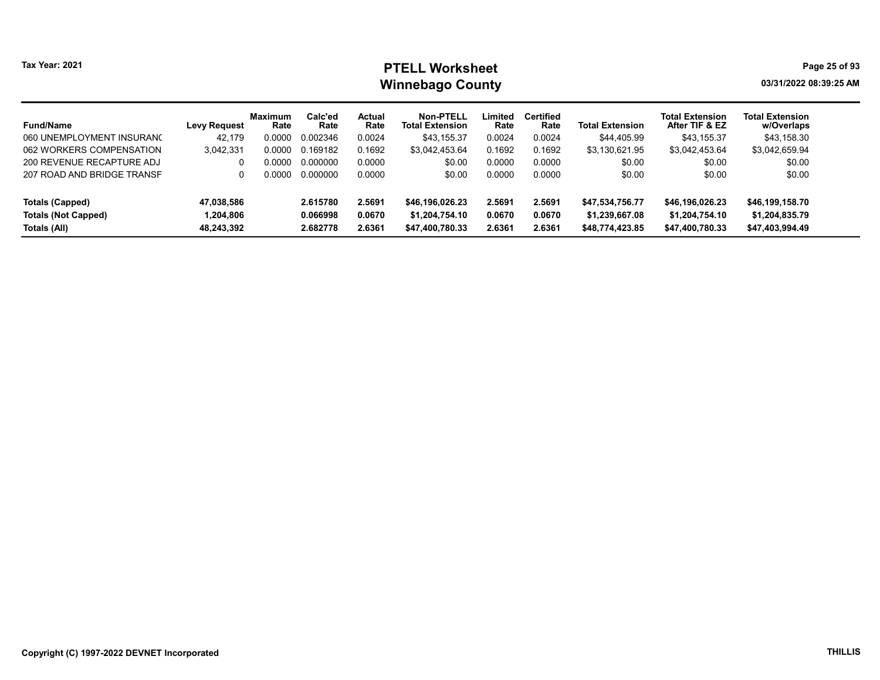# Tax Year: 2021 **PTELL Worksheet** Page 25 of 93 Winnebago County and the county of the county of the county of the county of the county of the county of the county of the county of the county of the county of the county of the county of the county of the county of the c

| <b>Fund/Name</b>           | <b>Levy Request</b> | Maximum<br>Rate | Calc'ed<br>Rate | Actual<br>Rate | Non-PTELL<br><b>Total Extension</b> | Limited<br>Rate | <b>Certified</b><br>Rate | <b>Total Extension</b> | <b>Total Extension</b><br>After TIF & EZ | <b>Total Extension</b><br>w/Overlaps |
|----------------------------|---------------------|-----------------|-----------------|----------------|-------------------------------------|-----------------|--------------------------|------------------------|------------------------------------------|--------------------------------------|
| 060 UNEMPLOYMENT INSURANO  | 42.179              | 0.0000          | 0.002346        | 0.0024         | \$43,155.37                         | 0.0024          | 0.0024                   | \$44,405.99            | \$43,155.37                              | \$43,158.30                          |
| 062 WORKERS COMPENSATION   | 3,042,331           | 0.0000          | 0.169182        | 0.1692         | \$3,042,453.64                      | 0.1692          | 0.1692                   | \$3,130,621.95         | \$3,042,453.64                           | \$3,042,659.94                       |
| 200 REVENUE RECAPTURE ADJ  |                     | 0.0000          | 0.000000        | 0.0000         | \$0.00                              | 0.0000          | 0.0000                   | \$0.00                 | \$0.00                                   | \$0.00                               |
| 207 ROAD AND BRIDGE TRANSF |                     | 0.0000          | 0.000000        | 0.0000         | \$0.00                              | 0.0000          | 0.0000                   | \$0.00                 | \$0.00                                   | \$0.00                               |
| Totals (Capped)            | 47,038,586          |                 | 2.615780        | 2.5691         | \$46,196,026.23                     | 2.5691          | 2.5691                   | \$47,534,756.77        | \$46,196,026.23                          | \$46,199,158.70                      |
| <b>Totals (Not Capped)</b> | 1.204.806           |                 | 0.066998        | 0.0670         | \$1,204,754.10                      | 0.0670          | 0.0670                   | \$1,239,667.08         | \$1,204,754.10                           | \$1,204,835.79                       |
| Totals (All)               | 48,243,392          |                 | 2.682778        | 2.6361         | \$47,400,780.33                     | 2.6361          | 2.6361                   | \$48,774,423.85        | \$47,400,780.33                          | \$47,403,994.49                      |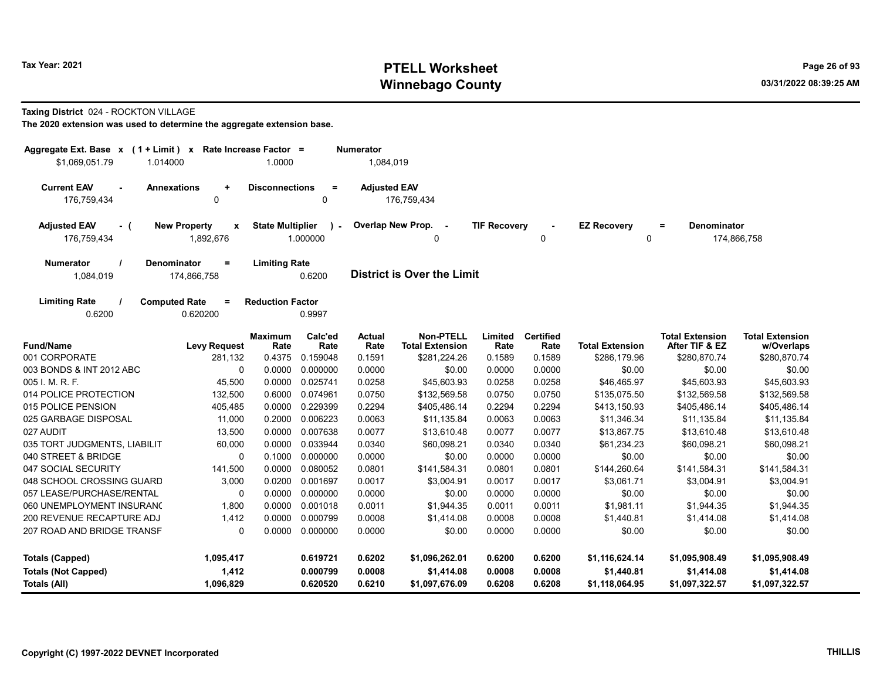# Tax Year: 2021 **PTELL Worksheet** Page 26 of 93 Winnebago County and the county of the county of the county of the county of the county of the county of the county of the county of the county of the county of the county of the county of the county of the county of the c

#### Taxing District 024 - ROCKTON VILLAGE

| Aggregate Ext. Base $x$ (1 + Limit) $x$<br>\$1.069.051.79<br>1.014000 |                                                  | Rate Increase Factor =<br>1.0000 |                          | <b>Numerator</b><br>1,084,019 |                                             |                     |                          |                         |                                          |                                      |
|-----------------------------------------------------------------------|--------------------------------------------------|----------------------------------|--------------------------|-------------------------------|---------------------------------------------|---------------------|--------------------------|-------------------------|------------------------------------------|--------------------------------------|
| <b>Current EAV</b><br>$\sim$                                          | <b>Annexations</b><br>$\ddot{}$                  | <b>Disconnections</b>            | $\equiv$                 | <b>Adjusted EAV</b>           |                                             |                     |                          |                         |                                          |                                      |
| 176,759,434                                                           | $\mathbf 0$                                      |                                  | 0                        |                               | 176,759,434                                 |                     |                          |                         |                                          |                                      |
| <b>Adjusted EAV</b><br>- (<br>176,759,434                             | <b>New Property</b><br>$\pmb{\chi}$<br>1,892,676 | <b>State Multiplier</b>          | $\mathbf{r}$<br>1.000000 |                               | Overlap New Prop.<br>$\sim$<br>$\mathbf{0}$ | <b>TIF Recovery</b> | 0                        | <b>EZ Recovery</b><br>0 | <b>Denominator</b><br>$\equiv$           | 174,866,758                          |
| <b>Numerator</b><br>1,084,019                                         | Denominator<br>$=$<br>174,866,758                | <b>Limiting Rate</b>             | 0.6200                   |                               | <b>District is Over the Limit</b>           |                     |                          |                         |                                          |                                      |
| <b>Limiting Rate</b><br>0.6200                                        | <b>Computed Rate</b><br>$=$<br>0.620200          | <b>Reduction Factor</b>          | 0.9997                   |                               |                                             |                     |                          |                         |                                          |                                      |
| <b>Fund/Name</b>                                                      | <b>Levy Request</b>                              | Maximum<br>Rate                  | Calc'ed<br>Rate          | Actual<br>Rate                | Non-PTELL<br><b>Total Extension</b>         | Limited<br>Rate     | <b>Certified</b><br>Rate | <b>Total Extension</b>  | <b>Total Extension</b><br>After TIF & EZ | <b>Total Extension</b><br>w/Overlaps |
| 001 CORPORATE                                                         | 281,132                                          | 0.4375                           | 0.159048                 | 0.1591                        | \$281,224.26                                | 0.1589              | 0.1589                   | \$286,179.96            | \$280,870.74                             | \$280,870.74                         |
| 003 BONDS & INT 2012 ABC                                              | $\mathbf 0$                                      | 0.0000                           | 0.000000                 | 0.0000                        | \$0.00                                      | 0.0000              | 0.0000                   | \$0.00                  | \$0.00                                   | \$0.00                               |
| 005 I. M. R. F.                                                       | 45,500                                           | 0.0000                           | 0.025741                 | 0.0258                        | \$45,603.93                                 | 0.0258              | 0.0258                   | \$46,465.97             | \$45,603.93                              | \$45,603.93                          |
| 014 POLICE PROTECTION                                                 | 132,500                                          | 0.6000                           | 0.074961                 | 0.0750                        | \$132,569.58                                | 0.0750              | 0.0750                   | \$135,075.50            | \$132,569.58                             | \$132,569.58                         |
| 015 POLICE PENSION                                                    | 405,485                                          | 0.0000                           | 0.229399                 | 0.2294                        | \$405,486.14                                | 0.2294              | 0.2294                   | \$413,150.93            | \$405,486.14                             | \$405,486.14                         |
| 025 GARBAGE DISPOSAL                                                  | 11,000                                           | 0.2000                           | 0.006223                 | 0.0063                        | \$11,135.84                                 | 0.0063              | 0.0063                   | \$11,346.34             | \$11,135.84                              | \$11,135.84                          |
| 027 AUDIT                                                             | 13,500                                           | 0.0000                           | 0.007638                 | 0.0077                        | \$13,610.48                                 | 0.0077              | 0.0077                   | \$13,867.75             | \$13,610.48                              | \$13,610.48                          |
| 035 TORT JUDGMENTS, LIABILIT                                          | 60,000                                           | 0.0000                           | 0.033944                 | 0.0340                        | \$60,098.21                                 | 0.0340              | 0.0340                   | \$61,234.23             | \$60,098.21                              | \$60,098.21                          |
| 040 STREET & BRIDGE                                                   | 0                                                | 0.1000                           | 0.000000                 | 0.0000                        | \$0.00                                      | 0.0000              | 0.0000                   | \$0.00                  | \$0.00                                   | \$0.00                               |
| 047 SOCIAL SECURITY                                                   | 141,500                                          | 0.0000                           | 0.080052                 | 0.0801                        | \$141,584.31                                | 0.0801              | 0.0801                   | \$144,260.64            | \$141,584.31                             | \$141,584.31                         |
| 048 SCHOOL CROSSING GUARD                                             | 3,000                                            | 0.0200                           | 0.001697                 | 0.0017                        | \$3,004.91                                  | 0.0017              | 0.0017                   | \$3,061.71              | \$3,004.91                               | \$3,004.91                           |
| 057 LEASE/PURCHASE/RENTAL                                             | 0                                                | 0.0000                           | 0.000000                 | 0.0000                        | \$0.00                                      | 0.0000              | 0.0000                   | \$0.00                  | \$0.00                                   | \$0.00                               |
| 060 UNEMPLOYMENT INSURANO                                             | 1,800                                            | 0.0000                           | 0.001018                 | 0.0011                        | \$1,944.35                                  | 0.0011              | 0.0011                   | \$1,981.11              | \$1,944.35                               | \$1,944.35                           |
| 200 REVENUE RECAPTURE ADJ                                             | 1,412                                            | 0.0000                           | 0.000799                 | 0.0008                        | \$1,414.08                                  | 0.0008              | 0.0008                   | \$1,440.81              | \$1,414.08                               | \$1,414.08                           |
| 207 ROAD AND BRIDGE TRANSF                                            | $\mathbf{0}$                                     | 0.0000                           | 0.000000                 | 0.0000                        | \$0.00                                      | 0.0000              | 0.0000                   | \$0.00                  | \$0.00                                   | \$0.00                               |
| <b>Totals (Capped)</b>                                                | 1,095,417                                        |                                  | 0.619721                 | 0.6202                        | \$1,096,262.01                              | 0.6200              | 0.6200                   | \$1,116,624.14          | \$1,095,908.49                           | \$1,095,908.49                       |
| <b>Totals (Not Capped)</b>                                            | 1,412                                            |                                  | 0.000799                 | 0.0008                        | \$1,414.08                                  | 0.0008              | 0.0008                   | \$1,440.81              | \$1,414.08                               | \$1,414.08                           |
| Totals (All)                                                          | 1,096,829                                        |                                  | 0.620520                 | 0.6210                        | \$1,097,676.09                              | 0.6208              | 0.6208                   | \$1,118,064.95          | \$1,097,322.57                           | \$1,097,322.57                       |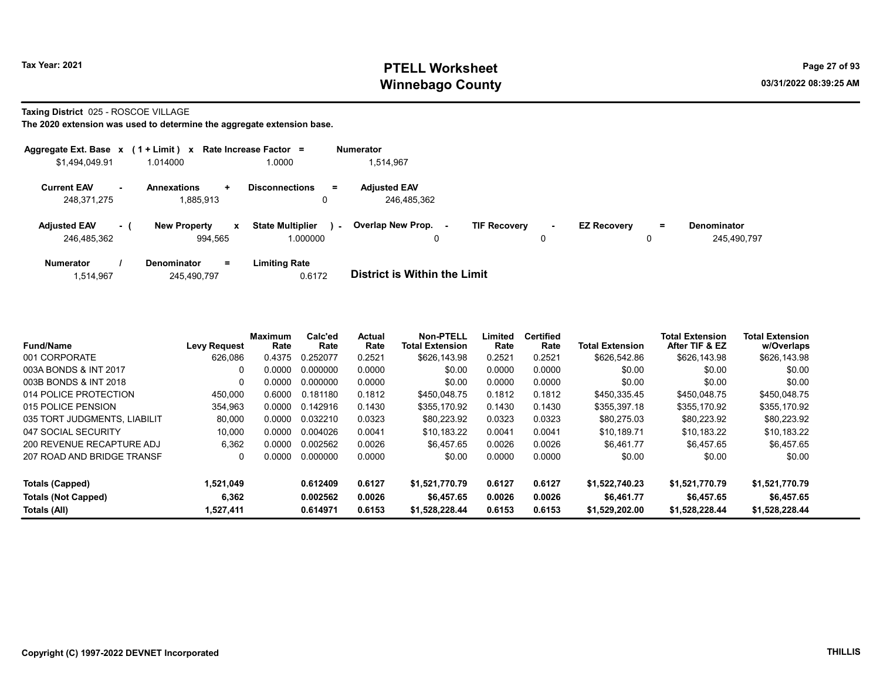# Tax Year: 2021 **PTELL Worksheet** Page 27 of 93 Winnebago County and the county of the county of the county of the county of the county of the county of the county of the county of the county of the county of the county of the county of the county of the county of the c

Taxing District 025 - ROSCOE VILLAGE

|                                    |        | Aggregate Ext. Base $x$ (1 + Limit) x Rate Increase Factor = |                                     |        | <b>Numerator</b>                   |                     |             |                    |    |                                   |
|------------------------------------|--------|--------------------------------------------------------------|-------------------------------------|--------|------------------------------------|---------------------|-------------|--------------------|----|-----------------------------------|
| \$1,494,049.91                     |        | 1.014000                                                     | 1.0000                              |        | 1,514,967                          |                     |             |                    |    |                                   |
| <b>Current EAV</b><br>248,371,275  | $\sim$ | <b>Annexations</b><br>÷<br>1,885,913                         | <b>Disconnections</b><br>0          | $=$    | <b>Adjusted EAV</b><br>246,485,362 |                     |             |                    |    |                                   |
| <b>Adjusted EAV</b><br>246.485.362 | $-1$   | <b>New Property</b><br>$\mathbf{x}$<br>994.565               | <b>State Multiplier</b><br>1.000000 | $\sim$ | Overlap New Prop.<br>0             | <b>TIF Recovery</b> | $\sim$<br>0 | <b>EZ Recovery</b> | Ξ. | <b>Denominator</b><br>245.490.797 |
| <b>Numerator</b>                   |        | <b>Denominator</b><br>$=$                                    | <b>Limiting Rate</b>                |        | _ _ _ _ _ _ _ _ _ _ _ _ _ _ _ _    |                     |             |                    |    |                                   |

| 1.514.967 | 245.490.797 | 0.6172 | District is Within the Limit |
|-----------|-------------|--------|------------------------------|
|           |             |        |                              |

| <b>Fund/Name</b>             | <b>Levy Request</b> | <b>Maximum</b><br>Rate | Calc'ed<br>Rate | Actual<br>Rate | Non-PTELL<br><b>Total Extension</b> | Limited<br>Rate | <b>Certified</b><br>Rate | <b>Total Extension</b> | <b>Total Extension</b><br>After TIF & EZ | <b>Total Extension</b><br>w/Overlaps |
|------------------------------|---------------------|------------------------|-----------------|----------------|-------------------------------------|-----------------|--------------------------|------------------------|------------------------------------------|--------------------------------------|
| 001 CORPORATE                | 626,086             | 0.4375                 | 0.252077        | 0.2521         | \$626.143.98                        | 0.2521          | 0.2521                   | \$626,542.86           | \$626,143.98                             | \$626,143.98                         |
| 003A BONDS & INT 2017        | 0                   | 0.0000                 | 0.000000        | 0.0000         | \$0.00                              | 0.0000          | 0.0000                   | \$0.00                 | \$0.00                                   | \$0.00                               |
| 003B BONDS & INT 2018        | 0                   | 0.0000                 | 0.000000        | 0.0000         | \$0.00                              | 0.0000          | 0.0000                   | \$0.00                 | \$0.00                                   | \$0.00                               |
| 014 POLICE PROTECTION        | 450,000             | 0.6000                 | 0.181180        | 0.1812         | \$450,048.75                        | 0.1812          | 0.1812                   | \$450.335.45           | \$450,048.75                             | \$450.048.75                         |
| 015 POLICE PENSION           | 354,963             | 0.0000                 | 0.142916        | 0.1430         | \$355.170.92                        | 0.1430          | 0.1430                   | \$355.397.18           | \$355.170.92                             | \$355,170.92                         |
| 035 TORT JUDGMENTS, LIABILIT | 80,000              | 0.0000                 | 0.032210        | 0.0323         | \$80,223.92                         | 0.0323          | 0.0323                   | \$80.275.03            | \$80,223.92                              | \$80,223.92                          |
| 047 SOCIAL SECURITY          | 10,000              | 0.0000                 | 0.004026        | 0.0041         | \$10.183.22                         | 0.0041          | 0.0041                   | \$10.189.71            | \$10.183.22                              | \$10.183.22                          |
| 200 REVENUE RECAPTURE ADJ    | 6,362               | 0.0000                 | 0.002562        | 0.0026         | \$6.457.65                          | 0.0026          | 0.0026                   | \$6.461.77             | \$6.457.65                               | \$6.457.65                           |
| 207 ROAD AND BRIDGE TRANSF   | 0                   | 0.0000                 | 0.000000        | 0.0000         | \$0.00                              | 0.0000          | 0.0000                   | \$0.00                 | \$0.00                                   | \$0.00                               |
| Totals (Capped)              | 1,521,049           |                        | 0.612409        | 0.6127         | \$1,521,770.79                      | 0.6127          | 0.6127                   | \$1,522,740.23         | \$1,521,770.79                           | \$1,521,770.79                       |
| <b>Totals (Not Capped)</b>   | 6,362               |                        | 0.002562        | 0.0026         | \$6,457.65                          | 0.0026          | 0.0026                   | \$6.461.77             | \$6,457.65                               | \$6,457.65                           |
| Totals (All)                 | 1,527,411           |                        | 0.614971        | 0.6153         | \$1.528.228.44                      | 0.6153          | 0.6153                   | \$1,529,202.00         | \$1,528,228.44                           | \$1,528,228.44                       |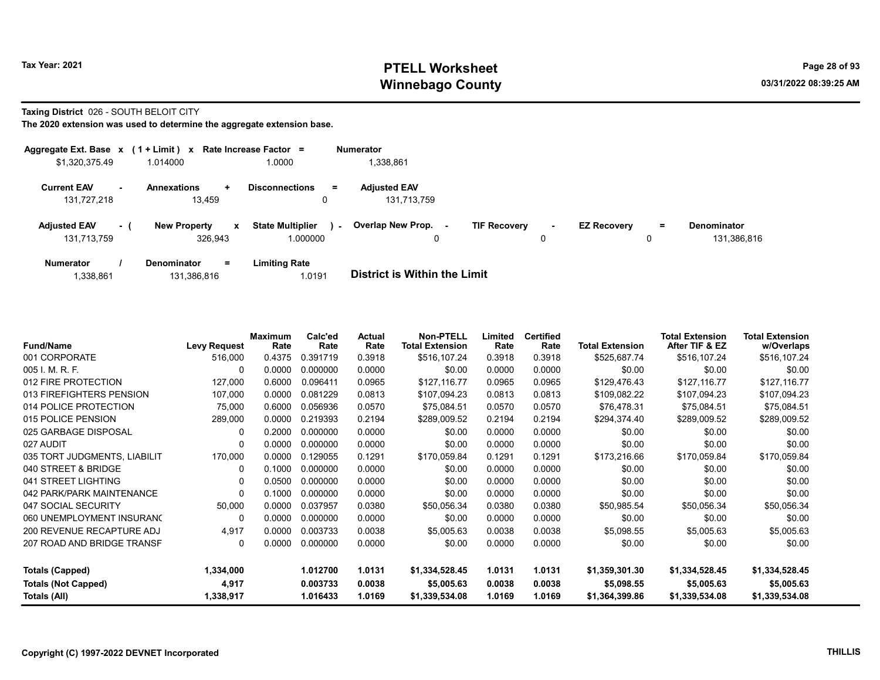# Tax Year: 2021 **PTELL Worksheet** Page 28 of 93 Winnebago County and the county of the county of the county of the county of the county of the county of the county of the county of the county of the county of the county of the county of the county of the county of the c

#### Taxing District 026 - SOUTH BELOIT CITY

|                                    |        | Aggregate Ext. Base $x$ (1 + Limit) $x$ Rate Increase Factor = |                                               | <b>Numerator</b>                   |                                    |                    |               |                            |
|------------------------------------|--------|----------------------------------------------------------------|-----------------------------------------------|------------------------------------|------------------------------------|--------------------|---------------|----------------------------|
| \$1,320,375.49                     |        | 1.014000                                                       | 1.0000                                        | 1,338,861                          |                                    |                    |               |                            |
| <b>Current EAV</b><br>131,727,218  | $\sim$ | <b>Annexations</b><br>÷<br>13,459                              | <b>Disconnections</b><br>Ξ.<br>0              | <b>Adjusted EAV</b><br>131,713,759 |                                    |                    |               |                            |
| <b>Adjusted EAV</b><br>131.713.759 | $-1$   | <b>New Property</b><br>$\mathbf{x}$<br>326.943                 | <b>State Multiplier</b><br>$\sim$<br>1.000000 | Overlap New Prop.<br>0             | <b>TIF Recovery</b><br>$\sim$<br>0 | <b>EZ Recovery</b> | $\equiv$<br>0 | Denominator<br>131.386.816 |
| <b>Numerator</b>                   |        | $=$<br><b>Denominator</b>                                      | <b>Limiting Rate</b>                          |                                    |                                    |                    |               |                            |

| 1,338,861 | 131,386,816 | 0191.، | <b>District is Within the Limit</b> |
|-----------|-------------|--------|-------------------------------------|
|           |             |        |                                     |

| <b>Fund/Name</b>             | <b>Levy Request</b> | <b>Maximum</b><br>Rate | Calc'ed<br>Rate | Actual<br>Rate | <b>Non-PTELL</b><br><b>Total Extension</b> | Limited<br>Rate | <b>Certified</b><br>Rate | <b>Total Extension</b> | <b>Total Extension</b><br>After TIF & EZ | <b>Total Extension</b><br>w/Overlaps |
|------------------------------|---------------------|------------------------|-----------------|----------------|--------------------------------------------|-----------------|--------------------------|------------------------|------------------------------------------|--------------------------------------|
| 001 CORPORATE                | 516,000             | 0.4375                 | 0.391719        | 0.3918         | \$516,107.24                               | 0.3918          | 0.3918                   | \$525,687.74           | \$516,107.24                             | \$516,107.24                         |
| 005 I. M. R. F.              | $\Omega$            | 0.0000                 | 0.000000        | 0.0000         | \$0.00                                     | 0.0000          | 0.0000                   | \$0.00                 | \$0.00                                   | \$0.00                               |
| 012 FIRE PROTECTION          | 127,000             | 0.6000                 | 0.096411        | 0.0965         | \$127,116.77                               | 0.0965          | 0.0965                   | \$129,476.43           | \$127,116.77                             | \$127,116.77                         |
| 013 FIREFIGHTERS PENSION     | 107,000             | 0.0000                 | 0.081229        | 0.0813         | \$107,094.23                               | 0.0813          | 0.0813                   | \$109,082.22           | \$107,094.23                             | \$107,094.23                         |
| 014 POLICE PROTECTION        | 75,000              | 0.6000                 | 0.056936        | 0.0570         | \$75,084.51                                | 0.0570          | 0.0570                   | \$76,478.31            | \$75,084.51                              | \$75,084.51                          |
| 015 POLICE PENSION           | 289,000             | 0.0000                 | 0.219393        | 0.2194         | \$289,009.52                               | 0.2194          | 0.2194                   | \$294,374.40           | \$289,009.52                             | \$289,009.52                         |
| 025 GARBAGE DISPOSAL         | $\Omega$            | 0.2000                 | 0.000000        | 0.0000         | \$0.00                                     | 0.0000          | 0.0000                   | \$0.00                 | \$0.00                                   | \$0.00                               |
| 027 AUDIT                    | $\Omega$            | 0.0000                 | 0.000000        | 0.0000         | \$0.00                                     | 0.0000          | 0.0000                   | \$0.00                 | \$0.00                                   | \$0.00                               |
| 035 TORT JUDGMENTS, LIABILIT | 170,000             | 0.0000                 | 0.129055        | 0.1291         | \$170,059.84                               | 0.1291          | 0.1291                   | \$173,216.66           | \$170,059.84                             | \$170,059.84                         |
| 040 STREET & BRIDGE          | 0                   | 0.1000                 | 0.000000        | 0.0000         | \$0.00                                     | 0.0000          | 0.0000                   | \$0.00                 | \$0.00                                   | \$0.00                               |
| 041 STREET LIGHTING          | $\Omega$            | 0.0500                 | 0.000000        | 0.0000         | \$0.00                                     | 0.0000          | 0.0000                   | \$0.00                 | \$0.00                                   | \$0.00                               |
| 042 PARK/PARK MAINTENANCE    | $\Omega$            | 0.1000                 | 0.000000        | 0.0000         | \$0.00                                     | 0.0000          | 0.0000                   | \$0.00                 | \$0.00                                   | \$0.00                               |
| 047 SOCIAL SECURITY          | 50,000              | 0.0000                 | 0.037957        | 0.0380         | \$50,056.34                                | 0.0380          | 0.0380                   | \$50,985.54            | \$50,056.34                              | \$50,056.34                          |
| 060 UNEMPLOYMENT INSURANO    | $\Omega$            | 0.0000                 | 0.000000        | 0.0000         | \$0.00                                     | 0.0000          | 0.0000                   | \$0.00                 | \$0.00                                   | \$0.00                               |
| 200 REVENUE RECAPTURE ADJ    | 4,917               | 0.0000                 | 0.003733        | 0.0038         | \$5,005.63                                 | 0.0038          | 0.0038                   | \$5,098.55             | \$5,005.63                               | \$5,005.63                           |
| 207 ROAD AND BRIDGE TRANSF   | 0                   | 0.0000                 | 0.000000        | 0.0000         | \$0.00                                     | 0.0000          | 0.0000                   | \$0.00                 | \$0.00                                   | \$0.00                               |
| <b>Totals (Capped)</b>       | 1,334,000           |                        | 1.012700        | 1.0131         | \$1,334,528.45                             | 1.0131          | 1.0131                   | \$1,359,301.30         | \$1,334,528.45                           | \$1,334,528.45                       |
| <b>Totals (Not Capped)</b>   | 4,917               |                        | 0.003733        | 0.0038         | \$5,005.63                                 | 0.0038          | 0.0038                   | \$5,098.55             | \$5,005.63                               | \$5,005.63                           |
| Totals (All)                 | 1,338,917           |                        | 1.016433        | 1.0169         | \$1,339,534.08                             | 1.0169          | 1.0169                   | \$1,364,399.86         | \$1,339,534.08                           | \$1,339,534.08                       |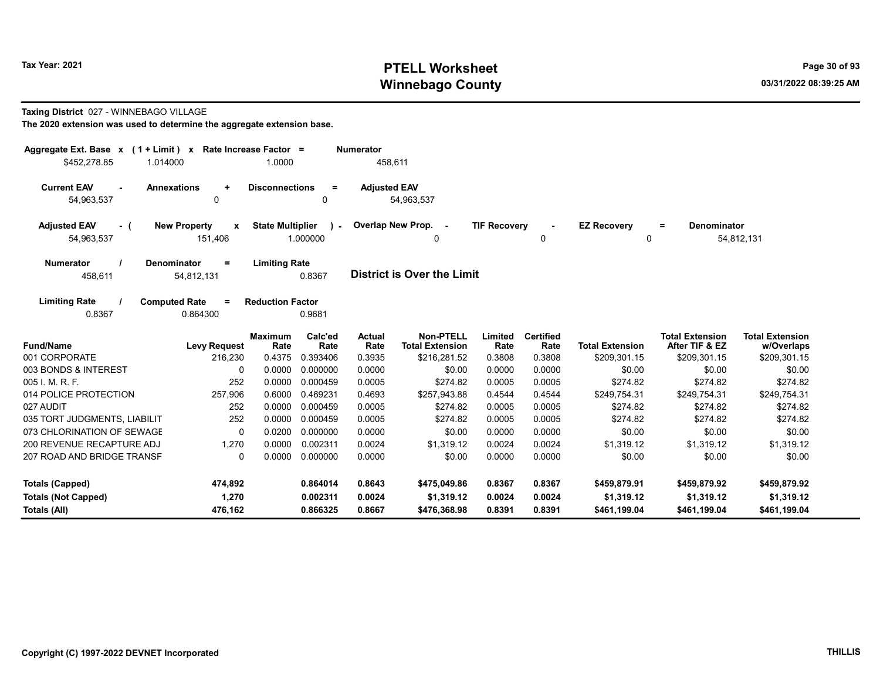# Tax Year: 2021 **PTELL Worksheet** Page 30 of 93 Winnebago County and the county of the county of the county of the county of the county of the county of the county of the county of the county of the county of the county of the county of the county of the county of the c

#### Taxing District 027 - WINNEBAGO VILLAGE

| Aggregate Ext. Base $x$ (1 + Limit) $x$<br>\$452,278.85 | 1.014000                                     | Rate Increase Factor =<br>1.0000 |                       | <b>Numerator</b><br>458,611 |                                            |                     |                          |                         |                                          |                                      |
|---------------------------------------------------------|----------------------------------------------|----------------------------------|-----------------------|-----------------------------|--------------------------------------------|---------------------|--------------------------|-------------------------|------------------------------------------|--------------------------------------|
| <b>Current EAV</b><br>$\sim$<br>54,963,537              | <b>Annexations</b><br>$\ddot{}$<br>0         | <b>Disconnections</b>            | $\equiv$<br>0         | <b>Adjusted EAV</b>         | 54,963,537                                 |                     |                          |                         |                                          |                                      |
| <b>Adjusted EAV</b><br>- (<br>54,963,537                | <b>New Property</b><br>X<br>151,406          | <b>State Multiplier</b>          | $\lambda$<br>1.000000 |                             | Overlap New Prop. -<br>0                   | <b>TIF Recovery</b> | 0                        | <b>EZ Recovery</b><br>0 | <b>Denominator</b><br>Ξ.                 | 54,812,131                           |
| <b>Numerator</b><br>458,611                             | <b>Denominator</b><br>$=$<br>54,812,131      | <b>Limiting Rate</b>             | 0.8367                |                             | <b>District is Over the Limit</b>          |                     |                          |                         |                                          |                                      |
| <b>Limiting Rate</b><br>0.8367                          | <b>Computed Rate</b><br>$\equiv$<br>0.864300 | <b>Reduction Factor</b>          | 0.9681                |                             |                                            |                     |                          |                         |                                          |                                      |
| <b>Fund/Name</b>                                        | <b>Levy Request</b>                          | <b>Maximum</b><br>Rate           | Calc'ed<br>Rate       | Actual<br>Rate              | <b>Non-PTELL</b><br><b>Total Extension</b> | Limited<br>Rate     | <b>Certified</b><br>Rate | <b>Total Extension</b>  | <b>Total Extension</b><br>After TIF & EZ | <b>Total Extension</b><br>w/Overlaps |
| 001 CORPORATE                                           | 216,230                                      | 0.4375                           | 0.393406              | 0.3935                      | \$216,281.52                               | 0.3808              | 0.3808                   | \$209,301.15            | \$209,301.15                             | \$209,301.15                         |
| 003 BONDS & INTEREST                                    | 0                                            | 0.0000                           | 0.000000              | 0.0000                      | \$0.00                                     | 0.0000              | 0.0000                   | \$0.00                  | \$0.00                                   | \$0.00                               |
| 005 I. M. R. F.                                         | 252                                          | 0.0000                           | 0.000459              | 0.0005                      | \$274.82                                   | 0.0005              | 0.0005                   | \$274.82                | \$274.82                                 | \$274.82                             |
| 014 POLICE PROTECTION                                   | 257,906                                      | 0.6000                           | 0.469231              | 0.4693                      | \$257,943.88                               | 0.4544              | 0.4544                   | \$249,754.31            | \$249.754.31                             | \$249,754.31                         |
| 027 AUDIT                                               | 252                                          | 0.0000                           | 0.000459              | 0.0005                      | \$274.82                                   | 0.0005              | 0.0005                   | \$274.82                | \$274.82                                 | \$274.82                             |
| 035 TORT JUDGMENTS, LIABILIT                            | 252                                          | 0.0000                           | 0.000459              | 0.0005                      | \$274.82                                   | 0.0005              | 0.0005                   | \$274.82                | \$274.82                                 | \$274.82                             |
| 073 CHLORINATION OF SEWAGE                              | $\Omega$                                     | 0.0200                           | 0.000000              | 0.0000                      | \$0.00                                     | 0.0000              | 0.0000                   | \$0.00                  | \$0.00                                   | \$0.00                               |
| 200 REVENUE RECAPTURE ADJ                               | 1,270                                        | 0.0000                           | 0.002311              | 0.0024                      | \$1,319.12                                 | 0.0024              | 0.0024                   | \$1,319.12              | \$1,319.12                               | \$1,319.12                           |
| 207 ROAD AND BRIDGE TRANSF                              | 0                                            | 0.0000                           | 0.000000              | 0.0000                      | \$0.00                                     | 0.0000              | 0.0000                   | \$0.00                  | \$0.00                                   | \$0.00                               |
| <b>Totals (Capped)</b>                                  | 474,892                                      |                                  | 0.864014              | 0.8643                      | \$475,049.86                               | 0.8367              | 0.8367                   | \$459,879.91            | \$459,879.92                             | \$459,879.92                         |
| <b>Totals (Not Capped)</b>                              | 1,270                                        |                                  | 0.002311              | 0.0024                      | \$1,319.12                                 | 0.0024              | 0.0024                   | \$1,319.12              | \$1,319.12                               | \$1,319.12                           |
| Totals (All)                                            | 476.162                                      |                                  | 0.866325              | 0.8667                      | \$476.368.98                               | 0.8391              | 0.8391                   | \$461.199.04            | \$461.199.04                             | \$461.199.04                         |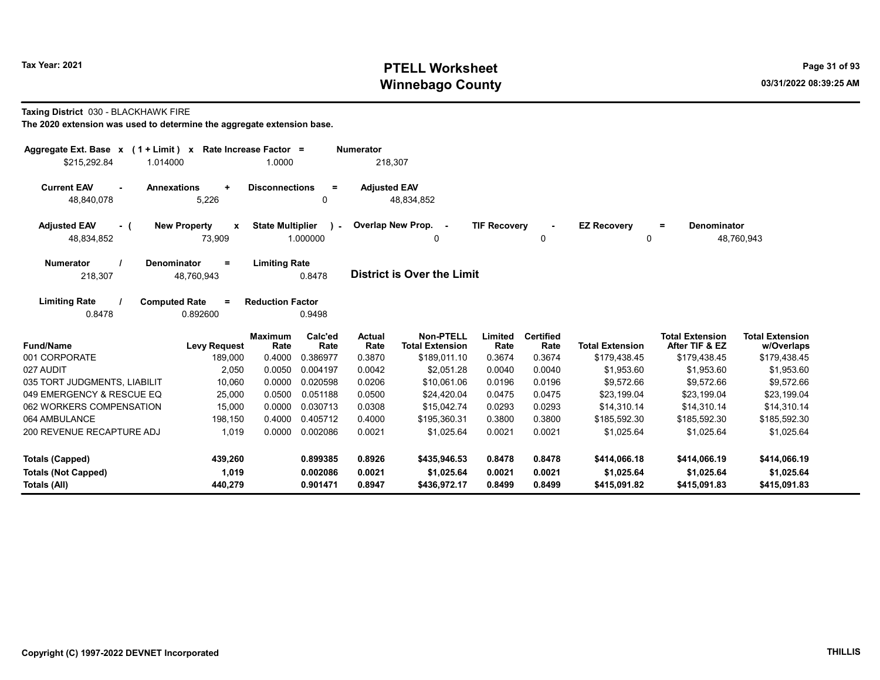# Tax Year: 2021 **PTELL Worksheet** Page 31 of 93 Winnebago County and the county of the county of the county of the county of the county of the county of the county of the county of the county of the county of the county of the county of the county of the county of the c

Taxing District 030 - BLACKHAWK FIRE

| Aggregate Ext. Base $x$ (1 + Limit) $x$                              | Rate Increase Factor =                        |                                               | <b>Numerator</b>           |                                            |                            |                                |                                            |                                            |                                            |
|----------------------------------------------------------------------|-----------------------------------------------|-----------------------------------------------|----------------------------|--------------------------------------------|----------------------------|--------------------------------|--------------------------------------------|--------------------------------------------|--------------------------------------------|
| \$215,292.84<br>1.014000                                             |                                               | 1.0000                                        | 218,307                    |                                            |                            |                                |                                            |                                            |                                            |
| <b>Current EAV</b><br><b>Annexations</b><br>48,840,078               | $\ddot{}$<br>5,226                            | <b>Disconnections</b><br>$\equiv$<br>0        | <b>Adjusted EAV</b>        | 48,834,852                                 |                            |                                |                                            |                                            |                                            |
| <b>Adjusted EAV</b><br>- (<br>48,834,852                             | <b>New Property</b><br>$\mathbf{x}$<br>73,909 | <b>State Multiplier</b><br>$\sim$<br>1.000000 |                            | Overlap New Prop. -<br>$\Omega$            | <b>TIF Recovery</b>        | $\blacksquare$<br>$\mathbf{0}$ | <b>EZ Recovery</b><br>$\Omega$             | <b>Denominator</b><br>$=$                  | 48,760,943                                 |
| <b>Numerator</b><br><b>Denominator</b><br>218,307                    | $\equiv$<br>48.760.943                        | <b>Limiting Rate</b><br>0.8478                |                            | <b>District is Over the Limit</b>          |                            |                                |                                            |                                            |                                            |
| <b>Limiting Rate</b><br><b>Computed Rate</b><br>0.8478               | $=$<br>0.892600                               | <b>Reduction Factor</b><br>0.9498             |                            |                                            |                            |                                |                                            |                                            |                                            |
| <b>Fund/Name</b>                                                     | <b>Levy Request</b>                           | Calc'ed<br><b>Maximum</b><br>Rate<br>Rate     | <b>Actual</b><br>Rate      | <b>Non-PTELL</b><br><b>Total Extension</b> | Limited<br>Rate            | <b>Certified</b><br>Rate       | <b>Total Extension</b>                     | <b>Total Extension</b><br>After TIF & EZ   | <b>Total Extension</b><br>w/Overlaps       |
| 001 CORPORATE                                                        | 189,000                                       | 0.4000<br>0.386977                            | 0.3870                     | \$189,011.10                               | 0.3674                     | 0.3674                         | \$179,438.45                               | \$179,438.45                               | \$179,438.45                               |
| 027 AUDIT                                                            | 2,050                                         | 0.0050<br>0.004197                            | 0.0042                     | \$2.051.28                                 | 0.0040                     | 0.0040                         | \$1.953.60                                 | \$1.953.60                                 | \$1.953.60                                 |
| 035 TORT JUDGMENTS, LIABILIT                                         | 10,060                                        | 0.0000<br>0.020598                            | 0.0206                     | \$10,061.06                                | 0.0196                     | 0.0196                         | \$9,572.66                                 | \$9,572.66                                 | \$9,572.66                                 |
| 049 EMERGENCY & RESCUE EQ                                            | 25,000                                        | 0.0500<br>0.051188                            | 0.0500                     | \$24,420.04                                | 0.0475                     | 0.0475                         | \$23,199.04                                | \$23,199.04                                | \$23,199.04                                |
| 062 WORKERS COMPENSATION                                             | 15,000                                        | 0.0000<br>0.030713                            | 0.0308                     | \$15,042.74                                | 0.0293                     | 0.0293                         | \$14,310.14                                | \$14,310.14                                | \$14,310.14                                |
| 064 AMBULANCE                                                        | 198,150                                       | 0.4000<br>0.405712                            | 0.4000                     | \$195,360.31                               | 0.3800                     | 0.3800                         | \$185,592.30                               | \$185,592.30                               | \$185,592.30                               |
| 200 REVENUE RECAPTURE ADJ                                            | 1,019                                         | 0.0000<br>0.002086                            | 0.0021                     | \$1,025.64                                 | 0.0021                     | 0.0021                         | \$1,025.64                                 | \$1,025.64                                 | \$1,025.64                                 |
| <b>Totals (Capped)</b><br><b>Totals (Not Capped)</b><br>Totals (All) | 439,260<br>1,019<br>440,279                   | 0.899385<br>0.002086<br>0.901471              | 0.8926<br>0.0021<br>0.8947 | \$435,946.53<br>\$1,025.64<br>\$436,972.17 | 0.8478<br>0.0021<br>0.8499 | 0.8478<br>0.0021<br>0.8499     | \$414,066.18<br>\$1,025.64<br>\$415,091.82 | \$414,066.19<br>\$1,025.64<br>\$415,091.83 | \$414,066.19<br>\$1,025.64<br>\$415,091.83 |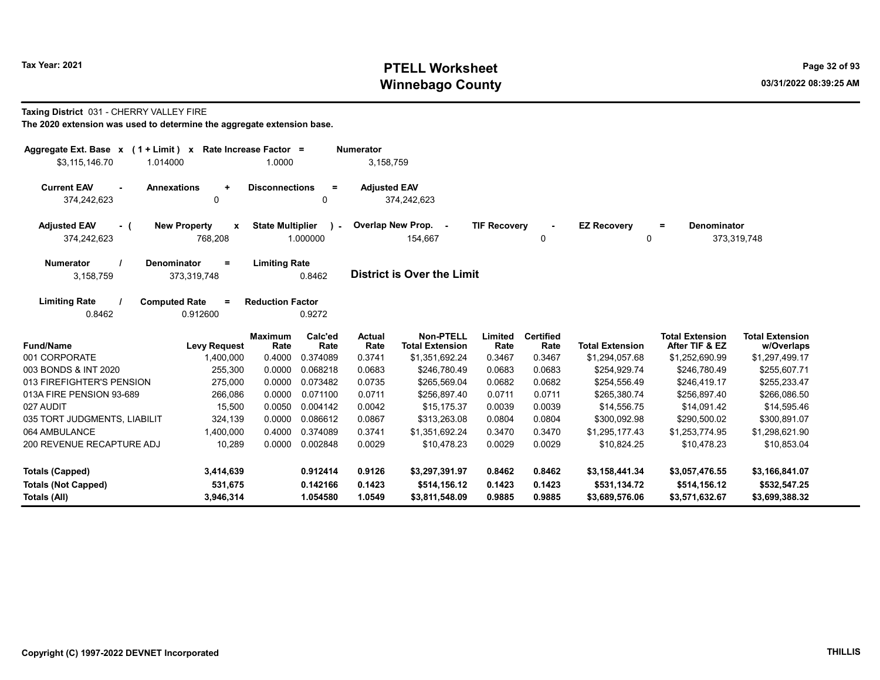# Tax Year: 2021 **PTELL Worksheet** Page 32 of 93 Winnebago County and the county of the county of the county of the county of the county of the county of the county of the county of the county of the county of the county of the county of the county of the county of the c

#### Taxing District 031 - CHERRY VALLEY FIRE

| Aggregate Ext. Base $x$ (1 + Limit) x Rate Increase Factor =<br>\$3,115,146.70<br>1.014000 |                                                    | 1.0000                  |                 | <b>Numerator</b><br>3,158,759 |                                            |                     |                          |                         |                                          |                                      |
|--------------------------------------------------------------------------------------------|----------------------------------------------------|-------------------------|-----------------|-------------------------------|--------------------------------------------|---------------------|--------------------------|-------------------------|------------------------------------------|--------------------------------------|
| <b>Current EAV</b><br>374,242,623                                                          | <b>Annexations</b><br>$\ddot{}$<br>0               | <b>Disconnections</b>   | $\equiv$<br>0   | <b>Adjusted EAV</b>           | 374,242,623                                |                     |                          |                         |                                          |                                      |
| <b>Adjusted EAV</b><br>- (<br>374,242,623                                                  | <b>New Property</b><br>$\boldsymbol{x}$<br>768,208 | <b>State Multiplier</b> | ι.<br>1.000000  |                               | Overlap New Prop. -<br>154,667             | <b>TIF Recovery</b> | 0                        | <b>EZ Recovery</b><br>0 | <b>Denominator</b><br>$\equiv$           | 373,319,748                          |
| <b>Numerator</b><br>3,158,759                                                              | Denominator<br>$=$<br>373,319,748                  | <b>Limiting Rate</b>    | 0.8462          |                               | District is Over the Limit                 |                     |                          |                         |                                          |                                      |
| <b>Limiting Rate</b><br>0.8462                                                             | <b>Computed Rate</b><br>$=$<br>0.912600            | <b>Reduction Factor</b> | 0.9272          |                               |                                            |                     |                          |                         |                                          |                                      |
| <b>Fund/Name</b>                                                                           | <b>Levy Request</b>                                | <b>Maximum</b><br>Rate  | Calc'ed<br>Rate | Actual<br>Rate                | <b>Non-PTELL</b><br><b>Total Extension</b> | Limited<br>Rate     | <b>Certified</b><br>Rate | <b>Total Extension</b>  | <b>Total Extension</b><br>After TIF & EZ | <b>Total Extension</b><br>w/Overlaps |
| 001 CORPORATE                                                                              | 1,400,000                                          | 0.4000                  | 0.374089        | 0.3741                        | \$1,351,692.24                             | 0.3467              | 0.3467                   | \$1,294,057.68          | \$1,252,690.99                           | \$1,297,499.17                       |
| 003 BONDS & INT 2020                                                                       | 255,300                                            | 0.0000                  | 0.068218        | 0.0683                        | \$246,780.49                               | 0.0683              | 0.0683                   | \$254,929.74            | \$246,780.49                             | \$255,607.71                         |
| 013 FIREFIGHTER'S PENSION                                                                  | 275,000                                            | 0.0000                  | 0.073482        | 0.0735                        | \$265,569.04                               | 0.0682              | 0.0682                   | \$254,556.49            | \$246,419.17                             | \$255,233.47                         |
| 013A FIRE PENSION 93-689                                                                   | 266,086                                            | 0.0000                  | 0.071100        | 0.0711                        | \$256,897.40                               | 0.0711              | 0.0711                   | \$265,380.74            | \$256,897.40                             | \$266,086.50                         |
| 027 AUDIT                                                                                  | 15,500                                             | 0.0050                  | 0.004142        | 0.0042                        | \$15,175.37                                | 0.0039              | 0.0039                   | \$14,556.75             | \$14,091.42                              | \$14,595.46                          |
| 035 TORT JUDGMENTS, LIABILIT                                                               | 324,139                                            | 0.0000                  | 0.086612        | 0.0867                        | \$313,263.08                               | 0.0804              | 0.0804                   | \$300,092.98            | \$290,500.02                             | \$300,891.07                         |
| 064 AMBULANCE                                                                              | 1,400,000                                          | 0.4000                  | 0.374089        | 0.3741                        | \$1,351,692.24                             | 0.3470              | 0.3470                   | \$1,295,177.43          | \$1,253,774.95                           | \$1,298,621.90                       |
| 200 REVENUE RECAPTURE ADJ                                                                  | 10,289                                             | 0.0000                  | 0.002848        | 0.0029                        | \$10,478.23                                | 0.0029              | 0.0029                   | \$10,824.25             | \$10,478.23                              | \$10,853.04                          |
| <b>Totals (Capped)</b>                                                                     | 3,414,639                                          |                         | 0.912414        | 0.9126                        | \$3,297,391.97                             | 0.8462              | 0.8462                   | \$3,158,441.34          | \$3,057,476.55                           | \$3,166,841.07                       |
| <b>Totals (Not Capped)</b>                                                                 | 531,675                                            |                         | 0.142166        | 0.1423                        | \$514,156.12                               | 0.1423              | 0.1423                   | \$531,134.72            | \$514,156.12                             | \$532,547.25                         |
| Totals (All)                                                                               | 3,946,314                                          |                         | 1.054580        | 1.0549                        | \$3,811,548.09                             | 0.9885              | 0.9885                   | \$3,689,576.06          | \$3,571,632.67                           | \$3,699,388.32                       |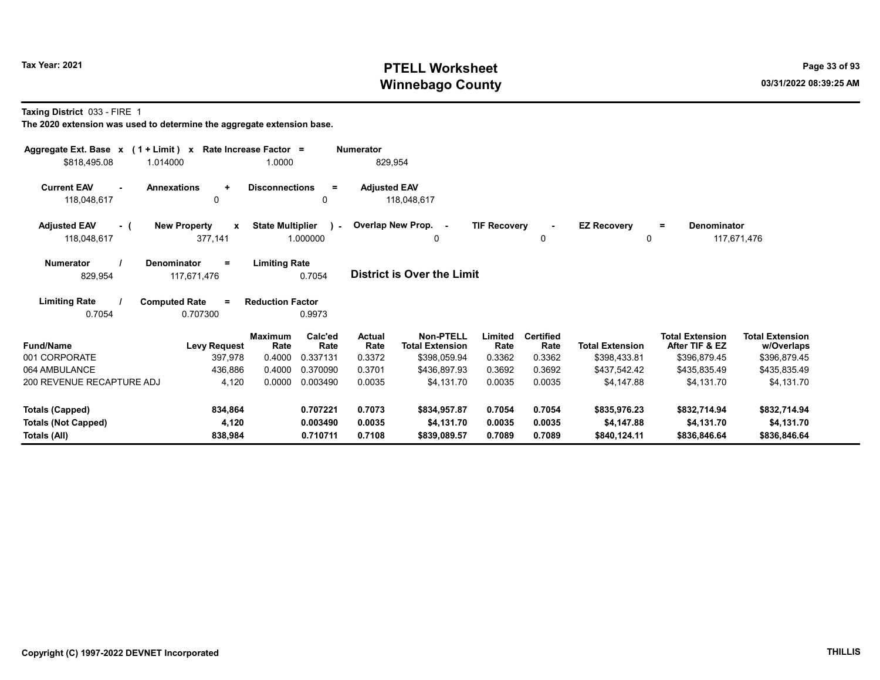# Tax Year: 2021 **PTELL Worksheet** Page 33 of 93 Winnebago County and the county of the county of the county of the county of the county of the county of the county of the county of the county of the county of the county of the county of the county of the county of the c

Taxing District 033 - FIRE 1

| Aggregate Ext. Base $x$ (1 + Limit) $x$<br>\$818,495.08<br>1.014000 | Rate Increase Factor =                         | 1.0000                  |                           | <b>Numerator</b><br>829,954 |                                            |                     |                          |                            |                                          |                                      |
|---------------------------------------------------------------------|------------------------------------------------|-------------------------|---------------------------|-----------------------------|--------------------------------------------|---------------------|--------------------------|----------------------------|------------------------------------------|--------------------------------------|
| <b>Current EAV</b><br>$\sim$<br>118,048,617                         | <b>Annexations</b><br>$\ddot{}$<br>$\mathbf 0$ | <b>Disconnections</b>   | $\equiv$<br>0             | <b>Adjusted EAV</b>         | 118,048,617                                |                     |                          |                            |                                          |                                      |
| <b>Adjusted EAV</b><br>- (<br>118,048,617                           | <b>New Property</b><br>$\mathbf{x}$<br>377,141 | <b>State Multiplier</b> | $\mathcal{L}$<br>1.000000 |                             | Overlap New Prop. -<br>0                   | <b>TIF Recovery</b> | 0                        | <b>EZ Recovery</b><br>0    | Denominator<br>$=$                       | 117,671,476                          |
| <b>Numerator</b><br>829,954                                         | Denominator<br>$\equiv$<br>117,671,476         | <b>Limiting Rate</b>    | 0.7054                    |                             | <b>District is Over the Limit</b>          |                     |                          |                            |                                          |                                      |
| <b>Limiting Rate</b><br>0.7054                                      | <b>Computed Rate</b><br>$\equiv$<br>0.707300   | <b>Reduction Factor</b> | 0.9973                    |                             |                                            |                     |                          |                            |                                          |                                      |
| <b>Fund/Name</b>                                                    | <b>Levy Request</b>                            | <b>Maximum</b><br>Rate  | Calc'ed<br>Rate           | <b>Actual</b><br>Rate       | <b>Non-PTELL</b><br><b>Total Extension</b> | Limited<br>Rate     | <b>Certified</b><br>Rate | <b>Total Extension</b>     | <b>Total Extension</b><br>After TIF & EZ | <b>Total Extension</b><br>w/Overlaps |
| 001 CORPORATE                                                       | 397,978                                        | 0.4000                  | 0.337131                  | 0.3372                      | \$398,059.94                               | 0.3362              | 0.3362                   | \$398,433.81               | \$396,879.45                             | \$396,879.45                         |
| 064 AMBULANCE                                                       | 436,886                                        | 0.4000                  | 0.370090                  | 0.3701                      | \$436,897.93                               | 0.3692              | 0.3692                   | \$437,542.42               | \$435,835.49                             | \$435,835.49                         |
| 200 REVENUE RECAPTURE ADJ                                           | 4,120                                          | 0.0000                  | 0.003490                  | 0.0035                      | \$4,131.70                                 | 0.0035              | 0.0035                   | \$4,147.88                 | \$4,131.70                               | \$4,131.70                           |
| <b>Totals (Capped)</b>                                              | 834,864                                        |                         | 0.707221                  | 0.7073                      | \$834,957.87                               | 0.7054              | 0.7054                   | \$835,976.23               | \$832,714.94                             | \$832,714.94                         |
| <b>Totals (Not Capped)</b><br>Totals (All)                          | 4,120<br>838,984                               |                         | 0.003490<br>0.710711      | 0.0035<br>0.7108            | \$4,131.70<br>\$839,089.57                 | 0.0035<br>0.7089    | 0.0035<br>0.7089         | \$4,147.88<br>\$840,124.11 | \$4,131.70<br>\$836,846.64               | \$4,131.70<br>\$836,846.64           |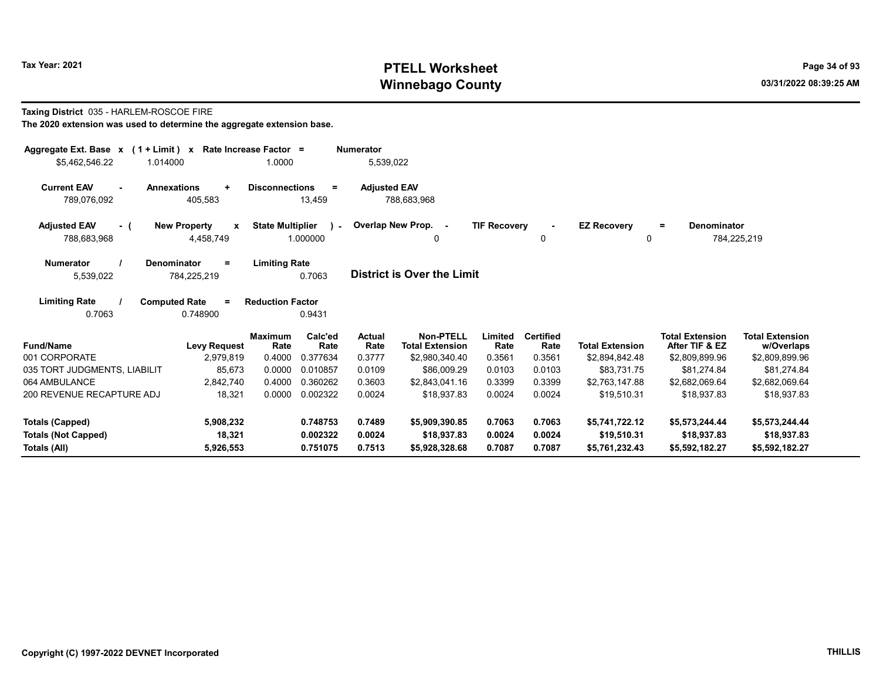# Tax Year: 2021 **PTELL Worksheet** Page 34 of 93 Winnebago County and the county of the county of the county of the county of the county of the county of the county of the county of the county of the county of the county of the county of the county of the county of the c

#### Taxing District 035 - HARLEM-ROSCOE FIRE

| Aggregate Ext. Base $x$ (1 + Limit) $x$<br>\$5,462,546.22                                                                                        | 1.014000                                         | Rate Increase Factor =<br>1.0000 |                          | <b>Numerator</b><br>5,539,022 |                                            |                     |                          |                         |                                          |                                      |
|--------------------------------------------------------------------------------------------------------------------------------------------------|--------------------------------------------------|----------------------------------|--------------------------|-------------------------------|--------------------------------------------|---------------------|--------------------------|-------------------------|------------------------------------------|--------------------------------------|
| <b>Current EAV</b><br>$\sim$<br>789,076,092                                                                                                      | <b>Annexations</b><br>$\ddot{}$<br>405,583       | <b>Disconnections</b>            | $\equiv$<br>13,459       | <b>Adjusted EAV</b>           | 788,683,968                                |                     |                          |                         |                                          |                                      |
| <b>Adjusted EAV</b><br>- (<br>788,683,968                                                                                                        | <b>New Property</b><br>$\mathbf{x}$<br>4,458,749 | <b>State Multiplier</b>          | $\mathbf{1}$<br>1.000000 |                               | Overlap New Prop. -<br>0                   | <b>TIF Recovery</b> | $\sim$<br>0              | <b>EZ Recovery</b><br>0 | Denominator<br>$\equiv$                  | 784,225,219                          |
| <b>Numerator</b><br><b>Denominator</b><br><b>Limiting Rate</b><br>$=$<br><b>District is Over the Limit</b><br>0.7063<br>784,225,219<br>5,539,022 |                                                  |                                  |                          |                               |                                            |                     |                          |                         |                                          |                                      |
| <b>Limiting Rate</b><br>0.7063                                                                                                                   | <b>Computed Rate</b><br>$\equiv$<br>0.748900     | <b>Reduction Factor</b>          | 0.9431                   |                               |                                            |                     |                          |                         |                                          |                                      |
| <b>Fund/Name</b>                                                                                                                                 | <b>Levy Request</b>                              | <b>Maximum</b><br>Rate           | Calc'ed<br>Rate          | <b>Actual</b><br>Rate         | <b>Non-PTELL</b><br><b>Total Extension</b> | Limited<br>Rate     | <b>Certified</b><br>Rate | <b>Total Extension</b>  | <b>Total Extension</b><br>After TIF & EZ | <b>Total Extension</b><br>w/Overlaps |
| 001 CORPORATE                                                                                                                                    | 2,979,819                                        | 0.4000                           | 0.377634                 | 0.3777                        | \$2,980,340.40                             | 0.3561              | 0.3561                   | \$2,894,842.48          | \$2,809,899.96                           | \$2,809,899.96                       |
| 035 TORT JUDGMENTS, LIABILIT                                                                                                                     | 85,673                                           | 0.0000                           | 0.010857                 | 0.0109                        | \$86,009.29                                | 0.0103              | 0.0103                   | \$83,731.75             | \$81,274.84                              | \$81,274.84                          |
| 064 AMBULANCE                                                                                                                                    | 2,842,740                                        | 0.4000                           | 0.360262                 | 0.3603                        | \$2,843,041.16                             | 0.3399              | 0.3399                   | \$2,763,147.88          | \$2,682,069.64                           | \$2,682,069.64                       |
| 200 REVENUE RECAPTURE ADJ                                                                                                                        | 18,321                                           | 0.0000                           | 0.002322                 | 0.0024                        | \$18,937.83                                | 0.0024              | 0.0024                   | \$19,510.31             | \$18,937.83                              | \$18,937.83                          |
| <b>Totals (Capped)</b>                                                                                                                           | 5,908,232                                        |                                  | 0.748753                 | 0.7489                        | \$5,909,390.85                             | 0.7063              | 0.7063                   | \$5,741,722.12          | \$5,573,244.44                           | \$5,573,244.44                       |
| <b>Totals (Not Capped)</b>                                                                                                                       | 18,321                                           |                                  | 0.002322                 | 0.0024                        | \$18,937.83                                | 0.0024              | 0.0024                   | \$19,510.31             | \$18.937.83                              | \$18,937.83                          |
| Totals (All)                                                                                                                                     | 5,926,553                                        |                                  | 0.751075                 | 0.7513                        | \$5,928,328.68                             | 0.7087              | 0.7087                   | \$5,761,232.43          | \$5,592,182.27                           | \$5,592,182.27                       |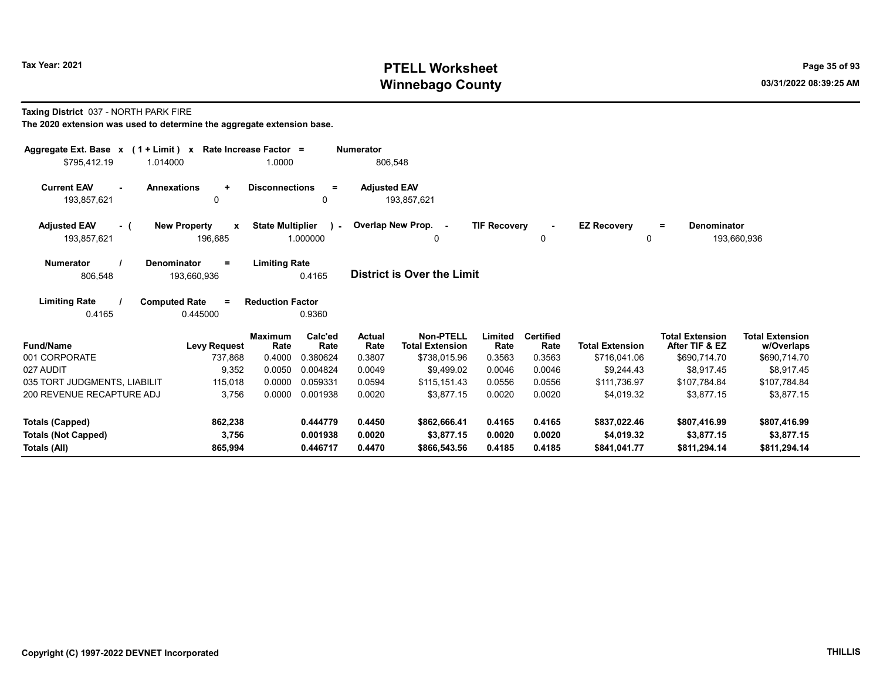# Tax Year: 2021 **PTELL Worksheet** Page 35 of 93 Winnebago County and the county of the county of the county of the county of the county of the county of the county of the county of the county of the county of the county of the county of the county of the county of the c

#### Taxing District 037 - NORTH PARK FIRE

| Aggregate Ext. Base $x$ (1 + Limit) $x$<br>\$795,412.19<br>1.014000                                                                            | Rate Increase Factor =<br>1.0000                                        |                                                  | <b>Numerator</b><br>806,548 |                                     |                     |                          |                         |                                          |                                      |
|------------------------------------------------------------------------------------------------------------------------------------------------|-------------------------------------------------------------------------|--------------------------------------------------|-----------------------------|-------------------------------------|---------------------|--------------------------|-------------------------|------------------------------------------|--------------------------------------|
| <b>Current EAV</b><br><b>Annexations</b>                                                                                                       | <b>Disconnections</b><br>$\ddot{}$                                      | $\equiv$                                         | <b>Adjusted EAV</b>         |                                     |                     |                          |                         |                                          |                                      |
| 193,857,621                                                                                                                                    | $\Omega$                                                                | 0                                                |                             | 193,857,621                         |                     |                          |                         |                                          |                                      |
| <b>Adjusted EAV</b><br>- (<br>193,857,621                                                                                                      | <b>New Property</b><br>$\boldsymbol{\mathsf{x}}$<br>196,685             | <b>State Multiplier</b><br>$\sim 10$<br>1.000000 |                             | Overlap New Prop. -<br>0            | <b>TIF Recovery</b> | 0                        | <b>EZ Recovery</b><br>0 | Denominator<br>$=$                       | 193,660,936                          |
| <b>Limiting Rate</b><br><b>Numerator</b><br><b>Denominator</b><br>$=$<br><b>District is Over the Limit</b><br>806,548<br>193,660,936<br>0.4165 |                                                                         |                                                  |                             |                                     |                     |                          |                         |                                          |                                      |
| <b>Limiting Rate</b><br>0.4165                                                                                                                 | <b>Computed Rate</b><br><b>Reduction Factor</b><br>$\equiv$<br>0.445000 | 0.9360                                           |                             |                                     |                     |                          |                         |                                          |                                      |
| <b>Fund/Name</b>                                                                                                                               | <b>Maximum</b><br>Rate<br><b>Levy Request</b>                           | Calc'ed<br>Rate                                  | Actual<br>Rate              | Non-PTELL<br><b>Total Extension</b> | Limited<br>Rate     | <b>Certified</b><br>Rate | <b>Total Extension</b>  | <b>Total Extension</b><br>After TIF & EZ | <b>Total Extension</b><br>w/Overlaps |
| 001 CORPORATE                                                                                                                                  | 0.4000<br>737,868                                                       | 0.380624                                         | 0.3807                      | \$738,015.96                        | 0.3563              | 0.3563                   | \$716,041.06            | \$690,714.70                             | \$690,714.70                         |
| 027 AUDIT                                                                                                                                      | 9,352<br>0.0050                                                         | 0.004824                                         | 0.0049                      | \$9.499.02                          | 0.0046              | 0.0046                   | \$9.244.43              | \$8.917.45                               | \$8,917.45                           |
| 035 TORT JUDGMENTS, LIABILIT                                                                                                                   | 0.0000<br>115,018                                                       | 0.059331                                         | 0.0594                      | \$115,151.43                        | 0.0556              | 0.0556                   | \$111,736.97            | \$107,784.84                             | \$107,784.84                         |
| 200 REVENUE RECAPTURE ADJ                                                                                                                      | 3,756<br>0.0000                                                         | 0.001938                                         | 0.0020                      | \$3.877.15                          | 0.0020              | 0.0020                   | \$4,019.32              | \$3,877.15                               | \$3,877.15                           |
| Totals (Capped)                                                                                                                                | 862,238                                                                 | 0.444779                                         | 0.4450                      | \$862,666.41                        | 0.4165              | 0.4165                   | \$837,022.46            | \$807,416.99                             | \$807,416.99                         |
| <b>Totals (Not Capped)</b>                                                                                                                     | 3,756                                                                   | 0.001938                                         | 0.0020                      | \$3,877.15                          | 0.0020              | 0.0020                   | \$4.019.32              | \$3,877.15                               | \$3,877.15                           |
| Totals (All)                                                                                                                                   | 865,994                                                                 | 0.446717                                         | 0.4470                      | \$866,543.56                        | 0.4185              | 0.4185                   | \$841,041.77            | \$811,294.14                             | \$811,294.14                         |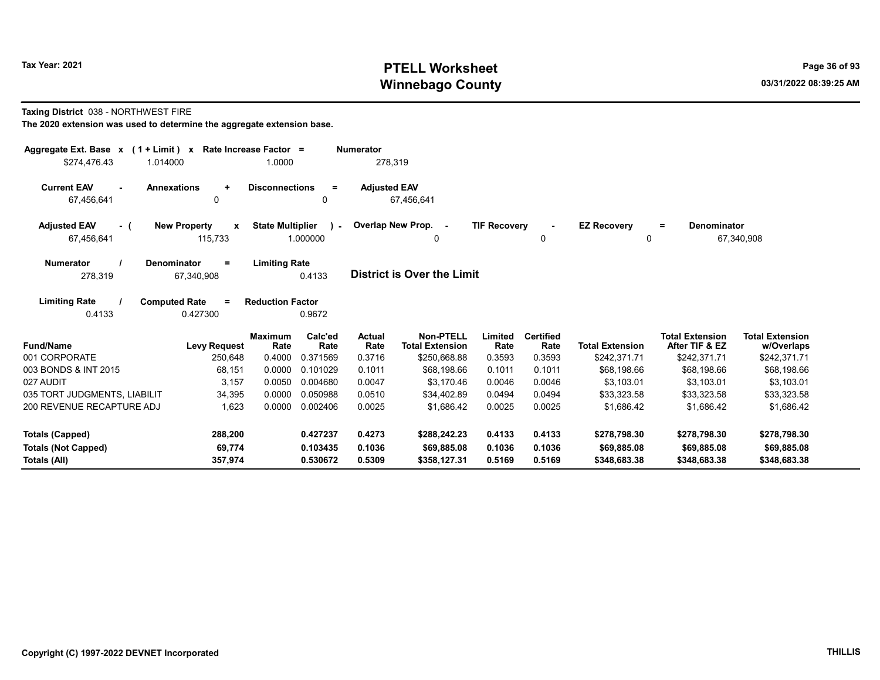# Tax Year: 2021 **PTELL Worksheet** Page 36 of 93 Winnebago County and the county of the county of the county of the county of the county of the county of the county of the county of the county of the county of the county of the county of the county of the county of the c

#### Taxing District 038 - NORTHWEST FIRE

| Aggregate Ext. Base $x$ (1 + Limit) $x$<br>\$274.476.43<br>1.014000                                                                         |                                     | Rate Increase Factor =<br>1.0000 |                             | <b>Numerator</b><br>278,319       |                                                            |                           |                                    |                                        |                                                          |                                                      |
|---------------------------------------------------------------------------------------------------------------------------------------------|-------------------------------------|----------------------------------|-----------------------------|-----------------------------------|------------------------------------------------------------|---------------------------|------------------------------------|----------------------------------------|----------------------------------------------------------|------------------------------------------------------|
| <b>Current EAV</b><br>$\sim$                                                                                                                | <b>Annexations</b><br>$\ddot{}$     | <b>Disconnections</b>            | $\equiv$                    |                                   |                                                            |                           |                                    |                                        |                                                          |                                                      |
| 67,456,641                                                                                                                                  | 0                                   | $\Omega$                         |                             | <b>Adjusted EAV</b><br>67,456,641 |                                                            |                           |                                    |                                        |                                                          |                                                      |
| <b>Adjusted EAV</b><br>- (<br>67,456,641                                                                                                    | <b>New Property</b><br>X<br>115,733 | <b>State Multiplier</b>          | $\sim$<br>1.000000          |                                   | Overlap New Prop. -<br>0                                   | <b>TIF Recovery</b>       | $\blacksquare$<br>0                | <b>EZ Recovery</b><br>0                | <b>Denominator</b><br>$=$                                | 67,340,908                                           |
| <b>Limiting Rate</b><br><b>Numerator</b><br><b>Denominator</b><br>Ξ<br><b>District is Over the Limit</b><br>278,319<br>0.4133<br>67,340,908 |                                     |                                  |                             |                                   |                                                            |                           |                                    |                                        |                                                          |                                                      |
| <b>Limiting Rate</b><br><b>Computed Rate</b><br><b>Reduction Factor</b><br>$\equiv$<br>0.4133<br>0.427300<br>0.9672                         |                                     |                                  |                             |                                   |                                                            |                           |                                    |                                        |                                                          |                                                      |
| <b>Fund/Name</b><br>001 CORPORATE                                                                                                           | <b>Levy Request</b><br>250,648      | <b>Maximum</b><br>Rate<br>0.4000 | Calc'ed<br>Rate<br>0.371569 | Actual<br>Rate<br>0.3716          | <b>Non-PTELL</b><br><b>Total Extension</b><br>\$250,668.88 | Limited<br>Rate<br>0.3593 | <b>Certified</b><br>Rate<br>0.3593 | <b>Total Extension</b><br>\$242,371.71 | <b>Total Extension</b><br>After TIF & EZ<br>\$242,371.71 | <b>Total Extension</b><br>w/Overlaps<br>\$242,371.71 |
| 003 BONDS & INT 2015                                                                                                                        | 68,151                              | 0.0000                           | 0.101029                    | 0.1011                            | \$68,198.66                                                | 0.1011                    | 0.1011                             | \$68.198.66                            | \$68,198.66                                              | \$68,198.66                                          |
| 027 AUDIT                                                                                                                                   | 3,157                               | 0.0050                           | 0.004680                    | 0.0047                            | \$3.170.46                                                 | 0.0046                    | 0.0046                             | \$3.103.01                             | \$3.103.01                                               | \$3,103.01                                           |
| 035 TORT JUDGMENTS, LIABILIT                                                                                                                | 34,395                              | 0.0000                           | 0.050988                    | 0.0510                            | \$34,402.89                                                | 0.0494                    | 0.0494                             | \$33,323.58                            | \$33,323.58                                              | \$33,323.58                                          |
| 200 REVENUE RECAPTURE ADJ                                                                                                                   | 1,623                               | 0.0000                           | 0.002406                    | 0.0025                            | \$1,686.42                                                 | 0.0025                    | 0.0025                             | \$1,686.42                             | \$1,686.42                                               | \$1,686.42                                           |
| <b>Totals (Capped)</b>                                                                                                                      | 288,200                             |                                  | 0.427237                    | 0.4273                            | \$288,242.23                                               | 0.4133                    | 0.4133                             | \$278,798.30                           | \$278,798.30                                             | \$278,798.30                                         |
| <b>Totals (Not Capped)</b><br>Totals (All)                                                                                                  | 69,774<br>357,974                   |                                  | 0.103435<br>0.530672        | 0.1036<br>0.5309                  | \$69,885.08<br>\$358,127.31                                | 0.1036<br>0.5169          | 0.1036<br>0.5169                   | \$69,885,08<br>\$348,683.38            | \$69,885.08<br>\$348,683.38                              | \$69,885.08<br>\$348,683.38                          |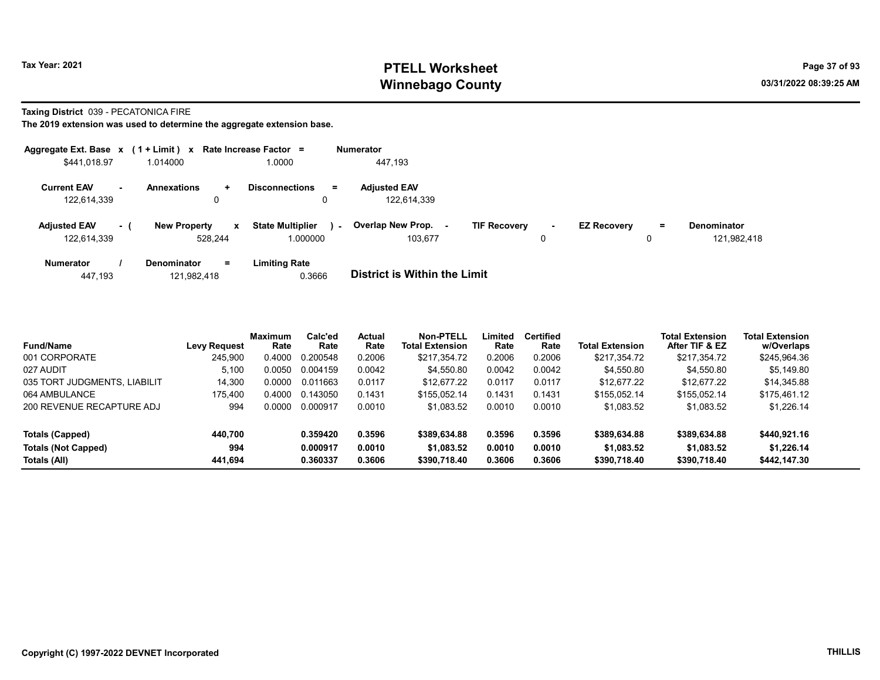# Tax Year: 2021 **PTELL Worksheet** Page 37 of 93 Winnebago County and the county of the county of the county of the county of the county of the county of the county of the county of the county of the county of the county of the county of the county of the county of the c

### Taxing District 039 - PECATONICA FIRE

| Aggregate Ext. Base $x$ (1 + Limit) $x$ |           |                                     | Rate Increase Factor =              |        | <b>Numerator</b>                    |                     |             |                    |    |                                   |
|-----------------------------------------|-----------|-------------------------------------|-------------------------------------|--------|-------------------------------------|---------------------|-------------|--------------------|----|-----------------------------------|
| \$441,018.97                            |           | 1.014000                            | 1.0000                              |        | 447,193                             |                     |             |                    |    |                                   |
| <b>Current EAV</b><br>122,614,339       | <b>м.</b> | <b>Annexations</b><br>$\pm$<br>0    | <b>Disconnections</b>               | $=$    | <b>Adjusted EAV</b><br>122,614,339  |                     |             |                    |    |                                   |
| <b>Adjusted EAV</b><br>122,614,339      | - 1       | <b>New Property</b><br>x<br>528.244 | <b>State Multiplier</b><br>1.000000 | $\sim$ | <b>Overlap New Prop.</b><br>103.677 | <b>TIF Recovery</b> | $\sim$<br>0 | <b>EZ Recovery</b> | Ξ. | <b>Denominator</b><br>121,982,418 |
| <b>Numerator</b>                        |           | <b>Denominator</b><br>$=$           | <b>Limiting Rate</b>                |        |                                     |                     |             |                    |    |                                   |

| 447,193 | 121,982,418 | 0.3666 | <b>District is Within the Limit</b> |
|---------|-------------|--------|-------------------------------------|

| <b>Fund/Name</b>             | <b>Levy Request</b> | <b>Maximum</b><br>Rate | Calc'ed<br>Rate | <b>Actual</b><br>Rate | Non-PTELL<br><b>Total Extension</b> | Limited<br>Rate | <b>Certified</b><br>Rate | <b>Total Extension</b> | <b>Total Extension</b><br>After TIF & EZ | <b>Total Extension</b><br>w/Overlaps |
|------------------------------|---------------------|------------------------|-----------------|-----------------------|-------------------------------------|-----------------|--------------------------|------------------------|------------------------------------------|--------------------------------------|
| 001 CORPORATE                | 245.900             | 0.4000                 | 0.200548        | 0.2006                | \$217.354.72                        | 0.2006          | 0.2006                   | \$217.354.72           | \$217,354.72                             | \$245,964.36                         |
| 027 AUDIT                    | 5.100               | 0.0050                 | 0.004159        | 0.0042                | \$4.550.80                          | 0.0042          | 0.0042                   | \$4.550.80             | \$4,550.80                               | \$5,149.80                           |
| 035 TORT JUDGMENTS, LIABILIT | 14,300              | 0.0000                 | 0.011663        | 0.0117                | \$12,677.22                         | 0.0117          | 0.0117                   | \$12,677.22            | \$12,677.22                              | \$14,345.88                          |
| 064 AMBULANCE                | 175.400             | 0.4000                 | 0.143050        | 0.1431                | \$155,052.14                        | 0.1431          | 0.1431                   | \$155,052.14           | \$155.052.14                             | \$175,461.12                         |
| 200 REVENUE RECAPTURE ADJ    | 994                 | 0.0000                 | 0.000917        | 0.0010                | \$1,083.52                          | 0.0010          | 0.0010                   | \$1,083.52             | \$1,083.52                               | \$1,226.14                           |
| Totals (Capped)              | 440,700             |                        | 0.359420        | 0.3596                | \$389,634.88                        | 0.3596          | 0.3596                   | \$389,634.88           | \$389,634.88                             | \$440,921.16                         |
| Totals (Not Capped)          | 994                 |                        | 0.000917        | 0.0010                | \$1.083.52                          | 0.0010          | 0.0010                   | \$1,083.52             | \$1.083.52                               | \$1,226.14                           |
| Totals (All)                 | 441,694             |                        | 0.360337        | 0.3606                | \$390,718.40                        | 0.3606          | 0.3606                   | \$390,718.40           | \$390,718.40                             | \$442,147.30                         |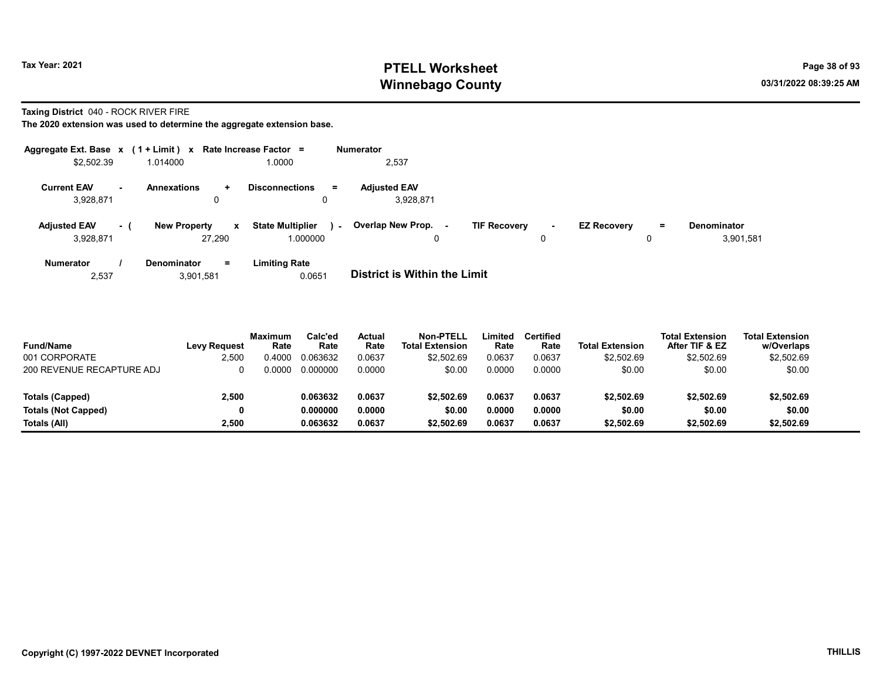## Tax Year: 2021 **PTELL Worksheet** Page 38 of 93 Winnebago County and the county of the county of the county of the county of the county of the county of the county of the county of the county of the county of the county of the county of the county of the county of the c

Taxing District 040 - ROCK RIVER FIRE

| Aggregate Ext. Base $x$ (1 + Limit) $x$ |     |                                               | Rate Increase Factor =                        | <b>Numerator</b>                                                                                                                       |
|-----------------------------------------|-----|-----------------------------------------------|-----------------------------------------------|----------------------------------------------------------------------------------------------------------------------------------------|
| \$2,502.39                              |     | 1.014000                                      | 1.0000                                        | 2,537                                                                                                                                  |
| <b>Current EAV</b><br>3,928,871         | ж.  | <b>Annexations</b><br>$\pm$<br>0              | <b>Disconnections</b><br>$=$<br>0             | <b>Adiusted EAV</b><br>3.928.871                                                                                                       |
| <b>Adjusted EAV</b><br>3,928,871        | - ( | <b>New Property</b><br>$\mathbf{x}$<br>27.290 | <b>State Multiplier</b><br>$\sim$<br>1.000000 | Overlap New Prop.<br><b>TIF Recovery</b><br><b>EZ Recovery</b><br><b>Denominator</b><br>$\equiv$<br>$\sim$<br>$\sim$<br>3,901,581<br>0 |
| <b>Numerator</b><br>2,537               |     | $=$<br>Denominator<br>3,901,581               | <b>Limiting Rate</b><br>0.0651                | <b>District is Within the Limit</b>                                                                                                    |

| <b>Fund/Name</b>           | Levy Request | <b>Maximum</b><br>Rate | Calc'ed<br>Rate | Actual<br>Rate | Non-PTELL<br><b>Total Extension</b> | -imited<br>Rate | Certified<br>Rate | <b>Total Extension</b> | Total Extension<br>After TIF & EZ | <b>Total Extension</b><br>w/Overlaps |
|----------------------------|--------------|------------------------|-----------------|----------------|-------------------------------------|-----------------|-------------------|------------------------|-----------------------------------|--------------------------------------|
| 001 CORPORATE              | 2.500        | 0.4000                 | 0.063632        | 0.0637         | \$2,502.69                          | 0.0637          | 0.0637            | \$2,502.69             | \$2,502.69                        | \$2,502.69                           |
| 200 REVENUE RECAPTURE ADJ  |              | 0.0000                 | 0.000000        | 0.0000         | \$0.00                              | 0.0000          | 0.0000            | \$0.00                 | \$0.00                            | \$0.00                               |
| Totals (Capped)            | 2.500        |                        | 0.063632        | 0.0637         | \$2.502.69                          | 0.0637          | 0.0637            | \$2,502.69             | \$2,502.69                        | \$2,502.69                           |
| <b>Totals (Not Capped)</b> |              |                        | 0.000000        | 0.0000         | \$0.00                              | 0.0000          | 0.0000            | \$0.00                 | \$0.00                            | \$0.00                               |
| Totals (All)               | 2.500        |                        | 0.063632        | 0.0637         | \$2,502.69                          | 0.0637          | 0.0637            | \$2,502.69             | \$2,502.69                        | \$2,502.69                           |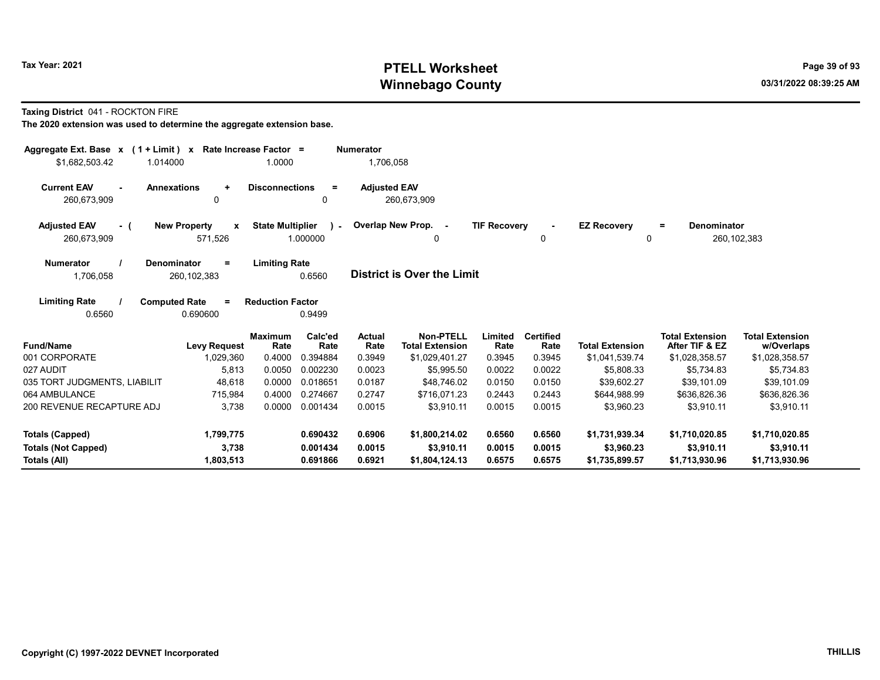# Tax Year: 2021 **PTELL Worksheet** Page 39 of 93 Winnebago County and the county of the county of the county of the county of the county of the county of the county of the county of the county of the county of the county of the county of the county of the county of the c

### Taxing District 041 - ROCKTON FIRE

| Aggregate Ext. Base $x$ (1 + Limit) $x$<br>\$1,682,503.42<br>1.014000 |                                              | Rate Increase Factor =<br>1.0000 |                    | <b>Numerator</b><br>1,706,058 |                                     |                     |                          |                                |                                          |                                      |
|-----------------------------------------------------------------------|----------------------------------------------|----------------------------------|--------------------|-------------------------------|-------------------------------------|---------------------|--------------------------|--------------------------------|------------------------------------------|--------------------------------------|
| <b>Current EAV</b><br><b>Annexations</b><br>$\sim$<br>260,673,909     | $\ddot{}$<br>0                               | <b>Disconnections</b>            | $=$<br>0           | <b>Adjusted EAV</b>           | 260,673,909                         |                     |                          |                                |                                          |                                      |
| <b>Adjusted EAV</b><br>- (<br>260.673.909                             | <b>New Property</b><br>X<br>571,526          | <b>State Multiplier</b>          | $\sim$<br>1.000000 |                               | Overlap New Prop. -<br>0            | <b>TIF Recovery</b> | $\sim$<br>0              | <b>EZ Recovery</b><br>$\Omega$ | Denominator<br>$=$                       | 260, 102, 383                        |
| <b>Denominator</b><br><b>Numerator</b><br>1,706,058                   | $\equiv$<br>260, 102, 383                    | <b>Limiting Rate</b>             | 0.6560             |                               | <b>District is Over the Limit</b>   |                     |                          |                                |                                          |                                      |
| <b>Limiting Rate</b><br>0.6560                                        | <b>Computed Rate</b><br>$\equiv$<br>0.690600 | <b>Reduction Factor</b>          | 0.9499             |                               |                                     |                     |                          |                                |                                          |                                      |
| <b>Fund/Name</b>                                                      | <b>Levy Request</b>                          | <b>Maximum</b><br>Rate           | Calc'ed<br>Rate    | <b>Actual</b><br>Rate         | Non-PTELL<br><b>Total Extension</b> | Limited<br>Rate     | <b>Certified</b><br>Rate | <b>Total Extension</b>         | <b>Total Extension</b><br>After TIF & EZ | <b>Total Extension</b><br>w/Overlaps |
| 001 CORPORATE                                                         | 1,029,360                                    | 0.4000                           | 0.394884           | 0.3949                        | \$1,029,401.27                      | 0.3945              | 0.3945                   | \$1,041,539.74                 | \$1,028,358.57                           | \$1,028,358.57                       |
| 027 AUDIT                                                             | 5,813                                        | 0.0050                           | 0.002230           | 0.0023                        | \$5,995.50                          | 0.0022              | 0.0022                   | \$5,808.33                     | \$5,734.83                               | \$5,734.83                           |
| 035 TORT JUDGMENTS, LIABILIT                                          | 48,618                                       | 0.0000                           | 0.018651           | 0.0187                        | \$48,746.02                         | 0.0150              | 0.0150                   | \$39,602.27                    | \$39,101.09                              | \$39,101.09                          |
| 064 AMBULANCE                                                         | 715,984                                      | 0.4000                           | 0.274667           | 0.2747                        | \$716.071.23                        | 0.2443              | 0.2443                   | \$644.988.99                   | \$636.826.36                             | \$636,826.36                         |
| 200 REVENUE RECAPTURE ADJ                                             | 3,738                                        | 0.0000                           | 0.001434           | 0.0015                        | \$3,910.11                          | 0.0015              | 0.0015                   | \$3,960.23                     | \$3.910.11                               | \$3.910.11                           |
| <b>Totals (Capped)</b>                                                | 1,799,775                                    |                                  | 0.690432           | 0.6906                        | \$1,800,214.02                      | 0.6560              | 0.6560                   | \$1,731,939.34                 | \$1,710,020.85                           | \$1,710,020.85                       |
| <b>Totals (Not Capped)</b>                                            | 3,738                                        |                                  | 0.001434           | 0.0015                        | \$3,910.11                          | 0.0015              | 0.0015                   | \$3,960.23                     | \$3,910.11                               | \$3,910.11                           |
| Totals (All)                                                          | 1,803,513                                    |                                  | 0.691866           | 0.6921                        | \$1,804,124.13                      | 0.6575              | 0.6575                   | \$1,735,899.57                 | \$1,713,930.96                           | \$1,713,930.96                       |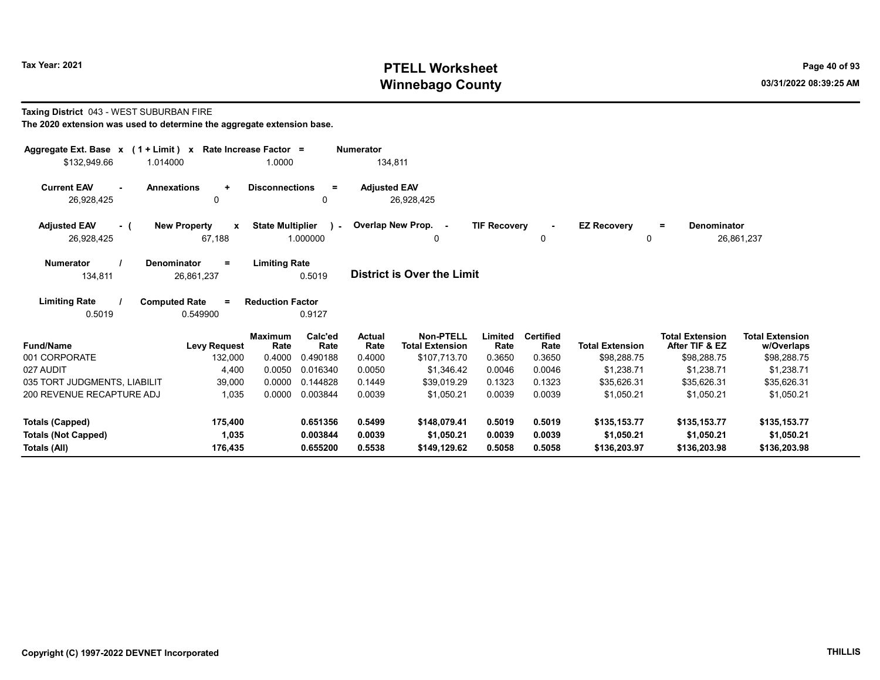# Tax Year: 2021 **PTELL Worksheet** Page 40 of 93 Winnebago County and the county of the county of the county of the county of the county of the county of the county of the county of the county of the county of the county of the county of the county of the county of the c

## Taxing District 043 - WEST SUBURBAN FIRE

| Aggregate Ext. Base $x$ (1 + Limit) $x$                | Rate Increase Factor =             |                                           | <b>Numerator</b>        |                                            |                     |                          |                                |                                          |                                      |
|--------------------------------------------------------|------------------------------------|-------------------------------------------|-------------------------|--------------------------------------------|---------------------|--------------------------|--------------------------------|------------------------------------------|--------------------------------------|
| \$132,949.66<br>1.014000                               |                                    | 1.0000                                    | 134,811                 |                                            |                     |                          |                                |                                          |                                      |
| <b>Current EAV</b><br><b>Annexations</b><br>26,928,425 | $\ddot{}$<br>0                     | <b>Disconnections</b><br>$\equiv$<br>0    | <b>Adjusted EAV</b>     | 26,928,425                                 |                     |                          |                                |                                          |                                      |
| <b>Adjusted EAV</b><br>- (<br>26,928,425               | <b>New Property</b><br>x<br>67,188 | <b>State Multiplier</b><br>1.000000       | ) - Overlap New Prop. - | 0                                          | <b>TIF Recovery</b> | $\Omega$                 | <b>EZ Recovery</b><br>$\Omega$ | <b>Denominator</b><br>$=$                | 26,861,237                           |
| <b>Numerator</b><br><b>Denominator</b><br>134,811      | Ξ<br>26,861,237                    | <b>Limiting Rate</b><br>0.5019            |                         | <b>District is Over the Limit</b>          |                     |                          |                                |                                          |                                      |
| <b>Limiting Rate</b><br><b>Computed Rate</b><br>0.5019 | $=$<br>0.549900                    | <b>Reduction Factor</b><br>0.9127         |                         |                                            |                     |                          |                                |                                          |                                      |
| <b>Fund/Name</b>                                       | <b>Levy Request</b>                | Calc'ed<br><b>Maximum</b><br>Rate<br>Rate | <b>Actual</b><br>Rate   | <b>Non-PTELL</b><br><b>Total Extension</b> | Limited<br>Rate     | <b>Certified</b><br>Rate | <b>Total Extension</b>         | <b>Total Extension</b><br>After TIF & EZ | <b>Total Extension</b><br>w/Overlaps |
| 001 CORPORATE                                          | 132,000                            | 0.4000<br>0.490188                        | 0.4000                  | \$107.713.70                               | 0.3650              | 0.3650                   | \$98,288.75                    | \$98,288.75                              | \$98,288.75                          |
| 027 AUDIT                                              | 4,400                              | 0.0050<br>0.016340                        | 0.0050                  | \$1,346.42                                 | 0.0046              | 0.0046                   | \$1,238.71                     | \$1,238.71                               | \$1,238.71                           |
| 035 TORT JUDGMENTS, LIABILIT                           | 39,000                             | 0.0000<br>0.144828                        | 0.1449                  | \$39,019.29                                | 0.1323              | 0.1323                   | \$35,626.31                    | \$35,626.31                              | \$35,626.31                          |
| 200 REVENUE RECAPTURE ADJ                              | 1,035                              | 0.003844<br>0.0000                        | 0.0039                  | \$1,050.21                                 | 0.0039              | 0.0039                   | \$1,050.21                     | \$1,050.21                               | \$1,050.21                           |
| Totals (Capped)                                        | 175,400                            | 0.651356                                  | 0.5499                  | \$148,079.41                               | 0.5019              | 0.5019                   | \$135,153.77                   | \$135,153.77                             | \$135,153.77                         |
| <b>Totals (Not Capped)</b>                             | 1,035                              | 0.003844                                  | 0.0039                  | \$1,050.21                                 | 0.0039              | 0.0039                   | \$1,050.21                     | \$1,050.21                               | \$1,050.21                           |
| Totals (All)                                           | 176,435                            | 0.655200                                  | 0.5538                  | \$149,129.62                               | 0.5058              | 0.5058                   | \$136,203.97                   | \$136,203.98                             | \$136,203.98                         |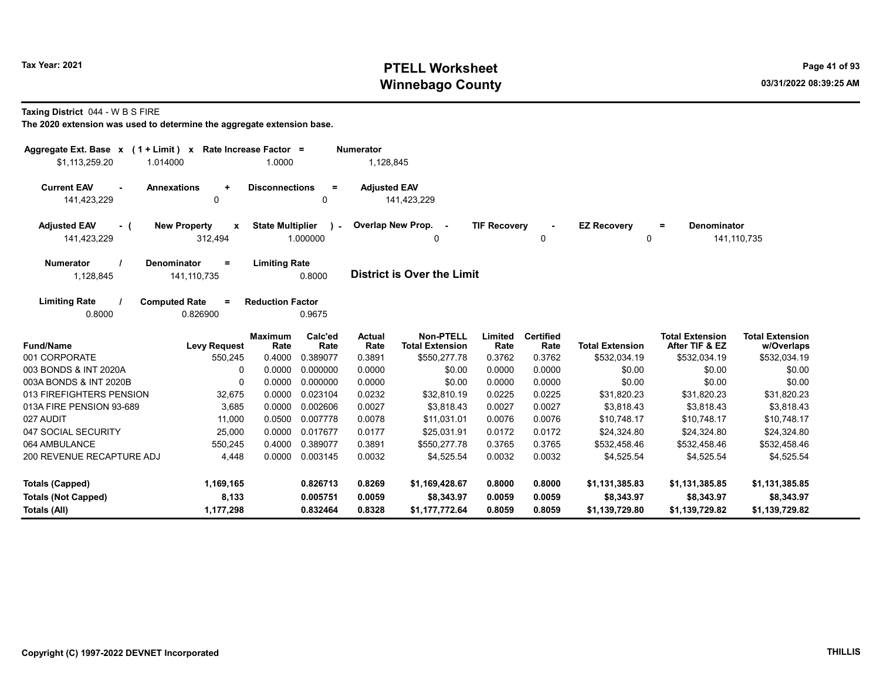# Tax Year: 2021 **PTELL Worksheet** Page 41 of 93 Winnebago County and the county of the county of the county of the county of the county of the county of the county of the county of the county of the county of the county of the county of the county of the county of the c

Taxing District 044 - W B S FIRE

| Aggregate Ext. Base $x$ (1 + Limit) $x$<br>\$1,113,259.20 | 1.014000                                        | Rate Increase Factor =<br>1.0000 |                         | <b>Numerator</b><br>1,128,845 |                                     |                     |                          |                         |                                          |                                      |
|-----------------------------------------------------------|-------------------------------------------------|----------------------------------|-------------------------|-------------------------------|-------------------------------------|---------------------|--------------------------|-------------------------|------------------------------------------|--------------------------------------|
| <b>Current EAV</b><br>141,423,229                         | <b>Annexations</b><br>$\ddot{}$<br>$\mathbf{0}$ | <b>Disconnections</b>            | $\equiv$<br>0           | <b>Adjusted EAV</b>           | 141,423,229                         |                     |                          |                         |                                          |                                      |
| <b>Adjusted EAV</b><br>- (<br>141,423,229                 | <b>New Property</b><br>$\mathbf{x}$<br>312,494  | <b>State Multiplier</b>          | $\lambda$ -<br>1.000000 |                               | Overlap New Prop. -<br>0            | <b>TIF Recovery</b> | 0                        | <b>EZ Recovery</b><br>0 | <b>Denominator</b><br>$=$                | 141,110,735                          |
| <b>Numerator</b><br>1,128,845                             | <b>Denominator</b><br>$=$<br>141,110,735        | <b>Limiting Rate</b>             | 0.8000                  |                               | <b>District is Over the Limit</b>   |                     |                          |                         |                                          |                                      |
| <b>Limiting Rate</b><br>0.8000                            | <b>Computed Rate</b><br>$\equiv$<br>0.826900    | <b>Reduction Factor</b>          | 0.9675                  |                               |                                     |                     |                          |                         |                                          |                                      |
| <b>Fund/Name</b>                                          | <b>Levy Request</b>                             | <b>Maximum</b><br>Rate           | Calc'ed<br>Rate         | Actual<br>Rate                | Non-PTELL<br><b>Total Extension</b> | Limited<br>Rate     | <b>Certified</b><br>Rate | <b>Total Extension</b>  | <b>Total Extension</b><br>After TIF & EZ | <b>Total Extension</b><br>w/Overlaps |
| 001 CORPORATE                                             | 550,245                                         | 0.4000                           | 0.389077                | 0.3891                        | \$550,277.78                        | 0.3762              | 0.3762                   | \$532,034.19            | \$532,034.19                             | \$532,034.19                         |
| 003 BONDS & INT 2020A                                     | $\Omega$                                        | 0.0000                           | 0.000000                | 0.0000                        | \$0.00                              | 0.0000              | 0.0000                   | \$0.00                  | \$0.00                                   | \$0.00                               |
| 003A BONDS & INT 2020B                                    | 0                                               | 0.0000                           | 0.000000                | 0.0000                        | \$0.00                              | 0.0000              | 0.0000                   | \$0.00                  | \$0.00                                   | \$0.00                               |
| 013 FIREFIGHTERS PENSION                                  | 32,675                                          | 0.0000                           | 0.023104                | 0.0232                        | \$32.810.19                         | 0.0225              | 0.0225                   | \$31.820.23             | \$31,820.23                              | \$31,820.23                          |
| 013A FIRE PENSION 93-689                                  | 3,685                                           | 0.0000                           | 0.002606                | 0.0027                        | \$3,818.43                          | 0.0027              | 0.0027                   | \$3,818.43              | \$3,818.43                               | \$3,818.43                           |
| 027 AUDIT                                                 | 11.000                                          | 0.0500                           | 0.007778                | 0.0078                        | \$11.031.01                         | 0.0076              | 0.0076                   | \$10.748.17             | \$10.748.17                              | \$10,748.17                          |
| 047 SOCIAL SECURITY                                       | 25,000                                          | 0.0000                           | 0.017677                | 0.0177                        | \$25.031.91                         | 0.0172              | 0.0172                   | \$24,324.80             | \$24,324.80                              | \$24,324.80                          |
| 064 AMBULANCE                                             | 550,245                                         | 0.4000                           | 0.389077                | 0.3891                        | \$550,277.78                        | 0.3765              | 0.3765                   | \$532.458.46            | \$532,458.46                             | \$532,458.46                         |
| 200 REVENUE RECAPTURE ADJ                                 | 4,448                                           | 0.0000                           | 0.003145                | 0.0032                        | \$4,525.54                          | 0.0032              | 0.0032                   | \$4,525.54              | \$4,525.54                               | \$4,525.54                           |
| Totals (Capped)                                           | 1,169,165                                       |                                  | 0.826713                | 0.8269                        | \$1,169,428.67                      | 0.8000              | 0.8000                   | \$1,131,385.83          | \$1,131,385.85                           | \$1,131,385.85                       |
| <b>Totals (Not Capped)</b>                                | 8,133                                           |                                  | 0.005751                | 0.0059                        | \$8,343.97                          | 0.0059              | 0.0059                   | \$8,343.97              | \$8,343.97                               | \$8,343.97                           |
| Totals (All)                                              | 1.177.298                                       |                                  | 0.832464                | 0.8328                        | \$1.177.772.64                      | 0.8059              | 0.8059                   | \$1.139.729.80          | \$1,139,729.82                           | \$1,139,729.82                       |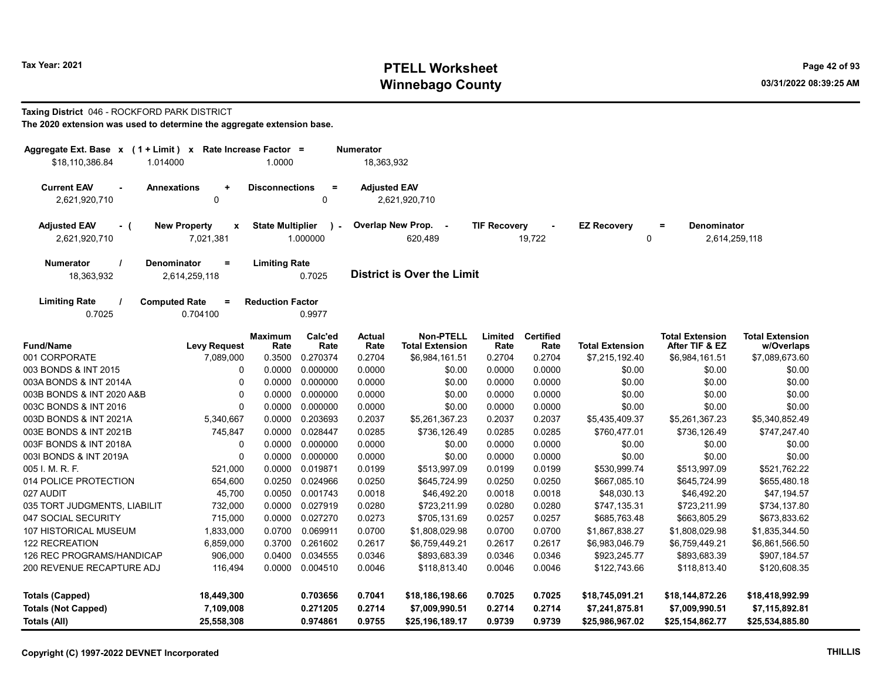# Tax Year: 2021 **PTELL Worksheet** Page 42 of 93 Winnebago County and the county of the county of the county of the county of the county of the county of the county of the county of the county of the county of the county of the county of the county of the county of the c

### Taxing District 046 - ROCKFORD PARK DISTRICT

| The 2020 extension was used to determine the aggregate extension base. |  |
|------------------------------------------------------------------------|--|
|------------------------------------------------------------------------|--|

| Aggregate Ext. Base x (1 + Limit) x Rate Increase Factor =<br>\$18.110.386.84<br>1.014000                                                         | <b>Numerator</b><br>18,363,932                       |                         |                           |                     |                                                                 |                 |                          |                         |                                                 |                                      |
|---------------------------------------------------------------------------------------------------------------------------------------------------|------------------------------------------------------|-------------------------|---------------------------|---------------------|-----------------------------------------------------------------|-----------------|--------------------------|-------------------------|-------------------------------------------------|--------------------------------------|
| <b>Current EAV</b><br><b>Annexations</b><br>2,621,920,710                                                                                         | $\ddot{}$<br>0                                       | <b>Disconnections</b>   | $\equiv$<br>0             | <b>Adjusted EAV</b> | 2,621,920,710                                                   |                 |                          |                         |                                                 |                                      |
| <b>Adjusted EAV</b><br>$-$ (<br>2,621,920,710                                                                                                     | <b>New Property</b><br>$\boldsymbol{x}$<br>7,021,381 | <b>State Multiplier</b> | $\mathcal{L}$<br>1.000000 |                     | Overlap New Prop. -<br><b>TIF Recovery</b><br>620,489<br>19,722 |                 |                          | <b>EZ Recovery</b><br>0 | <b>Denominator</b><br>$\equiv$<br>2,614,259,118 |                                      |
| <b>Numerator</b><br>Denominator<br>$\equiv$<br><b>Limiting Rate</b><br><b>District is Over the Limit</b><br>18,363,932<br>2,614,259,118<br>0.7025 |                                                      |                         |                           |                     |                                                                 |                 |                          |                         |                                                 |                                      |
| <b>Limiting Rate</b><br>0.7025                                                                                                                    | <b>Computed Rate</b><br>$\equiv$<br>0.704100         | <b>Reduction Factor</b> | 0.9977                    |                     |                                                                 |                 |                          |                         |                                                 |                                      |
| <b>Fund/Name</b>                                                                                                                                  | <b>Levy Request</b>                                  | <b>Maximum</b><br>Rate  | Calc'ed<br>Rate           | Actual<br>Rate      | <b>Non-PTELL</b><br><b>Total Extension</b>                      | Limited<br>Rate | <b>Certified</b><br>Rate | <b>Total Extension</b>  | <b>Total Extension</b><br>After TIF & EZ        | <b>Total Extension</b><br>w/Overlaps |
| 001 CORPORATE                                                                                                                                     | 7,089,000                                            | 0.3500                  | 0.270374                  | 0.2704              | \$6,984,161.51                                                  | 0.2704          | 0.2704                   | \$7,215,192.40          | \$6,984,161.51                                  | \$7,089,673.60                       |
| 003 BONDS & INT 2015                                                                                                                              | 0                                                    | 0.0000                  | 0.000000                  | 0.0000              | \$0.00                                                          | 0.0000          | 0.0000                   | \$0.00                  | \$0.00                                          | \$0.00                               |
| 003A BONDS & INT 2014A                                                                                                                            | 0                                                    | 0.0000                  | 0.000000                  | 0.0000              | \$0.00                                                          | 0.0000          | 0.0000                   | \$0.00                  | \$0.00                                          | \$0.00                               |
| 003B BONDS & INT 2020 A&B                                                                                                                         | $\Omega$                                             | 0.0000                  | 0.000000                  | 0.0000              | \$0.00                                                          | 0.0000          | 0.0000                   | \$0.00                  | \$0.00                                          | \$0.00                               |
| 003C BONDS & INT 2016                                                                                                                             | $\Omega$                                             | 0.0000                  | 0.000000                  | 0.0000              | \$0.00                                                          | 0.0000          | 0.0000                   | \$0.00                  | \$0.00                                          | \$0.00                               |
| 003D BONDS & INT 2021A                                                                                                                            | 5,340,667                                            | 0.0000                  | 0.203693                  | 0.2037              | \$5,261,367.23                                                  | 0.2037          | 0.2037                   | \$5,435,409.37          | \$5,261,367.23                                  | \$5,340,852.49                       |
| 003E BONDS & INT 2021B                                                                                                                            | 745,847                                              | 0.0000                  | 0.028447                  | 0.0285              | \$736,126.49                                                    | 0.0285          | 0.0285                   | \$760,477.01            | \$736,126.49                                    | \$747,247.40                         |
| 003F BONDS & INT 2018A                                                                                                                            | $\Omega$                                             | 0.0000                  | 0.000000                  | 0.0000              | \$0.00                                                          | 0.0000          | 0.0000                   | \$0.00                  | \$0.00                                          | \$0.00                               |
| 003I BONDS & INT 2019A                                                                                                                            | 0                                                    | 0.0000                  | 0.000000                  | 0.0000              | \$0.00                                                          | 0.0000          | 0.0000                   | \$0.00                  | \$0.00                                          | \$0.00                               |
| 005 I. M. R. F.                                                                                                                                   | 521,000                                              | 0.0000                  | 0.019871                  | 0.0199              | \$513,997.09                                                    | 0.0199          | 0.0199                   | \$530,999.74            | \$513,997.09                                    | \$521,762.22                         |
| 014 POLICE PROTECTION                                                                                                                             | 654,600                                              | 0.0250                  | 0.024966                  | 0.0250              | \$645,724.99                                                    | 0.0250          | 0.0250                   | \$667.085.10            | \$645,724.99                                    | \$655,480.18                         |
| 027 AUDIT                                                                                                                                         | 45,700                                               | 0.0050                  | 0.001743                  | 0.0018              | \$46,492.20                                                     | 0.0018          | 0.0018                   | \$48,030.13             | \$46,492.20                                     | \$47,194.57                          |
| 035 TORT JUDGMENTS, LIABILIT                                                                                                                      | 732,000                                              | 0.0000                  | 0.027919                  | 0.0280              | \$723,211.99                                                    | 0.0280          | 0.0280                   | \$747,135.31            | \$723,211.99                                    | \$734,137.80                         |
| 047 SOCIAL SECURITY                                                                                                                               | 715,000                                              | 0.0000                  | 0.027270                  | 0.0273              | \$705,131.69                                                    | 0.0257          | 0.0257                   | \$685,763.48            | \$663,805.29                                    | \$673,833.62                         |
| <b>107 HISTORICAL MUSEUM</b>                                                                                                                      | 1,833,000                                            | 0.0700                  | 0.069911                  | 0.0700              | \$1,808,029.98                                                  | 0.0700          | 0.0700                   | \$1,867,838.27          | \$1,808,029.98                                  | \$1,835,344.50                       |
| <b>122 RECREATION</b>                                                                                                                             | 6,859,000                                            | 0.3700                  | 0.261602                  | 0.2617              | \$6,759,449.21                                                  | 0.2617          | 0.2617                   | \$6,983,046.79          | \$6,759,449.21                                  | \$6,861,566.50                       |
| 126 REC PROGRAMS/HANDICAP                                                                                                                         | 906,000                                              | 0.0400                  | 0.034555                  | 0.0346              | \$893,683.39                                                    | 0.0346          | 0.0346                   | \$923,245.77            | \$893,683.39                                    | \$907,184.57                         |
| 200 REVENUE RECAPTURE ADJ                                                                                                                         | 116,494                                              | 0.0000                  | 0.004510                  | 0.0046              | \$118,813.40                                                    | 0.0046          | 0.0046                   | \$122,743.66            | \$118,813.40                                    | \$120,608.35                         |
|                                                                                                                                                   |                                                      |                         |                           | 0.7041              |                                                                 |                 |                          |                         |                                                 |                                      |
| 18,449,300<br>0.703656<br><b>Totals (Capped)</b>                                                                                                  |                                                      |                         |                           |                     | \$18,186,198.66                                                 | 0.7025          | 0.7025                   | \$18,745,091.21         | \$18,144,872.26                                 | \$18,418,992.99                      |
| <b>Totals (Not Capped)</b><br>7,109,008<br>0.271205                                                                                               |                                                      |                         |                           |                     | \$7,009,990.51                                                  | 0.2714          | 0.2714                   | \$7,241,875.81          | \$7,009,990.51                                  | \$7,115,892.81                       |
| <b>Totals (All)</b>                                                                                                                               | 25,558,308                                           |                         | 0.974861                  | 0.9755              | \$25,196,189.17                                                 | 0.9739          | 0.9739                   | \$25,986,967.02         | \$25,154,862.77                                 | \$25,534,885.80                      |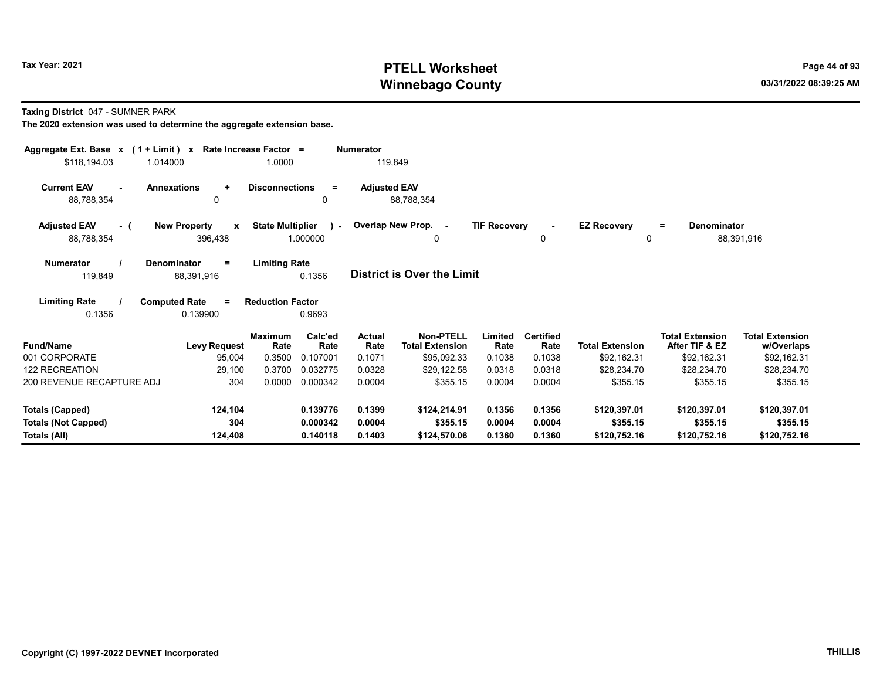# Tax Year: 2021 **PTELL Worksheet** Page 44 of 93 Winnebago County and the county of the county of the county of the county of the county of the county of the county of the county of the county of the county of the county of the county of the county of the county of the c

Taxing District 047 - SUMNER PARK

| Aggregate Ext. Base x (1 + Limit) x |                                     | Rate Increase Factor =  |                 | <b>Numerator</b>      |                                     |                     |                          |                        |                                          |                                      |
|-------------------------------------|-------------------------------------|-------------------------|-----------------|-----------------------|-------------------------------------|---------------------|--------------------------|------------------------|------------------------------------------|--------------------------------------|
| \$118,194.03<br>1.014000            |                                     | 1.0000                  |                 | 119,849               |                                     |                     |                          |                        |                                          |                                      |
| <b>Current EAV</b>                  | <b>Annexations</b><br>$\ddot{}$     | <b>Disconnections</b>   | $=$             | <b>Adjusted EAV</b>   |                                     |                     |                          |                        |                                          |                                      |
| 88,788,354                          | 0                                   |                         | 0               |                       | 88,788,354                          |                     |                          |                        |                                          |                                      |
| <b>Adjusted EAV</b><br>- (          | <b>New Property</b><br>$\mathbf{x}$ | <b>State Multiplier</b> | $\overline{a}$  |                       | Overlap New Prop. -                 | <b>TIF Recovery</b> |                          | <b>EZ Recovery</b>     | <b>Denominator</b><br>$\equiv$           |                                      |
| 88,788,354                          | 396,438                             |                         | 1.000000        |                       | 0                                   |                     | 0                        | 0                      |                                          | 88,391,916                           |
| <b>Numerator</b>                    | Denominator<br>$=$                  | <b>Limiting Rate</b>    |                 |                       |                                     |                     |                          |                        |                                          |                                      |
| 119,849                             | 88,391,916                          |                         | 0.1356          |                       | <b>District is Over the Limit</b>   |                     |                          |                        |                                          |                                      |
| <b>Limiting Rate</b>                | <b>Computed Rate</b><br>$=$         | <b>Reduction Factor</b> |                 |                       |                                     |                     |                          |                        |                                          |                                      |
| 0.1356                              | 0.139900                            |                         | 0.9693          |                       |                                     |                     |                          |                        |                                          |                                      |
| <b>Fund/Name</b>                    | <b>Levy Request</b>                 | <b>Maximum</b><br>Rate  | Calc'ed<br>Rate | <b>Actual</b><br>Rate | Non-PTELL<br><b>Total Extension</b> | Limited<br>Rate     | <b>Certified</b><br>Rate | <b>Total Extension</b> | <b>Total Extension</b><br>After TIF & EZ | <b>Total Extension</b><br>w/Overlaps |
| 001 CORPORATE                       | 95,004                              | 0.3500                  | 0.107001        | 0.1071                | \$95,092.33                         | 0.1038              | 0.1038                   | \$92,162.31            | \$92,162.31                              | \$92,162.31                          |
| <b>122 RECREATION</b>               | 29,100                              | 0.3700                  | 0.032775        | 0.0328                | \$29,122.58                         | 0.0318              | 0.0318                   | \$28,234.70            | \$28,234.70                              | \$28,234.70                          |
| 200 REVENUE RECAPTURE ADJ           | 304                                 | 0.0000                  | 0.000342        | 0.0004                | \$355.15                            | 0.0004              | 0.0004                   | \$355.15               | \$355.15                                 | \$355.15                             |
| <b>Totals (Capped)</b>              | 124,104                             |                         | 0.139776        | 0.1399                | \$124,214.91                        | 0.1356              | 0.1356                   | \$120,397.01           | \$120,397.01                             | \$120,397.01                         |
| <b>Totals (Not Capped)</b>          | 304                                 |                         | 0.000342        | 0.0004                | \$355.15                            | 0.0004              | 0.0004                   | \$355.15               | \$355.15                                 | \$355.15                             |
| Totals (All)                        | 124,408                             |                         | 0.140118        | 0.1403                | \$124,570.06                        | 0.1360              | 0.1360                   | \$120,752.16           | \$120,752.16                             | \$120,752.16                         |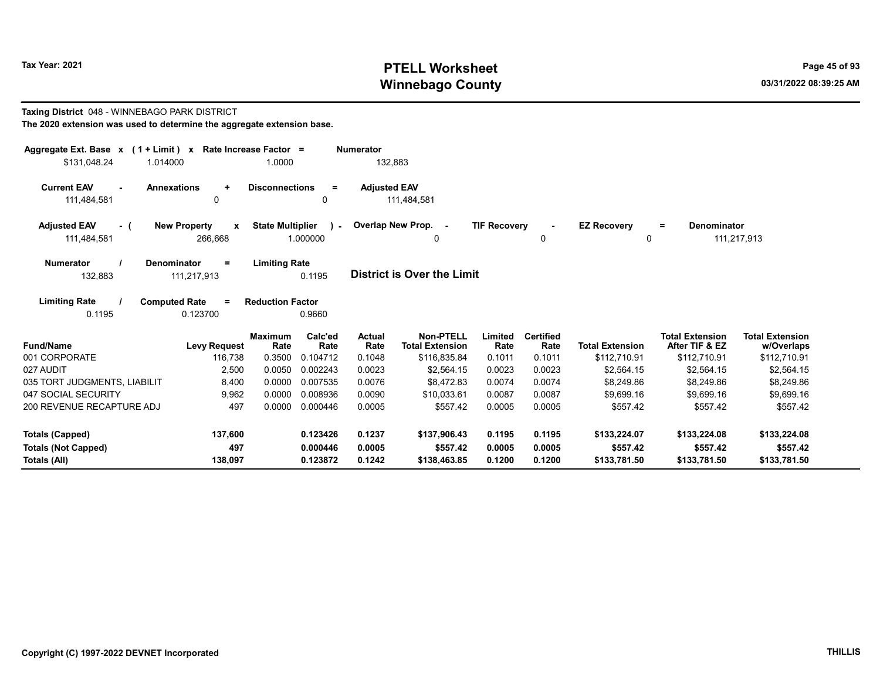Taxing District 048 - WINNEBAGO PARK DISTRICT

# Tax Year: 2021 **PTELL Worksheet** Page 45 of 93 Winnebago County and the county of the county of the county of the county of the county of the county of the county of the county of the county of the county of the county of the county of the county of the county of the c

0 0

= Denominator

111,217,913

## The 2020 extension was used to determine the aggregate extension base. Aggregate Ext. Base  $x$  (1 + Limit)  $x$  Rate Increase Factor = Numerator \$131,048.24 1.014000 1.0000 132,883 Current EAV - Annexations + Disconnections = Adjusted EAV 111,484,581 0 0 111,484,581 Adjusted EAV - ( New Property x State Multiplier ) - Overlap New Prop. - TIF Recovery EZ Recovery 111,484,581 266,668 1.000000 Numerator / Denominator = Limiting Rate 0

| <b>NUMBER</b> | Denominator | Lilliully Rate |                                   |
|---------------|-------------|----------------|-----------------------------------|
| 132.883       | 111,217,913 | 0.1195         | <b>District is Over the Limit</b> |

| <b>Limiting Rate</b> | <b>Computed Rate</b> | <b>Reduction Factor</b> |
|----------------------|----------------------|-------------------------|
| 0.1195               | 0.123700             | 0.9660                  |

| <b>Fund/Name</b>             | Levy Request | <b>Maximum</b><br>Rate | Calc'ed<br>Rate | <b>Actual</b><br>Rate | Non-PTELL<br><b>Total Extension</b> | Limited<br>Rate | <b>Certified</b><br>Rate | <b>Total Extension</b> | <b>Total Extension</b><br>After TIF & EZ | <b>Total Extension</b><br>w/Overlaps |
|------------------------------|--------------|------------------------|-----------------|-----------------------|-------------------------------------|-----------------|--------------------------|------------------------|------------------------------------------|--------------------------------------|
| 001 CORPORATE                | 116.738      | 0.3500                 | 0.104712        | 0.1048                | \$116,835.84                        | 0.1011          | 0.1011                   | \$112.710.91           | \$112,710.91                             | \$112,710.91                         |
| 027 AUDIT                    | 2.500        | 0.0050                 | 0.002243        | 0.0023                | \$2,564.15                          | 0.0023          | 0.0023                   | \$2.564.15             | \$2.564.15                               | \$2.564.15                           |
| 035 TORT JUDGMENTS, LIABILIT | 8.400        | 0.0000                 | 0.007535        | 0.0076                | \$8.472.83                          | 0.0074          | 0.0074                   | \$8,249.86             | \$8.249.86                               | \$8,249.86                           |
| 047 SOCIAL SECURITY          | 9,962        | 0.0000                 | 0.008936        | 0.0090                | \$10.033.61                         | 0.0087          | 0.0087                   | \$9.699.16             | \$9.699.16                               | \$9.699.16                           |
| 200 REVENUE RECAPTURE ADJ    | 497          | 0.0000                 | 0.000446        | 0.0005                | \$557.42                            | 0.0005          | 0.0005                   | \$557.42               | \$557.42                                 | \$557.42                             |
| Totals (Capped)              | 137.600      |                        | 0.123426        | 0.1237                | \$137,906.43                        | 0.1195          | 0.1195                   | \$133,224.07           | \$133,224.08                             | \$133,224.08                         |
| Totals (Not Capped)          | 497          |                        | 0.000446        | 0.0005                | \$557.42                            | 0.0005          | 0.0005                   | \$557.42               | \$557.42                                 | \$557.42                             |
| Totals (All)                 | 138.097      |                        | 0.123872        | 0.1242                | \$138,463.85                        | 0.1200          | 0.1200                   | \$133,781.50           | \$133,781.50                             | \$133,781.50                         |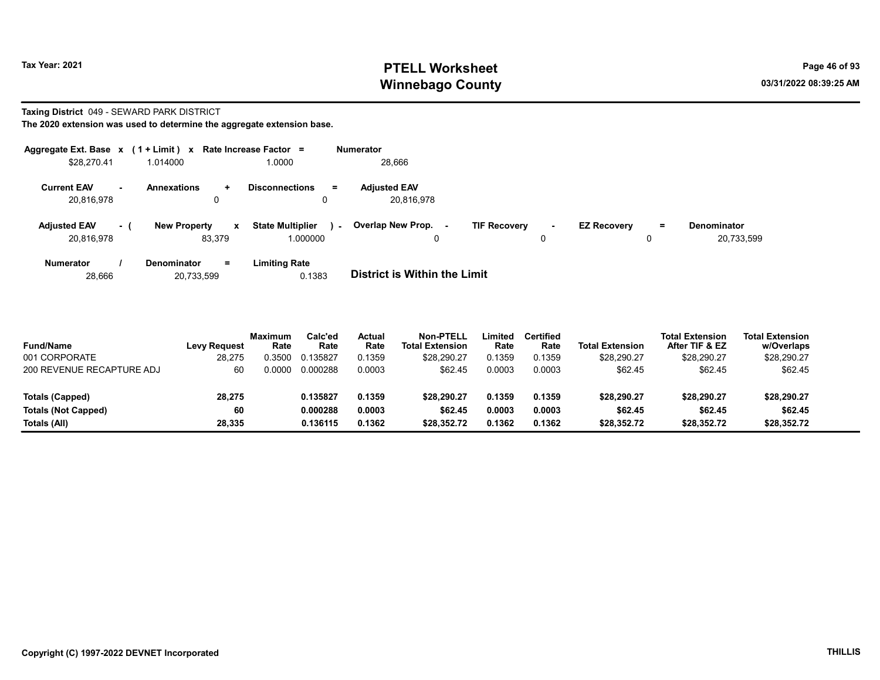## Tax Year: 2021 **PTELL Worksheet** Page 46 of 93 Winnebago County and the county of the county of the county of the county of the county of the county of the county of the county of the county of the county of the county of the county of the county of the county of the c

### Taxing District 049 - SEWARD PARK DISTRICT

The 2020 extension was used to determine the aggregate extension base.

|                                   |      | Aggregate Ext. Base $x$ (1 + Limit) $x$ Rate Increase Factor = |                                               | <b>Numerator</b>                  |                                |                    |                                        |
|-----------------------------------|------|----------------------------------------------------------------|-----------------------------------------------|-----------------------------------|--------------------------------|--------------------|----------------------------------------|
| \$28,270.41                       |      | 1.014000                                                       | 1.0000                                        | 28,666                            |                                |                    |                                        |
| <b>Current EAV</b><br>20,816,978  | . .  | <b>Annexations</b><br>$\ddot{}$<br>0                           | <b>Disconnections</b><br>$=$<br>0             | <b>Adiusted EAV</b><br>20.816.978 |                                |                    |                                        |
| <b>Adjusted EAV</b><br>20.816.978 | $-1$ | <b>New Property</b><br>$\mathbf{x}$<br>83.379                  | <b>State Multiplier</b><br>$\sim$<br>1.000000 | Overlap New Prop. -<br>0          | <b>TIF Recovery</b><br>۰.<br>0 | <b>EZ Recovery</b> | <b>Denominator</b><br>Ξ.<br>20,733,599 |
| <b>Numerator</b>                  |      | <b>Denominator</b><br>$\equiv$                                 | <b>Limiting Rate</b>                          |                                   |                                |                    |                                        |

28,666 20,733,599 0.1383 District is Within the Limit

| <b>Fund/Name</b><br>001 CORPORATE | <b>Levy Request</b><br>28,275 | Maximum<br>Rate<br>0.3500 | Calc'ed<br>Rate<br>0.135827 | Actual<br>Rate<br>0.1359 | <b>Non-PTELL</b><br><b>Total Extension</b><br>\$28.290.27 | Limited<br>Rate<br>0.1359 | Certified<br>Rate<br>0.1359 | <b>Total Extension</b><br>\$28,290.27 | <b>Total Extension</b><br>After TIF & EZ<br>\$28.290.27 | <b>Total Extension</b><br>w/Overlaps<br>\$28,290.27 |  |
|-----------------------------------|-------------------------------|---------------------------|-----------------------------|--------------------------|-----------------------------------------------------------|---------------------------|-----------------------------|---------------------------------------|---------------------------------------------------------|-----------------------------------------------------|--|
| 200 REVENUE RECAPTURE ADJ         | 60                            | 0.0000                    | 0.000288                    | 0.0003                   | \$62.45                                                   | 0.0003                    | 0.0003                      | \$62.45                               | \$62.45                                                 | \$62.45                                             |  |
| <b>Totals (Capped)</b>            | 28,275                        |                           | 0.135827                    | 0.1359                   | \$28.290.27                                               | 0.1359                    | 0.1359                      | \$28.290.27                           | \$28.290.27                                             | \$28.290.27                                         |  |
| <b>Totals (Not Capped)</b>        | 60                            |                           | 0.000288                    | 0.0003                   | \$62.45                                                   | 0.0003                    | 0.0003                      | \$62.45                               | \$62.45                                                 | \$62.45                                             |  |
| Totals (All)                      | 28,335                        |                           | 0.136115                    | 0.1362                   | \$28.352.72                                               | 0.1362                    | 0.1362                      | \$28,352.72                           | \$28.352.72                                             | \$28,352.72                                         |  |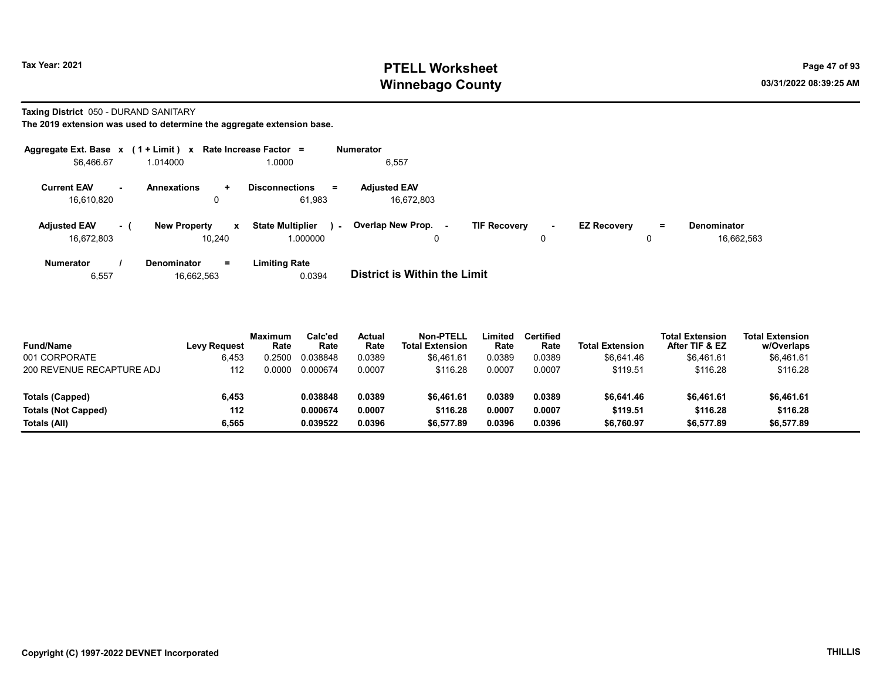## Tax Year: 2021 **PTELL Worksheet** Page 47 of 93 Winnebago County and the county of the county of the county of the county of the county of the county of the county of the county of the county of the county of the county of the county of the county of the county of the c

Taxing District 050 - DURAND SANITARY

The 2019 extension was used to determine the aggregate extension base.

| Aggregate Ext. Base $x$ (1 + Limit) $x$ Rate Increase Factor = |      |                                      |              |                                             |        | <b>Numerator</b>                  |                     |             |                    |    |                                  |
|----------------------------------------------------------------|------|--------------------------------------|--------------|---------------------------------------------|--------|-----------------------------------|---------------------|-------------|--------------------|----|----------------------------------|
| \$6,466.67                                                     |      | 1.014000                             |              | 1.0000                                      |        | 6,557                             |                     |             |                    |    |                                  |
| <b>Current EAV</b><br>16,610,820                               | . .  | <b>Annexations</b><br>$\ddot{}$<br>0 |              | <b>Disconnections</b><br>$\equiv$<br>61.983 |        | <b>Adiusted EAV</b><br>16.672.803 |                     |             |                    |    |                                  |
| <b>Adjusted EAV</b><br>16.672.803                              | $-1$ | <b>New Property</b><br>10.240        | $\mathbf{x}$ | <b>State Multiplier</b><br>1.000000         | $\sim$ | Overlap New Prop. -<br>0          | <b>TIF Recovery</b> | $\sim$<br>0 | <b>EZ Recovery</b> | Ξ. | <b>Denominator</b><br>16.662.563 |
| <b>Numerator</b>                                               |      | <b>Denominator</b><br>$\equiv$       |              | <b>Limiting Rate</b>                        |        |                                   |                     |             |                    |    |                                  |

6,557 16,662,563 0.0394 District is Within the Limit

| <b>Fund/Name</b><br>001 CORPORATE | <b>Levy Request</b><br>6,453 | Maximum<br>Rate<br>.2500 | Calc'ed<br>Rate<br>0.038848 | Actual<br>Rate<br>0.0389 | <b>Non-PTELL</b><br><b>Total Extension</b><br>\$6.461.61 | Limited<br>Rate<br>0.0389 | Certified<br>Rate<br>0.0389 | <b>Total Extension</b><br>\$6.641.46 | <b>Total Extension</b><br>After TIF & EZ<br>\$6,461.61 | <b>Total Extension</b><br>w/Overlaps<br>\$6,461.61 |
|-----------------------------------|------------------------------|--------------------------|-----------------------------|--------------------------|----------------------------------------------------------|---------------------------|-----------------------------|--------------------------------------|--------------------------------------------------------|----------------------------------------------------|
| 200 REVENUE RECAPTURE ADJ         | 112                          | ,0000                    | 0.000674                    | 0.0007                   | \$116.28                                                 | 0.0007                    | 0.0007                      | \$119.51                             | \$116.28                                               | \$116.28                                           |
| Totals (Capped)                   | 6,453                        |                          | 0.038848                    | 0.0389                   | \$6.461.61                                               | 0.0389                    | 0.0389                      | \$6,641.46                           | \$6.461.61                                             | \$6,461.61                                         |
| Totals (Not Capped)               | 112                          |                          | 0.000674                    | 0.0007                   | \$116.28                                                 | 0.0007                    | 0.0007                      | \$119.51                             | \$116.28                                               | \$116.28                                           |
| Totals (All)                      | 6.565                        |                          | 0.039522                    | 0.0396                   | \$6,577.89                                               | 0.0396                    | 0.0396                      | \$6,760.97                           | \$6,577.89                                             | \$6,577.89                                         |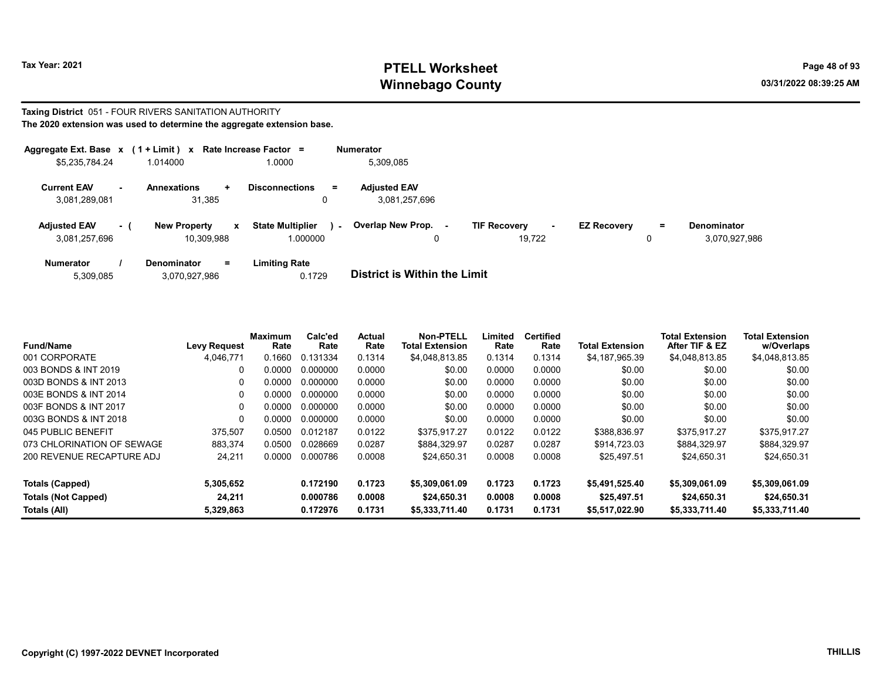# Tax Year: 2021 **PTELL Worksheet** Page 48 of 93 Winnebago County and the county of the county of the county of the county of the county of the county of the county of the county of the county of the county of the county of the county of the county of the county of the c

### Taxing District 051 - FOUR RIVERS SANITATION AUTHORITY The 2020 extension was used to determine the aggregate extension base.

| Aggregate Ext. Base $x$ (1 + Limit) $x$ |          |                                        | Rate Increase Factor =                 | <b>Numerator</b>                     |                                     |                    |         |                                     |
|-----------------------------------------|----------|----------------------------------------|----------------------------------------|--------------------------------------|-------------------------------------|--------------------|---------|-------------------------------------|
| \$5,235,784.24                          |          | 1.014000                               | 1.0000                                 | 5,309,085                            |                                     |                    |         |                                     |
| <b>Current EAV</b><br>3,081,289,081     | . .      | <b>Annexations</b><br>÷<br>31,385      | <b>Disconnections</b><br>$\equiv$<br>0 | <b>Adiusted EAV</b><br>3.081.257.696 |                                     |                    |         |                                     |
| <b>Adjusted EAV</b><br>3,081,257,696    | $\sim$ 1 | <b>New Property</b><br>x<br>10.309.988 | <b>State Multiplier</b><br>000000.     | Overlap New Prop. -<br>$\sim$<br>0   | <b>TIF Recovery</b><br>۰.<br>19.722 | <b>EZ Recovery</b> | Ξ.<br>0 | <b>Denominator</b><br>3,070,927,986 |
| <b>Numerator</b>                        |          | <b>Denominator</b><br>$=$              | <b>Limiting Rate</b>                   |                                      |                                     |                    |         |                                     |

| 5,309,085 | 3,070,927,986 | 0.1729 | <b>District is Within the Limit</b> |
|-----------|---------------|--------|-------------------------------------|
|           |               |        |                                     |

| <b>Fund/Name</b>                           | <b>Levy Request</b> | Maximum<br>Rate | Calc'ed<br>Rate      | Actual<br>Rate   | Non-PTELL<br><b>Total Extension</b> | Limited<br>Rate  | <b>Certified</b><br>Rate | <b>Total Extension</b>        | <b>Total Extension</b><br>After TIF & EZ | <b>Total Extension</b><br>w/Overlaps |
|--------------------------------------------|---------------------|-----------------|----------------------|------------------|-------------------------------------|------------------|--------------------------|-------------------------------|------------------------------------------|--------------------------------------|
| 001 CORPORATE                              | 4.046.771           | 0.1660          | 0.131334             | 0.1314           | \$4,048,813.85                      | 0.1314           | 0.1314                   | \$4,187,965.39                | \$4,048,813.85                           | \$4,048,813.85                       |
| 003 BONDS & INT 2019                       | 0                   | 0.0000          | 0.000000             | 0.0000           | \$0.00                              | 0.0000           | 0.0000                   | \$0.00                        | \$0.00                                   | \$0.00                               |
| 003D BONDS & INT 2013                      | 0                   | 0.0000          | 0.000000             | 0.0000           | \$0.00                              | 0.0000           | 0.0000                   | \$0.00                        | \$0.00                                   | \$0.00                               |
| 003E BONDS & INT 2014                      | 0                   | 0.0000          | 0.000000             | 0.0000           | \$0.00                              | 0.0000           | 0.0000                   | \$0.00                        | \$0.00                                   | \$0.00                               |
| 003F BONDS & INT 2017                      | 0                   | 0.0000          | 0.000000             | 0.0000           | \$0.00                              | 0.0000           | 0.0000                   | \$0.00                        | \$0.00                                   | \$0.00                               |
| 003G BONDS & INT 2018                      | 0                   | 0.0000          | 0.000000             | 0.0000           | \$0.00                              | 0.0000           | 0.0000                   | \$0.00                        | \$0.00                                   | \$0.00                               |
| 045 PUBLIC BENEFIT                         | 375,507             | 0.0500          | 0.012187             | 0.0122           | \$375.917.27                        | 0.0122           | 0.0122                   | \$388.836.97                  | \$375.917.27                             | \$375.917.27                         |
| 073 CHLORINATION OF SEWAGE                 | 883,374             | 0.0500          | 0.028669             | 0.0287           | \$884.329.97                        | 0.0287           | 0.0287                   | \$914.723.03                  | \$884.329.97                             | \$884,329.97                         |
| 200 REVENUE RECAPTURE ADJ                  | 24,211              | 0.0000          | 0.000786             | 0.0008           | \$24.650.31                         | 0.0008           | 0.0008                   | \$25.497.51                   | \$24.650.31                              | \$24,650.31                          |
| Totals (Capped)                            | 5,305,652           |                 | 0.172190             | 0.1723           | \$5,309,061.09                      | 0.1723           | 0.1723                   | \$5.491.525.40                | \$5,309,061.09                           | \$5,309,061.09                       |
| <b>Totals (Not Capped)</b><br>Totals (All) | 24.211<br>5,329,863 |                 | 0.000786<br>0.172976 | 0.0008<br>0.1731 | \$24.650.31<br>\$5,333,711.40       | 0.0008<br>0.1731 | 0.0008<br>0.1731         | \$25,497.51<br>\$5.517.022.90 | \$24,650.31<br>\$5,333,711.40            | \$24,650.31<br>\$5,333,711.40        |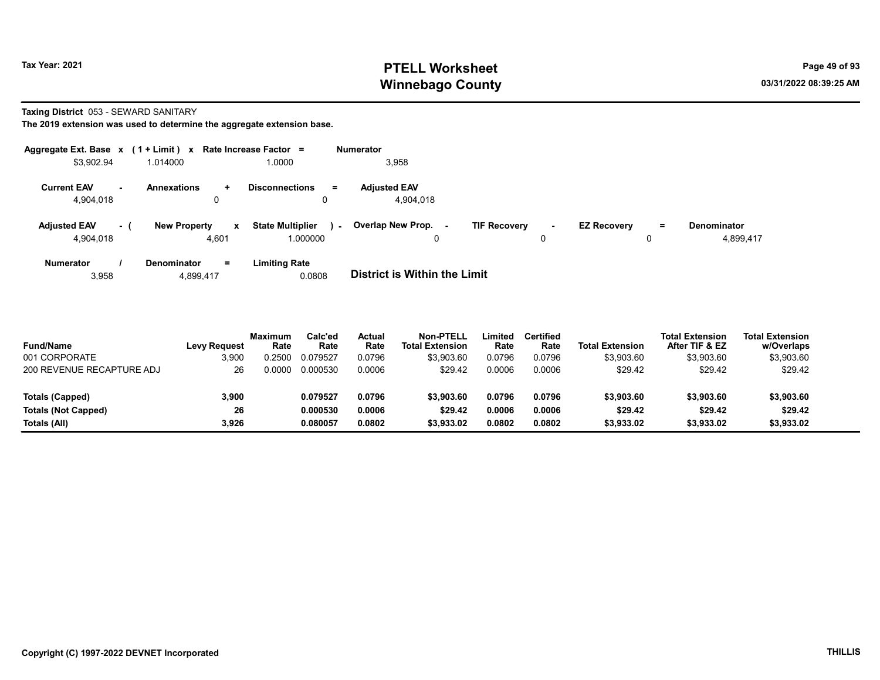# Tax Year: 2021 **PTELL Worksheet** Page 49 of 93 Winnebago County and the county of the county of the county of the county of the county of the county of the county of the county of the county of the county of the county of the county of the county of the county of the c

Taxing District 053 - SEWARD SANITARY

| Aggregate Ext. Base $x$ (1 + Limit) $x$   |                                              | Rate Increase Factor =                        | <b>Numerator</b>                                                                                                                         |
|-------------------------------------------|----------------------------------------------|-----------------------------------------------|------------------------------------------------------------------------------------------------------------------------------------------|
| \$3,902.94                                | 1.014000                                     | 1.0000                                        | 3,958                                                                                                                                    |
| <b>Current EAV</b><br>$\sim$<br>4.904.018 | <b>Annexations</b><br>$\pm$<br>u             | <b>Disconnections</b><br>$=$<br>0             | <b>Adiusted EAV</b><br>4.904.018                                                                                                         |
| <b>Adjusted EAV</b><br>- 1<br>4,904,018   | <b>New Property</b><br>$\mathbf{x}$<br>4,601 | <b>State Multiplier</b><br>$\sim$<br>1.000000 | Overlap New Prop. -<br><b>TIF Recovery</b><br><b>EZ Recovery</b><br><b>Denominator</b><br>$\equiv$<br>$\sim$<br>4,899,417<br>0<br>0<br>0 |
| <b>Numerator</b><br>3,958                 | <b>Denominator</b><br>$=$<br>4,899,417       | <b>Limiting Rate</b><br>0.0808                | <b>District is Within the Limit</b>                                                                                                      |

| <b>Fund/Name</b>           | <b>Levy Request</b> | <b>Maximum</b><br>Rate | Calc'ed<br>Rate | Actual<br>Rate | <b>Non-PTELL</b><br><b>Total Extension</b> | Limited<br>Rate | Certified<br>Rate | <b>Total Extension</b> | <b>Total Extension</b><br>After TIF & EZ | <b>Total Extension</b><br>w/Overlaps |  |
|----------------------------|---------------------|------------------------|-----------------|----------------|--------------------------------------------|-----------------|-------------------|------------------------|------------------------------------------|--------------------------------------|--|
| 001 CORPORATE              | 3,900               | 0.2500                 | 0.079527        | 0.0796         | \$3,903.60                                 | 0.0796          | 0.0796            | \$3,903.60             | \$3,903.60                               | \$3,903.60                           |  |
| 200 REVENUE RECAPTURE ADJ  | 26                  | 0.0000                 | 0.000530        | 0.0006         | \$29.42                                    | 0.0006          | 0.0006            | \$29.42                | \$29.42                                  | \$29.42                              |  |
| Totals (Capped)            | 3,900               |                        | 0.079527        | 0.0796         | \$3,903.60                                 | 0.0796          | 0.0796            | \$3,903.60             | \$3,903.60                               | \$3,903.60                           |  |
| <b>Totals (Not Capped)</b> | 26                  |                        | 0.000530        | 0.0006         | \$29.42                                    | 0.0006          | 0.0006            | \$29.42                | \$29.42                                  | \$29.42                              |  |
| Totals (All)               | 3.926               |                        | 0.080057        | 0.0802         | \$3,933.02                                 | 0.0802          | 0.0802            | \$3,933.02             | \$3,933.02                               | \$3,933.02                           |  |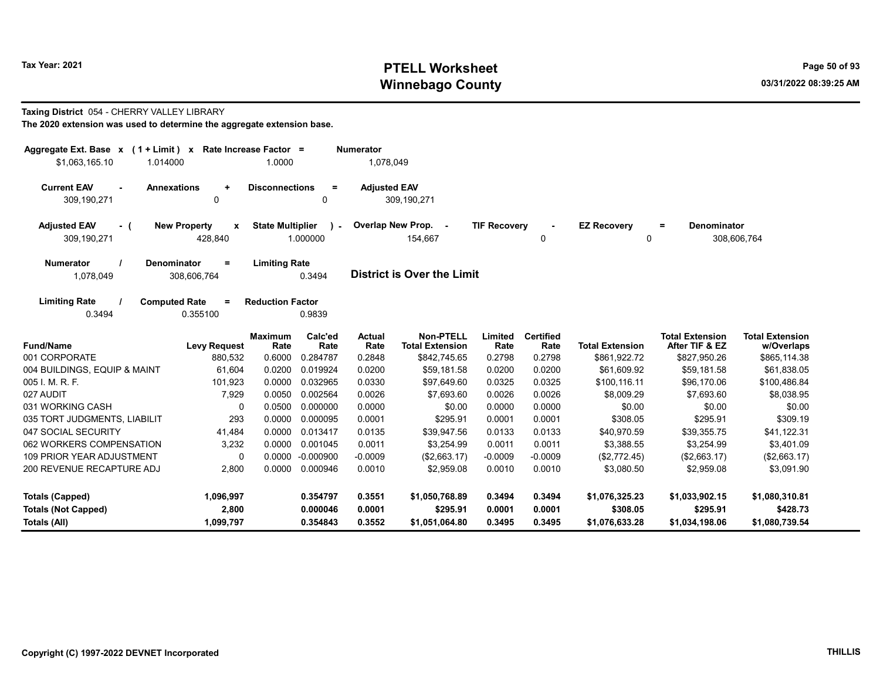# Tax Year: 2021 **PTELL Worksheet** Page 50 of 93 Winnebago County and the county of the county of the county of the county of the county of the county of the county of the county of the county of the county of the county of the county of the county of the county of the c

## Taxing District 054 - CHERRY VALLEY LIBRARY

| Aggregate Ext. Base $x$ (1 + Limit) $x$ Rate Increase Factor =<br>\$1,063,165.10<br>1.014000 |                                          | 1.0000                  |                         | <b>Numerator</b><br>1,078,049 |                                            |                     |                          |                         |                                          |                                      |
|----------------------------------------------------------------------------------------------|------------------------------------------|-------------------------|-------------------------|-------------------------------|--------------------------------------------|---------------------|--------------------------|-------------------------|------------------------------------------|--------------------------------------|
| <b>Current EAV</b><br>$\blacksquare$<br>309,190,271                                          | <b>Annexations</b><br>٠<br>0             | <b>Disconnections</b>   | $=$<br>$\Omega$         | <b>Adjusted EAV</b>           | 309,190,271                                |                     |                          |                         |                                          |                                      |
| <b>Adjusted EAV</b><br>- (<br>309,190,271                                                    | <b>New Property</b><br>x<br>428,840      | <b>State Multiplier</b> | $\lambda$ -<br>1.000000 |                               | Overlap New Prop. -<br>154,667             | <b>TIF Recovery</b> | 0                        | <b>EZ Recovery</b><br>0 | Denominator<br>$\equiv$                  | 308,606,764                          |
| <b>Numerator</b><br>1,078,049                                                                | <b>Denominator</b><br>$=$<br>308,606,764 | <b>Limiting Rate</b>    | 0.3494                  |                               | <b>District is Over the Limit</b>          |                     |                          |                         |                                          |                                      |
| <b>Limiting Rate</b><br>0.3494                                                               | <b>Computed Rate</b><br>$=$<br>0.355100  | <b>Reduction Factor</b> | 0.9839                  |                               |                                            |                     |                          |                         |                                          |                                      |
| <b>Fund/Name</b>                                                                             | <b>Levy Request</b>                      | <b>Maximum</b><br>Rate  | Calc'ed<br>Rate         | Actual<br>Rate                | <b>Non-PTELL</b><br><b>Total Extension</b> | Limited<br>Rate     | <b>Certified</b><br>Rate | <b>Total Extension</b>  | <b>Total Extension</b><br>After TIF & EZ | <b>Total Extension</b><br>w/Overlaps |
| 001 CORPORATE                                                                                | 880,532                                  | 0.6000                  | 0.284787                | 0.2848                        | \$842,745.65                               | 0.2798              | 0.2798                   | \$861,922.72            | \$827,950.26                             | \$865,114.38                         |
| 004 BUILDINGS, EQUIP & MAINT                                                                 | 61,604                                   | 0.0200                  | 0.019924                | 0.0200                        | \$59,181.58                                | 0.0200              | 0.0200                   | \$61,609.92             | \$59,181.58                              | \$61,838.05                          |
| 005 I. M. R. F.                                                                              | 101,923                                  | 0.0000                  | 0.032965                | 0.0330                        | \$97,649.60                                | 0.0325              | 0.0325                   | \$100,116.11            | \$96,170.06                              | \$100,486.84                         |
| 027 AUDIT                                                                                    | 7,929                                    | 0.0050                  | 0.002564                | 0.0026                        | \$7,693.60                                 | 0.0026              | 0.0026                   | \$8,009.29              | \$7,693.60                               | \$8,038.95                           |
| 031 WORKING CASH                                                                             | $\Omega$                                 | 0.0500                  | 0.000000                | 0.0000                        | \$0.00                                     | 0.0000              | 0.0000                   | \$0.00                  | \$0.00                                   | \$0.00                               |
| 035 TORT JUDGMENTS, LIABILIT                                                                 | 293                                      | 0.0000                  | 0.000095                | 0.0001                        | \$295.91                                   | 0.0001              | 0.0001                   | \$308.05                | \$295.91                                 | \$309.19                             |
| 047 SOCIAL SECURITY                                                                          | 41,484                                   | 0.0000                  | 0.013417                | 0.0135                        | \$39,947.56                                | 0.0133              | 0.0133                   | \$40,970.59             | \$39,355.75                              | \$41,122.31                          |
| 062 WORKERS COMPENSATION                                                                     | 3,232                                    | 0.0000                  | 0.001045                | 0.0011                        | \$3,254.99                                 | 0.0011              | 0.0011                   | \$3,388.55              | \$3,254.99                               | \$3,401.09                           |
| <b>109 PRIOR YEAR ADJUSTMENT</b>                                                             | 0                                        | 0.0000                  | $-0.000900$             | $-0.0009$                     | (\$2,663.17)                               | $-0.0009$           | $-0.0009$                | (\$2,772.45)            | (\$2,663.17)                             | (\$2,663.17)                         |
| 200 REVENUE RECAPTURE ADJ                                                                    | 2,800                                    | 0.0000                  | 0.000946                | 0.0010                        | \$2,959.08                                 | 0.0010              | 0.0010                   | \$3,080.50              | \$2,959.08                               | \$3,091.90                           |
| <b>Totals (Capped)</b>                                                                       | 1,096,997                                |                         | 0.354797                | 0.3551                        | \$1,050,768.89                             | 0.3494              | 0.3494                   | \$1,076,325.23          | \$1,033,902.15                           | \$1,080,310.81                       |
| <b>Totals (Not Capped)</b>                                                                   | 2,800                                    |                         | 0.000046                | 0.0001                        | \$295.91                                   | 0.0001              | 0.0001                   | \$308.05                | \$295.91                                 | \$428.73                             |
| Totals (All)                                                                                 | 1,099,797                                |                         | 0.354843                | 0.3552                        | \$1,051,064.80                             | 0.3495              | 0.3495                   | \$1,076,633.28          | \$1,034,198.06                           | \$1,080,739.54                       |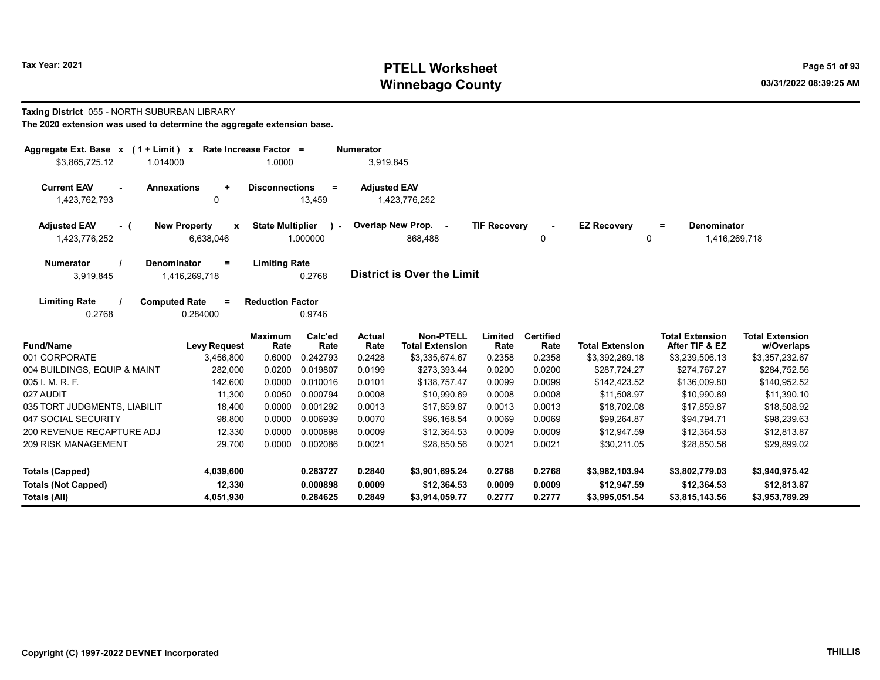# Tax Year: 2021 **PTELL Worksheet** Page 51 of 93 Winnebago County and the county of the county of the county of the county of the county of the county of the county of the county of the county of the county of the county of the county of the county of the county of the c

Taxing District 055 - NORTH SUBURBAN LIBRARY

| The 2020 extension was used to determine the aggregate extension base. |  |  |  |
|------------------------------------------------------------------------|--|--|--|
|------------------------------------------------------------------------|--|--|--|

| Aggregate Ext. Base $x$ (1 + Limit) $x$      | Rate Increase Factor =   |                         |                 | <b>Numerator</b>    |                                            |                     |                          |                        |                                          |                                      |
|----------------------------------------------|--------------------------|-------------------------|-----------------|---------------------|--------------------------------------------|---------------------|--------------------------|------------------------|------------------------------------------|--------------------------------------|
| \$3,865,725.12<br>1.014000                   |                          | 1.0000                  |                 | 3,919,845           |                                            |                     |                          |                        |                                          |                                      |
| <b>Current EAV</b><br><b>Annexations</b>     | $\ddot{}$                | <b>Disconnections</b>   | $\equiv$        | <b>Adjusted EAV</b> |                                            |                     |                          |                        |                                          |                                      |
| 1,423,762,793                                | 0                        |                         | 13,459          |                     | 1,423,776,252                              |                     |                          |                        |                                          |                                      |
| <b>Adjusted EAV</b><br>- (                   | <b>New Property</b><br>x | <b>State Multiplier</b> | $\lambda$ -     |                     | Overlap New Prop. -                        | <b>TIF Recovery</b> |                          | <b>EZ Recovery</b>     | <b>Denominator</b><br>Ξ.                 |                                      |
| 1,423,776,252                                | 6,638,046                |                         | 1.000000        |                     | 868,488                                    |                     | 0                        | 0                      | 1,416,269,718                            |                                      |
| <b>Numerator</b><br><b>Denominator</b>       | $\equiv$                 | <b>Limiting Rate</b>    |                 |                     |                                            |                     |                          |                        |                                          |                                      |
| 3,919,845                                    | 1,416,269,718            |                         | 0.2768          |                     | <b>District is Over the Limit</b>          |                     |                          |                        |                                          |                                      |
| <b>Limiting Rate</b><br><b>Computed Rate</b> | $=$                      | <b>Reduction Factor</b> |                 |                     |                                            |                     |                          |                        |                                          |                                      |
| 0.2768                                       | 0.284000                 |                         | 0.9746          |                     |                                            |                     |                          |                        |                                          |                                      |
| <b>Fund/Name</b>                             | <b>Levy Request</b>      | <b>Maximum</b><br>Rate  | Calc'ed<br>Rate | Actual<br>Rate      | <b>Non-PTELL</b><br><b>Total Extension</b> | Limited<br>Rate     | <b>Certified</b><br>Rate | <b>Total Extension</b> | <b>Total Extension</b><br>After TIF & EZ | <b>Total Extension</b><br>w/Overlaps |
| 001 CORPORATE                                | 3,456,800                | 0.6000                  | 0.242793        | 0.2428              | \$3,335,674.67                             | 0.2358              | 0.2358                   | \$3,392,269.18         | \$3,239,506.13                           | \$3,357,232.67                       |
| 004 BUILDINGS, EQUIP & MAINT                 | 282,000                  | 0.0200                  | 0.019807        | 0.0199              | \$273,393.44                               | 0.0200              | 0.0200                   | \$287,724.27           | \$274,767.27                             | \$284,752.56                         |
| 005 I. M. R. F.                              | 142,600                  | 0.0000                  | 0.010016        | 0.0101              | \$138,757.47                               | 0.0099              | 0.0099                   | \$142,423.52           | \$136,009.80                             | \$140,952.52                         |
| 027 AUDIT                                    | 11,300                   | 0.0050                  | 0.000794        | 0.0008              | \$10,990.69                                | 0.0008              | 0.0008                   | \$11,508.97            | \$10,990.69                              | \$11,390.10                          |
| 035 TORT JUDGMENTS, LIABILIT                 | 18,400                   | 0.0000                  | 0.001292        | 0.0013              | \$17,859.87                                | 0.0013              | 0.0013                   | \$18,702.08            | \$17,859.87                              | \$18,508.92                          |
| 047 SOCIAL SECURITY                          | 98,800                   | 0.0000                  | 0.006939        | 0.0070              | \$96,168.54                                | 0.0069              | 0.0069                   | \$99,264.87            | \$94,794.71                              | \$98,239.63                          |
| 200 REVENUE RECAPTURE ADJ                    | 12,330                   | 0.0000                  | 0.000898        | 0.0009              | \$12,364.53                                | 0.0009              | 0.0009                   | \$12,947.59            | \$12,364.53                              | \$12,813.87                          |
| 209 RISK MANAGEMENT                          | 29,700                   | 0.0000                  | 0.002086        | 0.0021              | \$28,850.56                                | 0.0021              | 0.0021                   | \$30,211.05            | \$28,850.56                              | \$29,899.02                          |
| <b>Totals (Capped)</b>                       | 4,039,600                |                         | 0.283727        | 0.2840              | \$3,901,695.24                             | 0.2768              | 0.2768                   | \$3,982,103.94         | \$3,802,779.03                           | \$3,940,975.42                       |
| <b>Totals (Not Capped)</b>                   | 12,330                   |                         | 0.000898        | 0.0009              | \$12,364.53                                | 0.0009              | 0.0009                   | \$12,947.59            | \$12,364.53                              | \$12,813.87                          |
| Totals (All)                                 | 4,051,930                |                         | 0.284625        | 0.2849              | \$3,914,059.77                             | 0.2777              | 0.2777                   | \$3,995,051.54         | \$3,815,143.56                           | \$3,953,789.29                       |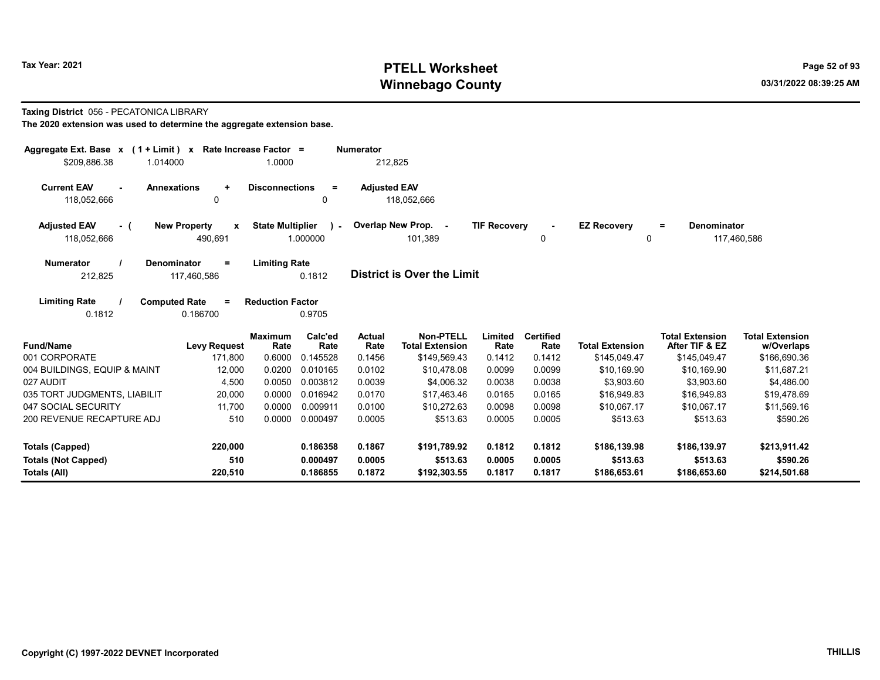# Tax Year: 2021 **PTELL Worksheet** Page 52 of 93 Winnebago County and the county of the county of the county of the county of the county of the county of the county of the county of the county of the county of the county of the county of the county of the county of the c

### Taxing District 056 - PECATONICA LIBRARY

The 2020 extension was used to determine the aggregate extension base.

| Aggregate Ext. Base $x$ (1 + Limit) $x$<br>\$209,886.38<br>1.014000 | Rate Increase Factor =                         | 1.0000                                               | <b>Numerator</b><br>212,825 |                                     |                     |                          |                         |                                          |                                      |
|---------------------------------------------------------------------|------------------------------------------------|------------------------------------------------------|-----------------------------|-------------------------------------|---------------------|--------------------------|-------------------------|------------------------------------------|--------------------------------------|
| <b>Current EAV</b><br><b>Annexations</b><br>118,052,666             | $\ddot{}$<br>0                                 | <b>Disconnections</b><br>$\equiv$<br>0               | <b>Adjusted EAV</b>         | 118,052,666                         |                     |                          |                         |                                          |                                      |
| <b>Adjusted EAV</b><br>$-$ (<br>118,052,666                         | <b>New Property</b><br>$\mathbf{x}$<br>490,691 | <b>State Multiplier</b><br>$\mathcal{L}$<br>1.000000 |                             | Overlap New Prop. -<br>101,389      | <b>TIF Recovery</b> | 0                        | <b>EZ Recovery</b><br>0 | <b>Denominator</b><br>$\equiv$           | 117,460,586                          |
| <b>Numerator</b><br>Denominator<br>212,825                          | $=$<br>117,460,586                             | <b>Limiting Rate</b><br>0.1812                       |                             | <b>District is Over the Limit</b>   |                     |                          |                         |                                          |                                      |
| <b>Limiting Rate</b><br><b>Computed Rate</b><br>0.1812              | $=$<br>0.186700                                | <b>Reduction Factor</b><br>0.9705                    |                             |                                     |                     |                          |                         |                                          |                                      |
| <b>Fund/Name</b>                                                    | <b>Maximum</b><br><b>Levy Request</b>          | Calc'ed<br>Rate<br>Rate                              | Actual<br>Rate              | Non-PTELL<br><b>Total Extension</b> | Limited<br>Rate     | <b>Certified</b><br>Rate | <b>Total Extension</b>  | <b>Total Extension</b><br>After TIF & EZ | <b>Total Extension</b><br>w/Overlaps |
| 001 CORPORATE                                                       | 171,800                                        | 0.6000<br>0.145528                                   | 0.1456                      | \$149,569.43                        | 0.1412              | 0.1412                   | \$145,049.47            | \$145,049.47                             | \$166,690.36                         |
| 004 BUILDINGS, EQUIP & MAINT                                        | 12,000                                         | 0.0200<br>0.010165                                   | 0.0102                      | \$10,478.08                         | 0.0099              | 0.0099                   | \$10,169.90             | \$10,169.90                              | \$11,687.21                          |
| 027 AUDIT                                                           | 4,500                                          | 0.0050<br>0.003812                                   | 0.0039                      | \$4,006.32                          | 0.0038              | 0.0038                   | \$3,903.60              | \$3,903.60                               | \$4,486.00                           |
| 035 TORT JUDGMENTS, LIABILIT                                        | 20,000                                         | 0.0000<br>0.016942                                   | 0.0170                      | \$17.463.46                         | 0.0165              | 0.0165                   | \$16,949.83             | \$16,949.83                              | \$19,478.69                          |
| 047 SOCIAL SECURITY                                                 | 11,700                                         | 0.0000<br>0.009911                                   | 0.0100                      | \$10,272.63                         | 0.0098              | 0.0098                   | \$10,067.17             | \$10,067.17                              | \$11,569.16                          |
| 200 REVENUE RECAPTURE ADJ                                           | 510                                            | 0.0000<br>0.000497                                   | 0.0005                      | \$513.63                            | 0.0005              | 0.0005                   | \$513.63                | \$513.63                                 | \$590.26                             |
| Totals (Capped)                                                     | 220,000                                        | 0.186358                                             | 0.1867                      | \$191,789.92                        | 0.1812              | 0.1812                   | \$186,139.98            | \$186,139.97                             | \$213,911.42                         |
| <b>Totals (Not Capped)</b>                                          | 510                                            | 0.000497                                             | 0.0005                      | \$513.63                            | 0.0005              | 0.0005                   | \$513.63                | \$513.63                                 | \$590.26                             |
| Totals (All)                                                        | 220,510                                        | 0.186855                                             | 0.1872                      | \$192,303.55                        | 0.1817              | 0.1817                   | \$186,653.61            | \$186,653.60                             | \$214,501.68                         |

 $\overline{\phantom{0}}$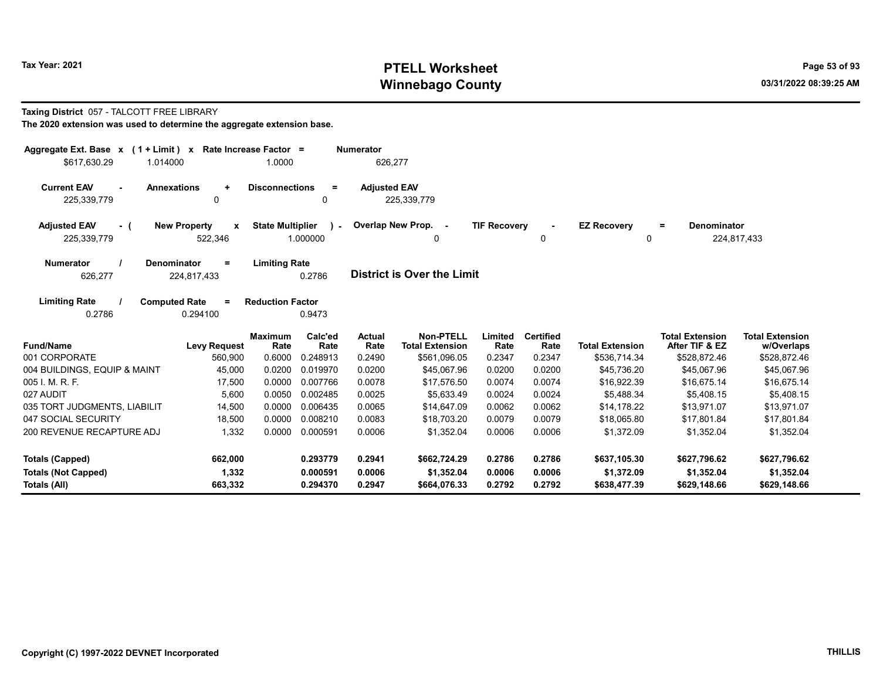# Tax Year: 2021 **PTELL Worksheet** Page 53 of 93 Winnebago County and the county of the county of the county of the county of the county of the county of the county of the county of the county of the county of the county of the county of the county of the county of the c

## Taxing District 057 - TALCOTT FREE LIBRARY

| Aggregate Ext. Base $x$ (1 + Limit) $x$                                   | Rate Increase Factor =              |                                     | <b>Numerator</b>                         |                                            |                            |                            |                                            |                                            |                                            |
|---------------------------------------------------------------------------|-------------------------------------|-------------------------------------|------------------------------------------|--------------------------------------------|----------------------------|----------------------------|--------------------------------------------|--------------------------------------------|--------------------------------------------|
| \$617,630.29<br>1.014000                                                  |                                     | 1.0000                              |                                          | 626,277                                    |                            |                            |                                            |                                            |                                            |
| <b>Current EAV</b><br><b>Annexations</b><br>$\blacksquare$<br>225,339,779 | $\ddot{}$<br>$\mathbf{0}$           | <b>Disconnections</b>               | <b>Adjusted EAV</b><br>$=$<br>0          | 225,339,779                                |                            |                            |                                            |                                            |                                            |
| <b>Adjusted EAV</b><br>- 1<br>225,339,779                                 | <b>New Property</b><br>X<br>522,346 | <b>State Multiplier</b><br>1.000000 | $\mathbf{r}$                             | Overlap New Prop. -<br>0                   | <b>TIF Recovery</b>        | 0                          | <b>EZ Recovery</b><br>0                    | <b>Denominator</b><br>$=$                  | 224,817,433                                |
| <b>Numerator</b><br><b>Denominator</b><br>626,277                         | $\equiv$<br>224,817,433             | <b>Limiting Rate</b><br>0.2786      |                                          | District is Over the Limit                 |                            |                            |                                            |                                            |                                            |
| <b>Limiting Rate</b><br><b>Computed Rate</b><br>0.2786                    | $\equiv$<br>0.294100                | <b>Reduction Factor</b><br>0.9473   |                                          |                                            |                            |                            |                                            |                                            |                                            |
| <b>Fund/Name</b>                                                          | <b>Levy Request</b>                 | <b>Maximum</b><br>Rate              | Calc'ed<br><b>Actual</b><br>Rate<br>Rate | <b>Non-PTELL</b><br><b>Total Extension</b> | Limited<br>Rate            | <b>Certified</b><br>Rate   | <b>Total Extension</b>                     | <b>Total Extension</b><br>After TIF & EZ   | <b>Total Extension</b><br>w/Overlaps       |
| 001 CORPORATE                                                             | 560,900                             | 0.6000<br>0.248913                  | 0.2490                                   | \$561,096.05                               | 0.2347                     | 0.2347                     | \$536,714.34                               | \$528,872.46                               | \$528,872.46                               |
| 004 BUILDINGS, EQUIP & MAINT                                              | 45,000                              | 0.0200<br>0.019970                  | 0.0200                                   | \$45.067.96                                | 0.0200                     | 0.0200                     | \$45,736.20                                | \$45,067.96                                | \$45,067.96                                |
| 005 I. M. R. F.                                                           | 17,500                              | 0.0000<br>0.007766                  | 0.0078                                   | \$17,576.50                                | 0.0074                     | 0.0074                     | \$16,922.39                                | \$16,675.14                                | \$16,675.14                                |
| 027 AUDIT                                                                 | 5,600                               | 0.0050<br>0.002485                  | 0.0025                                   | \$5,633.49                                 | 0.0024                     | 0.0024                     | \$5,488.34                                 | \$5,408.15                                 | \$5,408.15                                 |
| 035 TORT JUDGMENTS, LIABILIT                                              | 14,500                              | 0.0000<br>0.006435                  | 0.0065                                   | \$14,647.09                                | 0.0062                     | 0.0062                     | \$14,178.22                                | \$13,971.07                                | \$13,971.07                                |
| 047 SOCIAL SECURITY                                                       | 18,500                              | 0.008210<br>0.0000                  | 0.0083                                   | \$18.703.20                                | 0.0079                     | 0.0079                     | \$18,065.80                                | \$17,801.84                                | \$17,801.84                                |
| 200 REVENUE RECAPTURE ADJ                                                 | 1,332                               | 0.0000<br>0.000591                  | 0.0006                                   | \$1,352.04                                 | 0.0006                     | 0.0006                     | \$1,372.09                                 | \$1,352.04                                 | \$1,352.04                                 |
| <b>Totals (Capped)</b><br><b>Totals (Not Capped)</b><br>Totals (All)      | 662,000<br>1,332<br>663,332         | 0.293779<br>0.000591<br>0.294370    | 0.2941<br>0.0006<br>0.2947               | \$662,724.29<br>\$1,352.04<br>\$664,076.33 | 0.2786<br>0.0006<br>0.2792 | 0.2786<br>0.0006<br>0.2792 | \$637,105.30<br>\$1,372.09<br>\$638,477.39 | \$627,796.62<br>\$1,352.04<br>\$629,148.66 | \$627,796.62<br>\$1,352.04<br>\$629,148.66 |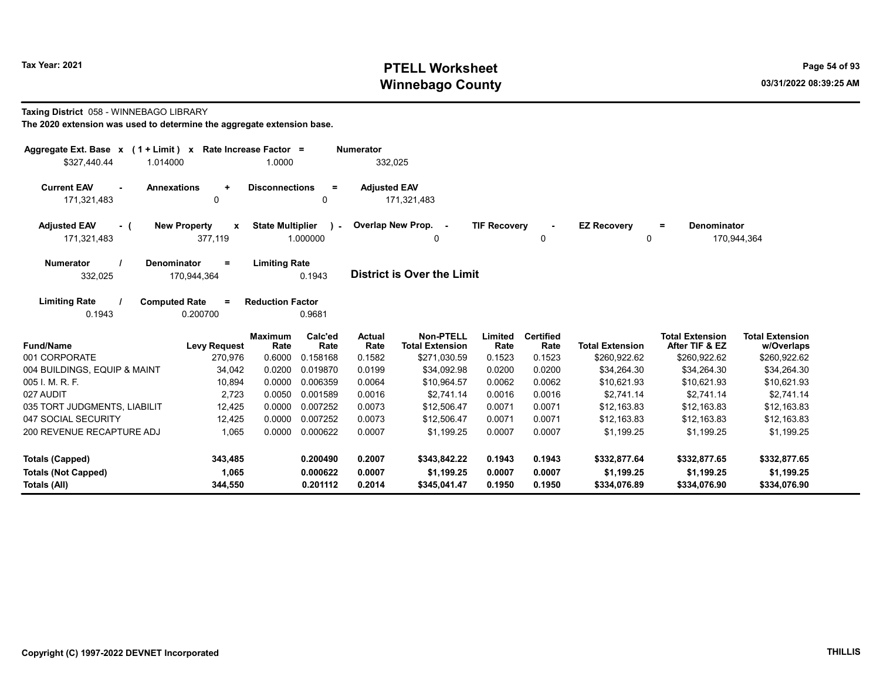# Tax Year: 2021 **PTELL Worksheet** Page 54 of 93 Winnebago County and the county of the county of the county of the county of the county of the county of the county of the county of the county of the county of the county of the county of the county of the county of the c

### Taxing District 058 - WINNEBAGO LIBRARY

| Aggregate Ext. Base $x$ (1 + Limit) x Rate Increase Factor = |                                                |                                                     | <b>Numerator</b>    |                                            |                     |                          |                         |                                          |                                      |
|--------------------------------------------------------------|------------------------------------------------|-----------------------------------------------------|---------------------|--------------------------------------------|---------------------|--------------------------|-------------------------|------------------------------------------|--------------------------------------|
| \$327,440.44<br>1.014000                                     |                                                | 1.0000                                              |                     | 332,025                                    |                     |                          |                         |                                          |                                      |
| <b>Current EAV</b><br><b>Annexations</b><br>171,321,483      | $\ddot{}$<br>0                                 | <b>Disconnections</b><br>$\equiv$<br>$\Omega$       | <b>Adjusted EAV</b> | 171,321,483                                |                     |                          |                         |                                          |                                      |
| <b>Adjusted EAV</b><br>- (<br>171,321,483                    | <b>New Property</b><br>$\mathbf{x}$<br>377,119 | <b>State Multiplier</b><br>$\mathbf{r}$<br>1.000000 |                     | Overlap New Prop. -<br>0                   | <b>TIF Recovery</b> | 0                        | <b>EZ Recovery</b><br>0 | Denominator<br>$=$                       | 170,944,364                          |
| <b>Numerator</b><br><b>Denominator</b><br>332,025            | $=$<br>170,944,364                             | <b>Limiting Rate</b><br>0.1943                      |                     | <b>District is Over the Limit</b>          |                     |                          |                         |                                          |                                      |
| <b>Limiting Rate</b><br><b>Computed Rate</b><br>0.1943       | $\equiv$<br>0.200700                           | <b>Reduction Factor</b><br>0.9681                   |                     |                                            |                     |                          |                         |                                          |                                      |
| <b>Fund/Name</b>                                             | <b>Levy Request</b>                            | Calc'ed<br><b>Maximum</b><br>Rate<br>Rate           | Actual<br>Rate      | <b>Non-PTELL</b><br><b>Total Extension</b> | Limited<br>Rate     | <b>Certified</b><br>Rate | <b>Total Extension</b>  | <b>Total Extension</b><br>After TIF & EZ | <b>Total Extension</b><br>w/Overlaps |
| 001 CORPORATE                                                | 270,976                                        | 0.6000<br>0.158168                                  | 0.1582              | \$271,030.59                               | 0.1523              | 0.1523                   | \$260,922.62            | \$260,922.62                             | \$260,922.62                         |
| 004 BUILDINGS, EQUIP & MAINT                                 | 34,042                                         | 0.0200<br>0.019870                                  | 0.0199              | \$34,092.98                                | 0.0200              | 0.0200                   | \$34,264.30             | \$34,264.30                              | \$34,264.30                          |
| 005 I. M. R. F.                                              | 10,894                                         | 0.0000<br>0.006359                                  | 0.0064              | \$10,964.57                                | 0.0062              | 0.0062                   | \$10,621.93             | \$10,621.93                              | \$10,621.93                          |
| 027 AUDIT                                                    | 2,723                                          | 0.0050<br>0.001589                                  | 0.0016              | \$2,741.14                                 | 0.0016              | 0.0016                   | \$2,741.14              | \$2,741.14                               | \$2,741.14                           |
| 035 TORT JUDGMENTS, LIABILIT                                 | 12,425                                         | 0.0000<br>0.007252                                  | 0.0073              | \$12,506.47                                | 0.0071              | 0.0071                   | \$12.163.83             | \$12.163.83                              | \$12,163.83                          |
| 047 SOCIAL SECURITY                                          | 12,425                                         | 0.0000<br>0.007252                                  | 0.0073              | \$12,506.47                                | 0.0071              | 0.0071                   | \$12.163.83             | \$12,163.83                              | \$12,163.83                          |
| 200 REVENUE RECAPTURE ADJ                                    | 1,065                                          | 0.0000<br>0.000622                                  | 0.0007              | \$1,199.25                                 | 0.0007              | 0.0007                   | \$1.199.25              | \$1.199.25                               | \$1.199.25                           |
| <b>Totals (Capped)</b>                                       | 343,485                                        | 0.200490                                            | 0.2007              | \$343,842.22                               | 0.1943              | 0.1943                   | \$332,877.64            | \$332,877.65                             | \$332,877.65                         |
| <b>Totals (Not Capped)</b>                                   | 1,065                                          | 0.000622                                            | 0.0007              | \$1,199.25                                 | 0.0007              | 0.0007                   | \$1,199.25              | \$1,199.25                               | \$1,199.25                           |
| Totals (All)                                                 | 344,550                                        | 0.201112                                            | 0.2014              | \$345,041.47                               | 0.1950              | 0.1950                   | \$334,076.89            | \$334,076.90                             | \$334,076.90                         |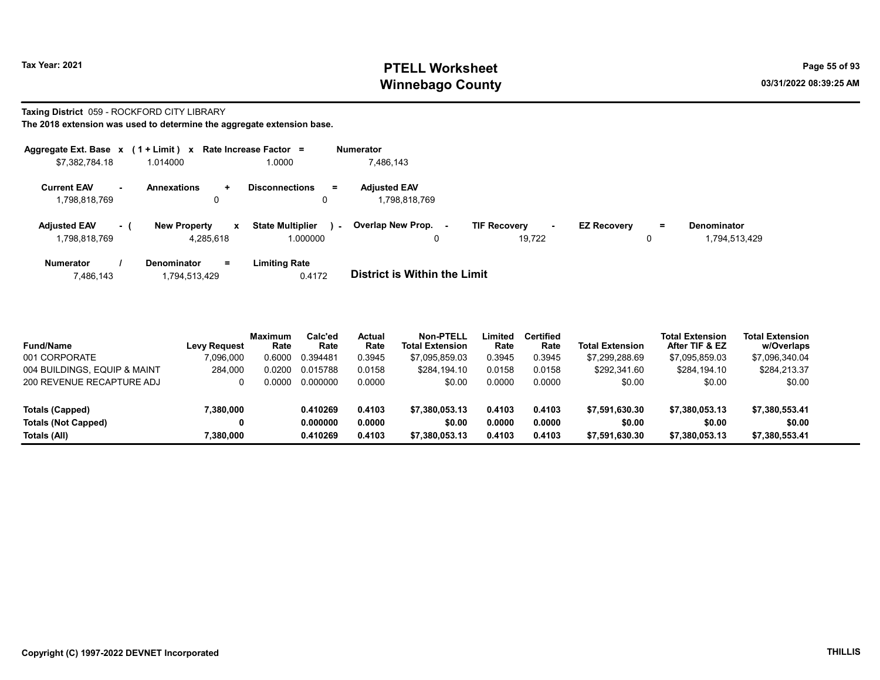# Tax Year: 2021 **PTELL Worksheet** Page 55 of 93 Winnebago County and the county of the county of the county of the county of the county of the county of the county of the county of the county of the county of the county of the county of the county of the county of the c

## Taxing District 059 - ROCKFORD CITY LIBRARY

The 2018 extension was used to determine the aggregate extension base.

| Aggregate Ext. Base $x$ (1 + Limit) $x$ |                                     | Rate Increase Factor =           | <b>Numerator</b>                    |                          |                                |                    |
|-----------------------------------------|-------------------------------------|----------------------------------|-------------------------------------|--------------------------|--------------------------------|--------------------|
| \$7,382,784.18                          | 1.014000                            | 1.0000                           | 7,486,143                           |                          |                                |                    |
| <b>Current EAV</b><br>$\sim$            | <b>Annexations</b><br>÷.            | <b>Disconnections</b><br>$=$     | <b>Adjusted EAV</b>                 |                          |                                |                    |
| 1,798,818,769                           | 0                                   | 0                                | 1.798.818.769                       |                          |                                |                    |
| <b>Adjusted EAV</b><br>- 1              | <b>New Property</b><br>$\mathbf{x}$ | <b>State Multiplier</b><br>i a l | Overlap New Prop. -                 | <b>TIF Recovery</b><br>٠ | <b>EZ Recovery</b><br>$\equiv$ | <b>Denominator</b> |
| 1,798,818,769                           | 4,285,618                           | 1.000000                         | 0                                   | 19.722                   | 0                              | 1,794,513,429      |
| <b>Numerator</b>                        | <b>Denominator</b><br>$=$           | <b>Limiting Rate</b>             |                                     |                          |                                |                    |
| 7,486,143                               | 1,794,513,429                       | 0.4172                           | <b>District is Within the Limit</b> |                          |                                |                    |

| <b>Fund/Name</b>             | Levv Reauest | <b>Maximum</b><br>Rate | Calc'ed<br>Rate | <b>Actual</b><br>Rate | <b>Non-PTELL</b><br><b>Total Extension</b> | Limited<br>Rate | <b>Certified</b><br>Rate | <b>Total Extension</b> | <b>Total Extension</b><br>After TIF & EZ | <b>Total Extension</b><br>w/Overlaps |
|------------------------------|--------------|------------------------|-----------------|-----------------------|--------------------------------------------|-----------------|--------------------------|------------------------|------------------------------------------|--------------------------------------|
| 001 CORPORATE                | 7,096,000    | 0.6000                 | 0.394481        | 0.3945                | \$7,095,859.03                             | 0.3945          | 0.3945                   | \$7,299,288.69         | \$7,095,859.03                           | \$7,096,340.04                       |
| 004 BUILDINGS. EQUIP & MAINT | 284,000      | 0.0200                 | 0.015788        | 0.0158                | \$284,194.10                               | 0.0158          | 0.0158                   | \$292,341.60           | \$284.194.10                             | \$284,213.37                         |
| 200 REVENUE RECAPTURE ADJ    | 0            | 0.0000                 | 0.000000        | 0.0000                | \$0.00                                     | 0.0000          | 0.0000                   | \$0.00                 | \$0.00                                   | \$0.00                               |
| Totals (Capped)              | 7,380,000    |                        | 0.410269        | 0.4103                | \$7,380,053.13                             | 0.4103          | 0.4103                   | \$7,591,630.30         | \$7,380,053.13                           | \$7,380,553.41                       |
| Totals (Not Capped)          | 0            |                        | 0.000000        | 0.0000                | \$0.00                                     | 0.0000          | 0.0000                   | \$0.00                 | \$0.00                                   | \$0.00                               |

Totals (All) 7,380,000 0.410269 0.4103 \$7,380,053.13 0.4103 0.4103 \$7,591,630.30 \$7,380,053.13 \$7,380,553.41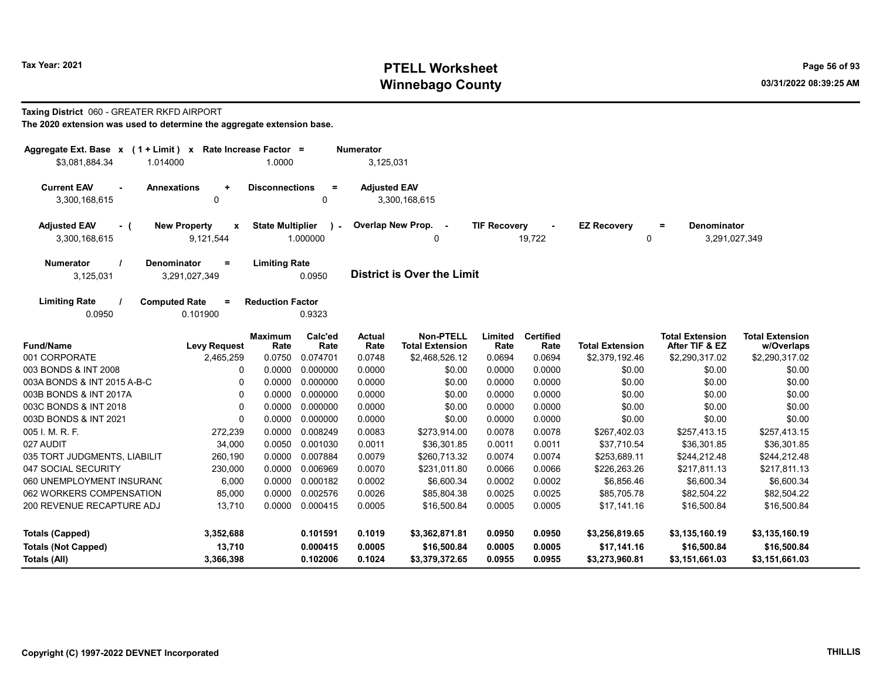# Tax Year: 2021 **PTELL Worksheet** Page 56 of 93 Winnebago County and the county of the county of the county of the county of the county of the county of the county of the county of the county of the county of the county of the county of the county of the county of the c

## Taxing District 060 - GREATER RKFD AIRPORT

| Aggregate Ext. Base x (1 + Limit) x<br>\$3,081,884.34<br>1.014000                                        | Rate Increase Factor =<br>1.0000 |                                  | <b>Numerator</b><br>3,125,031 |                                                 |                            |                            |                                                 |                                                 |                                                 |
|----------------------------------------------------------------------------------------------------------|----------------------------------|----------------------------------|-------------------------------|-------------------------------------------------|----------------------------|----------------------------|-------------------------------------------------|-------------------------------------------------|-------------------------------------------------|
| <b>Current EAV</b><br><b>Annexations</b><br>$\ddot{}$<br>0<br>3,300,168,615                              | <b>Disconnections</b>            | $\equiv$<br>0                    | <b>Adjusted EAV</b>           | 3,300,168,615                                   |                            |                            |                                                 |                                                 |                                                 |
| <b>New Property</b><br><b>Adjusted EAV</b><br>$\cdot$ (<br>$\mathbf{x}$<br>3,300,168,615<br>9,121,544    | <b>State Multiplier</b>          | $\lambda$ -<br>1.000000          | Overlap New Prop.             | $\overline{\phantom{a}}$<br>0                   | <b>TIF Recovery</b>        | 19,722                     | <b>EZ Recovery</b><br>0                         | Denominator<br>$=$<br>3,291,027,349             |                                                 |
|                                                                                                          |                                  |                                  |                               |                                                 |                            |                            |                                                 |                                                 |                                                 |
| <b>Numerator</b><br><b>Denominator</b><br>$\equiv$<br>3,125,031<br>3,291,027,349                         | <b>Limiting Rate</b>             | 0.0950                           |                               | <b>District is Over the Limit</b>               |                            |                            |                                                 |                                                 |                                                 |
| <b>Limiting Rate</b><br><b>Computed Rate</b><br>$=$<br>0.0950<br>0.101900                                | <b>Reduction Factor</b>          | 0.9323                           |                               |                                                 |                            |                            |                                                 |                                                 |                                                 |
| <b>Fund/Name</b><br><b>Levy Request</b>                                                                  | <b>Maximum</b><br>Rate           | Calc'ed<br>Rate                  | <b>Actual</b><br>Rate         | <b>Non-PTELL</b><br><b>Total Extension</b>      | Limited<br>Rate            | <b>Certified</b><br>Rate   | <b>Total Extension</b>                          | <b>Total Extension</b><br>After TIF & EZ        | <b>Total Extension</b><br>w/Overlaps            |
| 001 CORPORATE<br>2,465,259                                                                               | 0.0750                           | 0.074701                         | 0.0748                        | \$2,468,526.12                                  | 0.0694                     | 0.0694                     | \$2,379,192.46                                  | \$2,290,317.02                                  | \$2,290,317.02                                  |
| 003 BONDS & INT 2008                                                                                     | 0.0000<br>0                      | 0.000000                         | 0.0000                        | \$0.00                                          | 0.0000                     | 0.0000                     | \$0.00                                          | \$0.00                                          | \$0.00                                          |
| 003A BONDS & INT 2015 A-B-C                                                                              | 0.0000<br>$\Omega$               | 0.000000                         | 0.0000                        | \$0.00                                          | 0.0000                     | 0.0000                     | \$0.00                                          | \$0.00                                          | \$0.00                                          |
| 003B BONDS & INT 2017A                                                                                   | $\Omega$<br>0.0000               | 0.000000                         | 0.0000                        | \$0.00                                          | 0.0000                     | 0.0000                     | \$0.00                                          | \$0.00                                          | \$0.00                                          |
| 003C BONDS & INT 2018                                                                                    | $\mathbf 0$<br>0.0000            | 0.000000                         | 0.0000                        | \$0.00                                          | 0.0000                     | 0.0000                     | \$0.00                                          | \$0.00                                          | \$0.00                                          |
| 003D BONDS & INT 2021                                                                                    | $\Omega$<br>0.0000               | 0.000000                         | 0.0000                        | \$0.00                                          | 0.0000                     | 0.0000                     | \$0.00                                          | \$0.00                                          | \$0.00                                          |
| 005 I. M. R. F.<br>272,239                                                                               | 0.0000                           | 0.008249                         | 0.0083                        | \$273,914.00                                    | 0.0078                     | 0.0078                     | \$267,402.03                                    | \$257,413.15                                    | \$257,413.15                                    |
| 027 AUDIT<br>34,000                                                                                      | 0.0050                           | 0.001030                         | 0.0011                        | \$36,301.85                                     | 0.0011                     | 0.0011                     | \$37,710.54                                     | \$36,301.85                                     | \$36,301.85                                     |
| 035 TORT JUDGMENTS, LIABILIT<br>260,190                                                                  | 0.0000                           | 0.007884                         | 0.0079                        | \$260,713.32                                    | 0.0074                     | 0.0074                     | \$253,689.11                                    | \$244,212.48                                    | \$244,212.48                                    |
| 047 SOCIAL SECURITY<br>230,000                                                                           | 0.0000                           | 0.006969                         | 0.0070                        | \$231,011.80                                    | 0.0066                     | 0.0066                     | \$226,263.26                                    | \$217,811.13                                    | \$217,811.13                                    |
| 060 UNEMPLOYMENT INSURANC<br>6,000                                                                       | 0.0000                           | 0.000182                         | 0.0002                        | \$6,600.34                                      | 0.0002                     | 0.0002                     | \$6,856.46                                      | \$6,600.34                                      | \$6,600.34                                      |
| 062 WORKERS COMPENSATION<br>85,000                                                                       | 0.0000                           | 0.002576                         | 0.0026                        | \$85,804.38                                     | 0.0025                     | 0.0025                     | \$85,705.78                                     | \$82,504.22                                     | \$82.504.22                                     |
| 200 REVENUE RECAPTURE ADJ<br>13,710                                                                      | 0.0000                           | 0.000415                         | 0.0005                        | \$16,500.84                                     | 0.0005                     | 0.0005                     | \$17,141.16                                     | \$16,500.84                                     | \$16,500.84                                     |
| <b>Totals (Capped)</b><br>3,352,688<br><b>Totals (Not Capped)</b><br>13,710<br>3,366,398<br>Totals (All) |                                  | 0.101591<br>0.000415<br>0.102006 | 0.1019<br>0.0005<br>0.1024    | \$3,362,871.81<br>\$16,500.84<br>\$3,379,372.65 | 0.0950<br>0.0005<br>0.0955 | 0.0950<br>0.0005<br>0.0955 | \$3,256,819.65<br>\$17,141.16<br>\$3,273,960.81 | \$3,135,160.19<br>\$16,500.84<br>\$3,151,661.03 | \$3,135,160.19<br>\$16,500.84<br>\$3,151,661.03 |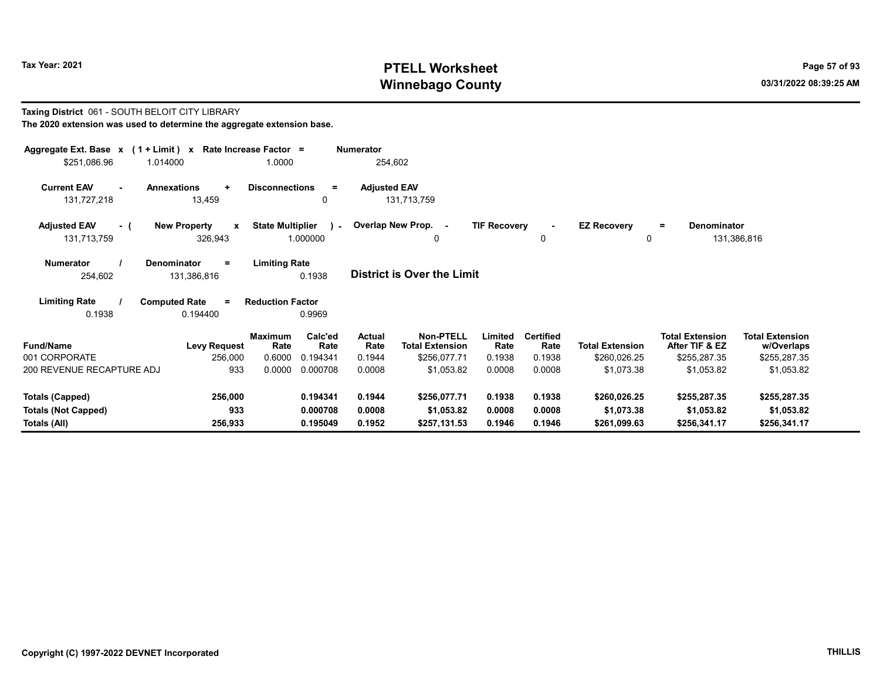Taxing District 061 - SOUTH BELOIT CITY LIBRARY

# Tax Year: 2021 **PTELL Worksheet** Page 57 of 93 Winnebago County and the county of the county of the county of the county of the county of the county of the county of the county of the county of the county of the county of the county of the county of the county of the c

| The 2020 extension was used to determine the aggregate extension base.                   |                                         |                       |                     |                                            |                     |                          |                         |                                          |                                      |
|------------------------------------------------------------------------------------------|-----------------------------------------|-----------------------|---------------------|--------------------------------------------|---------------------|--------------------------|-------------------------|------------------------------------------|--------------------------------------|
| Aggregate Ext. Base $x$ (1 + Limit) x Rate Increase Factor =<br>1.014000<br>\$251,086.96 | 1.0000                                  |                       | <b>Numerator</b>    | 254,602                                    |                     |                          |                         |                                          |                                      |
| <b>Current EAV</b><br><b>Annexations</b><br>٠<br>13,459<br>131,727,218                   | <b>Disconnections</b>                   | Ξ<br>$\mathbf{0}$     | <b>Adjusted EAV</b> | 131,713,759                                |                     |                          |                         |                                          |                                      |
| <b>Adjusted EAV</b><br><b>New Property</b><br>- 1<br>326,943<br>131,713,759              | <b>State Multiplier</b><br>$\mathbf{x}$ | $\lambda$<br>1.000000 |                     | Overlap New Prop. -<br>0                   | <b>TIF Recovery</b> | 0                        | <b>EZ Recovery</b><br>0 | <b>Denominator</b><br>$=$                | 131,386,816                          |
| <b>Numerator</b><br>Denominator<br>=<br>254,602<br>131,386,816                           | <b>Limiting Rate</b>                    | 0.1938                |                     | <b>District is Over the Limit</b>          |                     |                          |                         |                                          |                                      |
| <b>Limiting Rate</b><br><b>Computed Rate</b><br>Ξ                                        | <b>Reduction Factor</b>                 |                       |                     |                                            |                     |                          |                         |                                          |                                      |
| 0.1938<br>0.194400                                                                       |                                         | 0.9969                |                     |                                            |                     |                          |                         |                                          |                                      |
| <b>Fund/Name</b><br><b>Levy Request</b>                                                  | <b>Maximum</b><br>Rate                  | Calc'ed<br>Rate       | Actual<br>Rate      | <b>Non-PTELL</b><br><b>Total Extension</b> | Limited<br>Rate     | <b>Certified</b><br>Rate | <b>Total Extension</b>  | <b>Total Extension</b><br>After TIF & EZ | <b>Total Extension</b><br>w/Overlaps |
| 001 CORPORATE<br>256,000                                                                 | 0.6000                                  | 0.194341              | 0.1944              | \$256,077.71                               | 0.1938              | 0.1938                   | \$260,026.25            | \$255,287.35                             | \$255,287.35                         |
| 200 REVENUE RECAPTURE ADJ                                                                | 933<br>0.0000                           | 0.000708              | 0.0008              | \$1,053.82                                 | 0.0008              | 0.0008                   | \$1,073.38              | \$1,053.82                               | \$1,053.82                           |
| <b>Totals (Capped)</b><br>256,000                                                        |                                         | 0.194341              | 0.1944              | \$256,077.71                               | 0.1938              | 0.1938                   | \$260,026.25            | \$255,287.35                             | \$255,287.35                         |
| <b>Totals (Not Capped)</b>                                                               | 933                                     | 0.000708              | 0.0008              | \$1,053.82                                 | 0.0008              | 0.0008                   | \$1,073.38              | \$1.053.82                               | \$1,053.82                           |
| 256,933<br>Totals (All)                                                                  |                                         | 0.195049              | 0.1952              | \$257,131.53                               | 0.1946              | 0.1946                   | \$261,099.63            | \$256,341.17                             | \$256,341.17                         |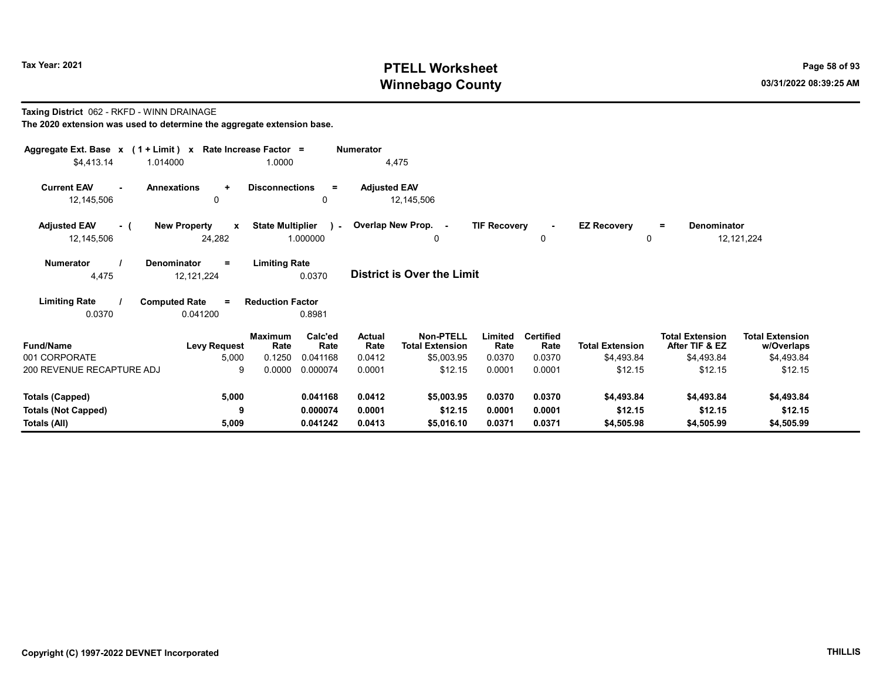# Tax Year: 2021 **PTELL Worksheet** Page 58 of 93 Winnebago County and the county of the county of the county of the county of the county of the county of the county of the county of the county of the county of the county of the county of the county of the county of the c

## Taxing District 062 - RKFD - WINN DRAINAGE

| Aggregate Ext. Base $x$ (1 + Limit) $x$                                                                                                                                                                                                                                   |                                      | Rate Increase Factor =  |                 | <b>Numerator</b>      |                                            |                     |                          |                        |                                          |                                      |  |  |
|---------------------------------------------------------------------------------------------------------------------------------------------------------------------------------------------------------------------------------------------------------------------------|--------------------------------------|-------------------------|-----------------|-----------------------|--------------------------------------------|---------------------|--------------------------|------------------------|------------------------------------------|--------------------------------------|--|--|
| \$4,413.14<br>1.014000                                                                                                                                                                                                                                                    |                                      | 1.0000                  |                 |                       | 4,475                                      |                     |                          |                        |                                          |                                      |  |  |
| <b>Current EAV</b><br>$\sim$<br>12,145,506                                                                                                                                                                                                                                | <b>Annexations</b><br>$\ddot{}$<br>0 | <b>Disconnections</b>   | $\equiv$<br>0   | <b>Adjusted EAV</b>   | 12,145,506                                 |                     |                          |                        |                                          |                                      |  |  |
| <b>Adjusted EAV</b><br>- (                                                                                                                                                                                                                                                | <b>New Property</b><br>$\mathbf{x}$  | <b>State Multiplier</b> |                 |                       | ) - Overlap New Prop. -                    | <b>TIF Recovery</b> | $\blacksquare$           | <b>EZ Recovery</b>     | Denominator<br>$=$                       |                                      |  |  |
| 12,145,506                                                                                                                                                                                                                                                                | 24,282                               |                         | 1.000000        |                       | $\Omega$                                   |                     | 0                        | $\Omega$               |                                          | 12, 121, 224                         |  |  |
| <b>Limiting Rate</b><br><b>Numerator</b><br><b>Denominator</b><br>$\equiv$<br><b>District is Over the Limit</b><br>4,475<br>0.0370<br>12, 121, 224<br><b>Limiting Rate</b><br><b>Computed Rate</b><br><b>Reduction Factor</b><br>$\equiv$<br>0.0370<br>0.041200<br>0.8981 |                                      |                         |                 |                       |                                            |                     |                          |                        |                                          |                                      |  |  |
| <b>Fund/Name</b>                                                                                                                                                                                                                                                          | <b>Levy Request</b>                  | <b>Maximum</b><br>Rate  | Calc'ed<br>Rate | <b>Actual</b><br>Rate | <b>Non-PTELL</b><br><b>Total Extension</b> | Limited<br>Rate     | <b>Certified</b><br>Rate | <b>Total Extension</b> | <b>Total Extension</b><br>After TIF & EZ | <b>Total Extension</b><br>w/Overlaps |  |  |
| 001 CORPORATE                                                                                                                                                                                                                                                             | 5,000                                | 0.1250                  | 0.041168        | 0.0412                | \$5,003.95                                 | 0.0370              | 0.0370                   | \$4,493.84             | \$4,493.84                               | \$4,493.84                           |  |  |
| 200 REVENUE RECAPTURE ADJ                                                                                                                                                                                                                                                 | 9                                    | 0.0000                  | 0.000074        | 0.0001                | \$12.15                                    | 0.0001              | 0.0001                   | \$12.15                | \$12.15                                  | \$12.15                              |  |  |
| <b>Totals (Capped)</b>                                                                                                                                                                                                                                                    | 5,000                                |                         | 0.041168        | 0.0412                | \$5,003.95                                 | 0.0370              | 0.0370                   | \$4,493.84             | \$4,493.84                               | \$4,493.84                           |  |  |
| <b>Totals (Not Capped)</b>                                                                                                                                                                                                                                                | 9                                    |                         | 0.000074        | 0.0001                | \$12.15                                    | 0.0001              | 0.0001                   | \$12.15                | \$12.15                                  | \$12.15                              |  |  |
| Totals (All)                                                                                                                                                                                                                                                              | 5,009                                |                         | 0.041242        | 0.0413                | \$5,016.10                                 | 0.0371              | 0.0371                   | \$4,505.98             | \$4,505.99                               | \$4,505.99                           |  |  |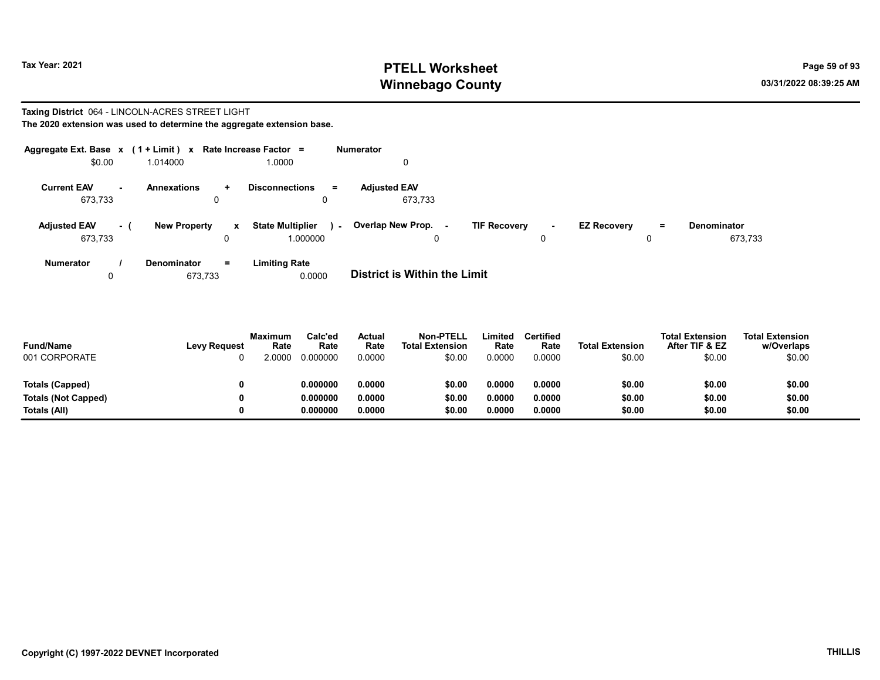# Tax Year: 2021 **PTELL Worksheet** Page 59 of 93 Winnebago County and the county of the county of the county of the county of the county of the county of the county of the county of the county of the county of the county of the county of the county of the county of the c

### Taxing District 064 - LINCOLN-ACRES STREET LIGHT The 2020 extension was used to determine the aggregate extension base.

| Aggregate Ext. Base $x$ (1 + Limit) $x$ |     |                     |                   | Rate Increase Factor =              | <b>Numerator</b> |                                |                     |         |                    |     |                               |
|-----------------------------------------|-----|---------------------|-------------------|-------------------------------------|------------------|--------------------------------|---------------------|---------|--------------------|-----|-------------------------------|
| \$0.00                                  |     | 1.014000            |                   | 1.0000                              |                  | 0                              |                     |         |                    |     |                               |
| <b>Current EAV</b><br>673,733           | ж.  | Annexations<br>0    | $\ddot{}$         | <b>Disconnections</b>               | $\equiv$         | <b>Adjusted EAV</b><br>673,733 |                     |         |                    |     |                               |
| <b>Adjusted EAV</b><br>673,733          | - 1 | <b>New Property</b> | $\mathbf{x}$<br>0 | <b>State Multiplier</b><br>1.000000 | $\sim$           | Overlap New Prop. -<br>0       | <b>TIF Recovery</b> | н.<br>0 | <b>EZ Recovery</b> | $=$ | <b>Denominator</b><br>673,733 |
| <b>Numerator</b>                        |     | <b>Denominator</b>  | $=$               | <b>Limiting Rate</b>                |                  |                                |                     |         |                    |     |                               |

0 673,733 0.0000 **District is Within the Limit** 

| <b>Fund/Name</b><br>001 CORPORATE | <b>Levy Request</b> | <b>Maximum</b><br>Rate<br>.0000 | Calc'ed<br>Rate<br>0.000000 | Actual<br>Rate<br>0.0000 | <b>Non-PTELL</b><br><b>Total Extension</b><br>\$0.00 | Limited<br>Rate<br>0.0000 | Certified<br>Rate<br>0.0000 | <b>Total Extension</b><br>\$0.00 | <b>Total Extension</b><br>After TIF & EZ<br>\$0.00 | <b>Total Extension</b><br>w/Overlaps<br>\$0.00 |
|-----------------------------------|---------------------|---------------------------------|-----------------------------|--------------------------|------------------------------------------------------|---------------------------|-----------------------------|----------------------------------|----------------------------------------------------|------------------------------------------------|
| Totals (Capped)                   |                     |                                 | 0.000000                    | 0.0000                   | \$0.00                                               | 0.0000                    | 0.0000                      | \$0.00                           | \$0.00                                             | \$0.00                                         |
| Totals (Not Capped)               |                     |                                 | 0.000000                    | 0.0000                   | \$0.00                                               | 0.0000                    | 0.0000                      | \$0.00                           | \$0.00                                             | \$0.00                                         |
| Totals (All)                      |                     |                                 | 0.000000                    | 0.0000                   | \$0.00                                               | 0.0000                    | 0.0000                      | \$0.00                           | \$0.00                                             | \$0.00                                         |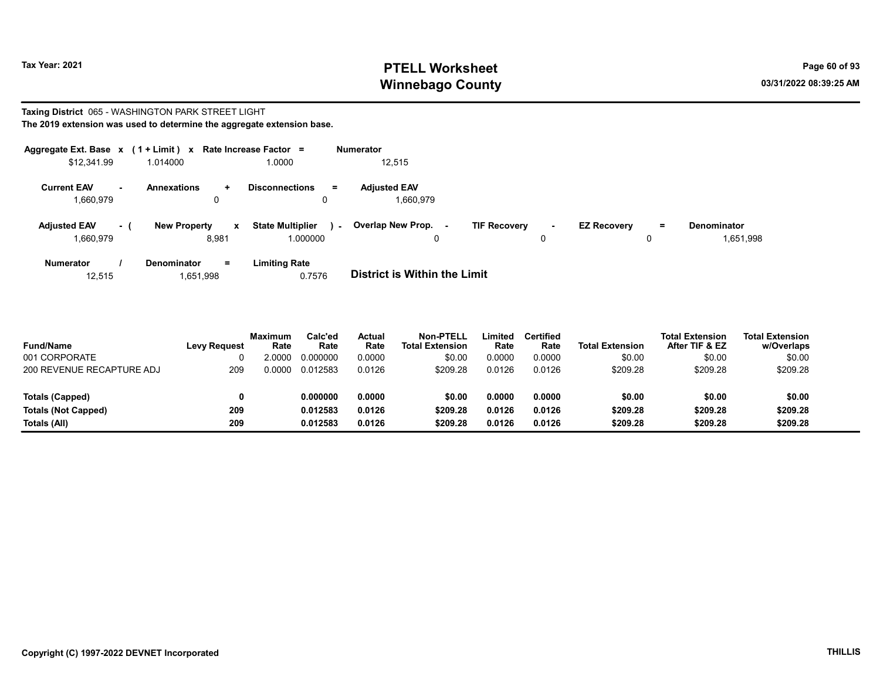# Tax Year: 2021 **PTELL Worksheet** Page 60 of 93 Winnebago County and the county of the county of the county of the county of the county of the county of the county of the county of the county of the county of the county of the county of the county of the county of the c

### Taxing District 065 - WASHINGTON PARK STREET LIGHT The 2019 extension was used to determine the aggregate extension base.

| Aggregate Ext. Base $x$ (1 + Limit) $x$ |           |                                      | Rate Increase Factor =                   | <b>Numerator</b>                   |                                    |                           |                          |
|-----------------------------------------|-----------|--------------------------------------|------------------------------------------|------------------------------------|------------------------------------|---------------------------|--------------------------|
| \$12,341.99                             |           | 1.014000                             | 1.0000                                   | 12,515                             |                                    |                           |                          |
| <b>Current EAV</b><br>1,660,979         | <b>м.</b> | <b>Annexations</b><br>$\ddot{}$<br>0 | <b>Disconnections</b><br>$=$<br>$\Omega$ | <b>Adjusted EAV</b><br>1.660.979   |                                    |                           |                          |
| <b>Adjusted EAV</b><br>1,660,979        | - 1       | <b>New Property</b><br>8.981         | <b>State Multiplier</b><br>x<br>1.000000 | Overlap New Prop. -<br>$\sim$<br>0 | <b>TIF Recovery</b><br>$\sim$<br>0 | <b>EZ Recovery</b><br>$=$ | Denominator<br>1,651,998 |
| <b>Numerator</b>                        |           | Denominator<br>$=$                   | <b>Limiting Rate</b>                     |                                    |                                    |                           |                          |

12,515 1,651,998 0.7576 District is Within the Limit

| <b>Fund/Name</b>           | <b>Levy Request</b> | Maximum<br>Rate | Calc'ed<br>Rate | Actual<br>Rate | <b>Non-PTELL</b><br><b>Total Extension</b> | Limited<br>Rate | <b>Certified</b><br>Rate | <b>Total Extension</b> | <b>Total Extension</b><br>After TIF & EZ | <b>Total Extension</b><br>w/Overlaps |
|----------------------------|---------------------|-----------------|-----------------|----------------|--------------------------------------------|-----------------|--------------------------|------------------------|------------------------------------------|--------------------------------------|
| 001 CORPORATE              |                     | .0000           | 0.000000        | 0.0000         | \$0.00                                     | 0.0000          | 0.0000                   | \$0.00                 | \$0.00                                   | \$0.00                               |
| 200 REVENUE RECAPTURE ADJ  | 209                 | 0.0000          | 0.012583        | 0.0126         | \$209.28                                   | 0.0126          | 0.0126                   | \$209.28               | \$209.28                                 | \$209.28                             |
| Totals (Capped)            |                     |                 | 0.000000        | 0.0000         | \$0.00                                     | 0.0000          | 0.0000                   | \$0.00                 | \$0.00                                   | \$0.00                               |
| <b>Totals (Not Capped)</b> | 209                 |                 | 0.012583        | 0.0126         | \$209.28                                   | 0.0126          | 0.0126                   | \$209.28               | \$209.28                                 | \$209.28                             |
| Totals (All)               | 209                 |                 | 0.012583        | 0.0126         | \$209.28                                   | 0.0126          | 0.0126                   | \$209.28               | \$209.28                                 | \$209.28                             |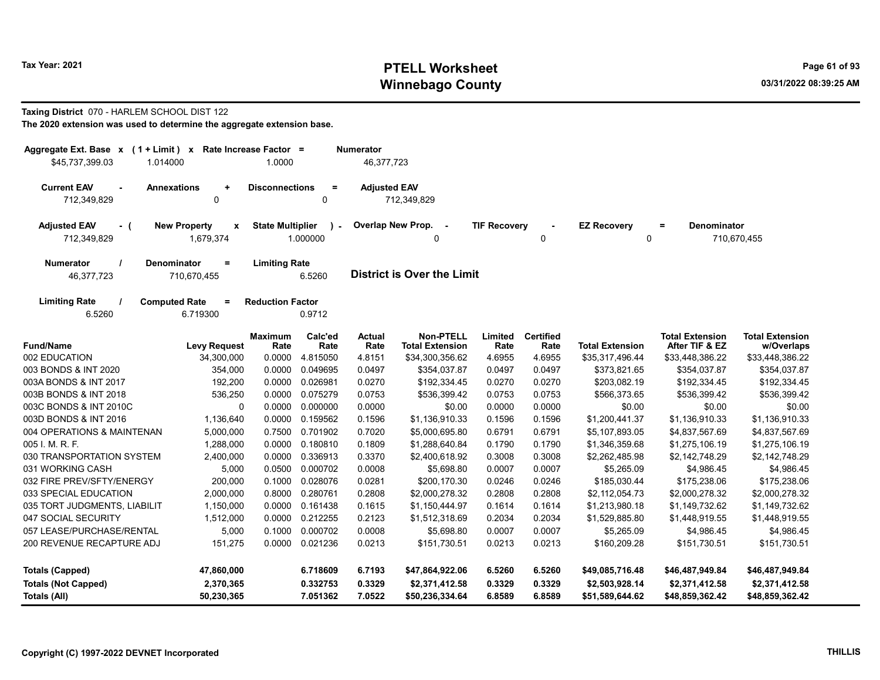# Tax Year: 2021 **PTELL Worksheet** Page 61 of 93 Winnebago County and the county of the county of the county of the county of the county of the county of the county of the county of the county of the county of the county of the county of the county of the county of the c

### Taxing District 070 - HARLEM SCHOOL DIST 122 The 2020 extension was used to determine the aggregate extension base.

| Aggregate Ext. Base x (1 + Limit) x Rate Increase Factor =<br>\$45.737.399.03<br>1.014000           | 1.0000                  |                      | <b>Numerator</b><br>46,377,723 |                                            |                     |                          |                                   |                                          |                                      |  |
|-----------------------------------------------------------------------------------------------------|-------------------------|----------------------|--------------------------------|--------------------------------------------|---------------------|--------------------------|-----------------------------------|------------------------------------------|--------------------------------------|--|
| <b>Current EAV</b><br><b>Annexations</b><br>$\ddot{}$<br>712,349,829<br>$\Omega$                    | <b>Disconnections</b>   | $\equiv$<br>$\Omega$ | <b>Adjusted EAV</b>            | 712,349,829                                |                     |                          |                                   |                                          |                                      |  |
| <b>New Property</b><br><b>Adjusted EAV</b><br>$\pmb{\mathsf{x}}$<br>- (<br>1,679,374<br>712,349,829 | <b>State Multiplier</b> | 1.000000             |                                | Overlap New Prop.<br>$\sim$                | <b>TIF Recovery</b> | $\Omega$                 | <b>EZ Recovery</b><br>$\mathbf 0$ | Denominator<br>Ξ                         | 710,670,455                          |  |
| <b>Numerator</b><br><b>Denominator</b><br>$=$<br>46,377,723<br>710,670,455                          | <b>Limiting Rate</b>    | 6.5260               |                                | <b>District is Over the Limit</b>          |                     |                          |                                   |                                          |                                      |  |
| <b>Limiting Rate</b><br><b>Computed Rate</b><br>Ξ<br>6.719300<br>6.5260                             | <b>Reduction Factor</b> | 0.9712               |                                |                                            |                     |                          |                                   |                                          |                                      |  |
| <b>Fund/Name</b><br><b>Levy Request</b>                                                             | <b>Maximum</b><br>Rate  | Calc'ed<br>Rate      | <b>Actual</b><br>Rate          | <b>Non-PTELL</b><br><b>Total Extension</b> | Limited<br>Rate     | <b>Certified</b><br>Rate | <b>Total Extension</b>            | <b>Total Extension</b><br>After TIF & EZ | <b>Total Extension</b><br>w/Overlaps |  |
| 002 EDUCATION<br>34,300,000                                                                         | 0.0000                  | 4.815050             | 4.8151                         | \$34,300,356.62                            | 4.6955              | 4.6955                   | \$35,317,496.44                   | \$33,448,386.22                          | \$33,448,386.22                      |  |
| 003 BONDS & INT 2020<br>354,000                                                                     | 0.0000                  | 0.049695             | 0.0497                         | \$354,037.87                               | 0.0497              | 0.0497                   | \$373,821.65                      | \$354,037.87                             | \$354,037.87                         |  |
| 003A BONDS & INT 2017<br>192,200                                                                    | 0.0000                  | 0.026981             | 0.0270                         | \$192,334.45                               | 0.0270              | 0.0270                   | \$203,082.19                      | \$192,334.45                             | \$192,334.45                         |  |
| 003B BONDS & INT 2018<br>536,250                                                                    | 0.0000                  | 0.075279             | 0.0753                         | \$536,399.42                               | 0.0753              | 0.0753                   | \$566,373.65                      | \$536,399.42                             | \$536,399.42                         |  |
| 003C BONDS & INT 2010C                                                                              | 0.0000<br>$\Omega$      | 0.000000             | 0.0000                         | \$0.00                                     | 0.0000              | 0.0000                   | \$0.00                            | \$0.00                                   | \$0.00                               |  |
| 003D BONDS & INT 2016<br>1,136,640                                                                  | 0.0000                  | 0.159562             | 0.1596                         | \$1,136,910.33                             | 0.1596              | 0.1596                   | \$1,200,441.37                    | \$1,136,910.33                           | \$1,136,910.33                       |  |
| 004 OPERATIONS & MAINTENAN<br>5,000,000                                                             | 0.7500                  | 0.701902             | 0.7020                         | \$5,000,695.80                             | 0.6791              | 0.6791                   | \$5,107,893.05                    | \$4,837,567.69                           | \$4,837,567.69                       |  |
| 005 I. M. R. F.<br>1,288,000                                                                        | 0.0000                  | 0.180810             | 0.1809                         | \$1,288,640.84                             | 0.1790              | 0.1790                   | \$1,346,359.68                    | \$1,275,106.19                           | \$1,275,106.19                       |  |
| 030 TRANSPORTATION SYSTEM<br>2,400,000                                                              | 0.0000                  | 0.336913             | 0.3370                         | \$2,400,618.92                             | 0.3008              | 0.3008                   | \$2,262,485.98                    | \$2,142,748.29                           | \$2,142,748.29                       |  |
| 031 WORKING CASH<br>5,000                                                                           | 0.0500                  | 0.000702             | 0.0008                         | \$5,698.80                                 | 0.0007              | 0.0007                   | \$5,265.09                        | \$4,986.45                               | \$4,986.45                           |  |
| 032 FIRE PREV/SFTY/ENERGY<br>200,000                                                                | 0.1000                  | 0.028076             | 0.0281                         | \$200,170.30                               | 0.0246              | 0.0246                   | \$185,030.44                      | \$175,238.06                             | \$175,238.06                         |  |
| 033 SPECIAL EDUCATION<br>2,000,000                                                                  | 0.8000                  | 0.280761             | 0.2808                         | \$2,000,278.32                             | 0.2808              | 0.2808                   | \$2,112,054.73                    | \$2,000,278.32                           | \$2,000,278.32                       |  |
| 035 TORT JUDGMENTS, LIABILIT<br>1,150,000                                                           | 0.0000                  | 0.161438             | 0.1615                         | \$1,150,444.97                             | 0.1614              | 0.1614                   | \$1,213,980.18                    | \$1,149,732.62                           | \$1,149,732.62                       |  |
| 047 SOCIAL SECURITY<br>1,512,000                                                                    | 0.0000                  | 0.212255             | 0.2123                         | \$1,512,318.69                             | 0.2034              | 0.2034                   | \$1,529,885.80                    | \$1,448,919.55                           | \$1,448,919.55                       |  |
| 057 LEASE/PURCHASE/RENTAL<br>5,000                                                                  | 0.1000                  | 0.000702             | 0.0008                         | \$5,698.80                                 | 0.0007              | 0.0007                   | \$5,265.09                        | \$4,986.45                               | \$4,986.45                           |  |
| 200 REVENUE RECAPTURE ADJ<br>151,275                                                                | 0.0000                  | 0.021236             | 0.0213                         | \$151,730.51                               | 0.0213              | 0.0213                   | \$160,209.28                      | \$151,730.51                             | \$151,730.51                         |  |
| <b>Totals (Capped)</b><br>47,860,000                                                                |                         | 6.718609             | 6.7193                         | \$47,864,922.06                            | 6.5260              | 6.5260                   | \$49,085,716.48                   | \$46,487,949.84                          | \$46,487,949.84                      |  |
| <b>Totals (Not Capped)</b><br>2,370,365<br><b>Totals (All)</b><br>50,230,365                        |                         | 0.332753<br>7.051362 | 0.3329<br>7.0522               | \$2,371,412.58<br>\$50,236,334.64          | 0.3329<br>6.8589    | 0.3329<br>6.8589         | \$2,503,928.14<br>\$51,589,644.62 | \$2,371,412.58<br>\$48,859,362.42        | \$2,371,412.58<br>\$48,859,362.42    |  |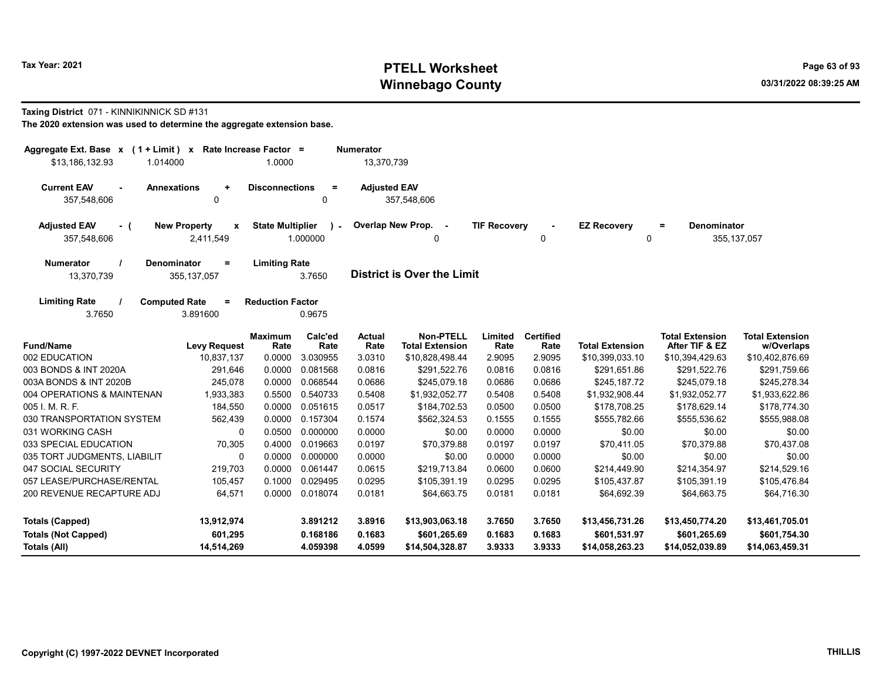# Tax Year: 2021 **PTELL Worksheet** Page 63 of 93 Winnebago County and the county of the county of the county of the county of the county of the county of the county of the county of the county of the county of the county of the county of the county of the county of the c

### Taxing District 071 - KINNIKINNICK SD #131

| Aggregate Ext. Base $x$ (1 + Limit) $x$<br>1.014000<br>\$13,186,132.93 |                                              | Rate Increase Factor =<br>1.0000 |                    | <b>Numerator</b><br>13,370,739 |                                            |                     |                          |                                   |                                          |                                      |
|------------------------------------------------------------------------|----------------------------------------------|----------------------------------|--------------------|--------------------------------|--------------------------------------------|---------------------|--------------------------|-----------------------------------|------------------------------------------|--------------------------------------|
| <b>Current EAV</b><br><b>Annexations</b><br>$\sim$<br>357,548,606      | $\ddot{}$<br>0                               | <b>Disconnections</b>            | $=$<br>$\Omega$    | <b>Adjusted EAV</b>            | 357,548,606                                |                     |                          |                                   |                                          |                                      |
| <b>Adjusted EAV</b><br>- (<br>357,548,606                              | <b>New Property</b><br><b>X</b><br>2,411,549 | <b>State Multiplier</b>          | $\sim$<br>1.000000 |                                | Overlap New Prop. -<br>0                   | <b>TIF Recoverv</b> | $\Omega$                 | <b>EZ Recoverv</b><br>$\mathbf 0$ | <b>Denominator</b><br>$\equiv$           | 355, 137, 057                        |
| Denominator<br><b>Numerator</b><br>13,370,739                          | $=$<br>355, 137, 057                         | <b>Limiting Rate</b>             | 3.7650             |                                | <b>District is Over the Limit</b>          |                     |                          |                                   |                                          |                                      |
| <b>Limiting Rate</b><br>3.7650                                         | <b>Computed Rate</b><br>$=$<br>3.891600      | <b>Reduction Factor</b>          | 0.9675             |                                |                                            |                     |                          |                                   |                                          |                                      |
| <b>Fund/Name</b>                                                       | <b>Levy Request</b>                          | <b>Maximum</b><br>Rate           | Calc'ed<br>Rate    | <b>Actual</b><br>Rate          | <b>Non-PTELL</b><br><b>Total Extension</b> | Limited<br>Rate     | <b>Certified</b><br>Rate | <b>Total Extension</b>            | <b>Total Extension</b><br>After TIF & EZ | <b>Total Extension</b><br>w/Overlaps |
| 002 EDUCATION                                                          | 10,837,137                                   | 0.0000                           | 3.030955           | 3.0310                         | \$10,828,498.44                            | 2.9095              | 2.9095                   | \$10,399,033.10                   | \$10,394,429.63                          | \$10,402,876.69                      |
| 003 BONDS & INT 2020A                                                  | 291,646                                      | 0.0000                           | 0.081568           | 0.0816                         | \$291,522.76                               | 0.0816              | 0.0816                   | \$291,651.86                      | \$291,522.76                             | \$291,759.66                         |
| 003A BONDS & INT 2020B                                                 | 245,078                                      | 0.0000                           | 0.068544           | 0.0686                         | \$245.079.18                               | 0.0686              | 0.0686                   | \$245,187.72                      | \$245,079.18                             | \$245,278.34                         |
| 004 OPERATIONS & MAINTENAN                                             | 1,933,383                                    | 0.5500                           | 0.540733           | 0.5408                         | \$1,932,052.77                             | 0.5408              | 0.5408                   | \$1,932,908.44                    | \$1,932,052.77                           | \$1,933,622.86                       |
| 005 I. M. R. F.                                                        | 184,550                                      | 0.0000                           | 0.051615           | 0.0517                         | \$184,702.53                               | 0.0500              | 0.0500                   | \$178,708.25                      | \$178,629.14                             | \$178,774.30                         |
| 030 TRANSPORTATION SYSTEM                                              | 562,439                                      | 0.0000                           | 0.157304           | 0.1574                         | \$562,324.53                               | 0.1555              | 0.1555                   | \$555,782.66                      | \$555,536.62                             | \$555,988.08                         |
| 031 WORKING CASH                                                       | 0                                            | 0.0500                           | 0.000000           | 0.0000                         | \$0.00                                     | 0.0000              | 0.0000                   | \$0.00                            | \$0.00                                   | \$0.00                               |
| 033 SPECIAL EDUCATION                                                  | 70,305                                       | 0.4000                           | 0.019663           | 0.0197                         | \$70.379.88                                | 0.0197              | 0.0197                   | \$70.411.05                       | \$70.379.88                              | \$70,437.08                          |
| 035 TORT JUDGMENTS, LIABILIT                                           | 0                                            | 0.0000                           | 0.000000           | 0.0000                         | \$0.00                                     | 0.0000              | 0.0000                   | \$0.00                            | \$0.00                                   | \$0.00                               |
| 047 SOCIAL SECURITY                                                    | 219,703                                      | 0.0000                           | 0.061447           | 0.0615                         | \$219,713.84                               | 0.0600              | 0.0600                   | \$214,449.90                      | \$214,354.97                             | \$214,529.16                         |
| 057 LEASE/PURCHASE/RENTAL                                              | 105,457                                      | 0.1000                           | 0.029495           | 0.0295                         | \$105,391.19                               | 0.0295              | 0.0295                   | \$105,437.87                      | \$105,391.19                             | \$105,476.84                         |
| 200 REVENUE RECAPTURE ADJ                                              | 64,571                                       | 0.0000                           | 0.018074           | 0.0181                         | \$64,663.75                                | 0.0181              | 0.0181                   | \$64,692.39                       | \$64,663.75                              | \$64,716.30                          |
| <b>Totals (Capped)</b>                                                 | 13,912,974                                   |                                  | 3.891212           | 3.8916                         | \$13,903,063.18                            | 3.7650              | 3.7650                   | \$13,456,731.26                   | \$13,450,774.20                          | \$13,461,705.01                      |
| <b>Totals (Not Capped)</b>                                             | 601,295                                      |                                  | 0.168186           | 0.1683                         | \$601,265.69                               | 0.1683              | 0.1683                   | \$601,531.97                      | \$601,265.69                             | \$601,754.30                         |
| Totals (All)                                                           | 14,514,269                                   |                                  | 4.059398           | 4.0599                         | \$14,504,328.87                            | 3.9333              | 3.9333                   | \$14,058,263.23                   | \$14,052,039.89                          | \$14,063,459.31                      |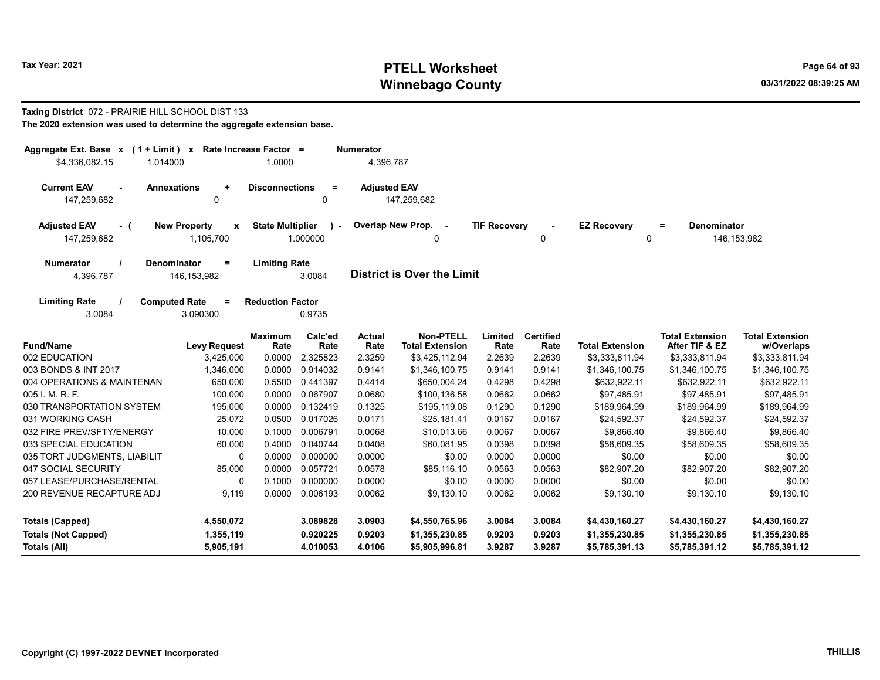# Tax Year: 2021 **PTELL Worksheet** Page 64 of 93 Winnebago County and the county of the county of the county of the county of the county of the county of the county of the county of the county of the county of the county of the county of the county of the county of the c

### Taxing District 072 - PRAIRIE HILL SCHOOL DIST 133 The 2020 extension was used to determine the aggregate extension base.

| Aggregate Ext. Base $x$ (1 + Limit) x Rate Increase Factor =<br>\$4,336,082.15<br>1.014000 |                                                  | 1.0000                  |                          | <b>Numerator</b><br>4,396,787 |                                     |                     |                          |                         |                                          |                                      |
|--------------------------------------------------------------------------------------------|--------------------------------------------------|-------------------------|--------------------------|-------------------------------|-------------------------------------|---------------------|--------------------------|-------------------------|------------------------------------------|--------------------------------------|
| <b>Current EAV</b><br><b>Annexations</b><br>$\overline{a}$<br>147,259,682                  | ÷<br>0                                           | <b>Disconnections</b>   | $\equiv$<br>0            | <b>Adjusted EAV</b>           | 147,259,682                         |                     |                          |                         |                                          |                                      |
| <b>Adjusted EAV</b><br>- (<br>147,259,682                                                  | <b>New Property</b><br>$\mathbf{x}$<br>1,105,700 | <b>State Multiplier</b> | $\mathbf{r}$<br>1.000000 | Overlap New Prop.             | 0                                   | <b>TIF Recovery</b> | 0                        | <b>EZ Recovery</b><br>0 | <b>Denominator</b><br>$=$                | 146, 153, 982                        |
| <b>Denominator</b><br><b>Numerator</b><br>4,396,787                                        | $=$<br>146, 153, 982                             | <b>Limiting Rate</b>    | 3.0084                   |                               | <b>District is Over the Limit</b>   |                     |                          |                         |                                          |                                      |
| <b>Limiting Rate</b><br><b>Computed Rate</b><br>3.0084                                     | Ξ<br>3.090300                                    | <b>Reduction Factor</b> | 0.9735                   |                               |                                     |                     |                          |                         |                                          |                                      |
| <b>Fund/Name</b>                                                                           | <b>Levy Request</b>                              | <b>Maximum</b><br>Rate  | Calc'ed<br>Rate          | <b>Actual</b><br>Rate         | Non-PTELL<br><b>Total Extension</b> | Limited<br>Rate     | <b>Certified</b><br>Rate | <b>Total Extension</b>  | <b>Total Extension</b><br>After TIF & EZ | <b>Total Extension</b><br>w/Overlaps |
| 002 EDUCATION                                                                              | 3,425,000                                        | 0.0000                  | 2.325823                 | 2.3259                        | \$3,425,112.94                      | 2.2639              | 2.2639                   | \$3,333,811.94          | \$3,333,811.94                           | \$3,333,811.94                       |
| 003 BONDS & INT 2017                                                                       | 1,346,000                                        | 0.0000                  | 0.914032                 | 0.9141                        | \$1,346,100.75                      | 0.9141              | 0.9141                   | \$1,346,100.75          | \$1,346,100.75                           | \$1,346,100.75                       |
| 004 OPERATIONS & MAINTENAN                                                                 | 650,000                                          | 0.5500                  | 0.441397                 | 0.4414                        | \$650,004.24                        | 0.4298              | 0.4298                   | \$632,922.11            | \$632,922.11                             | \$632,922.11                         |
| 005 I. M. R. F.                                                                            | 100,000                                          | 0.0000                  | 0.067907                 | 0.0680                        | \$100,136.58                        | 0.0662              | 0.0662                   | \$97,485.91             | \$97,485.91                              | \$97,485.91                          |
| 030 TRANSPORTATION SYSTEM                                                                  | 195,000                                          | 0.0000                  | 0.132419                 | 0.1325                        | \$195,119.08                        | 0.1290              | 0.1290                   | \$189,964.99            | \$189,964.99                             | \$189,964.99                         |
| 031 WORKING CASH                                                                           | 25,072                                           | 0.0500                  | 0.017026                 | 0.0171                        | \$25,181.41                         | 0.0167              | 0.0167                   | \$24,592.37             | \$24,592.37                              | \$24,592.37                          |
| 032 FIRE PREV/SFTY/ENERGY                                                                  | 10,000                                           | 0.1000                  | 0.006791                 | 0.0068                        | \$10,013.66                         | 0.0067              | 0.0067                   | \$9,866.40              | \$9,866.40                               | \$9,866.40                           |
| 033 SPECIAL EDUCATION                                                                      | 60,000                                           | 0.4000                  | 0.040744                 | 0.0408                        | \$60,081.95                         | 0.0398              | 0.0398                   | \$58,609.35             | \$58,609.35                              | \$58,609.35                          |
| 035 TORT JUDGMENTS, LIABILIT                                                               | 0                                                | 0.0000                  | 0.000000                 | 0.0000                        | \$0.00                              | 0.0000              | 0.0000                   | \$0.00                  | \$0.00                                   | \$0.00                               |
| 047 SOCIAL SECURITY                                                                        | 85,000                                           | 0.0000                  | 0.057721                 | 0.0578                        | \$85,116.10                         | 0.0563              | 0.0563                   | \$82,907.20             | \$82,907.20                              | \$82,907.20                          |
| 057 LEASE/PURCHASE/RENTAL                                                                  | 0                                                | 0.1000                  | 0.000000                 | 0.0000                        | \$0.00                              | 0.0000              | 0.0000                   | \$0.00                  | \$0.00                                   | \$0.00                               |
| 200 REVENUE RECAPTURE ADJ                                                                  | 9,119                                            | 0.0000                  | 0.006193                 | 0.0062                        | \$9,130.10                          | 0.0062              | 0.0062                   | \$9,130.10              | \$9,130.10                               | \$9,130.10                           |
| <b>Totals (Capped)</b>                                                                     | 4,550,072                                        |                         | 3.089828                 | 3.0903                        | \$4,550,765.96                      | 3.0084              | 3.0084                   | \$4,430,160.27          | \$4,430,160.27                           | \$4,430,160.27                       |
| <b>Totals (Not Capped)</b>                                                                 | 1,355,119                                        |                         | 0.920225                 | 0.9203                        | \$1,355,230.85                      | 0.9203              | 0.9203                   | \$1,355,230.85          | \$1,355,230.85                           | \$1,355,230.85                       |
| Totals (All)                                                                               | 5,905,191                                        |                         | 4.010053                 | 4.0106                        | \$5,905,996.81                      | 3.9287              | 3.9287                   | \$5,785,391.13          | \$5,785,391.12                           | \$5,785,391.12                       |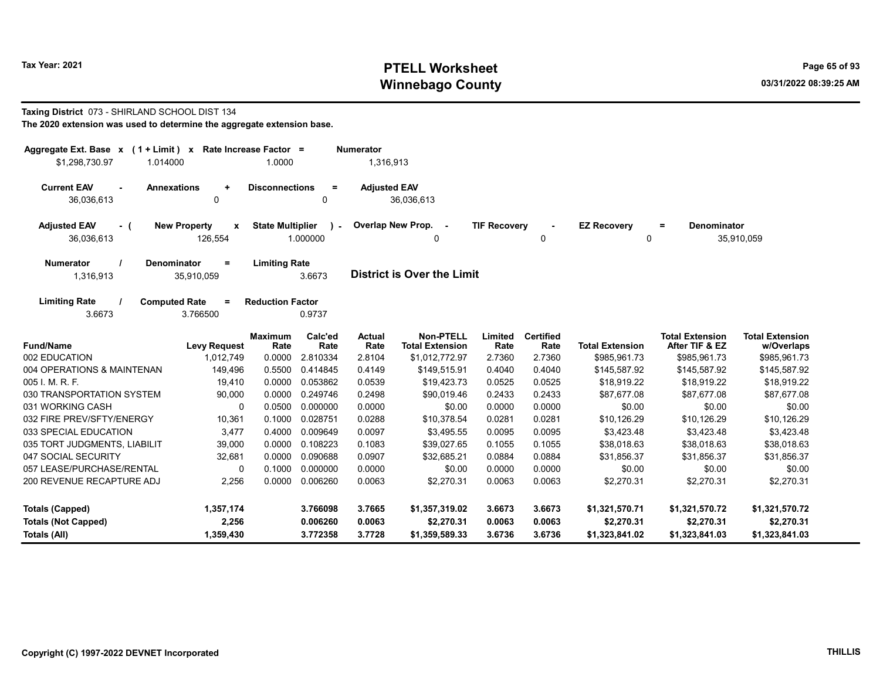# Tax Year: 2021 **PTELL Worksheet** Page 65 of 93 Winnebago County and the county of the county of the county of the county of the county of the county of the county of the county of the county of the county of the county of the county of the county of the county of the c

### Taxing District 073 - SHIRLAND SCHOOL DIST 134 The 2020 extension was used to determine the aggregate extension base.

| Aggregate Ext. Base $x$ (1 + Limit) x Rate Increase Factor =<br>\$1,298,730.97<br>1.014000              | 1.0000                                               | <b>Numerator</b><br>1,316,913                                                |                                                          |                                                |                                                |                                                |
|---------------------------------------------------------------------------------------------------------|------------------------------------------------------|------------------------------------------------------------------------------|----------------------------------------------------------|------------------------------------------------|------------------------------------------------|------------------------------------------------|
| <b>Current EAV</b><br><b>Annexations</b><br>$\ddot{}$<br>36,036,613<br>0                                | <b>Disconnections</b><br>$=$<br>0                    | <b>Adjusted EAV</b><br>36,036,613                                            |                                                          |                                                |                                                |                                                |
| <b>Adjusted EAV</b><br><b>New Property</b><br>- (<br>$\mathbf{x}$<br>36,036,613<br>126,554              | <b>State Multiplier</b><br>$\mathcal{L}$<br>1.000000 | Overlap New Prop. -<br>0                                                     | <b>TIF Recovery</b><br>0                                 | <b>EZ Recovery</b><br>$\mathbf 0$              | <b>Denominator</b><br>$=$                      | 35,910,059                                     |
| <b>Numerator</b><br>Denominator<br>$=$<br>1,316,913<br>35,910,059                                       | <b>Limiting Rate</b><br>3.6673                       | <b>District is Over the Limit</b>                                            |                                                          |                                                |                                                |                                                |
| <b>Limiting Rate</b><br><b>Computed Rate</b><br>$\equiv$<br>3.6673<br>3.766500                          | <b>Reduction Factor</b><br>0.9737                    |                                                                              |                                                          |                                                |                                                |                                                |
| <b>Fund/Name</b><br><b>Levy Request</b>                                                                 | Calc'ed<br><b>Maximum</b><br>Rate<br>Rate            | <b>Non-PTELL</b><br><b>Actual</b><br>Rate<br><b>Total Extension</b>          | <b>Certified</b><br>Limited<br>Rate<br>Rate              | <b>Total Extension</b>                         | <b>Total Extension</b><br>After TIF & EZ       | <b>Total Extension</b><br>w/Overlaps           |
| 002 EDUCATION<br>1,012,749                                                                              | 0.0000<br>2.810334                                   | 2.8104<br>\$1,012,772.97                                                     | 2.7360<br>2.7360                                         | \$985,961.73                                   | \$985,961.73                                   | \$985,961.73                                   |
| 004 OPERATIONS & MAINTENAN<br>149,496                                                                   | 0.5500<br>0.414845                                   | 0.4149<br>\$149,515.91                                                       | 0.4040<br>0.4040                                         | \$145,587.92                                   | \$145,587.92                                   | \$145,587.92                                   |
| 005 I. M. R. F.<br>19,410                                                                               | 0.0000<br>0.053862                                   | 0.0539<br>\$19,423.73                                                        | 0.0525<br>0.0525                                         | \$18,919.22                                    | \$18,919.22                                    | \$18,919.22                                    |
| 030 TRANSPORTATION SYSTEM<br>90,000                                                                     | 0.0000<br>0.249746                                   | 0.2498<br>\$90,019.46                                                        | 0.2433<br>0.2433                                         | \$87,677.08                                    | \$87,677.08                                    | \$87,677.08                                    |
| 031 WORKING CASH<br>0                                                                                   | 0.0500<br>0.000000                                   | 0.0000<br>\$0.00                                                             | 0.0000<br>0.0000                                         | \$0.00                                         | \$0.00                                         | \$0.00                                         |
| 032 FIRE PREV/SFTY/ENERGY<br>10,361                                                                     | 0.1000<br>0.028751                                   | 0.0288<br>\$10,378.54                                                        | 0.0281<br>0.0281                                         | \$10,126.29                                    | \$10,126.29                                    | \$10,126.29                                    |
| 3,477<br>033 SPECIAL EDUCATION                                                                          | 0.4000<br>0.009649                                   | 0.0097<br>\$3,495.55                                                         | 0.0095<br>0.0095                                         | \$3,423.48                                     | \$3,423.48                                     | \$3,423.48                                     |
| 035 TORT JUDGMENTS, LIABILIT<br>39,000                                                                  | 0.0000<br>0.108223                                   | 0.1083<br>\$39,027.65                                                        | 0.1055<br>0.1055                                         | \$38,018.63                                    | \$38,018.63                                    | \$38,018.63                                    |
| 047 SOCIAL SECURITY<br>32,681                                                                           | 0.0000<br>0.090688                                   | 0.0907<br>\$32,685.21                                                        | 0.0884<br>0.0884                                         | \$31,856.37                                    | \$31,856.37                                    | \$31,856.37                                    |
| 057 LEASE/PURCHASE/RENTAL<br>0                                                                          | 0.1000<br>0.000000                                   | 0.0000<br>\$0.00                                                             | 0.0000<br>0.0000                                         | \$0.00                                         | \$0.00                                         | \$0.00                                         |
| 200 REVENUE RECAPTURE ADJ<br>2,256                                                                      | 0.0000<br>0.006260                                   | 0.0063<br>\$2,270.31                                                         | 0.0063<br>0.0063                                         | \$2,270.31                                     | \$2,270.31                                     | \$2,270.31                                     |
| 1,357,174<br><b>Totals (Capped)</b><br>2,256<br><b>Totals (Not Capped)</b><br>1,359,430<br>Totals (All) | 3.766098<br>0.006260<br>3.772358                     | 3.7665<br>\$1,357,319.02<br>0.0063<br>\$2,270.31<br>3.7728<br>\$1,359,589.33 | 3.6673<br>3.6673<br>0.0063<br>0.0063<br>3.6736<br>3.6736 | \$1,321,570.71<br>\$2,270.31<br>\$1,323,841.02 | \$1,321,570.72<br>\$2,270.31<br>\$1,323,841.03 | \$1,321,570.72<br>\$2,270.31<br>\$1,323,841.03 |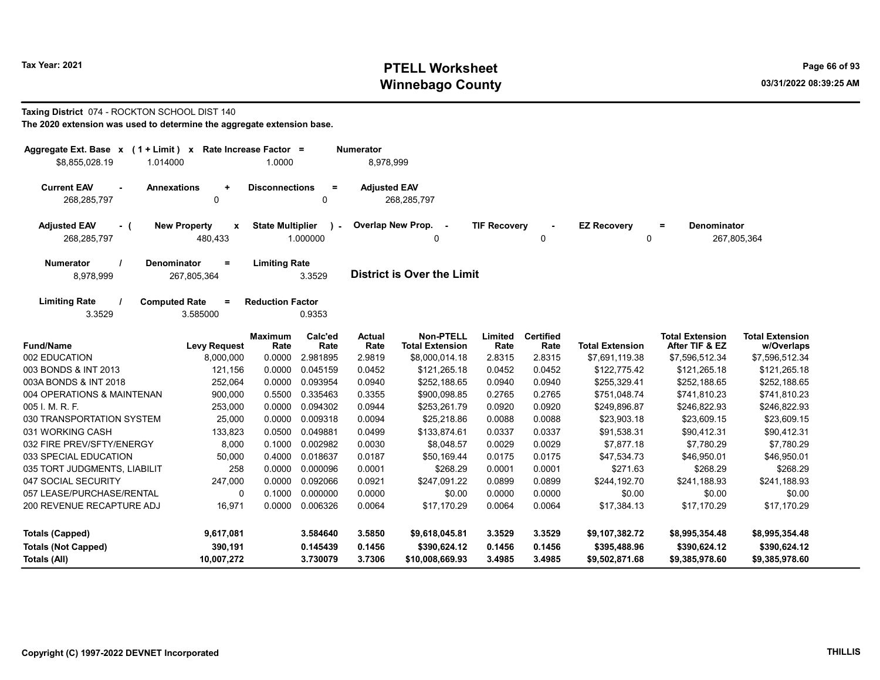# Tax Year: 2021 **PTELL Worksheet** Page 66 of 93 Winnebago County and the county of the county of the county of the county of the county of the county of the county of the county of the county of the county of the county of the county of the county of the county of the c

### Taxing District 074 - ROCKTON SCHOOL DIST 140 The 2020 extension was used to determine the aggregate extension base.

| Aggregate Ext. Base x (1 + Limit) x<br>\$8,855,028.19<br>1.014000  | Rate Increase Factor =<br>1.0000                   |                 | <b>Numerator</b><br>8,978,999 |                                            |                     |                          |                         |                                          |                                      |
|--------------------------------------------------------------------|----------------------------------------------------|-----------------|-------------------------------|--------------------------------------------|---------------------|--------------------------|-------------------------|------------------------------------------|--------------------------------------|
| <b>Current EAV</b><br><b>Annexations</b><br>268,285,797            | <b>Disconnections</b><br>$\ddot{\phantom{1}}$<br>0 | Ξ<br>0          | <b>Adjusted EAV</b>           | 268,285,797                                |                     |                          |                         |                                          |                                      |
| <b>Adjusted EAV</b><br><b>New Property</b><br>- (<br>268,285,797   | <b>State Multiplier</b><br>X<br>480,433            | 1.000000        | Overlap New Prop.             | $\sim$ $-$<br>0                            | <b>TIF Recovery</b> | 0                        | <b>EZ Recovery</b><br>0 | <b>Denominator</b><br>$\equiv$           | 267,805,364                          |
| <b>Numerator</b><br>Denominator<br>8,978,999<br>267,805,364        | <b>Limiting Rate</b><br>Ξ                          | 3.3529          |                               | <b>District is Over the Limit</b>          |                     |                          |                         |                                          |                                      |
| <b>Limiting Rate</b><br><b>Computed Rate</b><br>3.3529<br>3.585000 | <b>Reduction Factor</b><br>$=$                     | 0.9353          |                               |                                            |                     |                          |                         |                                          |                                      |
| <b>Fund/Name</b>                                                   | <b>Maximum</b><br><b>Levy Request</b><br>Rate      | Calc'ed<br>Rate | Actual<br>Rate                | <b>Non-PTELL</b><br><b>Total Extension</b> | Limited<br>Rate     | <b>Certified</b><br>Rate | <b>Total Extension</b>  | <b>Total Extension</b><br>After TIF & EZ | <b>Total Extension</b><br>w/Overlaps |
| 002 EDUCATION                                                      | 8,000,000<br>0.0000                                | 2.981895        | 2.9819                        | \$8,000,014.18                             | 2.8315              | 2.8315                   | \$7,691,119.38          | \$7,596,512.34                           | \$7,596,512.34                       |
| 003 BONDS & INT 2013                                               | 121,156<br>0.0000                                  | 0.045159        | 0.0452                        | \$121,265.18                               | 0.0452              | 0.0452                   | \$122,775.42            | \$121,265.18                             | \$121,265.18                         |
| 003A BONDS & INT 2018                                              | 0.0000<br>252,064                                  | 0.093954        | 0.0940                        | \$252,188.65                               | 0.0940              | 0.0940                   | \$255,329.41            | \$252,188.65                             | \$252,188.65                         |
| 004 OPERATIONS & MAINTENAN                                         | 0.5500<br>900,000                                  | 0.335463        | 0.3355                        | \$900,098.85                               | 0.2765              | 0.2765                   | \$751,048.74            | \$741,810.23                             | \$741,810.23                         |
| 005 I. M. R. F.                                                    | 0.0000<br>253,000                                  | 0.094302        | 0.0944                        | \$253,261.79                               | 0.0920              | 0.0920                   | \$249,896.87            | \$246,822.93                             | \$246,822.93                         |
| 030 TRANSPORTATION SYSTEM                                          | 0.0000<br>25,000                                   | 0.009318        | 0.0094                        | \$25,218.86                                | 0.0088              | 0.0088                   | \$23,903.18             | \$23,609.15                              | \$23,609.15                          |
| 031 WORKING CASH                                                   | 0.0500<br>133,823                                  | 0.049881        | 0.0499                        | \$133,874.61                               | 0.0337              | 0.0337                   | \$91,538.31             | \$90,412.31                              | \$90,412.31                          |
| 032 FIRE PREV/SFTY/ENERGY                                          | 0.1000<br>8,000                                    | 0.002982        | 0.0030                        | \$8,048.57                                 | 0.0029              | 0.0029                   | \$7,877.18              | \$7,780.29                               | \$7,780.29                           |
| 033 SPECIAL EDUCATION                                              | 50,000<br>0.4000                                   | 0.018637        | 0.0187                        | \$50,169.44                                | 0.0175              | 0.0175                   | \$47,534.73             | \$46,950.01                              | \$46,950.01                          |
| 035 TORT JUDGMENTS, LIABILIT                                       | 258<br>0.0000                                      | 0.000096        | 0.0001                        | \$268.29                                   | 0.0001              | 0.0001                   | \$271.63                | \$268.29                                 | \$268.29                             |
| 047 SOCIAL SECURITY                                                | 0.0000<br>247,000                                  | 0.092066        | 0.0921                        | \$247.091.22                               | 0.0899              | 0.0899                   | \$244,192.70            | \$241,188.93                             | \$241,188.93                         |
| 057 LEASE/PURCHASE/RENTAL                                          | 0<br>0.1000                                        | 0.000000        | 0.0000                        | \$0.00                                     | 0.0000              | 0.0000                   | \$0.00                  | \$0.00                                   | \$0.00                               |
| 200 REVENUE RECAPTURE ADJ                                          | 16,971<br>0.0000                                   | 0.006326        | 0.0064                        | \$17,170.29                                | 0.0064              | 0.0064                   | \$17,384.13             | \$17,170.29                              | \$17,170.29                          |
| <b>Totals (Capped)</b>                                             | 9,617,081                                          | 3.584640        | 3.5850                        | \$9,618,045.81                             | 3.3529              | 3.3529                   | \$9,107,382.72          | \$8,995,354.48                           | \$8,995,354.48                       |
| <b>Totals (Not Capped)</b>                                         | 390,191                                            | 0.145439        | 0.1456                        | \$390,624.12                               | 0.1456              | 0.1456                   | \$395,488.96            | \$390,624.12                             | \$390,624.12                         |
| Totals (All)                                                       | 10,007,272                                         | 3.730079        | 3.7306                        | \$10,008,669.93                            | 3.4985              | 3.4985                   | \$9,502,871.68          | \$9,385,978.60                           | \$9,385,978.60                       |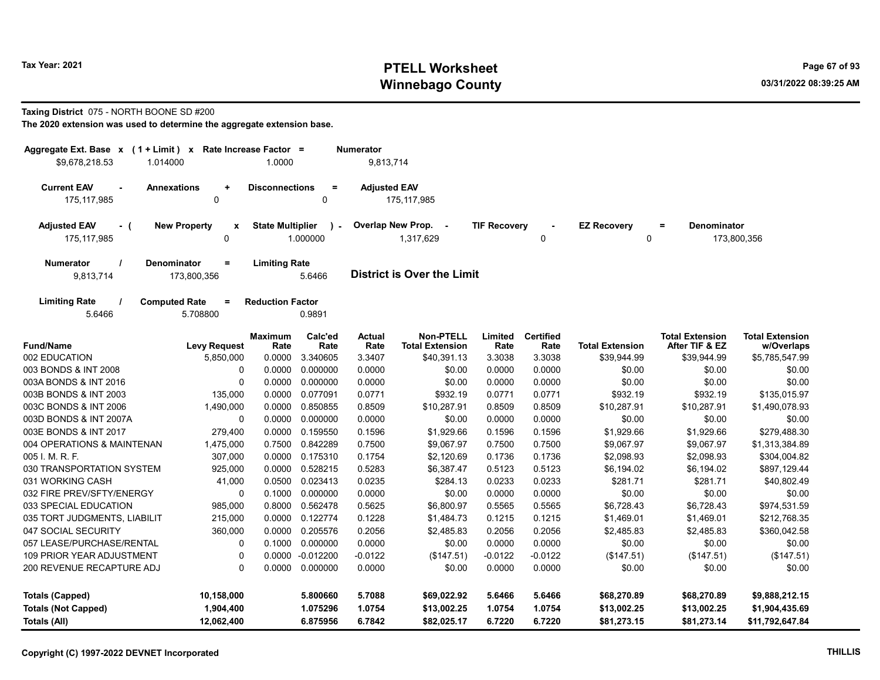# Tax Year: 2021 **PTELL Worksheet** Page 67 of 93 Winnebago County and the county of the county of the county of the county of the county of the county of the county of the county of the county of the county of the county of the county of the county of the county of the c

### Taxing District 075 - NORTH BOONE SD #200

| Aggregate Ext. Base x (1 + Limit) x                                                                | Rate Increase Factor =  |                         | <b>Numerator</b>    |                                            |                     |                          |                                |                                          |                                      |
|----------------------------------------------------------------------------------------------------|-------------------------|-------------------------|---------------------|--------------------------------------------|---------------------|--------------------------|--------------------------------|------------------------------------------|--------------------------------------|
| \$9,678,218.53<br>1.014000                                                                         | 1.0000                  |                         | 9,813,714           |                                            |                     |                          |                                |                                          |                                      |
| <b>Current EAV</b><br><b>Annexations</b><br>÷<br>$\mathbf 0$<br>175, 117, 985                      | <b>Disconnections</b>   | $\equiv$<br>$\Omega$    | <b>Adjusted EAV</b> | 175, 117, 985                              |                     |                          |                                |                                          |                                      |
| <b>Adjusted EAV</b><br><b>New Property</b><br>- (<br>$\pmb{\mathsf{x}}$<br>175.117.985<br>$\Omega$ | <b>State Multiplier</b> | $\lambda -$<br>1.000000 |                     | Overlap New Prop. -<br>1.317.629           | <b>TIF Recovery</b> | 0                        | <b>EZ Recovery</b><br>$\Omega$ | <b>Denominator</b><br>$\equiv$           | 173,800,356                          |
| <b>Denominator</b><br>$\equiv$<br><b>Numerator</b><br>9,813,714<br>173,800,356                     | <b>Limiting Rate</b>    | 5.6466                  |                     | <b>District is Over the Limit</b>          |                     |                          |                                |                                          |                                      |
| <b>Limiting Rate</b><br><b>Computed Rate</b><br>$\equiv$<br>5.6466<br>5.708800                     | <b>Reduction Factor</b> | 0.9891                  |                     |                                            |                     |                          |                                |                                          |                                      |
| <b>Fund/Name</b><br><b>Levy Request</b>                                                            | <b>Maximum</b><br>Rate  | Calc'ed<br>Rate         | Actual<br>Rate      | <b>Non-PTELL</b><br><b>Total Extension</b> | Limited<br>Rate     | <b>Certified</b><br>Rate | <b>Total Extension</b>         | <b>Total Extension</b><br>After TIF & EZ | <b>Total Extension</b><br>w/Overlaps |
| 002 EDUCATION<br>5,850,000<br>003 BONDS & INT 2008<br>0                                            | 0.0000<br>0.0000        | 3.340605<br>0.000000    | 3.3407              | \$40,391.13<br>\$0.00                      | 3.3038              | 3.3038<br>0.0000         | \$39,944.99                    | \$39,944.99<br>\$0.00                    | \$5,785,547.99                       |
| $\Omega$<br>003A BONDS & INT 2016                                                                  | 0.0000                  | 0.000000                | 0.0000<br>0.0000    | \$0.00                                     | 0.0000<br>0.0000    | 0.0000                   | \$0.00<br>\$0.00               | \$0.00                                   | \$0.00<br>\$0.00                     |
| 003B BONDS & INT 2003<br>135,000                                                                   | 0.0000                  | 0.077091                | 0.0771              | \$932.19                                   | 0.0771              | 0.0771                   | \$932.19                       | \$932.19                                 | \$135.015.97                         |
| 1,490,000<br>003C BONDS & INT 2006                                                                 | 0.0000                  | 0.850855                | 0.8509              | \$10,287.91                                | 0.8509              | 0.8509                   | \$10,287.91                    | \$10,287.91                              | \$1,490,078.93                       |
| 003D BONDS & INT 2007A<br>0                                                                        | 0.0000                  | 0.000000                | 0.0000              | \$0.00                                     | 0.0000              | 0.0000                   | \$0.00                         | \$0.00                                   | \$0.00                               |
| 003E BONDS & INT 2017<br>279,400                                                                   | 0.0000                  | 0.159550                | 0.1596              | \$1,929.66                                 | 0.1596              | 0.1596                   | \$1,929.66                     | \$1,929.66                               | \$279,488.30                         |
| 004 OPERATIONS & MAINTENAN<br>1,475,000                                                            | 0.7500                  | 0.842289                | 0.7500              | \$9,067.97                                 | 0.7500              | 0.7500                   | \$9,067.97                     | \$9,067.97                               | \$1,313,384.89                       |
| 005 I. M. R. F.<br>307,000                                                                         | 0.0000                  | 0.175310                | 0.1754              | \$2,120.69                                 | 0.1736              | 0.1736                   | \$2,098.93                     | \$2,098.93                               | \$304,004.82                         |
| 030 TRANSPORTATION SYSTEM<br>925,000                                                               | 0.0000                  | 0.528215                | 0.5283              | \$6,387.47                                 | 0.5123              | 0.5123                   | \$6,194.02                     | \$6,194.02                               | \$897,129.44                         |
| 031 WORKING CASH<br>41,000                                                                         | 0.0500                  | 0.023413                | 0.0235              | \$284.13                                   | 0.0233              | 0.0233                   | \$281.71                       | \$281.71                                 | \$40,802.49                          |
| 032 FIRE PREV/SFTY/ENERGY<br>$\Omega$                                                              | 0.1000                  | 0.000000                | 0.0000              | \$0.00                                     | 0.0000              | 0.0000                   | \$0.00                         | \$0.00                                   | \$0.00                               |
| 033 SPECIAL EDUCATION<br>985,000                                                                   | 0.8000                  | 0.562478                | 0.5625              | \$6,800.97                                 | 0.5565              | 0.5565                   | \$6,728.43                     | \$6,728.43                               | \$974,531.59                         |
| 035 TORT JUDGMENTS, LIABILIT<br>215,000                                                            | 0.0000                  | 0.122774                | 0.1228              | \$1,484.73                                 | 0.1215              | 0.1215                   | \$1,469.01                     | \$1,469.01                               | \$212,768.35                         |
| 047 SOCIAL SECURITY<br>360,000                                                                     | 0.0000                  | 0.205576                | 0.2056              | \$2,485.83                                 | 0.2056              | 0.2056                   | \$2,485.83                     | \$2,485.83                               | \$360,042.58                         |
| 057 LEASE/PURCHASE/RENTAL<br>0                                                                     | 0.1000                  | 0.000000                | 0.0000              | \$0.00                                     | 0.0000              | 0.0000                   | \$0.00                         | \$0.00                                   | \$0.00                               |
| 109 PRIOR YEAR ADJUSTMENT                                                                          | 0.0000<br>0             | $-0.012200$             | $-0.0122$           | (\$147.51)                                 | $-0.0122$           | $-0.0122$                | (\$147.51)                     | (\$147.51)                               | (\$147.51)                           |
| 200 REVENUE RECAPTURE ADJ                                                                          | 0                       | 0.0000 0.000000         | 0.0000              | \$0.00                                     | 0.0000              | 0.0000                   | \$0.00                         | \$0.00                                   | \$0.00                               |
| <b>Totals (Capped)</b><br>10,158,000                                                               |                         | 5.800660                | 5.7088              | \$69,022.92                                | 5.6466              | 5.6466                   | \$68,270.89                    | \$68,270.89                              | \$9,888,212.15                       |
| <b>Totals (Not Capped)</b><br>1,904,400                                                            |                         | 1.075296                | 1.0754              | \$13,002.25                                | 1.0754              | 1.0754                   | \$13,002.25                    | \$13,002.25                              | \$1,904,435.69                       |
| <b>Totals (All)</b><br>12,062,400                                                                  |                         | 6.875956                | 6.7842              | \$82,025.17                                | 6.7220              | 6.7220                   | \$81,273.15                    | \$81,273.14                              | \$11,792,647.84                      |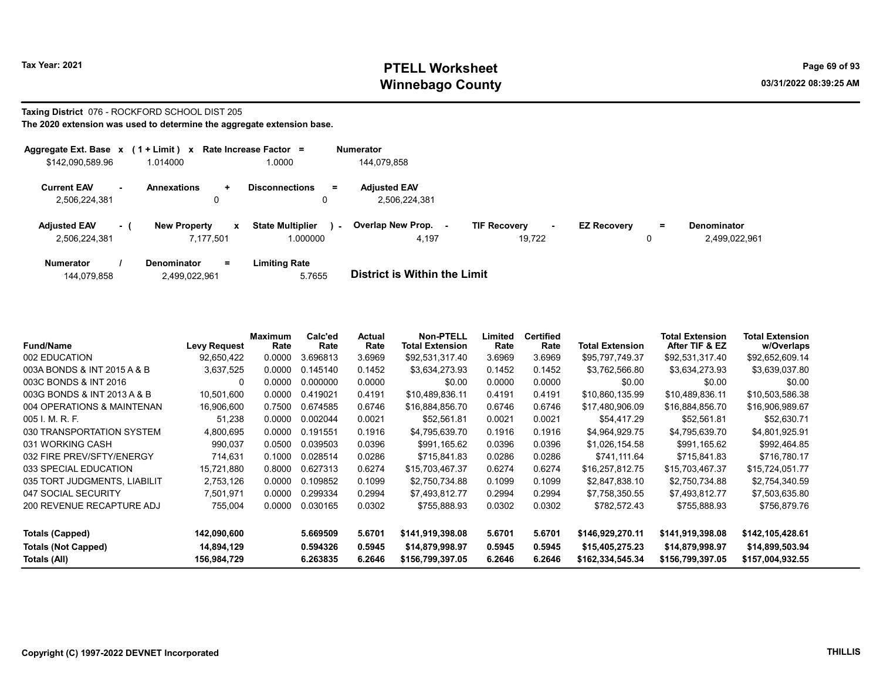# Tax Year: 2021 **PTELL Worksheet** Page 69 of 93 Winnebago County and the county of the county of the county of the county of the county of the county of the county of the county of the county of the county of the county of the county of the county of the county of the c

### Taxing District 076 - ROCKFORD SCHOOL DIST 205 The 2020 extension was used to determine the aggregate extension base.

| Aggregate Ext. Base x |                          | $(1 + Limit)$ x             |              | Rate Increase Factor =            | <b>Numerator</b>    |                               |                    |   |                    |
|-----------------------|--------------------------|-----------------------------|--------------|-----------------------------------|---------------------|-------------------------------|--------------------|---|--------------------|
| \$142.090.589.96      |                          | 1.014000                    |              | 1.0000                            | 144.079.858         |                               |                    |   |                    |
| <b>Current EAV</b>    | $\overline{\phantom{0}}$ | <b>Annexations</b><br>$\pm$ |              | <b>Disconnections</b><br>$\equiv$ | <b>Adjusted EAV</b> |                               |                    |   |                    |
| 2,506,224,381         |                          | 0                           |              | 0                                 | 2.506.224.381       |                               |                    |   |                    |
| <b>Adjusted EAV</b>   | - 1                      | <b>New Property</b>         | $\mathbf{x}$ | <b>State Multiplier</b><br>$\sim$ | Overlap New Prop.   | <b>TIF Recovery</b><br>$\sim$ | <b>EZ Recovery</b> | = | <b>Denominator</b> |
| 2,506,224,381         |                          | 7.177.501                   |              | .000000                           | 4.197               | 19.722                        |                    | 0 | 2,499,022,961      |
| <b>Numerator</b>      |                          | <b>Denominator</b><br>$=$   |              | <b>Limiting Rate</b>              |                     |                               |                    |   |                    |

|             |               | .      |                                     |
|-------------|---------------|--------|-------------------------------------|
| 144,079,858 | 2,499,022,961 | 5.7655 | <b>District is Within the Limit</b> |

| <b>Fund/Name</b>             | <b>Levy Request</b> | Maximum<br>Rate | Calc'ed<br>Rate | Actual<br>Rate | <b>Non-PTELL</b><br><b>Total Extension</b> | Limited<br>Rate | <b>Certified</b><br>Rate | <b>Total Extension</b> | <b>Total Extension</b><br>After TIF & EZ | Total Extension<br>w/Overlaps |
|------------------------------|---------------------|-----------------|-----------------|----------------|--------------------------------------------|-----------------|--------------------------|------------------------|------------------------------------------|-------------------------------|
| 002 EDUCATION                | 92,650,422          | 0.0000          | 3.696813        | 3.6969         | \$92,531,317.40                            | 3.6969          | 3.6969                   | \$95,797,749.37        | \$92,531,317.40                          | \$92,652,609.14               |
| 003A BONDS & INT 2015 A & B  | 3,637,525           | 0.0000          | 0.145140        | 0.1452         | \$3,634,273.93                             | 0.1452          | 0.1452                   | \$3,762,566.80         | \$3,634,273.93                           | \$3,639,037.80                |
| 003C BONDS & INT 2016        | 0                   | 0.0000          | 0.000000        | 0.0000         | \$0.00                                     | 0.0000          | 0.0000                   | \$0.00                 | \$0.00                                   | \$0.00                        |
| 003G BONDS & INT 2013 A & B  | 10,501,600          | 0.0000          | 0.419021        | 0.4191         | \$10,489,836.11                            | 0.4191          | 0.4191                   | \$10.860.135.99        | \$10.489.836.11                          | \$10,503,586.38               |
| 004 OPERATIONS & MAINTENAN   | 16,906,600          | 0.7500          | 0.674585        | 0.6746         | \$16,884,856.70                            | 0.6746          | 0.6746                   | \$17,480,906.09        | \$16,884,856.70                          | \$16,906,989.67               |
| 005 I. M. R. F.              | 51,238              | 0.0000          | 0.002044        | 0.0021         | \$52,561.81                                | 0.0021          | 0.0021                   | \$54,417.29            | \$52,561.81                              | \$52,630.71                   |
| 030 TRANSPORTATION SYSTEM    | 4,800,695           | 0.0000          | 0.191551        | 0.1916         | \$4,795,639.70                             | 0.1916          | 0.1916                   | \$4,964,929.75         | \$4,795,639.70                           | \$4,801,925.91                |
| 031 WORKING CASH             | 990,037             | 0.0500          | 0.039503        | 0.0396         | \$991,165.62                               | 0.0396          | 0.0396                   | \$1,026,154.58         | \$991,165.62                             | \$992,464.85                  |
| 032 FIRE PREV/SFTY/ENERGY    | 714,631             | 0.1000          | 0.028514        | 0.0286         | \$715,841.83                               | 0.0286          | 0.0286                   | \$741,111.64           | \$715,841.83                             | \$716,780.17                  |
| 033 SPECIAL EDUCATION        | 15,721,880          | 0.8000          | 0.627313        | 0.6274         | \$15,703,467.37                            | 0.6274          | 0.6274                   | \$16,257,812.75        | \$15,703,467.37                          | \$15,724,051.77               |
| 035 TORT JUDGMENTS, LIABILIT | 2,753,126           | 0.0000          | 0.109852        | 0.1099         | \$2,750,734.88                             | 0.1099          | 0.1099                   | \$2,847,838.10         | \$2,750,734.88                           | \$2,754,340.59                |
| 047 SOCIAL SECURITY          | 7,501,971           | 0.0000          | 0.299334        | 0.2994         | \$7,493,812.77                             | 0.2994          | 0.2994                   | \$7,758,350.55         | \$7,493,812.77                           | \$7,503,635.80                |
| 200 REVENUE RECAPTURE ADJ    | 755,004             | 0.0000          | 0.030165        | 0.0302         | \$755,888.93                               | 0.0302          | 0.0302                   | \$782,572.43           | \$755,888.93                             | \$756,879.76                  |
| Totals (Capped)              | 142,090,600         |                 | 5.669509        | 5.6701         | \$141,919,398.08                           | 5.6701          | 5.6701                   | \$146,929,270.11       | \$141,919,398.08                         | \$142,105,428.61              |
| <b>Totals (Not Capped)</b>   | 14,894,129          |                 | 0.594326        | 0.5945         | \$14,879,998.97                            | 0.5945          | 0.5945                   | \$15,405,275.23        | \$14,879,998.97                          | \$14,899,503.94               |
| Totals (All)                 | 156,984,729         |                 | 6.263835        | 6.2646         | \$156,799,397.05                           | 6.2646          | 6.2646                   | \$162,334,545.34       | \$156,799,397.05                         | \$157,004,932.55              |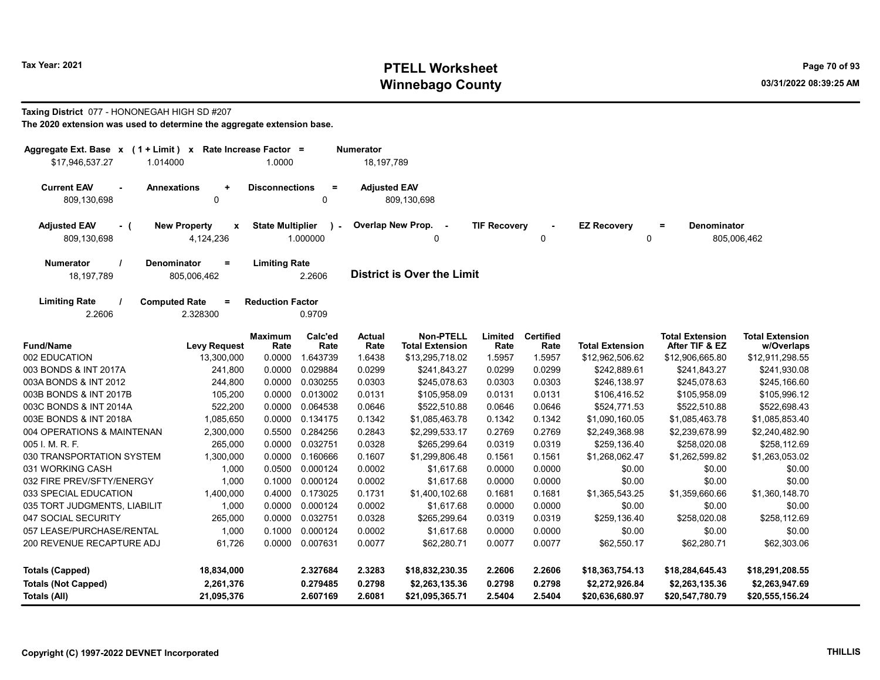# Tax Year: 2021 **PTELL Worksheet** Page 70 of 93 Winnebago County and the county of the county of the county of the county of the county of the county of the county of the county of the county of the county of the county of the county of the county of the county of the c

## Taxing District 077 - HONONEGAH HIGH SD #207

| \$17,946,537.27<br>1.014000               | Rate Increase Factor =<br>Aggregate Ext. Base $x$ (1 + Limit) $x$<br><b>Numerator</b><br>1.0000<br>18, 197, 789 |                         |                           |                          |                                            |                     |                          |                         |                                          |                                      |  |
|-------------------------------------------|-----------------------------------------------------------------------------------------------------------------|-------------------------|---------------------------|--------------------------|--------------------------------------------|---------------------|--------------------------|-------------------------|------------------------------------------|--------------------------------------|--|
|                                           |                                                                                                                 |                         |                           |                          |                                            |                     |                          |                         |                                          |                                      |  |
| <b>Current EAV</b>                        | <b>Annexations</b><br>$\ddot{}$                                                                                 | <b>Disconnections</b>   | $\equiv$                  | <b>Adjusted EAV</b>      |                                            |                     |                          |                         |                                          |                                      |  |
| 809,130,698                               | 0                                                                                                               |                         | $\Omega$                  |                          | 809,130,698                                |                     |                          |                         |                                          |                                      |  |
| <b>Adjusted EAV</b><br>- (<br>809,130,698 | <b>New Property</b><br>$\mathbf{x}$<br>4,124,236                                                                | <b>State Multiplier</b> | $\mathcal{L}$<br>1.000000 | <b>Overlap New Prop.</b> | $\sim$ $-$<br>0                            | <b>TIF Recovery</b> | 0                        | <b>EZ Recovery</b><br>0 | Denominator<br>$\equiv$                  | 805,006,462                          |  |
| Numerator<br>18,197,789                   | <b>Denominator</b><br>$=$<br>805,006,462                                                                        | <b>Limiting Rate</b>    | 2.2606                    |                          | <b>District is Over the Limit</b>          |                     |                          |                         |                                          |                                      |  |
| <b>Limiting Rate</b><br>2.2606            | <b>Computed Rate</b><br>$=$<br>2.328300                                                                         | <b>Reduction Factor</b> | 0.9709                    |                          |                                            |                     |                          |                         |                                          |                                      |  |
| <b>Fund/Name</b>                          | <b>Levy Request</b>                                                                                             | <b>Maximum</b><br>Rate  | Calc'ed<br>Rate           | <b>Actual</b><br>Rate    | <b>Non-PTELL</b><br><b>Total Extension</b> | Limited<br>Rate     | <b>Certified</b><br>Rate | <b>Total Extension</b>  | <b>Total Extension</b><br>After TIF & EZ | <b>Total Extension</b><br>w/Overlaps |  |
| 002 EDUCATION                             | 13,300,000                                                                                                      | 0.0000                  | 1.643739                  | 1.6438                   | \$13,295,718.02                            | 1.5957              | 1.5957                   | \$12,962,506.62         | \$12,906,665.80                          | \$12,911,298.55                      |  |
| 003 BONDS & INT 2017A                     | 241,800                                                                                                         | 0.0000                  | 0.029884                  | 0.0299                   | \$241,843.27                               | 0.0299              | 0.0299                   | \$242,889.61            | \$241,843.27                             | \$241,930.08                         |  |
| 003A BONDS & INT 2012                     | 244,800                                                                                                         | 0.0000                  | 0.030255                  | 0.0303                   | \$245,078.63                               | 0.0303              | 0.0303                   | \$246,138.97            | \$245,078.63                             | \$245,166.60                         |  |
| 003B BONDS & INT 2017B                    | 105,200                                                                                                         | 0.0000                  | 0.013002                  | 0.0131                   | \$105,958.09                               | 0.0131              | 0.0131                   | \$106,416.52            | \$105,958.09                             | \$105,996.12                         |  |
| 003C BONDS & INT 2014A                    | 522,200                                                                                                         | 0.0000                  | 0.064538                  | 0.0646                   | \$522,510.88                               | 0.0646              | 0.0646                   | \$524,771.53            | \$522,510.88                             | \$522,698.43                         |  |
| 003E BONDS & INT 2018A                    | 1,085,650                                                                                                       | 0.0000                  | 0.134175                  | 0.1342                   | \$1,085,463.78                             | 0.1342              | 0.1342                   | \$1,090,160.05          | \$1,085,463.78                           | \$1,085,853.40                       |  |
| 004 OPERATIONS & MAINTENAN                | 2,300,000                                                                                                       | 0.5500                  | 0.284256                  | 0.2843                   | \$2,299,533.17                             | 0.2769              | 0.2769                   | \$2,249,368.98          | \$2,239,678.99                           | \$2,240,482.90                       |  |
| 005 I. M. R. F.                           | 265,000                                                                                                         | 0.0000                  | 0.032751                  | 0.0328                   | \$265,299.64                               | 0.0319              | 0.0319                   | \$259,136.40            | \$258,020.08                             | \$258,112.69                         |  |
| 030 TRANSPORTATION SYSTEM                 | 1,300,000                                                                                                       | 0.0000                  | 0.160666                  | 0.1607                   | \$1,299,806.48                             | 0.1561              | 0.1561                   | \$1,268,062.47          | \$1,262,599.82                           | \$1,263,053.02                       |  |
| 031 WORKING CASH                          | 1,000                                                                                                           | 0.0500                  | 0.000124                  | 0.0002                   | \$1,617.68                                 | 0.0000              | 0.0000                   | \$0.00                  | \$0.00                                   | \$0.00                               |  |
| 032 FIRE PREV/SFTY/ENERGY                 | 1,000                                                                                                           | 0.1000                  | 0.000124                  | 0.0002                   | \$1,617.68                                 | 0.0000              | 0.0000                   | \$0.00                  | \$0.00                                   | \$0.00                               |  |
| 033 SPECIAL EDUCATION                     | 1,400,000                                                                                                       | 0.4000                  | 0.173025                  | 0.1731                   | \$1,400,102.68                             | 0.1681              | 0.1681                   | \$1,365,543.25          | \$1,359,660.66                           | \$1,360,148.70                       |  |
| 035 TORT JUDGMENTS, LIABILIT              | 1,000                                                                                                           | 0.0000                  | 0.000124                  | 0.0002                   | \$1,617.68                                 | 0.0000              | 0.0000                   | \$0.00                  | \$0.00                                   | \$0.00                               |  |
| 047 SOCIAL SECURITY                       | 265,000                                                                                                         | 0.0000                  | 0.032751                  | 0.0328                   | \$265,299.64                               | 0.0319              | 0.0319                   | \$259,136.40            | \$258,020.08                             | \$258,112.69                         |  |
| 057 LEASE/PURCHASE/RENTAL                 | 1,000                                                                                                           | 0.1000                  | 0.000124                  | 0.0002                   | \$1,617.68                                 | 0.0000              | 0.0000                   | \$0.00                  | \$0.00                                   | \$0.00                               |  |
| 200 REVENUE RECAPTURE ADJ                 | 61,726                                                                                                          | 0.0000                  | 0.007631                  | 0.0077                   | \$62,280.71                                | 0.0077              | 0.0077                   | \$62,550.17             | \$62,280.71                              | \$62,303.06                          |  |
| <b>Totals (Capped)</b>                    | 18,834,000                                                                                                      |                         | 2.327684                  | 2.3283                   | \$18,832,230.35                            | 2.2606              | 2.2606                   | \$18,363,754.13         | \$18,284,645.43                          | \$18,291,208.55                      |  |
| <b>Totals (Not Capped)</b>                | 2,261,376                                                                                                       |                         | 0.279485                  | 0.2798                   | \$2,263,135.36                             | 0.2798              | 0.2798                   | \$2,272,926.84          | \$2,263,135.36                           | \$2,263,947.69                       |  |
| Totals (All)                              | 21,095,376                                                                                                      |                         | 2.607169                  | 2.6081                   | \$21,095,365.71                            | 2.5404              | 2.5404                   | \$20,636,680.97         | \$20,547,780.79                          | \$20,555,156.24                      |  |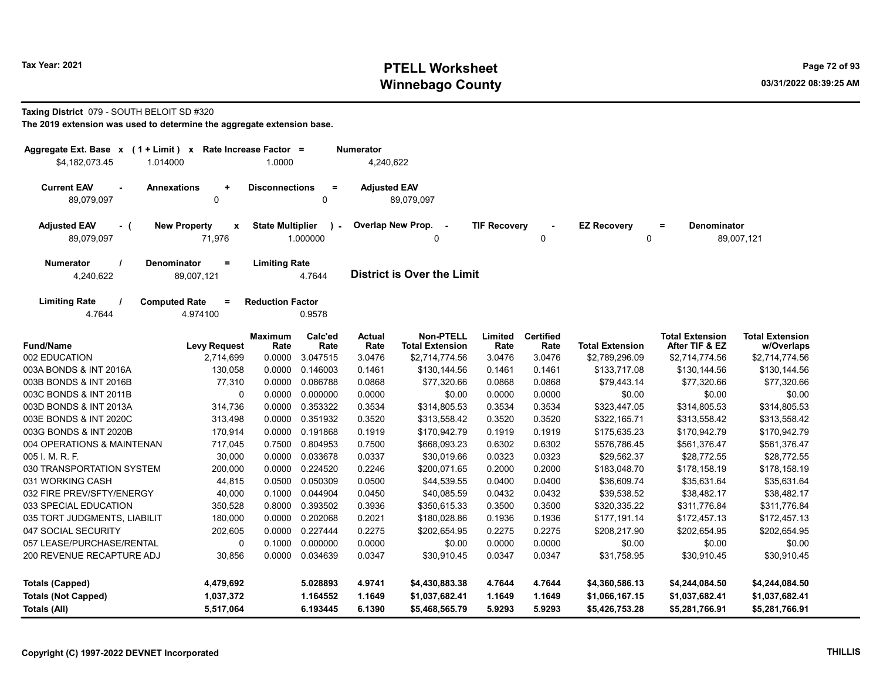# Tax Year: 2021 **PTELL Worksheet** Page 72 of 93 Winnebago County and the county of the county of the county of the county of the county of the county of the county of the county of the county of the county of the county of the county of the county of the county of the c

### Taxing District 079 - SOUTH BELOIT SD #320

| Aggregate Ext. Base x (1 + Limit) x Rate Increase Factor =                               |                                                                 | <b>Numerator</b>                                    |                 |                                   |                                            |                          |                          |                                                                    |                                          |                                      |
|------------------------------------------------------------------------------------------|-----------------------------------------------------------------|-----------------------------------------------------|-----------------|-----------------------------------|--------------------------------------------|--------------------------|--------------------------|--------------------------------------------------------------------|------------------------------------------|--------------------------------------|
| \$4,182,073.45<br>1.014000                                                               | 1.0000                                                          |                                                     | 4,240,622       |                                   |                                            |                          |                          |                                                                    |                                          |                                      |
| <b>Current EAV</b><br><b>Annexations</b><br>89,079,097                                   | $\ddot{}$<br>0                                                  | <b>Disconnections</b><br>$\equiv$<br>$\Omega$       |                 | <b>Adjusted EAV</b><br>89.079.097 |                                            |                          |                          |                                                                    |                                          |                                      |
| <b>Adjusted EAV</b><br><b>New Property</b><br>- (<br>$\mathbf x$<br>71,976<br>89,079,097 |                                                                 | <b>State Multiplier</b><br>$\mathbf{r}$<br>1.000000 |                 | Overlap New Prop. -<br>0          |                                            | <b>TIF Recovery</b><br>0 |                          | <b>EZ Recovery</b><br>$=$<br><b>Denominator</b><br>89,007,121<br>0 |                                          |                                      |
| <b>Numerator</b><br>4,240,622                                                            | <b>Denominator</b><br><b>Limiting Rate</b><br>$=$<br>89,007,121 |                                                     | 4.7644          | <b>District is Over the Limit</b> |                                            |                          |                          |                                                                    |                                          |                                      |
| <b>Limiting Rate</b><br><b>Computed Rate</b><br>4.7644                                   | <b>Reduction Factor</b><br>0.9578                               |                                                     |                 |                                   |                                            |                          |                          |                                                                    |                                          |                                      |
| <b>Fund/Name</b>                                                                         | <b>Levy Request</b>                                             | <b>Maximum</b><br>Rate                              | Calc'ed<br>Rate | <b>Actual</b><br>Rate             | <b>Non-PTELL</b><br><b>Total Extension</b> | Limited<br>Rate          | <b>Certified</b><br>Rate | <b>Total Extension</b>                                             | <b>Total Extension</b><br>After TIF & EZ | <b>Total Extension</b><br>w/Overlaps |
| 002 EDUCATION                                                                            | 2,714,699                                                       | 0.0000                                              | 3.047515        | 3.0476                            | \$2,714,774.56                             | 3.0476                   | 3.0476                   | \$2,789,296.09                                                     | \$2,714,774.56                           | \$2,714,774.56                       |
| 003A BONDS & INT 2016A                                                                   | 130,058                                                         | 0.0000                                              | 0.146003        | 0.1461                            | \$130,144.56                               | 0.1461                   | 0.1461                   | \$133,717.08                                                       | \$130,144.56                             | \$130,144.56                         |
| 003B BONDS & INT 2016B                                                                   | 77,310                                                          | 0.0000                                              | 0.086788        | 0.0868                            | \$77,320.66                                | 0.0868                   | 0.0868                   | \$79,443.14                                                        | \$77,320.66                              | \$77,320.66                          |
| 003C BONDS & INT 2011B                                                                   | 0                                                               | 0.0000                                              | 0.000000        | 0.0000                            | \$0.00                                     | 0.0000                   | 0.0000                   | \$0.00                                                             | \$0.00                                   | \$0.00                               |
| 003D BONDS & INT 2013A                                                                   | 314,736                                                         | 0.0000                                              | 0.353322        | 0.3534                            | \$314,805.53                               | 0.3534                   | 0.3534                   | \$323,447.05                                                       | \$314,805.53                             | \$314,805.53                         |
| 003E BONDS & INT 2020C                                                                   | 313,498                                                         | 0.0000                                              | 0.351932        | 0.3520                            | \$313,558.42                               | 0.3520                   | 0.3520                   | \$322,165.71                                                       | \$313,558.42                             | \$313,558.42                         |
| 003G BONDS & INT 2020B                                                                   | 170,914                                                         | 0.0000                                              | 0.191868        | 0.1919                            | \$170,942.79                               | 0.1919                   | 0.1919                   | \$175,635.23                                                       | \$170,942.79                             | \$170,942.79                         |
| 004 OPERATIONS & MAINTENAN                                                               | 717,045                                                         | 0.7500                                              | 0.804953        | 0.7500                            | \$668,093.23                               | 0.6302                   | 0.6302                   | \$576,786.45                                                       | \$561,376.47                             | \$561,376.47                         |
| 005 I. M. R. F.                                                                          | 30,000                                                          | 0.0000                                              | 0.033678        | 0.0337                            | \$30,019.66                                | 0.0323                   | 0.0323                   | \$29,562.37                                                        | \$28,772.55                              | \$28,772.55                          |
| 030 TRANSPORTATION SYSTEM                                                                | 200,000                                                         | 0.0000                                              | 0.224520        | 0.2246                            | \$200,071.65                               | 0.2000                   | 0.2000                   | \$183,048.70                                                       | \$178,158.19                             | \$178,158.19                         |
| 031 WORKING CASH                                                                         | 44,815                                                          | 0.0500                                              | 0.050309        | 0.0500                            | \$44,539.55                                | 0.0400                   | 0.0400                   | \$36,609.74                                                        | \$35,631.64                              | \$35,631.64                          |
| 032 FIRE PREV/SFTY/ENERGY                                                                | 40,000                                                          | 0.1000                                              | 0.044904        | 0.0450                            | \$40,085.59                                | 0.0432                   | 0.0432                   | \$39,538.52                                                        | \$38,482.17                              | \$38,482.17                          |
| 033 SPECIAL EDUCATION                                                                    | 350,528                                                         | 0.8000                                              | 0.393502        | 0.3936                            | \$350,615.33                               | 0.3500                   | 0.3500                   | \$320,335.22                                                       | \$311,776.84                             | \$311,776.84                         |
| 035 TORT JUDGMENTS, LIABILIT                                                             | 180,000                                                         |                                                     | 0.0000 0.202068 | 0.2021                            | \$180,028.86                               | 0.1936                   | 0.1936                   | \$177,191.14                                                       | \$172,457.13                             | \$172,457.13                         |
| 047 SOCIAL SECURITY                                                                      | 202,605                                                         |                                                     | 0.0000 0.227444 | 0.2275                            | \$202,654.95                               | 0.2275                   | 0.2275                   | \$208,217.90                                                       | \$202,654.95                             | \$202,654.95                         |
| 057 LEASE/PURCHASE/RENTAL                                                                | 0                                                               | 0.1000                                              | 0.000000        | 0.0000                            | \$0.00                                     | 0.0000                   | 0.0000                   | \$0.00                                                             | \$0.00                                   | \$0.00                               |
| 200 REVENUE RECAPTURE ADJ                                                                | 30,856                                                          |                                                     | 0.0000 0.034639 | 0.0347                            | \$30,910.45                                | 0.0347                   | 0.0347                   | \$31,758.95                                                        | \$30,910.45                              | \$30,910.45                          |
| <b>Totals (Capped)</b>                                                                   | 4,479,692                                                       |                                                     | 5.028893        | 4.9741                            | \$4,430,883.38                             | 4.7644                   | 4.7644                   | \$4,360,586.13                                                     | \$4,244,084.50                           | \$4,244,084.50                       |
| <b>Totals (Not Capped)</b>                                                               | 1,037,372                                                       |                                                     | 1.164552        | 1.1649                            | \$1,037,682.41                             | 1.1649                   | 1.1649                   | \$1,066,167.15                                                     | \$1,037,682.41                           | \$1,037,682.41                       |
| Totals (All)                                                                             | 5,517,064                                                       |                                                     | 6.193445        | 6.1390                            | \$5,468,565.79                             | 5.9293                   | 5.9293                   | \$5,426,753.28                                                     | \$5,281,766.91                           | \$5,281,766.91                       |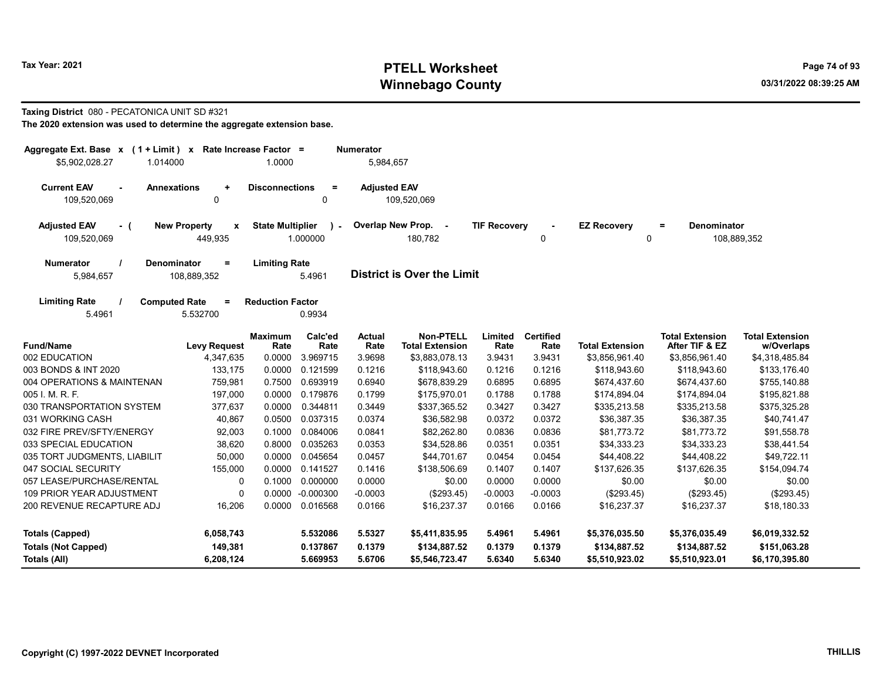# Tax Year: 2021 **PTELL Worksheet** Page 74 of 93 Winnebago County and the county of the county of the county of the county of the county of the county of the county of the county of the county of the county of the county of the county of the county of the county of the c

#### Taxing District 080 - PECATONICA UNIT SD #321

| Aggregate Ext. Base $x$ (1 + Limit) $x$   |                                        | Rate Increase Factor =  |                 | <b>Numerator</b>      |                                            |                     |                          |                        |                                          |                                      |
|-------------------------------------------|----------------------------------------|-------------------------|-----------------|-----------------------|--------------------------------------------|---------------------|--------------------------|------------------------|------------------------------------------|--------------------------------------|
| \$5,902,028.27<br>1.014000                |                                        | 1.0000                  |                 | 5,984,657             |                                            |                     |                          |                        |                                          |                                      |
| <b>Current EAV</b><br>109,520,069         | <b>Annexations</b><br>$\ddot{}$<br>0   | <b>Disconnections</b>   | $\equiv$<br>0   | <b>Adjusted EAV</b>   | 109,520,069                                |                     |                          |                        |                                          |                                      |
| <b>Adjusted EAV</b><br>- (<br>109,520,069 | <b>New Property</b><br>x<br>449,935    | <b>State Multiplier</b> | 1.000000        |                       | Overlap New Prop. -<br>180,782             | <b>TIF Recovery</b> | 0                        | <b>EZ Recovery</b>     | <b>Denominator</b><br>Ξ.<br>$\mathbf 0$  | 108,889,352                          |
| <b>Numerator</b><br>5,984,657             | Denominator<br>$\equiv$<br>108,889,352 | <b>Limiting Rate</b>    | 5.4961          |                       | <b>District is Over the Limit</b>          |                     |                          |                        |                                          |                                      |
| <b>Limiting Rate</b><br>5.4961            | <b>Computed Rate</b><br>Ξ<br>5.532700  | <b>Reduction Factor</b> | 0.9934          |                       |                                            |                     |                          |                        |                                          |                                      |
| <b>Fund/Name</b>                          | <b>Levy Request</b>                    | <b>Maximum</b><br>Rate  | Calc'ed<br>Rate | <b>Actual</b><br>Rate | <b>Non-PTELL</b><br><b>Total Extension</b> | Limited<br>Rate     | <b>Certified</b><br>Rate | <b>Total Extension</b> | <b>Total Extension</b><br>After TIF & EZ | <b>Total Extension</b><br>w/Overlaps |
| 002 EDUCATION                             | 4,347,635                              | 0.0000                  | 3.969715        | 3.9698                | \$3,883,078.13                             | 3.9431              | 3.9431                   | \$3,856,961.40         | \$3,856,961.40                           | \$4,318,485.84                       |
| 003 BONDS & INT 2020                      | 133,175                                | 0.0000                  | 0.121599        | 0.1216                | \$118,943.60                               | 0.1216              | 0.1216                   | \$118,943.60           | \$118,943.60                             | \$133,176.40                         |
| 004 OPERATIONS & MAINTENAN                | 759,981                                | 0.7500                  | 0.693919        | 0.6940                | \$678,839.29                               | 0.6895              | 0.6895                   | \$674,437.60           | \$674,437.60                             | \$755,140.88                         |
| 005 I. M. R. F.                           | 197,000                                | 0.0000                  | 0.179876        | 0.1799                | \$175,970.01                               | 0.1788              | 0.1788                   | \$174,894.04           | \$174,894.04                             | \$195,821.88                         |
| 030 TRANSPORTATION SYSTEM                 | 377,637                                | 0.0000                  | 0.344811        | 0.3449                | \$337,365.52                               | 0.3427              | 0.3427                   | \$335,213.58           | \$335,213.58                             | \$375,325.28                         |
| 031 WORKING CASH                          | 40,867                                 | 0.0500                  | 0.037315        | 0.0374                | \$36,582.98                                | 0.0372              | 0.0372                   | \$36,387.35            | \$36,387.35                              | \$40,741.47                          |
| 032 FIRE PREV/SFTY/ENERGY                 | 92,003                                 | 0.1000                  | 0.084006        | 0.0841                | \$82,262.80                                | 0.0836              | 0.0836                   | \$81,773.72            | \$81,773.72                              | \$91,558.78                          |
| 033 SPECIAL EDUCATION                     | 38,620                                 | 0.8000                  | 0.035263        | 0.0353                | \$34,528.86                                | 0.0351              | 0.0351                   | \$34,333.23            | \$34,333.23                              | \$38,441.54                          |
| 035 TORT JUDGMENTS, LIABILIT              | 50,000                                 | 0.0000                  | 0.045654        | 0.0457                | \$44,701.67                                | 0.0454              | 0.0454                   | \$44,408.22            | \$44,408.22                              | \$49,722.11                          |
| 047 SOCIAL SECURITY                       | 155,000                                | 0.0000                  | 0.141527        | 0.1416                | \$138,506.69                               | 0.1407              | 0.1407                   | \$137.626.35           | \$137,626.35                             | \$154,094.74                         |
| 057 LEASE/PURCHASE/RENTAL                 | 0                                      | 0.1000                  | 0.000000        | 0.0000                | \$0.00                                     | 0.0000              | 0.0000                   | \$0.00                 | \$0.00                                   | \$0.00                               |
| <b>109 PRIOR YEAR ADJUSTMENT</b>          | $\mathbf 0$                            | 0.0000                  | $-0.000300$     | $-0.0003$             | (\$293.45)                                 | $-0.0003$           | $-0.0003$                | (\$293.45)             | (\$293.45)                               | (\$293.45)                           |
| 200 REVENUE RECAPTURE ADJ                 | 16,206                                 | 0.0000                  | 0.016568        | 0.0166                | \$16,237.37                                | 0.0166              | 0.0166                   | \$16,237.37            | \$16,237.37                              | \$18,180.33                          |
| <b>Totals (Capped)</b>                    | 6,058,743                              |                         | 5.532086        | 5.5327                | \$5,411,835.95                             | 5.4961              | 5.4961                   | \$5,376,035.50         | \$5,376,035.49                           | \$6,019,332.52                       |
| <b>Totals (Not Capped)</b>                | 149,381                                |                         | 0.137867        | 0.1379                | \$134,887.52                               | 0.1379              | 0.1379                   | \$134,887.52           | \$134,887.52                             | \$151,063.28                         |
| Totals (All)                              | 6,208,124                              |                         | 5.669953        | 5.6706                | \$5,546,723.47                             | 5.6340              | 5.6340                   | \$5,510,923.02         | \$5,510,923.01                           | \$6,170,395.80                       |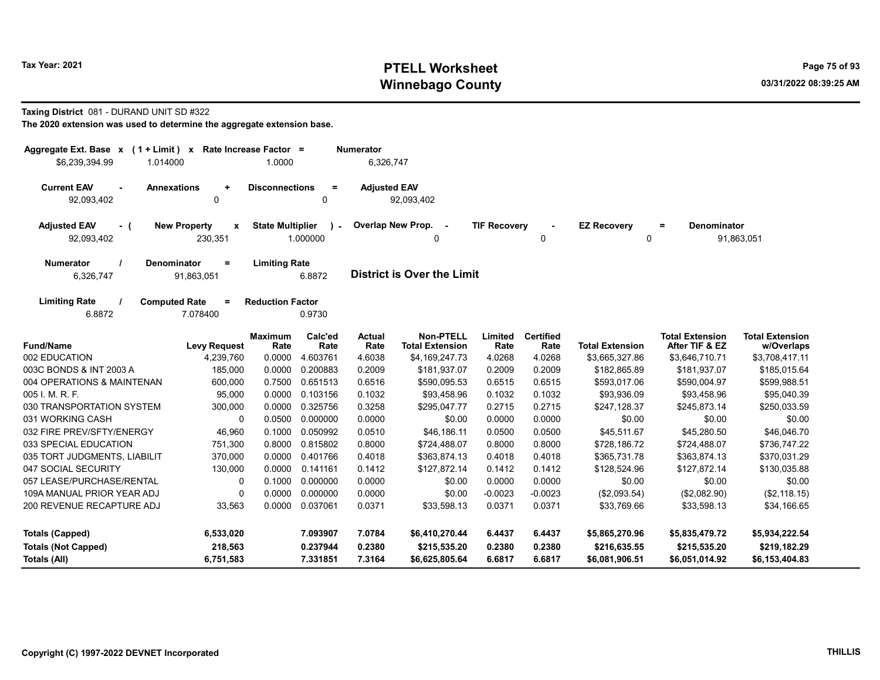# Tax Year: 2021 **PTELL Worksheet** Page 75 of 93 Winnebago County and the county of the county of the county of the county of the county of the county of the county of the county of the county of the county of the county of the county of the county of the county of the c

#### Taxing District 081 - DURAND UNIT SD #322

| Aggregate Ext. Base $x$ (1 + Limit) $x$<br>\$6,239,394.99<br>1.014000 |                                                | Rate Increase Factor =<br>1.0000 |                         | <b>Numerator</b><br>6,326,747 |                                            |                     |                          |                         |                                          |                                      |
|-----------------------------------------------------------------------|------------------------------------------------|----------------------------------|-------------------------|-------------------------------|--------------------------------------------|---------------------|--------------------------|-------------------------|------------------------------------------|--------------------------------------|
| <b>Current EAV</b><br><b>Annexations</b><br>$\sim$<br>92,093,402      | $\ddot{}$<br>0                                 | <b>Disconnections</b>            | $\equiv$<br>0           | <b>Adjusted EAV</b>           | 92,093,402                                 |                     |                          |                         |                                          |                                      |
| <b>Adjusted EAV</b><br>- (<br>92,093,402                              | <b>New Property</b><br>$\mathbf{x}$<br>230,351 | <b>State Multiplier</b>          | $\lambda$ -<br>1.000000 |                               | Overlap New Prop. -<br>0                   | <b>TIF Recovery</b> | 0                        | <b>EZ Recovery</b><br>0 | <b>Denominator</b><br>$=$                | 91,863,051                           |
| <b>Numerator</b><br><b>Denominator</b><br>6,326,747                   | $\equiv$<br>91,863,051                         | <b>Limiting Rate</b>             | 6.8872                  |                               | <b>District is Over the Limit</b>          |                     |                          |                         |                                          |                                      |
| <b>Limiting Rate</b><br><b>Computed Rate</b><br>6.8872                | Ξ.<br>7.078400                                 | <b>Reduction Factor</b>          | 0.9730                  |                               |                                            |                     |                          |                         |                                          |                                      |
| <b>Fund/Name</b>                                                      | <b>Levy Request</b>                            | <b>Maximum</b><br>Rate           | Calc'ed<br>Rate         | <b>Actual</b><br>Rate         | <b>Non-PTELL</b><br><b>Total Extension</b> | Limited<br>Rate     | <b>Certified</b><br>Rate | <b>Total Extension</b>  | <b>Total Extension</b><br>After TIF & EZ | <b>Total Extension</b><br>w/Overlaps |
| 002 EDUCATION                                                         | 4,239,760                                      | 0.0000                           | 4.603761                | 4.6038                        | \$4,169,247.73                             | 4.0268              | 4.0268                   | \$3,665,327.86          | \$3,646,710.71                           | \$3,708,417.11                       |
| 003C BONDS & INT 2003 A                                               | 185,000                                        | 0.0000                           | 0.200883                | 0.2009                        | \$181,937.07                               | 0.2009              | 0.2009                   | \$182,865.89            | \$181,937.07                             | \$185,015.64                         |
| 004 OPERATIONS & MAINTENAN                                            | 600,000                                        | 0.7500                           | 0.651513                | 0.6516                        | \$590,095.53                               | 0.6515              | 0.6515                   | \$593,017.06            | \$590,004.97                             | \$599,988.51                         |
| 005 I. M. R. F.                                                       | 95,000                                         | 0.0000                           | 0.103156                | 0.1032                        | \$93,458.96                                | 0.1032              | 0.1032                   | \$93,936.09             | \$93,458.96                              | \$95,040.39                          |
| 030 TRANSPORTATION SYSTEM                                             | 300,000                                        | 0.0000                           | 0.325756                | 0.3258                        | \$295,047.77                               | 0.2715              | 0.2715                   | \$247,128.37            | \$245,873.14                             | \$250,033.59                         |
| 031 WORKING CASH                                                      | 0                                              | 0.0500                           | 0.000000                | 0.0000                        | \$0.00                                     | 0.0000              | 0.0000                   | \$0.00                  | \$0.00                                   | \$0.00                               |
| 032 FIRE PREV/SFTY/ENERGY                                             | 46,960                                         | 0.1000                           | 0.050992                | 0.0510                        | \$46,186.11                                | 0.0500              | 0.0500                   | \$45,511.67             | \$45,280.50                              | \$46,046.70                          |
| 033 SPECIAL EDUCATION                                                 | 751,300                                        | 0.8000                           | 0.815802                | 0.8000                        | \$724,488.07                               | 0.8000              | 0.8000                   | \$728,186.72            | \$724,488.07                             | \$736,747.22                         |
| 035 TORT JUDGMENTS, LIABILIT                                          | 370,000                                        | 0.0000                           | 0.401766                | 0.4018                        | \$363,874.13                               | 0.4018              | 0.4018                   | \$365,731.78            | \$363,874.13                             | \$370,031.29                         |
| 047 SOCIAL SECURITY                                                   | 130,000                                        | 0.0000                           | 0.141161                | 0.1412                        | \$127,872.14                               | 0.1412              | 0.1412                   | \$128,524.96            | \$127,872.14                             | \$130,035.88                         |
| 057 LEASE/PURCHASE/RENTAL                                             | 0                                              | 0.1000                           | 0.000000                | 0.0000                        | \$0.00                                     | 0.0000              | 0.0000                   | \$0.00                  | \$0.00                                   | \$0.00                               |
| 109A MANUAL PRIOR YEAR ADJ                                            | 0                                              | 0.0000                           | 0.000000                | 0.0000                        | \$0.00                                     | $-0.0023$           | $-0.0023$                | (\$2,093.54)            | (\$2,082.90)                             | (\$2,118.15)                         |
| 200 REVENUE RECAPTURE ADJ                                             | 33,563                                         | 0.0000                           | 0.037061                | 0.0371                        | \$33,598.13                                | 0.0371              | 0.0371                   | \$33,769.66             | \$33,598.13                              | \$34,166.65                          |
| <b>Totals (Capped)</b>                                                | 6,533,020                                      |                                  | 7.093907                | 7.0784                        | \$6,410,270.44                             | 6.4437              | 6.4437                   | \$5,865,270.96          | \$5,835,479.72                           | \$5,934,222.54                       |
| <b>Totals (Not Capped)</b>                                            | 218,563                                        |                                  | 0.237944                | 0.2380                        | \$215,535.20                               | 0.2380              | 0.2380                   | \$216,635.55            | \$215,535.20                             | \$219,182.29                         |
| Totals (All)                                                          | 6,751,583                                      |                                  | 7.331851                | 7.3164                        | \$6,625,805.64                             | 6.6817              | 6.6817                   | \$6,081,906.51          | \$6,051,014.92                           | \$6,153,404.83                       |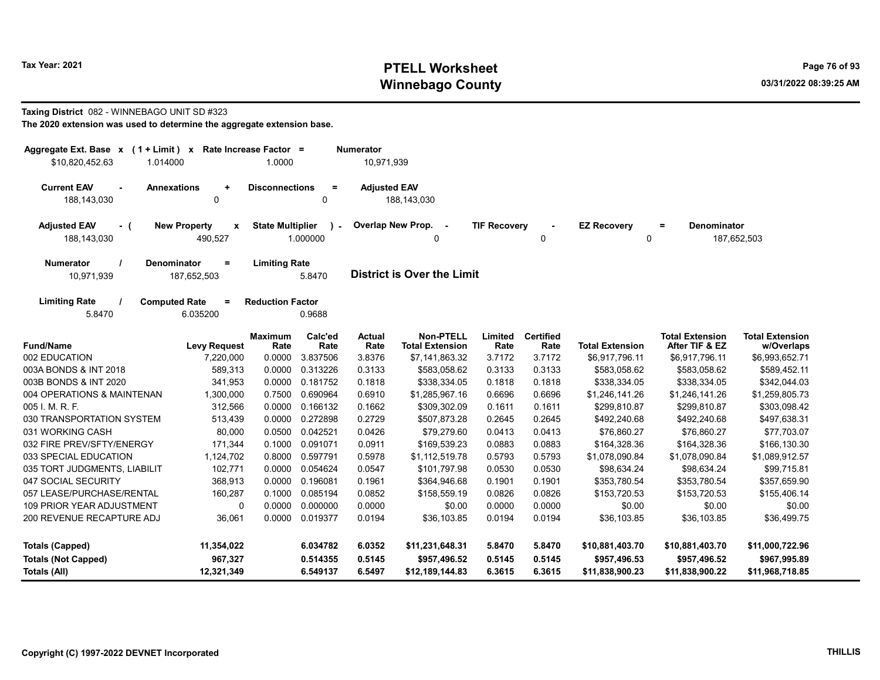# Tax Year: 2021 **PTELL Worksheet** Page 76 of 93 Winnebago County and the county of the county of the county of the county of the county of the county of the county of the county of the county of the county of the county of the county of the county of the county of the c

#### Taxing District 082 - WINNEBAGO UNIT SD #323

| Aggregate Ext. Base x (1 + Limit) x Rate Increase Factor =<br>\$10,820,452.63<br>1.014000 | 1.0000                                          |                      | <b>Numerator</b><br>10,971,939 |                                     |                     |                          |                         |                                          |                                      |
|-------------------------------------------------------------------------------------------|-------------------------------------------------|----------------------|--------------------------------|-------------------------------------|---------------------|--------------------------|-------------------------|------------------------------------------|--------------------------------------|
| <b>Current EAV</b><br><b>Annexations</b><br>188,143,030                                   | <b>Disconnections</b><br>$\ddot{}$<br>0         | $\equiv$<br>$\Omega$ | <b>Adjusted EAV</b>            | 188,143,030                         |                     |                          |                         |                                          |                                      |
| <b>Adjusted EAV</b><br><b>New Property</b><br>- (<br>188,143,030                          | <b>State Multiplier</b><br>x<br>490,527         | $\sim$<br>1.000000   | Overlap New Prop.              | $\sim$<br>$\Omega$                  | <b>TIF Recovery</b> | $\mathbf 0$              | <b>EZ Recovery</b><br>0 | <b>Denominator</b><br>$=$                | 187,652,503                          |
| <b>Numerator</b><br><b>Denominator</b><br>10,971,939                                      | $\equiv$<br><b>Limiting Rate</b><br>187,652,503 | 5.8470               |                                | <b>District is Over the Limit</b>   |                     |                          |                         |                                          |                                      |
| <b>Limiting Rate</b><br><b>Computed Rate</b><br>5.8470                                    | $=$<br><b>Reduction Factor</b><br>6.035200      | 0.9688               |                                |                                     |                     |                          |                         |                                          |                                      |
| <b>Fund/Name</b>                                                                          | <b>Maximum</b><br><b>Levy Request</b><br>Rate   | Calc'ed<br>Rate      | <b>Actual</b><br>Rate          | Non-PTELL<br><b>Total Extension</b> | Limited<br>Rate     | <b>Certified</b><br>Rate | <b>Total Extension</b>  | <b>Total Extension</b><br>After TIF & EZ | <b>Total Extension</b><br>w/Overlaps |
| 002 EDUCATION                                                                             | 0.0000<br>7,220,000                             | 3.837506             | 3.8376                         | \$7,141,863.32                      | 3.7172              | 3.7172                   | \$6,917,796.11          | \$6,917,796.11                           | \$6,993,652.71                       |
| 003A BONDS & INT 2018                                                                     | 589,313<br>0.0000                               | 0.313226             | 0.3133                         | \$583,058.62                        | 0.3133              | 0.3133                   | \$583,058.62            | \$583,058.62                             | \$589,452.11                         |
| 003B BONDS & INT 2020                                                                     | 341,953<br>0.0000                               | 0.181752             | 0.1818                         | \$338,334.05                        | 0.1818              | 0.1818                   | \$338,334.05            | \$338,334.05                             | \$342,044.03                         |
| 004 OPERATIONS & MAINTENAN                                                                | 0.7500<br>1,300,000                             | 0.690964             | 0.6910                         | \$1,285,967.16                      | 0.6696              | 0.6696                   | \$1,246,141.26          | \$1,246,141.26                           | \$1,259,805.73                       |
| 005 I. M. R. F.                                                                           | 312,566<br>0.0000                               | 0.166132             | 0.1662                         | \$309,302.09                        | 0.1611              | 0.1611                   | \$299,810.87            | \$299,810.87                             | \$303,098.42                         |
| 030 TRANSPORTATION SYSTEM                                                                 | 0.0000<br>513,439                               | 0.272898             | 0.2729                         | \$507,873.28                        | 0.2645              | 0.2645                   | \$492,240.68            | \$492,240.68                             | \$497,638.31                         |
| 031 WORKING CASH                                                                          | 80,000<br>0.0500                                | 0.042521             | 0.0426                         | \$79.279.60                         | 0.0413              | 0.0413                   | \$76,860.27             | \$76,860.27                              | \$77,703.07                          |
| 032 FIRE PREV/SFTY/ENERGY                                                                 | 171,344<br>0.1000                               | 0.091071             | 0.0911                         | \$169.539.23                        | 0.0883              | 0.0883                   | \$164,328.36            | \$164,328.36                             | \$166,130.30                         |
| 033 SPECIAL EDUCATION                                                                     | 1,124,702<br>0.8000                             | 0.597791             | 0.5978                         | \$1,112,519.78                      | 0.5793              | 0.5793                   | \$1,078,090.84          | \$1,078,090.84                           | \$1,089,912.57                       |
| 035 TORT JUDGMENTS, LIABILIT                                                              | 102,771<br>0.0000                               | 0.054624             | 0.0547                         | \$101,797.98                        | 0.0530              | 0.0530                   | \$98,634.24             | \$98,634.24                              | \$99,715.81                          |
| 047 SOCIAL SECURITY                                                                       | 0.0000<br>368,913                               | 0.196081             | 0.1961                         | \$364,946.68                        | 0.1901              | 0.1901                   | \$353,780.54            | \$353,780.54                             | \$357,659.90                         |
| 057 LEASE/PURCHASE/RENTAL                                                                 | 0.1000<br>160,287                               | 0.085194             | 0.0852                         | \$158,559.19                        | 0.0826              | 0.0826                   | \$153,720.53            | \$153,720.53                             | \$155,406.14                         |
| 109 PRIOR YEAR ADJUSTMENT                                                                 | 0.0000<br>0                                     | 0.000000             | 0.0000                         | \$0.00                              | 0.0000              | 0.0000                   | \$0.00                  | \$0.00                                   | \$0.00                               |
| 200 REVENUE RECAPTURE ADJ                                                                 | 36,061<br>0.0000                                | 0.019377             | 0.0194                         | \$36,103.85                         | 0.0194              | 0.0194                   | \$36,103.85             | \$36,103.85                              | \$36,499.75                          |
| <b>Totals (Capped)</b>                                                                    | 11,354,022                                      | 6.034782             | 6.0352                         | \$11,231,648.31                     | 5.8470              | 5.8470                   | \$10,881,403.70         | \$10,881,403.70                          | \$11,000,722.96                      |
| <b>Totals (Not Capped)</b>                                                                | 967,327                                         | 0.514355             | 0.5145                         | \$957,496.52                        | 0.5145              | 0.5145                   | \$957,496.53            | \$957,496.52                             | \$967,995.89                         |
| Totals (All)                                                                              | 12,321,349                                      | 6.549137             | 6.5497                         | \$12,189,144.83                     | 6.3615              | 6.3615                   | \$11,838,900.23         | \$11,838,900.22                          | \$11,968,718.85                      |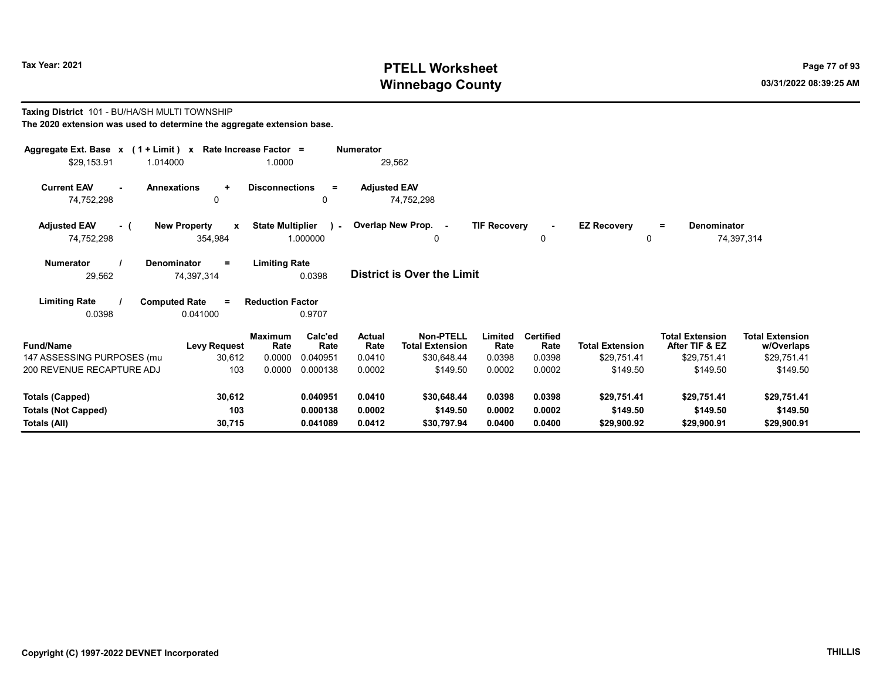Taxing District 101 - BU/HA/SH MULTI TOWNSHIP

# Tax Year: 2021 **PTELL Worksheet** Page 77 of 93 Winnebago County and the county of the county of the county of the county of the county of the county of the county of the county of the county of the county of the county of the county of the county of the county of the c

| The 2020 extension was used to determine the aggregate extension base. |                                     |                                           |                                 |                                            |                     |                          |                        |                                          |                                      |
|------------------------------------------------------------------------|-------------------------------------|-------------------------------------------|---------------------------------|--------------------------------------------|---------------------|--------------------------|------------------------|------------------------------------------|--------------------------------------|
| Aggregate Ext. Base $x$ (1 + Limit) x Rate Increase Factor =           |                                     |                                           | <b>Numerator</b>                |                                            |                     |                          |                        |                                          |                                      |
| \$29.153.91<br>1.014000                                                |                                     | 1.0000                                    |                                 | 29,562                                     |                     |                          |                        |                                          |                                      |
| <b>Current EAV</b><br>$\sim$                                           | <b>Annexations</b><br>$\ddot{}$     | <b>Disconnections</b>                     | <b>Adjusted EAV</b><br>$\equiv$ |                                            |                     |                          |                        |                                          |                                      |
| 74,752,298                                                             | 0                                   | 0                                         |                                 | 74,752,298                                 |                     |                          |                        |                                          |                                      |
| <b>Adjusted EAV</b><br>$-$ (                                           | <b>New Property</b><br>$\mathbf{x}$ | <b>State Multiplier</b>                   | ) - Overlap New Prop. -         |                                            | <b>TIF Recovery</b> | $\sim$                   | <b>EZ Recovery</b>     | <b>Denominator</b><br>$=$                |                                      |
| 74,752,298                                                             | 354,984                             | 1.000000                                  |                                 | $\Omega$                                   |                     | 0                        | $\Omega$               |                                          | 74,397,314                           |
| <b>Numerator</b>                                                       | <b>Denominator</b><br>$=$           | <b>Limiting Rate</b>                      |                                 |                                            |                     |                          |                        |                                          |                                      |
| 29,562                                                                 | 74,397,314                          | 0.0398                                    |                                 | <b>District is Over the Limit</b>          |                     |                          |                        |                                          |                                      |
| <b>Limiting Rate</b>                                                   | <b>Computed Rate</b><br>$=$         | <b>Reduction Factor</b>                   |                                 |                                            |                     |                          |                        |                                          |                                      |
| 0.0398                                                                 | 0.041000                            | 0.9707                                    |                                 |                                            |                     |                          |                        |                                          |                                      |
| <b>Fund/Name</b>                                                       | <b>Levy Request</b>                 | <b>Maximum</b><br>Calc'ed<br>Rate<br>Rate | <b>Actual</b><br>Rate           | <b>Non-PTELL</b><br><b>Total Extension</b> | Limited<br>Rate     | <b>Certified</b><br>Rate | <b>Total Extension</b> | <b>Total Extension</b><br>After TIF & EZ | <b>Total Extension</b><br>w/Overlaps |
| 147 ASSESSING PURPOSES (mu                                             | 30,612                              | 0.0000<br>0.040951                        | 0.0410                          | \$30,648.44                                | 0.0398              | 0.0398                   | \$29,751.41            | \$29,751.41                              | \$29,751.41                          |
| 200 REVENUE RECAPTURE ADJ                                              | 103                                 | 0.0000<br>0.000138                        | 0.0002                          | \$149.50                                   | 0.0002              | 0.0002                   | \$149.50               | \$149.50                                 | \$149.50                             |
| <b>Totals (Capped)</b>                                                 | 30,612                              | 0.040951                                  | 0.0410                          | \$30,648.44                                | 0.0398              | 0.0398                   | \$29,751.41            | \$29,751.41                              | \$29,751.41                          |
| <b>Totals (Not Capped)</b>                                             | 103                                 | 0.000138                                  | 0.0002                          | \$149.50                                   | 0.0002              | 0.0002                   | \$149.50               | \$149.50                                 | \$149.50                             |
| Totals (All)                                                           | 30,715                              | 0.041089                                  | 0.0412                          | \$30,797.94                                | 0.0400              | 0.0400                   | \$29,900.92            | \$29,900.91                              | \$29,900.91                          |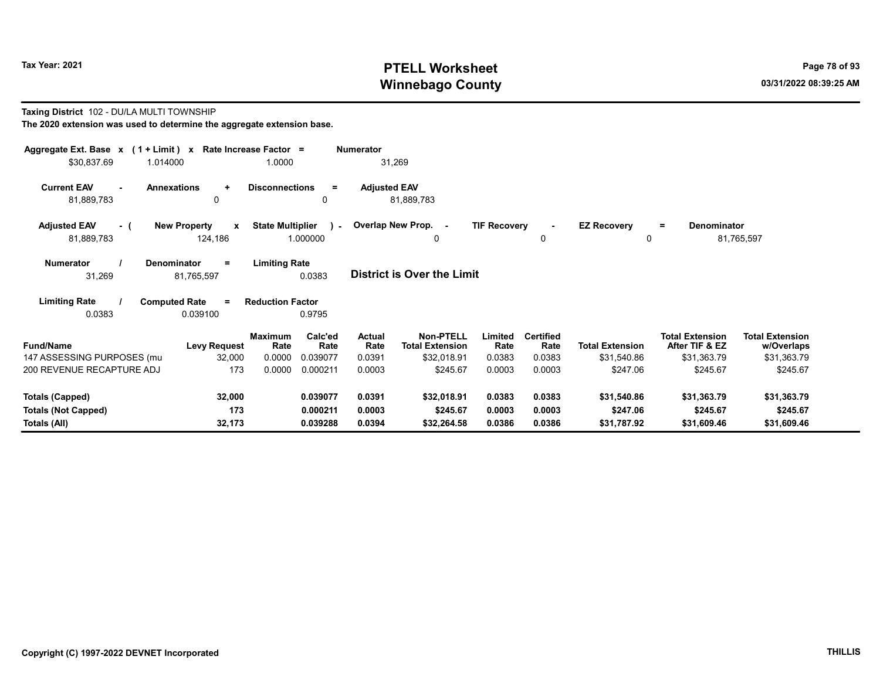# Tax Year: 2021 **PTELL Worksheet** Page 78 of 93 Winnebago County and the County of the County of the County of the County of the County of the County of the County of the County of the County of the County of the County of the County of the County of the County of the C

# Taxing District 102 - DU/LA MULTI TOWNSHIP The 2020 extension was used to determine the aggregate extension base.

| Aggregate Ext. Base $x$ (1 + Limit) x Rate Increase Factor = |                                                                           |                 | <b>Numerator</b>      |                                            |                     |                          |                         |                                          |                                      |
|--------------------------------------------------------------|---------------------------------------------------------------------------|-----------------|-----------------------|--------------------------------------------|---------------------|--------------------------|-------------------------|------------------------------------------|--------------------------------------|
| \$30,837.69<br>1.014000                                      | 1.0000                                                                    |                 | 31,269                |                                            |                     |                          |                         |                                          |                                      |
| <b>Current EAV</b><br><b>Annexations</b><br>81,889,783       | <b>Disconnections</b><br>$\ddot{}$<br>$\Omega$                            | $\equiv$<br>0   | <b>Adjusted EAV</b>   | 81,889,783                                 |                     |                          |                         |                                          |                                      |
| <b>Adjusted EAV</b><br>- (<br>81,889,783                     | <b>State Multiplier</b><br><b>New Property</b><br>$\mathbf{x}$<br>124,186 | 1.000000        |                       | ) - Overlap New Prop. -<br>0               | <b>TIF Recovery</b> | 0                        | <b>EZ Recovery</b><br>0 | <b>Denominator</b><br>Ξ.                 | 81,765,597                           |
| <b>Numerator</b><br><b>Denominator</b><br>31,269             | <b>Limiting Rate</b><br>$\equiv$<br>81,765,597                            | 0.0383          |                       | District is Over the Limit                 |                     |                          |                         |                                          |                                      |
| <b>Limiting Rate</b><br><b>Computed Rate</b><br>0.0383       | <b>Reduction Factor</b><br>$\equiv$<br>0.039100                           | 0.9795          |                       |                                            |                     |                          |                         |                                          |                                      |
| <b>Fund/Name</b>                                             | <b>Maximum</b><br>Rate<br><b>Levy Request</b>                             | Calc'ed<br>Rate | <b>Actual</b><br>Rate | <b>Non-PTELL</b><br><b>Total Extension</b> | Limited<br>Rate     | <b>Certified</b><br>Rate | <b>Total Extension</b>  | <b>Total Extension</b><br>After TIF & EZ | <b>Total Extension</b><br>w/Overlaps |
| 147 ASSESSING PURPOSES (mu                                   | 0.0000<br>32,000                                                          | 0.039077        | 0.0391                | \$32,018.91                                | 0.0383              | 0.0383                   | \$31,540.86             | \$31,363.79                              | \$31,363.79                          |
| 200 REVENUE RECAPTURE ADJ                                    | 173<br>0.0000                                                             | 0.000211        | 0.0003                | \$245.67                                   | 0.0003              | 0.0003                   | \$247.06                | \$245.67                                 | \$245.67                             |
| <b>Totals (Capped)</b>                                       | 32,000                                                                    | 0.039077        | 0.0391                | \$32,018.91                                | 0.0383              | 0.0383                   | \$31,540.86             | \$31,363.79                              | \$31,363.79                          |
| <b>Totals (Not Capped)</b>                                   | 173                                                                       | 0.000211        | 0.0003                | \$245.67                                   | 0.0003              | 0.0003                   | \$247.06                | \$245.67                                 | \$245.67                             |
| Totals (All)                                                 | 32,173                                                                    | 0.039288        | 0.0394                | \$32,264.58                                | 0.0386              | 0.0386                   | \$31,787.92             | \$31,609.46                              | \$31,609.46                          |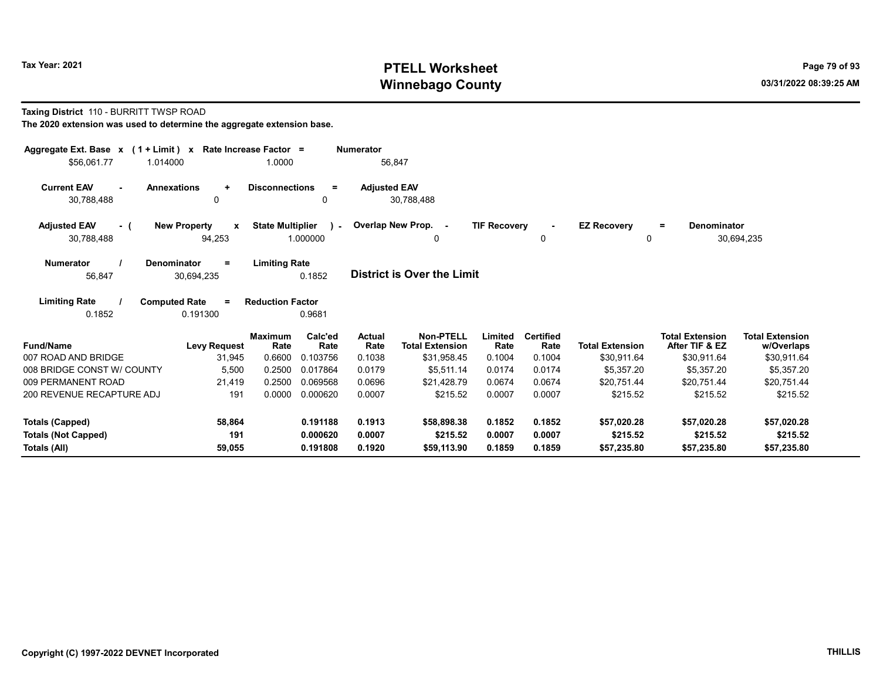# Tax Year: 2021 **PTELL Worksheet** Page 79 of 93 Winnebago County and the county of the county of the county of the county of the county of the county of the county of the county of the county of the county of the county of the county of the county of the county of the c

#### Taxing District 110 - BURRITT TWSP ROAD

| Aggregate Ext. Base $x$ (1 + Limit) $x$ |                                     | Rate Increase Factor =  |                 | <b>Numerator</b>    |                                            |                     |                          |                        |                                          |                                      |
|-----------------------------------------|-------------------------------------|-------------------------|-----------------|---------------------|--------------------------------------------|---------------------|--------------------------|------------------------|------------------------------------------|--------------------------------------|
| \$56.061.77                             | 1.014000                            | 1.0000                  |                 |                     | 56,847                                     |                     |                          |                        |                                          |                                      |
| <b>Current EAV</b><br>$\blacksquare$    | <b>Annexations</b><br>$\ddot{}$     | <b>Disconnections</b>   | $=$             | <b>Adjusted EAV</b> |                                            |                     |                          |                        |                                          |                                      |
| 30,788,488                              | 0                                   |                         | 0               |                     | 30,788,488                                 |                     |                          |                        |                                          |                                      |
| <b>Adjusted EAV</b><br>- 0              | <b>New Property</b><br>$\mathbf{x}$ | <b>State Multiplier</b> | $\sim$          |                     | Overlap New Prop. -                        | <b>TIF Recovery</b> | $\sim$                   | <b>EZ Recovery</b>     | <b>Denominator</b><br>$=$                |                                      |
| 30,788,488                              | 94,253                              |                         | 1.000000        |                     | 0                                          |                     | 0                        | 0                      |                                          | 30,694,235                           |
| <b>Numerator</b>                        | <b>Denominator</b><br>$\equiv$      | <b>Limiting Rate</b>    |                 |                     |                                            |                     |                          |                        |                                          |                                      |
| 56,847                                  | 30,694,235                          |                         | 0.1852          |                     | <b>District is Over the Limit</b>          |                     |                          |                        |                                          |                                      |
| <b>Limiting Rate</b>                    | <b>Computed Rate</b><br>$\equiv$    | <b>Reduction Factor</b> |                 |                     |                                            |                     |                          |                        |                                          |                                      |
| 0.1852                                  | 0.191300                            |                         | 0.9681          |                     |                                            |                     |                          |                        |                                          |                                      |
| <b>Fund/Name</b>                        | <b>Levy Request</b>                 | <b>Maximum</b><br>Rate  | Calc'ed<br>Rate | Actual<br>Rate      | <b>Non-PTELL</b><br><b>Total Extension</b> | Limited<br>Rate     | <b>Certified</b><br>Rate | <b>Total Extension</b> | <b>Total Extension</b><br>After TIF & EZ | <b>Total Extension</b><br>w/Overlaps |
| 007 ROAD AND BRIDGE                     | 31,945                              | 0.6600                  | 0.103756        | 0.1038              | \$31,958.45                                | 0.1004              | 0.1004                   | \$30,911.64            | \$30,911.64                              | \$30,911.64                          |
| 008 BRIDGE CONST W/ COUNTY              | 5,500                               | 0.2500                  | 0.017864        | 0.0179              | \$5.511.14                                 | 0.0174              | 0.0174                   | \$5.357.20             | \$5.357.20                               | \$5.357.20                           |
| 009 PERMANENT ROAD                      | 21,419                              | 0.2500                  | 0.069568        | 0.0696              | \$21,428.79                                | 0.0674              | 0.0674                   | \$20,751.44            | \$20,751.44                              | \$20,751.44                          |
| 200 REVENUE RECAPTURE ADJ               | 191                                 | 0.0000                  | 0.000620        | 0.0007              | \$215.52                                   | 0.0007              | 0.0007                   | \$215.52               | \$215.52                                 | \$215.52                             |
| <b>Totals (Capped)</b>                  | 58,864                              |                         | 0.191188        | 0.1913              | \$58,898.38                                | 0.1852              | 0.1852                   | \$57,020.28            | \$57,020.28                              | \$57,020.28                          |
| <b>Totals (Not Capped)</b>              | 191                                 |                         | 0.000620        | 0.0007              | \$215.52                                   | 0.0007              | 0.0007                   | \$215.52               | \$215.52                                 | \$215.52                             |
| Totals (All)                            | 59,055                              |                         | 0.191808        | 0.1920              | \$59,113.90                                | 0.1859              | 0.1859                   | \$57,235.80            | \$57,235.80                              | \$57,235.80                          |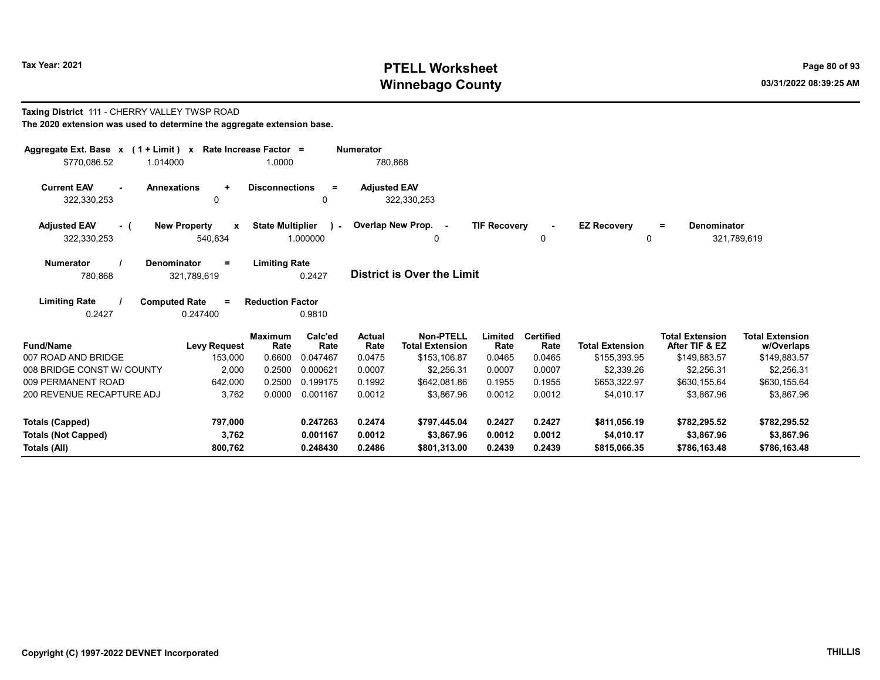Taxing District 111 - CHERRY VALLEY TWSP ROAD

# Tax Year: 2021 **PTELL Worksheet** Page 80 of 93 Winnebago County and the County of the County of the County of the County of the County of the County of the County of the County of the County of the County of the County of the County of the County of the County of the C

| The 2020 extension was used to determine the aggregate extension base. |                                                |                                  |                       |                             |                                            |                     |                          |                         |                                          |                                      |
|------------------------------------------------------------------------|------------------------------------------------|----------------------------------|-----------------------|-----------------------------|--------------------------------------------|---------------------|--------------------------|-------------------------|------------------------------------------|--------------------------------------|
| Aggregate Ext. Base $x$ (1 + Limit) $x$<br>\$770,086.52<br>1.014000    |                                                | Rate Increase Factor =<br>1.0000 |                       | <b>Numerator</b><br>780,868 |                                            |                     |                          |                         |                                          |                                      |
| <b>Current EAV</b><br>322,330,253                                      | <b>Annexations</b><br>$\ddot{}$<br>0           | <b>Disconnections</b>            | $\equiv$<br>0         | <b>Adjusted EAV</b>         | 322,330,253                                |                     |                          |                         |                                          |                                      |
| <b>Adjusted EAV</b><br>- (<br>322,330,253                              | <b>New Property</b><br>$\mathbf{x}$<br>540,634 | <b>State Multiplier</b>          | $\lambda$<br>1.000000 |                             | Overlap New Prop. -<br>0                   | <b>TIF Recovery</b> | 0                        | <b>EZ Recoverv</b><br>0 | <b>Denominator</b><br>$=$                | 321,789,619                          |
| <b>Numerator</b><br>780,868                                            | Denominator<br>=<br>321,789,619                | <b>Limiting Rate</b>             | 0.2427                |                             | <b>District is Over the Limit</b>          |                     |                          |                         |                                          |                                      |
| <b>Limiting Rate</b><br>0.2427                                         | <b>Computed Rate</b><br>$=$<br>0.247400        | <b>Reduction Factor</b>          | 0.9810                |                             |                                            |                     |                          |                         |                                          |                                      |
| <b>Fund/Name</b>                                                       | <b>Levy Request</b>                            | <b>Maximum</b><br>Rate           | Calc'ed<br>Rate       | Actual<br>Rate              | <b>Non-PTELL</b><br><b>Total Extension</b> | Limited<br>Rate     | <b>Certified</b><br>Rate | <b>Total Extension</b>  | <b>Total Extension</b><br>After TIF & EZ | <b>Total Extension</b><br>w/Overlaps |
| 007 ROAD AND BRIDGE                                                    | 153,000                                        | 0.6600                           | 0.047467              | 0.0475                      | \$153,106.87                               | 0.0465              | 0.0465                   | \$155,393.95            | \$149,883.57                             | \$149,883.57                         |
| 008 BRIDGE CONST W/ COUNTY                                             | 2.000                                          | 0.2500                           | 0.000621              | 0.0007                      | \$2,256.31                                 | 0.0007              | 0.0007                   | \$2,339.26              | \$2,256.31                               | \$2,256.31                           |
| 009 PERMANENT ROAD                                                     | 642,000                                        | 0.2500                           | 0.199175              | 0.1992                      | \$642,081.86                               | 0.1955              | 0.1955                   | \$653,322.97            | \$630,155.64                             | \$630,155.64                         |
| 200 REVENUE RECAPTURE ADJ                                              | 3,762                                          | 0.0000                           | 0.001167              | 0.0012                      | \$3,867.96                                 | 0.0012              | 0.0012                   | \$4,010.17              | \$3,867.96                               | \$3,867.96                           |
| Totals (Capped)                                                        | 797,000                                        |                                  | 0.247263              | 0.2474                      | \$797,445.04                               | 0.2427              | 0.2427                   | \$811,056.19            | \$782,295.52                             | \$782,295.52                         |
| <b>Totals (Not Capped)</b>                                             | 3,762                                          |                                  | 0.001167              | 0.0012                      | \$3,867.96                                 | 0.0012              | 0.0012                   | \$4,010.17              | \$3,867.96                               | \$3,867.96                           |
| Totals (All)                                                           | 800.762                                        |                                  | 0.248430              | 0.2486                      | \$801.313.00                               | 0.2439              | 0.2439                   | \$815.066.35            | \$786,163.48                             | \$786,163.48                         |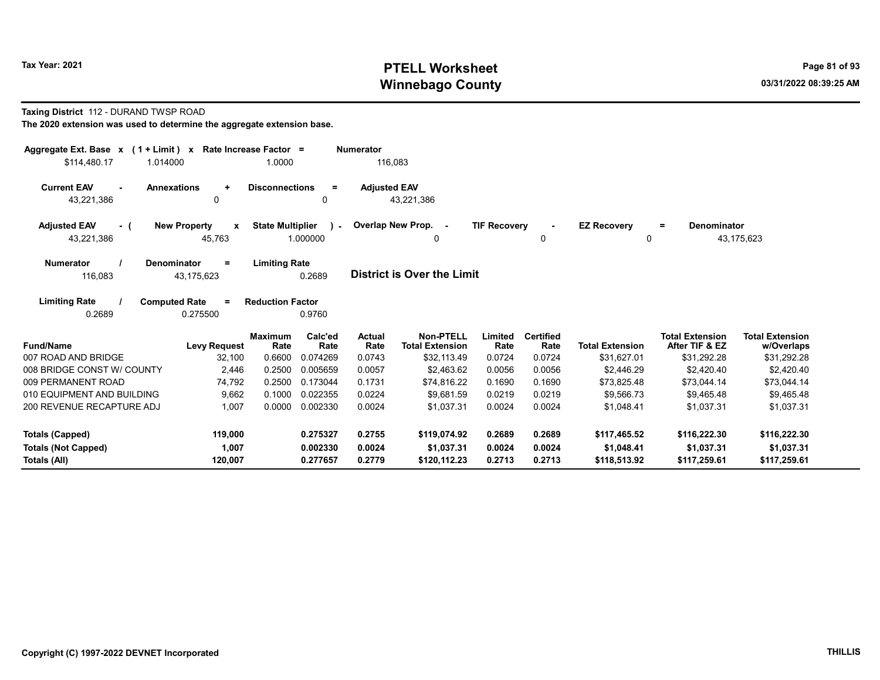# Tax Year: 2021 **PTELL Worksheet** Page 81 of 93 Winnebago County and the county of the county of the county of the county of the county of the county of the county of the county of the county of the county of the county of the county of the county of the county of the c

#### Taxing District 112 - DURAND TWSP ROAD

| Aggregate Ext. Base $x$ (1 + Limit) $x$<br>\$114.480.17<br>1.014000 |                                    | Rate Increase Factor =<br>1.0000 |                       | <b>Numerator</b><br>116.083 |                                            |                     |                          |                            |                                          |                                      |
|---------------------------------------------------------------------|------------------------------------|----------------------------------|-----------------------|-----------------------------|--------------------------------------------|---------------------|--------------------------|----------------------------|------------------------------------------|--------------------------------------|
| <b>Current EAV</b><br><b>Annexations</b><br>$\sim$<br>43,221,386    | $\ddot{}$<br>0                     | <b>Disconnections</b>            | $=$<br>0              | <b>Adjusted EAV</b>         | 43,221,386                                 |                     |                          |                            |                                          |                                      |
| <b>Adjusted EAV</b><br>- (<br>43,221,386                            | <b>New Property</b><br>X<br>45,763 | <b>State Multiplier</b>          | $\lambda$<br>1.000000 |                             | Overlap New Prop. -<br>0                   | <b>TIF Recovery</b> | 0                        | <b>EZ Recovery</b><br>0    | Denominator<br>$\equiv$                  | 43,175,623                           |
| Denominator<br><b>Numerator</b><br>116,083                          | Ξ<br>43,175,623                    | <b>Limiting Rate</b>             | 0.2689                |                             | <b>District is Over the Limit</b>          |                     |                          |                            |                                          |                                      |
| <b>Limiting Rate</b><br><b>Computed Rate</b><br>0.2689              | $\equiv$<br>0.275500               | <b>Reduction Factor</b>          | 0.9760                |                             |                                            |                     |                          |                            |                                          |                                      |
| <b>Fund/Name</b>                                                    | <b>Levy Request</b>                | <b>Maximum</b><br>Rate           | Calc'ed<br>Rate       | <b>Actual</b><br>Rate       | <b>Non-PTELL</b><br><b>Total Extension</b> | Limited<br>Rate     | <b>Certified</b><br>Rate | <b>Total Extension</b>     | <b>Total Extension</b><br>After TIF & EZ | <b>Total Extension</b><br>w/Overlaps |
| 007 ROAD AND BRIDGE                                                 | 32,100                             | 0.6600                           | 0.074269              | 0.0743                      | \$32,113.49                                | 0.0724              | 0.0724                   | \$31,627.01                | \$31,292.28                              | \$31,292.28                          |
| 008 BRIDGE CONST W/ COUNTY                                          | 2,446                              | 0.2500                           | 0.005659              | 0.0057                      | \$2,463.62                                 | 0.0056              | 0.0056                   | \$2,446.29                 | \$2,420.40                               | \$2,420.40                           |
| 009 PERMANENT ROAD<br>010 EQUIPMENT AND BUILDING                    | 74.792                             | 0.2500<br>0.1000                 | 0.173044<br>0.022355  | 0.1731<br>0.0224            | \$74,816.22                                | 0.1690              | 0.1690<br>0.0219         | \$73,825.48                | \$73,044.14                              | \$73,044.14                          |
| 200 REVENUE RECAPTURE ADJ                                           | 9,662<br>1,007                     | 0.0000                           | 0.002330              | 0.0024                      | \$9,681.59<br>\$1,037.31                   | 0.0219<br>0.0024    | 0.0024                   | \$9,566.73<br>\$1.048.41   | \$9,465.48<br>\$1.037.31                 | \$9,465.48<br>\$1,037.31             |
| <b>Totals (Capped)</b>                                              | 119,000                            |                                  | 0.275327              | 0.2755                      | \$119,074.92                               | 0.2689              | 0.2689                   | \$117,465.52               | \$116,222.30                             | \$116,222.30                         |
| <b>Totals (Not Capped)</b><br>Totals (All)                          | 1,007<br>120,007                   |                                  | 0.002330<br>0.277657  | 0.0024<br>0.2779            | \$1,037.31<br>\$120,112.23                 | 0.0024<br>0.2713    | 0.0024<br>0.2713         | \$1,048.41<br>\$118,513.92 | \$1,037.31<br>\$117,259.61               | \$1,037.31<br>\$117,259.61           |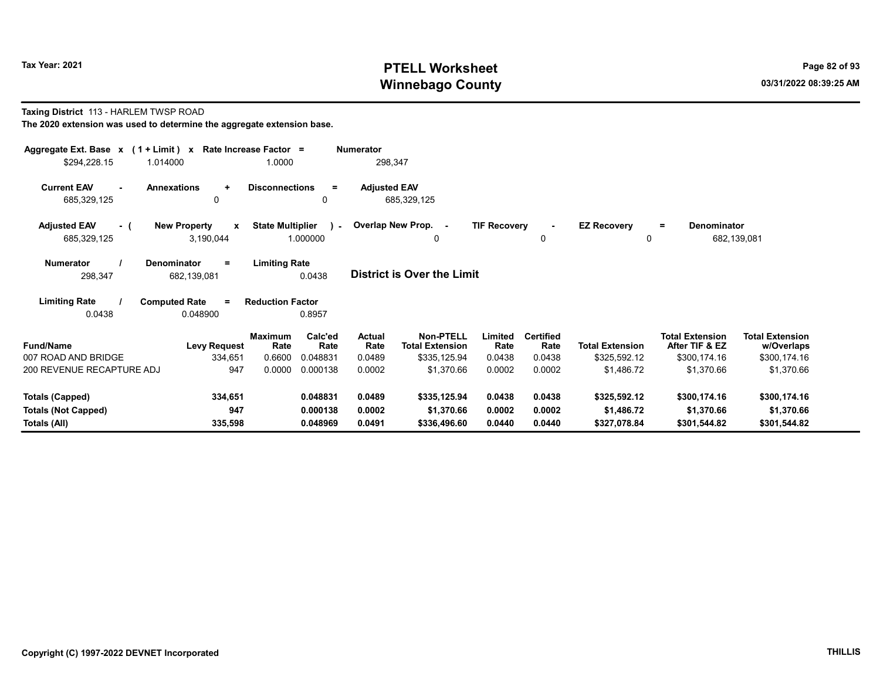# Tax Year: 2021 **PTELL Worksheet** Page 82 of 93 Winnebago County and the County of the County of the County of the County of the County of the County of the County of the County of the County of the County of the County of the County of the County of the County of the C

#### Taxing District 113 - HARLEM TWSP ROAD The 2020 extension was used to determine the aggregate extension base.

| Aggregate Ext. Base x (1 + Limit) x<br>\$294,228.15<br>1.014000                                                                               | <b>Numerator</b><br>Rate Increase Factor =<br>1.0000<br>298,347                     |                                         |                                    |                                                                          |                                     |                                              |                                                      |                                                                        |                                                                    |  |  |
|-----------------------------------------------------------------------------------------------------------------------------------------------|-------------------------------------------------------------------------------------|-----------------------------------------|------------------------------------|--------------------------------------------------------------------------|-------------------------------------|----------------------------------------------|------------------------------------------------------|------------------------------------------------------------------------|--------------------------------------------------------------------|--|--|
| <b>Current EAV</b><br><b>Annexations</b><br>685,329,125                                                                                       | $\ddot{}$<br><b>Disconnections</b><br>0                                             | $=$<br>0                                | <b>Adjusted EAV</b>                | 685,329,125                                                              |                                     |                                              |                                                      |                                                                        |                                                                    |  |  |
| <b>Adjusted EAV</b><br><b>New Property</b><br>- (<br>685,329,125                                                                              | <b>State Multiplier</b><br>$\mathbf{x}$<br>3,190,044                                | $\sim$<br>1.000000                      |                                    | Overlap New Prop. -<br>0                                                 | <b>TIF Recovery</b>                 | $\blacksquare$<br>0                          | <b>EZ Recovery</b><br>0                              | Denominator<br>$=$<br>682,139,081                                      |                                                                    |  |  |
| <b>Limiting Rate</b><br><b>Numerator</b><br><b>Denominator</b><br>Ξ.<br><b>District is Over the Limit</b><br>0.0438<br>298,347<br>682,139,081 |                                                                                     |                                         |                                    |                                                                          |                                     |                                              |                                                      |                                                                        |                                                                    |  |  |
| <b>Limiting Rate</b><br><b>Computed Rate</b><br>0.0438<br>0.048900                                                                            | <b>Reduction Factor</b><br>$=$                                                      | 0.8957                                  |                                    |                                                                          |                                     |                                              |                                                      |                                                                        |                                                                    |  |  |
| <b>Fund/Name</b><br>007 ROAD AND BRIDGE<br>200 REVENUE RECAPTURE ADJ                                                                          | <b>Maximum</b><br><b>Levy Request</b><br>Rate<br>334,651<br>0.6600<br>947<br>0.0000 | Calc'ed<br>Rate<br>0.048831<br>0.000138 | Actual<br>Rate<br>0.0489<br>0.0002 | <b>Non-PTELL</b><br><b>Total Extension</b><br>\$335,125.94<br>\$1,370.66 | Limited<br>Rate<br>0.0438<br>0.0002 | <b>Certified</b><br>Rate<br>0.0438<br>0.0002 | <b>Total Extension</b><br>\$325,592.12<br>\$1,486.72 | <b>Total Extension</b><br>After TIF & EZ<br>\$300,174.16<br>\$1,370.66 | <b>Total Extension</b><br>w/Overlaps<br>\$300,174.16<br>\$1,370.66 |  |  |
| Totals (Capped)<br><b>Totals (Not Capped)</b><br>Totals (All)                                                                                 | 334,651<br>947<br>335,598                                                           | 0.048831<br>0.000138<br>0.048969        | 0.0489<br>0.0002<br>0.0491         | \$335,125.94<br>\$1,370.66<br>\$336,496.60                               | 0.0438<br>0.0002<br>0.0440          | 0.0438<br>0.0002<br>0.0440                   | \$325,592.12<br>\$1,486.72<br>\$327,078.84           | \$300,174.16<br>\$1,370.66<br>\$301,544.82                             | \$300,174.16<br>\$1,370.66<br>\$301,544.82                         |  |  |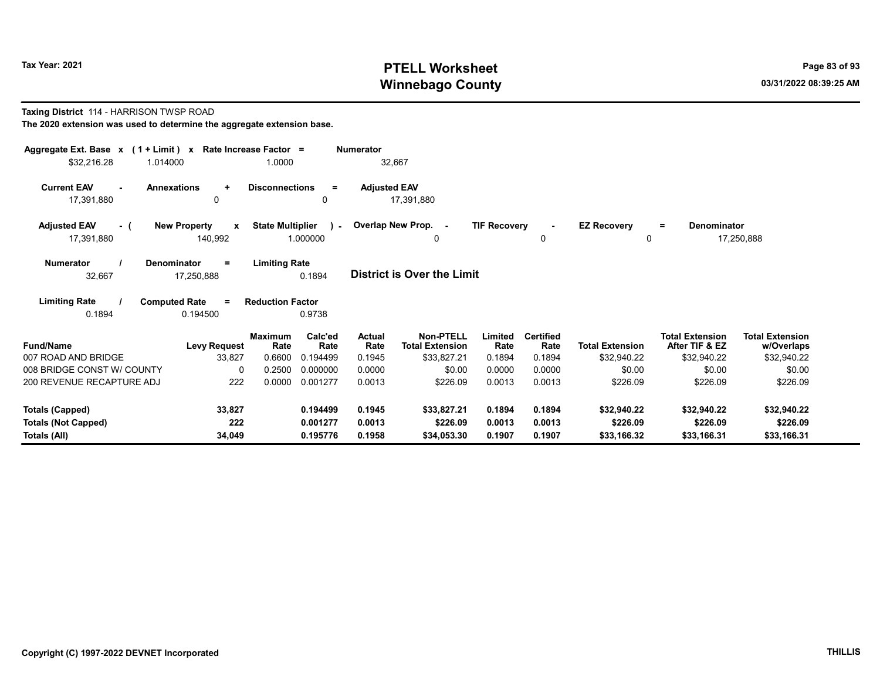# Tax Year: 2021 **PTELL Worksheet** Page 83 of 93 Winnebago County and the County of the County of the County of the County of the County of the County of the County of the County of the County of the County of the County of the County of the County of the County of the C

#### Taxing District 114 - HARRISON TWSP ROAD The 2020 extension was used to determine the aggregate extension base.

| Aggregate Ext. Base $x$ (1 + Limit) x Rate Increase Factor =<br>\$32,216.28<br>1.014000 | 1.0000                                                                    |                          | <b>Numerator</b><br>32,667 |                                            |                     |                          |                         |                                          |                                      |
|-----------------------------------------------------------------------------------------|---------------------------------------------------------------------------|--------------------------|----------------------------|--------------------------------------------|---------------------|--------------------------|-------------------------|------------------------------------------|--------------------------------------|
| <b>Current EAV</b><br><b>Annexations</b><br>17,391,880                                  | <b>Disconnections</b><br>$\ddot{}$<br>0                                   | $=$<br>0                 | <b>Adjusted EAV</b>        | 17,391,880                                 |                     |                          |                         |                                          |                                      |
| <b>Adjusted EAV</b><br>- (<br>17,391,880                                                | <b>State Multiplier</b><br><b>New Property</b><br>$\mathbf{x}$<br>140,992 | $\mathbf{r}$<br>1.000000 |                            | Overlap New Prop. -<br>0                   | <b>TIF Recovery</b> | $\sim$<br>0              | <b>EZ Recovery</b><br>0 | <b>Denominator</b><br>÷                  | 17,250,888                           |
| <b>Numerator</b><br><b>Denominator</b><br>32,667                                        | <b>Limiting Rate</b><br>$=$<br>17,250,888                                 | 0.1894                   |                            | <b>District is Over the Limit</b>          |                     |                          |                         |                                          |                                      |
| <b>Limiting Rate</b><br><b>Computed Rate</b><br>0.1894                                  | <b>Reduction Factor</b><br>$=$<br>0.194500                                | 0.9738                   |                            |                                            |                     |                          |                         |                                          |                                      |
| <b>Fund/Name</b>                                                                        | <b>Maximum</b><br>Rate<br><b>Levy Request</b>                             | Calc'ed<br>Rate          | <b>Actual</b><br>Rate      | <b>Non-PTELL</b><br><b>Total Extension</b> | Limited<br>Rate     | <b>Certified</b><br>Rate | <b>Total Extension</b>  | <b>Total Extension</b><br>After TIF & EZ | <b>Total Extension</b><br>w/Overlaps |
| 007 ROAD AND BRIDGE<br>008 BRIDGE CONST W/ COUNTY                                       | 0.6600<br>33,827<br>0.2500<br>$\Omega$                                    | 0.194499<br>0.000000     | 0.1945<br>0.0000           | \$33,827.21<br>\$0.00                      | 0.1894<br>0.0000    | 0.1894<br>0.0000         | \$32,940.22<br>\$0.00   | \$32,940.22<br>\$0.00                    | \$32,940.22<br>\$0.00                |
| 200 REVENUE RECAPTURE ADJ                                                               | 222<br>0.0000                                                             | 0.001277                 | 0.0013                     | \$226.09                                   | 0.0013              | 0.0013                   | \$226.09                | \$226.09                                 | \$226.09                             |
| <b>Totals (Capped)</b>                                                                  | 33,827                                                                    | 0.194499                 | 0.1945                     | \$33,827.21                                | 0.1894              | 0.1894                   | \$32,940.22             | \$32,940.22                              | \$32,940.22                          |
| <b>Totals (Not Capped)</b><br><b>Totals (All)</b>                                       | 222<br>34,049                                                             | 0.001277<br>0.195776     | 0.0013<br>0.1958           | \$226.09<br>\$34,053.30                    | 0.0013<br>0.1907    | 0.0013<br>0.1907         | \$226.09<br>\$33,166.32 | \$226.09<br>\$33,166.31                  | \$226.09<br>\$33,166.31              |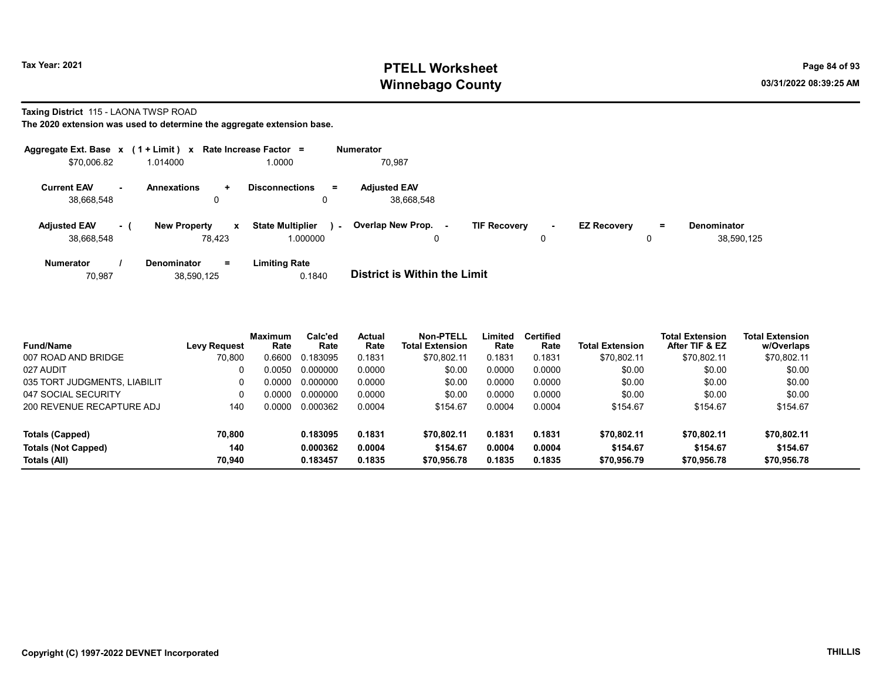# Tax Year: 2021 **PTELL Worksheet** Page 84 of 93 Winnebago County and the county of the county of the county of the county of the county of the county of the county of the county of the county of the county of the county of the county of the county of the county of the c

#### Taxing District 115 - LAONA TWSP ROAD

| Aggregate Ext. Base $x$ (1 + Limit) $x$ |      |                                    | Rate Increase Factor =                        | <b>Numerator</b>                    |                                    |                                |                                  |
|-----------------------------------------|------|------------------------------------|-----------------------------------------------|-------------------------------------|------------------------------------|--------------------------------|----------------------------------|
| \$70,006.82                             |      | 1.014000                           | 1.0000                                        | 70,987                              |                                    |                                |                                  |
| <b>Current EAV</b><br>38,668,548        | . .  | <b>Annexations</b><br>÷<br>0       | <b>Disconnections</b><br>Ξ.<br>0              | <b>Adjusted EAV</b><br>38,668,548   |                                    |                                |                                  |
| <b>Adjusted EAV</b><br>38.668.548       | $-1$ | <b>New Property</b><br>X<br>78.423 | <b>State Multiplier</b><br>$\sim$<br>1.000000 | <b>Overlap New Prop.</b><br>۰.<br>0 | <b>TIF Recovery</b><br>$\sim$<br>0 | <b>EZ Recovery</b><br>$=$<br>0 | <b>Denominator</b><br>38.590.125 |
| <b>Numerator</b>                        |      | $=$<br><b>Denominator</b>          | <b>Limiting Rate</b>                          |                                     |                                    |                                |                                  |

| <b>District is Within the Limit</b><br>0.1840<br>70.987<br>38,590,125 |  |
|-----------------------------------------------------------------------|--|

| <b>Fund/Name</b>             | <b>Levy Request</b> | <b>Maximum</b><br>Rate | Calc'ed<br>Rate | <b>Actual</b><br>Rate | Non-PTELL<br>Total Extension | Limited<br>Rate | Certified<br>Rate | Total Extension | <b>Total Extension</b><br>After TIF & EZ | <b>Total Extension</b><br>w/Overlaps |
|------------------------------|---------------------|------------------------|-----------------|-----------------------|------------------------------|-----------------|-------------------|-----------------|------------------------------------------|--------------------------------------|
| 007 ROAD AND BRIDGE          | 70.800              | 0.6600                 | 0.183095        | 0.1831                | \$70.802.11                  | 0.1831          | 0.1831            | \$70,802.11     | \$70,802.11                              | \$70,802.11                          |
| 027 AUDIT                    |                     | 0.0050                 | 0.000000        | 0.0000                | \$0.00                       | 0.0000          | 0.0000            | \$0.00          | \$0.00                                   | \$0.00                               |
| 035 TORT JUDGMENTS, LIABILIT | 0                   | 0.0000                 | 0.000000        | 0.0000                | \$0.00                       | 0.0000          | 0.0000            | \$0.00          | \$0.00                                   | \$0.00                               |
| 047 SOCIAL SECURITY          |                     | 0.0000                 | 0.000000        | 0.0000                | \$0.00                       | 0.0000          | 0.0000            | \$0.00          | \$0.00                                   | \$0.00                               |
| 200 REVENUE RECAPTURE ADJ    | 140                 | 0.0000                 | 0.000362        | 0.0004                | \$154.67                     | 0.0004          | 0.0004            | \$154.67        | \$154.67                                 | \$154.67                             |
| Totals (Capped)              | 70,800              |                        | 0.183095        | 0.1831                | \$70.802.11                  | 0.1831          | 0.1831            | \$70.802.11     | \$70.802.11                              | \$70,802.11                          |
| <b>Totals (Not Capped)</b>   | 140                 |                        | 0.000362        | 0.0004                | \$154.67                     | 0.0004          | 0.0004            | \$154.67        | \$154.67                                 | \$154.67                             |
| Totals (All)                 | 70.940              |                        | 0.183457        | 0.1835                | \$70,956.78                  | 0.1835          | 0.1835            | \$70,956.79     | \$70,956.78                              | \$70,956.78                          |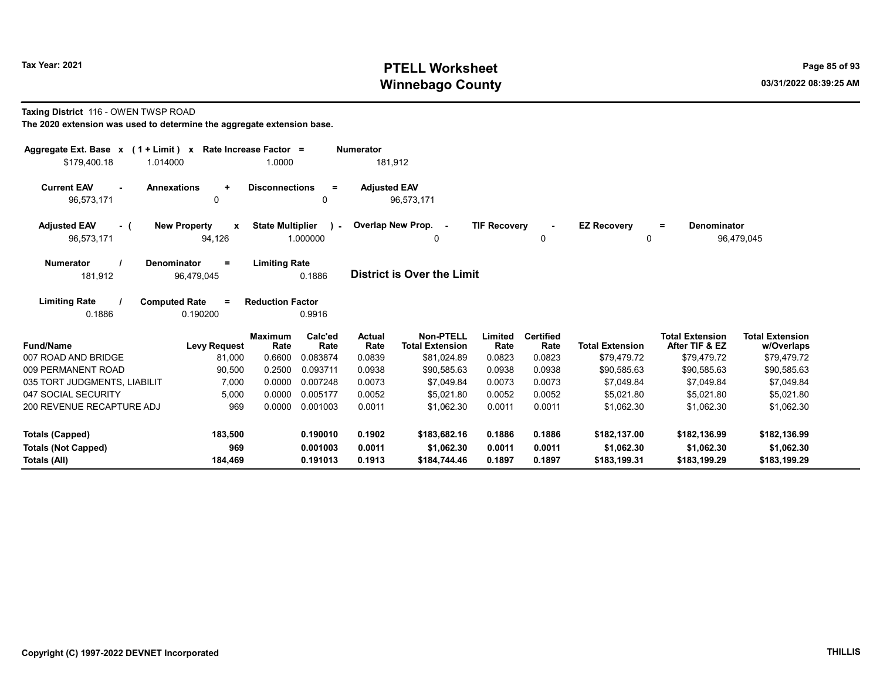# Tax Year: 2021 **PTELL Worksheet** Page 85 of 93 Winnebago County and the county of the county of the county of the county of the county of the county of the county of the county of the county of the county of the county of the county of the county of the county of the c

#### Taxing District 116 - OWEN TWSP ROAD

| Aggregate Ext. Base $x$ (1 + Limit) $x$<br>\$179,400.18<br>1.014000                               | Rate Increase Factor =<br>1.0000                                | <b>Numerator</b><br>181,912     |                                                           |                            |                                    |                                            |                                                         |                                                     |
|---------------------------------------------------------------------------------------------------|-----------------------------------------------------------------|---------------------------------|-----------------------------------------------------------|----------------------------|------------------------------------|--------------------------------------------|---------------------------------------------------------|-----------------------------------------------------|
| <b>Current EAV</b><br><b>Annexations</b><br>$\ddot{}$<br>$\sim$<br>96,573,171<br>$\mathbf{0}$     | <b>Disconnections</b><br>$\equiv$<br>$\mathbf{0}$               | <b>Adjusted EAV</b>             | 96,573,171                                                |                            |                                    |                                            |                                                         |                                                     |
| <b>Adjusted EAV</b><br><b>New Property</b><br>X<br>- (<br>96,573,171<br>94,126                    | <b>State Multiplier</b><br>$\mathbf{V}$<br>1.000000             | Overlap New Prop. -             | 0                                                         | <b>TIF Recovery</b>        | 0                                  | <b>EZ Recovery</b><br>0                    | <b>Denominator</b><br>$=$                               | 96,479,045                                          |
| <b>Numerator</b><br>Denominator<br>$\equiv$<br>181,912<br>96,479,045                              | <b>Limiting Rate</b><br>0.1886                                  |                                 | <b>District is Over the Limit</b>                         |                            |                                    |                                            |                                                         |                                                     |
| <b>Limiting Rate</b><br><b>Computed Rate</b><br>$\equiv$<br>0.1886<br>0.190200                    | <b>Reduction Factor</b><br>0.9916                               |                                 |                                                           |                            |                                    |                                            |                                                         |                                                     |
| <b>Fund/Name</b><br><b>Levy Request</b><br>007 ROAD AND BRIDGE<br>81,000                          | Calc'ed<br><b>Maximum</b><br>Rate<br>Rate<br>0.6600<br>0.083874 | <b>Actual</b><br>Rate<br>0.0839 | <b>Non-PTELL</b><br><b>Total Extension</b><br>\$81,024.89 | Limited<br>Rate<br>0.0823  | <b>Certified</b><br>Rate<br>0.0823 | <b>Total Extension</b><br>\$79,479.72      | <b>Total Extension</b><br>After TIF & EZ<br>\$79,479.72 | <b>Total Extension</b><br>w/Overlaps<br>\$79,479.72 |
| 009 PERMANENT ROAD<br>90,500                                                                      | 0.2500<br>0.093711                                              | 0.0938                          | \$90.585.63                                               | 0.0938                     | 0.0938                             | \$90,585.63                                | \$90,585.63                                             | \$90,585.63                                         |
| 035 TORT JUDGMENTS, LIABILIT<br>7,000                                                             | 0.0000<br>0.007248                                              | 0.0073                          | \$7,049.84                                                | 0.0073                     | 0.0073                             | \$7,049.84                                 | \$7,049.84                                              | \$7,049.84                                          |
| 047 SOCIAL SECURITY<br>5,000                                                                      | 0.0000<br>0.005177                                              | 0.0052                          | \$5,021.80                                                | 0.0052                     | 0.0052                             | \$5,021.80                                 | \$5.021.80                                              | \$5,021.80                                          |
| 200 REVENUE RECAPTURE ADJ<br>969                                                                  | 0.0000<br>0.001003                                              | 0.0011                          | \$1,062.30                                                | 0.0011                     | 0.0011                             | \$1,062.30                                 | \$1,062.30                                              | \$1,062.30                                          |
| 183,500<br><b>Totals (Capped)</b><br>969<br><b>Totals (Not Capped)</b><br>184,469<br>Totals (All) | 0.190010<br>0.001003<br>0.191013                                | 0.1902<br>0.0011<br>0.1913      | \$183,682.16<br>\$1,062.30<br>\$184,744.46                | 0.1886<br>0.0011<br>0.1897 | 0.1886<br>0.0011<br>0.1897         | \$182,137.00<br>\$1,062.30<br>\$183,199.31 | \$182,136.99<br>\$1,062.30<br>\$183,199.29              | \$182,136.99<br>\$1,062.30<br>\$183,199.29          |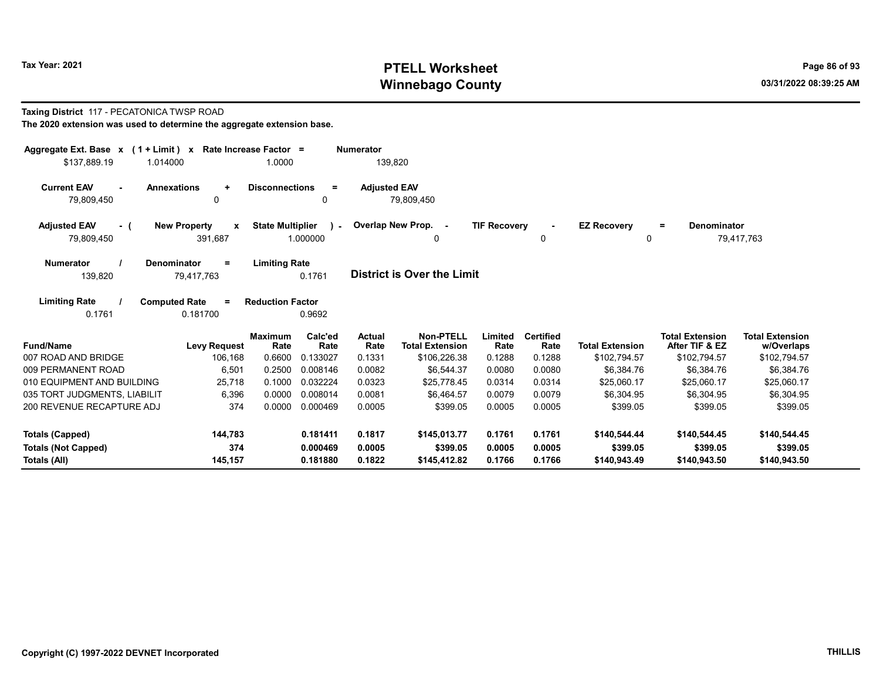# Tax Year: 2021 **PTELL Worksheet** Page 86 of 93 Winnebago County and the County of the County of the County of the County of the County of the County of the County of the County of the County of the County of the County of the County of the County of the County of the C

#### Taxing District 117 - PECATONICA TWSP ROAD The 2020 extension was used to determine the aggregate extension base.

| Aggregate Ext. Base $x$ (1 + Limit) $x$<br>\$137.889.19<br>1.014000                                                             | Rate Increase Factor =                               | 1.0000                              |                             | <b>Numerator</b><br>139,820 |                                                            |                           |                                    |                                        |                                                          |                                                      |
|---------------------------------------------------------------------------------------------------------------------------------|------------------------------------------------------|-------------------------------------|-----------------------------|-----------------------------|------------------------------------------------------------|---------------------------|------------------------------------|----------------------------------------|----------------------------------------------------------|------------------------------------------------------|
| <b>Current EAV</b><br><b>Annexations</b><br>$\sim$<br>79,809,450                                                                | $\ddot{}$<br>0                                       | <b>Disconnections</b>               | $=$<br>0                    | <b>Adjusted EAV</b>         | 79,809,450                                                 |                           |                                    |                                        |                                                          |                                                      |
| <b>Adjusted EAV</b><br>- (<br>79,809,450                                                                                        | <b>New Property</b><br>$\pmb{\mathsf{x}}$<br>391,687 | <b>State Multiplier</b><br>1.000000 | $\mathbf{v}$                |                             | Overlap New Prop. -<br>0                                   | <b>TIF Recovery</b>       | $\blacksquare$<br>0                | <b>EZ Recovery</b><br>0                | Denominator<br>$=$                                       | 79,417,763                                           |
| <b>Limiting Rate</b><br><b>Numerator</b><br>Denominator<br>$=$<br>District is Over the Limit<br>0.1761<br>139,820<br>79.417.763 |                                                      |                                     |                             |                             |                                                            |                           |                                    |                                        |                                                          |                                                      |
| <b>Limiting Rate</b><br>0.1761                                                                                                  | <b>Computed Rate</b><br>$\equiv$<br>0.181700         | <b>Reduction Factor</b>             | 0.9692                      |                             |                                                            |                           |                                    |                                        |                                                          |                                                      |
| <b>Fund/Name</b><br>007 ROAD AND BRIDGE                                                                                         | <b>Levy Request</b><br>106,168                       | <b>Maximum</b><br>Rate<br>0.6600    | Calc'ed<br>Rate<br>0.133027 | Actual<br>Rate<br>0.1331    | <b>Non-PTELL</b><br><b>Total Extension</b><br>\$106,226.38 | Limited<br>Rate<br>0.1288 | <b>Certified</b><br>Rate<br>0.1288 | <b>Total Extension</b><br>\$102,794.57 | <b>Total Extension</b><br>After TIF & EZ<br>\$102,794.57 | <b>Total Extension</b><br>w/Overlaps<br>\$102,794.57 |
| 009 PERMANENT ROAD                                                                                                              | 6,501                                                | 0.2500                              | 0.008146                    | 0.0082                      | \$6.544.37                                                 | 0.0080                    | 0.0080                             | \$6.384.76                             | \$6.384.76                                               | \$6,384.76                                           |
| 010 EQUIPMENT AND BUILDING                                                                                                      | 25,718                                               | 0.1000                              | 0.032224                    | 0.0323                      | \$25.778.45                                                | 0.0314                    | 0.0314                             | \$25,060.17                            | \$25,060.17                                              | \$25,060.17                                          |
| 035 TORT JUDGMENTS, LIABILIT                                                                                                    | 6,396                                                | 0.0000                              | 0.008014                    | 0.0081                      | \$6,464.57                                                 | 0.0079                    | 0.0079                             | \$6,304.95                             | \$6,304.95                                               | \$6,304.95                                           |
| 200 REVENUE RECAPTURE ADJ                                                                                                       | 374                                                  | 0.0000                              | 0.000469                    | 0.0005                      | \$399.05                                                   | 0.0005                    | 0.0005                             | \$399.05                               | \$399.05                                                 | \$399.05                                             |
| <b>Totals (Capped)</b>                                                                                                          | 144,783                                              |                                     | 0.181411                    | 0.1817                      | \$145,013.77                                               | 0.1761                    | 0.1761                             | \$140,544.44                           | \$140,544.45                                             | \$140,544.45                                         |
| <b>Totals (Not Capped)</b><br>Totals (All)                                                                                      | 374<br>145,157                                       |                                     | 0.000469<br>0.181880        | 0.0005<br>0.1822            | \$399.05<br>\$145,412.82                                   | 0.0005<br>0.1766          | 0.0005<br>0.1766                   | \$399.05<br>\$140,943.49               | \$399.05<br>\$140.943.50                                 | \$399.05<br>\$140,943.50                             |
|                                                                                                                                 |                                                      |                                     |                             |                             |                                                            |                           |                                    |                                        |                                                          |                                                      |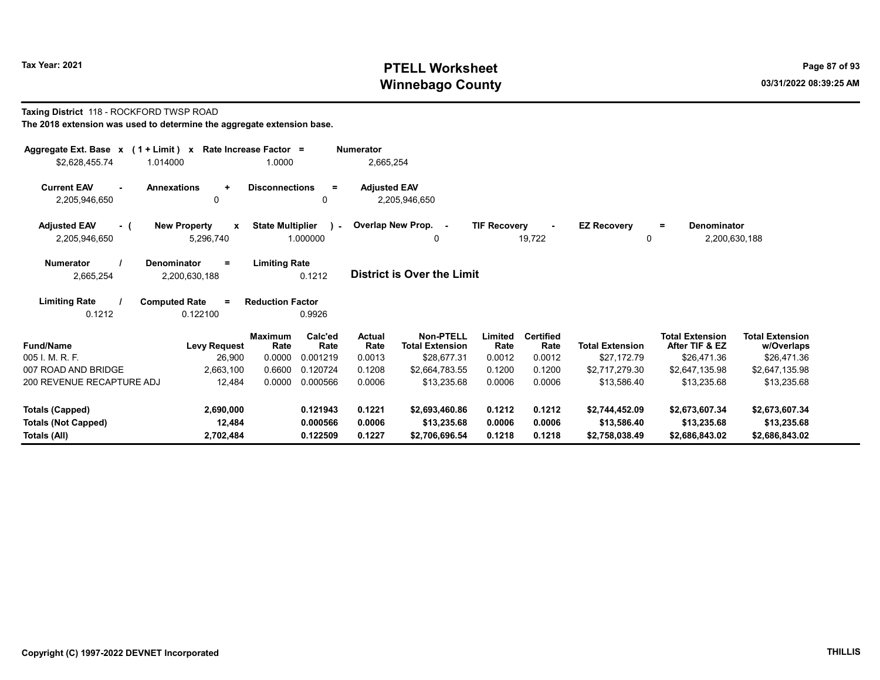# Tax Year: 2021 **PTELL Worksheet** Page 87 of 93 Winnebago County and the county of the county of the county of the county of the county of the county of the county of the county of the county of the county of the county of the county of the county of the county of the c

#### Taxing District 118 - ROCKFORD TWSP ROAD The 2018 extension was used to determine the aggregate extension base.

| Aggregate Ext. Base $x$ (1 + Limit) $x$<br>\$2,628,455.74<br>1.014000                                                                      | Rate Increase Factor =                           | 1.0000                                     | <b>Numerator</b><br>2,665,254 |                                            |                     |                          |                         |                                                 |                                      |  |
|--------------------------------------------------------------------------------------------------------------------------------------------|--------------------------------------------------|--------------------------------------------|-------------------------------|--------------------------------------------|---------------------|--------------------------|-------------------------|-------------------------------------------------|--------------------------------------|--|
| <b>Current EAV</b><br><b>Annexations</b><br>2,205,946,650                                                                                  | $\ddot{}$<br>0                                   | <b>Disconnections</b><br>$\equiv$<br>0     | <b>Adjusted EAV</b>           | 2,205,946,650                              |                     |                          |                         |                                                 |                                      |  |
| <b>Adjusted EAV</b><br>- (<br>2,205,946,650                                                                                                | <b>New Property</b><br>$\mathbf{x}$<br>5,296,740 | <b>State Multiplier</b><br>) –<br>1.000000 | Overlap New Prop.             | $\sim$<br>0                                | <b>TIF Recovery</b> | 19,722                   | <b>EZ Recovery</b><br>0 | <b>Denominator</b><br>$\equiv$<br>2,200,630,188 |                                      |  |
| <b>Limiting Rate</b><br><b>Numerator</b><br>Denominator<br>Ξ.<br><b>District is Over the Limit</b><br>0.1212<br>2,665,254<br>2,200,630,188 |                                                  |                                            |                               |                                            |                     |                          |                         |                                                 |                                      |  |
| <b>Limiting Rate</b><br>0.1212                                                                                                             | <b>Computed Rate</b><br>$\equiv$<br>0.122100     | <b>Reduction Factor</b><br>0.9926          |                               |                                            |                     |                          |                         |                                                 |                                      |  |
| <b>Fund/Name</b>                                                                                                                           | <b>Levy Request</b>                              | <b>Maximum</b><br>Calc'ed<br>Rate<br>Rate  | <b>Actual</b><br>Rate         | <b>Non-PTELL</b><br><b>Total Extension</b> | Limited<br>Rate     | <b>Certified</b><br>Rate | <b>Total Extension</b>  | <b>Total Extension</b><br>After TIF & EZ        | <b>Total Extension</b><br>w/Overlaps |  |
| 005 I. M. R. F.                                                                                                                            | 26,900                                           | 0.0000<br>0.001219                         | 0.0013                        | \$28,677.31                                | 0.0012              | 0.0012                   | \$27,172.79             | \$26,471.36                                     | \$26,471.36                          |  |
| 007 ROAD AND BRIDGE                                                                                                                        | 2,663,100                                        | 0.6600<br>0.120724                         | 0.1208                        | \$2.664.783.55                             | 0.1200              | 0.1200                   | \$2.717.279.30          | \$2,647,135.98                                  | \$2,647,135.98                       |  |
| 200 REVENUE RECAPTURE ADJ                                                                                                                  | 12,484                                           | 0.0000<br>0.000566                         | 0.0006                        | \$13.235.68                                | 0.0006              | 0.0006                   | \$13,586.40             | \$13,235.68                                     | \$13,235.68                          |  |
| <b>Totals (Capped)</b>                                                                                                                     | 2,690,000                                        | 0.121943                                   | 0.1221                        | \$2,693,460.86                             | 0.1212              | 0.1212                   | \$2,744,452.09          | \$2,673,607.34                                  | \$2,673,607.34                       |  |
| <b>Totals (Not Capped)</b>                                                                                                                 | 12,484                                           | 0.000566                                   | 0.0006                        | \$13,235.68                                | 0.0006              | 0.0006                   | \$13,586.40             | \$13,235.68                                     | \$13,235.68                          |  |
| <b>Totals (All)</b>                                                                                                                        | 2,702,484                                        | 0.122509                                   | 0.1227                        | \$2,706,696.54                             | 0.1218              | 0.1218                   | \$2,758,038.49          | \$2,686,843.02                                  | \$2,686,843.02                       |  |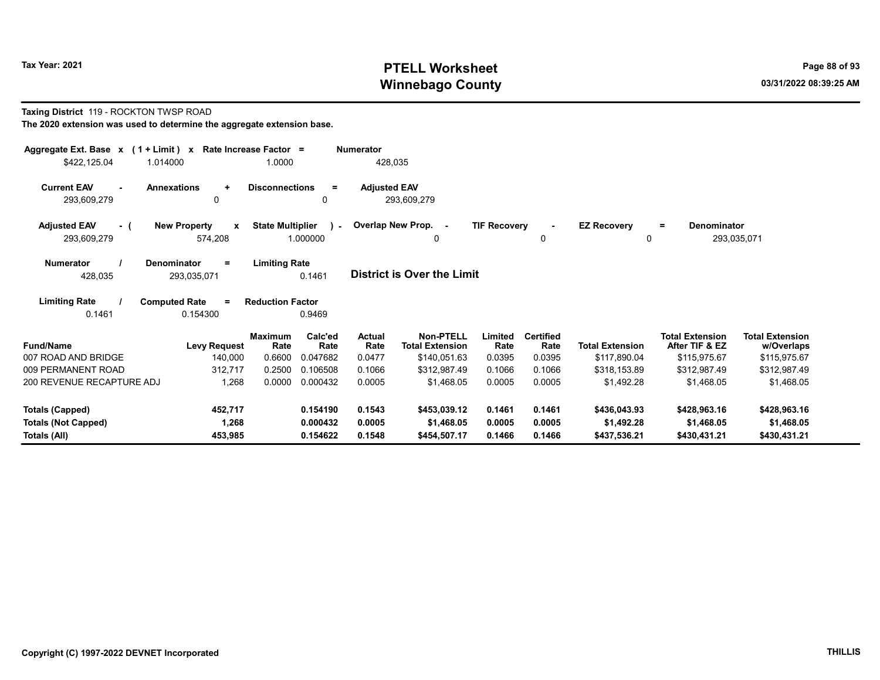# Tax Year: 2021 **PTELL Worksheet** Page 88 of 93 Winnebago County and the County of the County of the County of the County of the County of the County of the County of the County of the County of the County of the County of the County of the County of the County of the C

#### Taxing District 119 - ROCKTON TWSP ROAD The 2020 extension was used to determine the aggregate extension base.

| Aggregate Ext. Base x (1 + Limit) x<br>\$422,125.04<br>1.014000                                                                         |                                                | Rate Increase Factor =<br>1.0000 |                      | <b>Numerator</b><br>428,035 |                                            |                     |                          |                            |                                          |                                      |
|-----------------------------------------------------------------------------------------------------------------------------------------|------------------------------------------------|----------------------------------|----------------------|-----------------------------|--------------------------------------------|---------------------|--------------------------|----------------------------|------------------------------------------|--------------------------------------|
| <b>Current EAV</b><br>$\sim$<br>293,609,279                                                                                             | <b>Annexations</b><br>$\ddot{}$<br>0           | <b>Disconnections</b>            | $\equiv$<br>0        | <b>Adjusted EAV</b>         | 293,609,279                                |                     |                          |                            |                                          |                                      |
| <b>Adjusted EAV</b><br>- (<br>293,609,279                                                                                               | <b>New Property</b><br>$\mathbf{x}$<br>574,208 | <b>State Multiplier</b>          | ) –<br>1.000000      |                             | Overlap New Prop. -<br>$\Omega$            | <b>TIF Recovery</b> | 0                        | <b>EZ Recovery</b><br>0    | <b>Denominator</b><br>Ξ.                 | 293,035,071                          |
| <b>Limiting Rate</b><br><b>Numerator</b><br><b>Denominator</b><br>$=$<br>District is Over the Limit<br>0.1461<br>428,035<br>293,035,071 |                                                |                                  |                      |                             |                                            |                     |                          |                            |                                          |                                      |
| <b>Limiting Rate</b><br>0.1461                                                                                                          | <b>Computed Rate</b><br>$=$<br>0.154300        | <b>Reduction Factor</b>          | 0.9469               |                             |                                            |                     |                          |                            |                                          |                                      |
| <b>Fund/Name</b>                                                                                                                        | <b>Levy Request</b>                            | <b>Maximum</b><br>Rate           | Calc'ed<br>Rate      | Actual<br>Rate              | <b>Non-PTELL</b><br><b>Total Extension</b> | Limited<br>Rate     | <b>Certified</b><br>Rate | <b>Total Extension</b>     | <b>Total Extension</b><br>After TIF & EZ | <b>Total Extension</b><br>w/Overlaps |
| 007 ROAD AND BRIDGE                                                                                                                     | 140,000                                        | 0.6600                           | 0.047682             | 0.0477                      | \$140,051.63                               | 0.0395              | 0.0395                   | \$117,890.04               | \$115,975.67                             | \$115,975.67                         |
| 009 PERMANENT ROAD                                                                                                                      | 312,717                                        | 0.2500                           | 0.106508             | 0.1066                      | \$312.987.49                               | 0.1066              | 0.1066                   | \$318.153.89               | \$312.987.49                             | \$312,987.49                         |
| 200 REVENUE RECAPTURE ADJ                                                                                                               | 1,268                                          | 0.0000                           | 0.000432             | 0.0005                      | \$1.468.05                                 | 0.0005              | 0.0005                   | \$1.492.28                 | \$1.468.05                               | \$1,468.05                           |
| <b>Totals (Capped)</b>                                                                                                                  | 452,717                                        |                                  | 0.154190             | 0.1543                      | \$453.039.12                               | 0.1461              | 0.1461                   | \$436,043.93               | \$428,963.16                             | \$428,963.16                         |
| <b>Totals (Not Capped)</b><br>Totals (All)                                                                                              | 1,268<br>453,985                               |                                  | 0.000432<br>0.154622 | 0.0005<br>0.1548            | \$1,468.05<br>\$454,507.17                 | 0.0005<br>0.1466    | 0.0005<br>0.1466         | \$1,492.28<br>\$437,536.21 | \$1,468.05<br>\$430,431.21               | \$1,468.05<br>\$430,431.21           |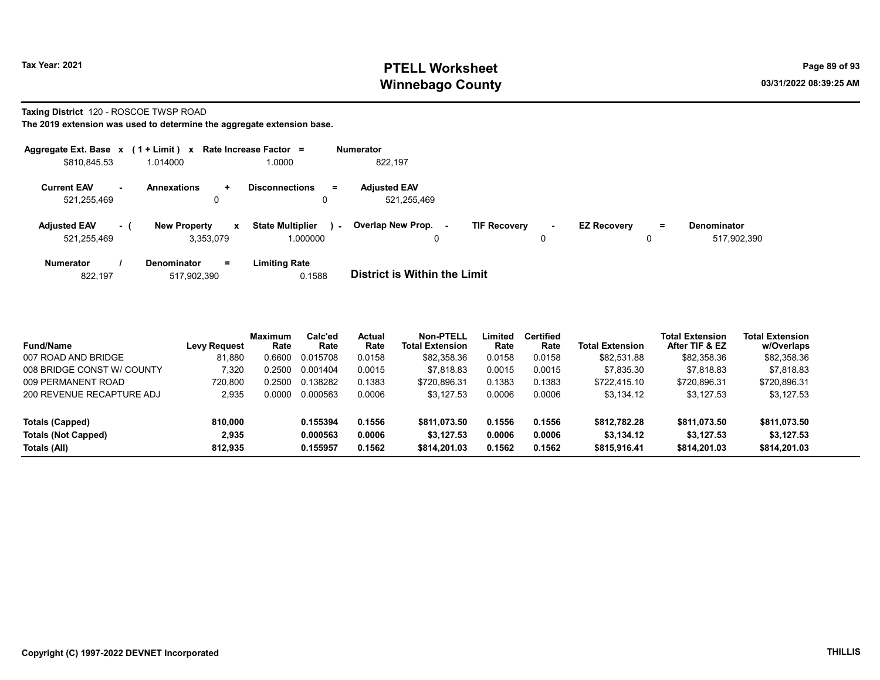# Tax Year: 2021 **PTELL Worksheet** Page 89 of 93 Winnebago County and the county of the county of the county of the county of the county of the county of the county of the county of the county of the county of the county of the county of the county of the county of the c

#### Taxing District 120 - ROSCOE TWSP ROAD

|                                    |     | Aggregate Ext. Base $x$ (1 + Limit) $x$ Rate Increase Factor = |                                     |        | <b>Numerator</b>                   |                     |             |                    |          |                                   |
|------------------------------------|-----|----------------------------------------------------------------|-------------------------------------|--------|------------------------------------|---------------------|-------------|--------------------|----------|-----------------------------------|
| \$810,845.53                       |     | 1.014000                                                       | 1.0000                              |        | 822,197                            |                     |             |                    |          |                                   |
| <b>Current EAV</b><br>521,255,469  | н.  | <b>Annexations</b><br>÷<br>0                                   | <b>Disconnections</b><br>0          | $=$    | <b>Adjusted EAV</b><br>521,255,469 |                     |             |                    |          |                                   |
| <b>Adjusted EAV</b><br>521,255,469 | - 1 | <b>New Property</b><br>$\mathbf{x}$<br>3.353.079               | <b>State Multiplier</b><br>1.000000 | $\sim$ | Overlap New Prop.<br>۰.<br>0       | <b>TIF Recovery</b> | $\sim$<br>0 | <b>EZ Recovery</b> | $\equiv$ | <b>Denominator</b><br>517,902,390 |
| <b>Numerator</b>                   |     | $=$<br><b>Denominator</b>                                      | <b>Limiting Rate</b>                |        | _                                  |                     |             |                    |          |                                   |

| 822.197 | 517.902.390 | 0.1588 | District is Within the Limit |
|---------|-------------|--------|------------------------------|
|         |             |        |                              |

| <b>Fund/Name</b>           | <b>Levy Request</b> | <b>Maximum</b><br>Rate | Calc'ed<br>Rate | Actual<br>Rate | Non-PTELL<br><b>Total Extension</b> | ∟imited<br>Rate | <b>Certified</b><br>Rate | <b>Total Extension</b> | <b>Total Extension</b><br>After TIF & EZ | <b>Total Extension</b><br>w/Overlaps |
|----------------------------|---------------------|------------------------|-----------------|----------------|-------------------------------------|-----------------|--------------------------|------------------------|------------------------------------------|--------------------------------------|
| 007 ROAD AND BRIDGE        | 81.880              | 0.6600                 | 0.015708        | 0.0158         | \$82,358.36                         | 0.0158          | 0.0158                   | \$82,531.88            | \$82,358.36                              | \$82,358.36                          |
| 008 BRIDGE CONST W/ COUNTY | 7,320               | 0.2500                 | 0.001404        | 0.0015         | \$7.818.83                          | 0.0015          | 0.0015                   | \$7.835.30             | \$7.818.83                               | \$7.818.83                           |
| 009 PERMANENT ROAD         | 720.800             | 0.2500                 | 0.138282        | 0.1383         | \$720.896.31                        | 0.1383          | 0.1383                   | \$722.415.10           | \$720.896.31                             | \$720,896.31                         |
| 200 REVENUE RECAPTURE ADJ  | 2.935               | 0.0000                 | 0.000563        | 0.0006         | \$3.127.53                          | 0.0006          | 0.0006                   | \$3.134.12             | \$3.127.53                               | \$3,127.53                           |
| Totals (Capped)            | 810.000             |                        | 0.155394        | 0.1556         | \$811.073.50                        | 0.1556          | 0.1556                   | \$812,782.28           | \$811,073.50                             | \$811,073.50                         |
| <b>Totals (Not Capped)</b> | 2.935               |                        | 0.000563        | 0.0006         | \$3,127.53                          | 0.0006          | 0.0006                   | \$3,134,12             | \$3,127.53                               | \$3,127.53                           |
| Totals (All)               | 812.935             |                        | 0.155957        | 0.1562         | \$814,201.03                        | 0.1562          | 0.1562                   | \$815,916.41           | \$814,201.03                             | \$814.201.03                         |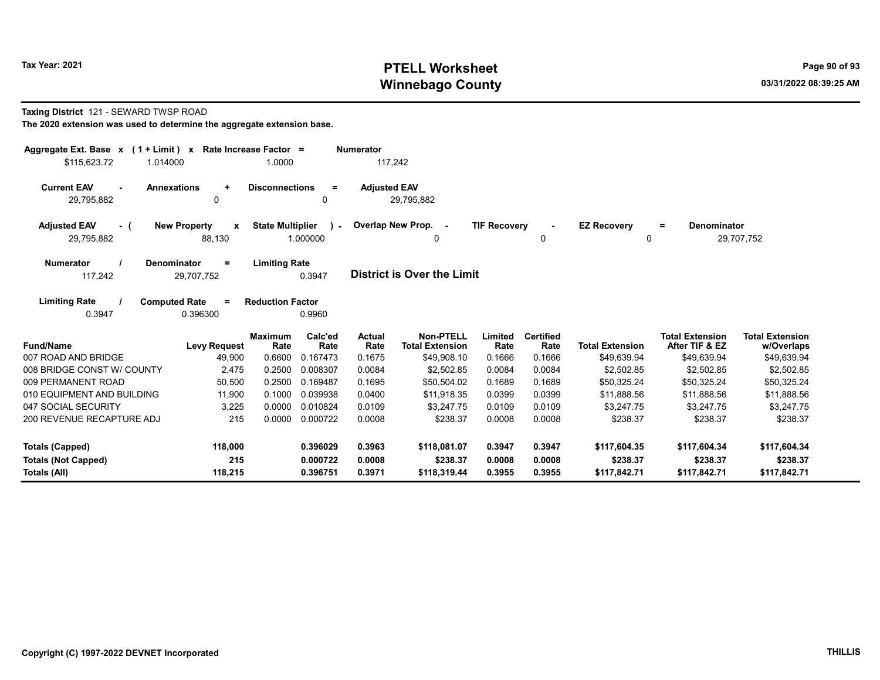# Tax Year: 2021 **PTELL Worksheet** Page 90 of 93 Winnebago County and the County of the County of the County of the County of the County of the County of the County of the County of the County of the County of the County of the County of the County of the County of the C

#### Taxing District 121 - SEWARD TWSP ROAD

| Aggregate Ext. Base $x$ (1 + Limit) $x$                                                                                         | Rate Increase Factor =              |                         |                 | <b>Numerator</b>      |                                            |                     |                          |                        |                                          |                                      |
|---------------------------------------------------------------------------------------------------------------------------------|-------------------------------------|-------------------------|-----------------|-----------------------|--------------------------------------------|---------------------|--------------------------|------------------------|------------------------------------------|--------------------------------------|
| \$115,623.72<br>1.014000                                                                                                        |                                     | 1.0000                  |                 | 117,242               |                                            |                     |                          |                        |                                          |                                      |
| <b>Annexations</b><br><b>Current EAV</b><br>$\sim$<br>29,795,882                                                                | $\ddot{}$<br>0                      | <b>Disconnections</b>   | $=$<br>0        | <b>Adjusted EAV</b>   | 29,795,882                                 |                     |                          |                        |                                          |                                      |
| <b>Adjusted EAV</b><br>- (                                                                                                      | <b>New Property</b><br>$\mathbf{x}$ | <b>State Multiplier</b> | $\lambda$ -     |                       | Overlap New Prop. -                        | <b>TIF Recovery</b> |                          | <b>EZ Recovery</b>     | Denominator<br>Ξ.                        |                                      |
| 29,795,882                                                                                                                      | 88,130                              |                         | 1.000000        |                       |                                            |                     | 0                        | 0                      |                                          | 29,707,752                           |
| <b>Limiting Rate</b><br><b>Numerator</b><br>Denominator<br>$=$<br>District is Over the Limit<br>117,242<br>0.3947<br>29,707,752 |                                     |                         |                 |                       |                                            |                     |                          |                        |                                          |                                      |
| <b>Limiting Rate</b><br><b>Computed Rate</b><br>0.3947                                                                          | $\equiv$<br>0.396300                | <b>Reduction Factor</b> | 0.9960          |                       |                                            |                     |                          |                        |                                          |                                      |
| <b>Fund/Name</b>                                                                                                                | <b>Levy Request</b>                 | <b>Maximum</b><br>Rate  | Calc'ed<br>Rate | <b>Actual</b><br>Rate | <b>Non-PTELL</b><br><b>Total Extension</b> | Limited<br>Rate     | <b>Certified</b><br>Rate | <b>Total Extension</b> | <b>Total Extension</b><br>After TIF & EZ | <b>Total Extension</b><br>w/Overlaps |
| 007 ROAD AND BRIDGE                                                                                                             | 49,900                              | 0.6600                  | 0.167473        | 0.1675                | \$49,908.10                                | 0.1666              | 0.1666                   | \$49,639.94            | \$49,639.94                              | \$49,639.94                          |
| 008 BRIDGE CONST W/ COUNTY                                                                                                      | 2,475                               | 0.2500                  | 0.008307        | 0.0084                | \$2,502.85                                 | 0.0084              | 0.0084                   | \$2,502.85             | \$2,502.85                               | \$2,502.85                           |
| 009 PERMANENT ROAD                                                                                                              | 50,500                              | 0.2500                  | 0.169487        | 0.1695                | \$50,504.02                                | 0.1689              | 0.1689                   | \$50.325.24            | \$50,325.24                              | \$50,325.24                          |
| 010 EQUIPMENT AND BUILDING                                                                                                      | 11,900                              | 0.1000                  | 0.039938        | 0.0400                | \$11.918.35                                | 0.0399              | 0.0399                   | \$11.888.56            | \$11.888.56                              | \$11,888.56                          |
| 047 SOCIAL SECURITY                                                                                                             | 3,225                               | 0.0000                  | 0.010824        | 0.0109                | \$3.247.75                                 | 0.0109              | 0.0109                   | \$3.247.75             | \$3.247.75                               | \$3,247.75                           |
| 200 REVENUE RECAPTURE ADJ                                                                                                       | 215                                 |                         | 0.0000 0.000722 | 0.0008                | \$238.37                                   | 0.0008              | 0.0008                   | \$238.37               | \$238.37                                 | \$238.37                             |
| Totals (Capped)                                                                                                                 | 118,000                             |                         | 0.396029        | 0.3963                | \$118,081.07                               | 0.3947              | 0.3947                   | \$117,604.35           | \$117,604.34                             | \$117,604.34                         |
| <b>Totals (Not Capped)</b>                                                                                                      | 215                                 |                         | 0.000722        | 0.0008                | \$238.37                                   | 0.0008              | 0.0008                   | \$238.37               | \$238.37                                 | \$238.37                             |
| Totals (All)                                                                                                                    | 118,215                             |                         | 0.396751        | 0.3971                | \$118,319.44                               | 0.3955              | 0.3955                   | \$117,842.71           | \$117,842.71                             | \$117,842.71                         |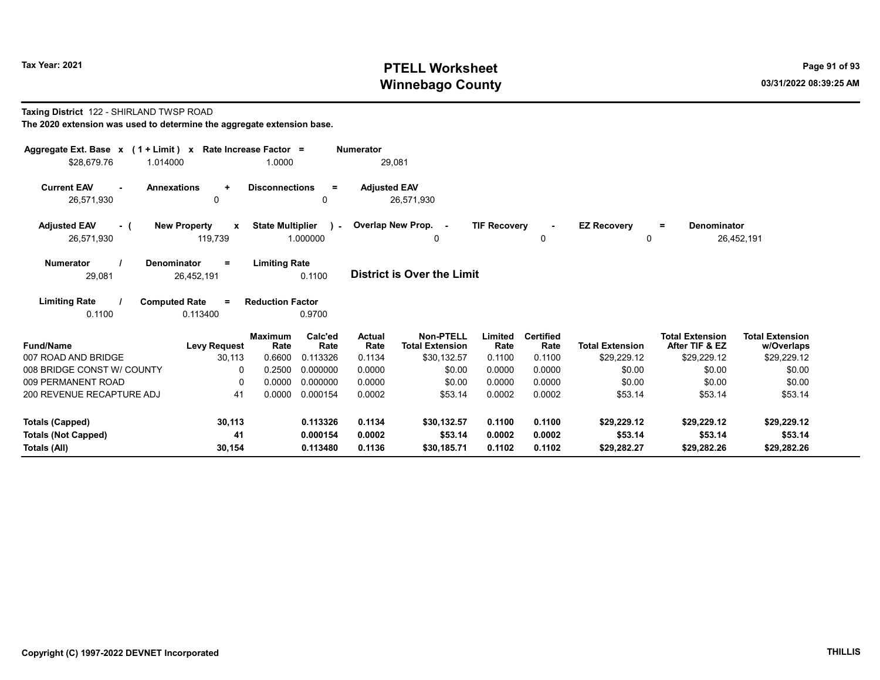# Tax Year: 2021 **PTELL Worksheet** Page 91 of 93 Winnebago County and the county of the county of the county of the county of the county of the county of the county of the county of the county of the county of the county of the county of the county of the county of the c

#### Taxing District 122 - SHIRLAND TWSP ROAD The 2020 extension was used to determine the aggregate extension base.

| Aggregate Ext. Base x (1 + Limit) x<br>\$28,679.76<br>1.014000 | Rate Increase Factor =<br>1.0000                                          |                      | <b>Numerator</b><br>29,081 |                                            |                     |                          |                         |                                          |                                      |
|----------------------------------------------------------------|---------------------------------------------------------------------------|----------------------|----------------------------|--------------------------------------------|---------------------|--------------------------|-------------------------|------------------------------------------|--------------------------------------|
| <b>Current EAV</b><br><b>Annexations</b><br>26,571,930         | <b>Disconnections</b><br>$\ddot{}$<br>$\mathbf{0}$                        | $\equiv$<br>0        | <b>Adjusted EAV</b>        | 26,571,930                                 |                     |                          |                         |                                          |                                      |
| <b>Adjusted EAV</b><br>- (<br>26,571,930                       | <b>State Multiplier</b><br><b>New Property</b><br>$\mathbf{x}$<br>119,739 | $\sim$<br>1.000000   |                            | Overlap New Prop. -<br>0                   | <b>TIF Recovery</b> | 0                        | <b>EZ Recovery</b><br>0 | <b>Denominator</b><br>$\equiv$           | 26,452,191                           |
| <b>Numerator</b><br><b>Denominator</b><br>29,081               | <b>Limiting Rate</b><br>$=$<br>26,452,191                                 | 0.1100               |                            | District is Over the Limit                 |                     |                          |                         |                                          |                                      |
| <b>Limiting Rate</b><br><b>Computed Rate</b><br>0.1100         | <b>Reduction Factor</b><br>$\equiv$<br>0.113400                           | 0.9700               |                            |                                            |                     |                          |                         |                                          |                                      |
| <b>Fund/Name</b>                                               | <b>Maximum</b><br>Rate<br><b>Levy Request</b>                             | Calc'ed<br>Rate      | Actual<br>Rate             | <b>Non-PTELL</b><br><b>Total Extension</b> | Limited<br>Rate     | <b>Certified</b><br>Rate | <b>Total Extension</b>  | <b>Total Extension</b><br>After TIF & EZ | <b>Total Extension</b><br>w/Overlaps |
| 007 ROAD AND BRIDGE                                            | 0.6600<br>30,113                                                          | 0.113326             | 0.1134                     | \$30,132.57                                | 0.1100              | 0.1100                   | \$29,229.12             | \$29,229.12                              | \$29,229.12                          |
| 008 BRIDGE CONST W/ COUNTY                                     | 0.2500<br>0                                                               | 0.000000             | 0.0000                     | \$0.00                                     | 0.0000              | 0.0000                   | \$0.00                  | \$0.00                                   | \$0.00                               |
| 009 PERMANENT ROAD                                             | 0.0000<br>$\Omega$                                                        | 0.000000             | 0.0000                     | \$0.00                                     | 0.0000              | 0.0000                   | \$0.00                  | \$0.00                                   | \$0.00                               |
| 200 REVENUE RECAPTURE ADJ                                      | 41<br>0.0000                                                              | 0.000154             | 0.0002                     | \$53.14                                    | 0.0002              | 0.0002                   | \$53.14                 | \$53.14                                  | \$53.14                              |
| <b>Totals (Capped)</b>                                         | 30,113                                                                    | 0.113326             | 0.1134                     | \$30.132.57                                | 0.1100              | 0.1100                   | \$29.229.12             | \$29.229.12                              | \$29,229.12                          |
| <b>Totals (Not Capped)</b><br><b>Totals (All)</b>              | 41<br>30,154                                                              | 0.000154<br>0.113480 | 0.0002<br>0.1136           | \$53.14<br>\$30,185.71                     | 0.0002<br>0.1102    | 0.0002<br>0.1102         | \$53.14<br>\$29,282.27  | \$53.14<br>\$29,282.26                   | \$53.14<br>\$29,282.26               |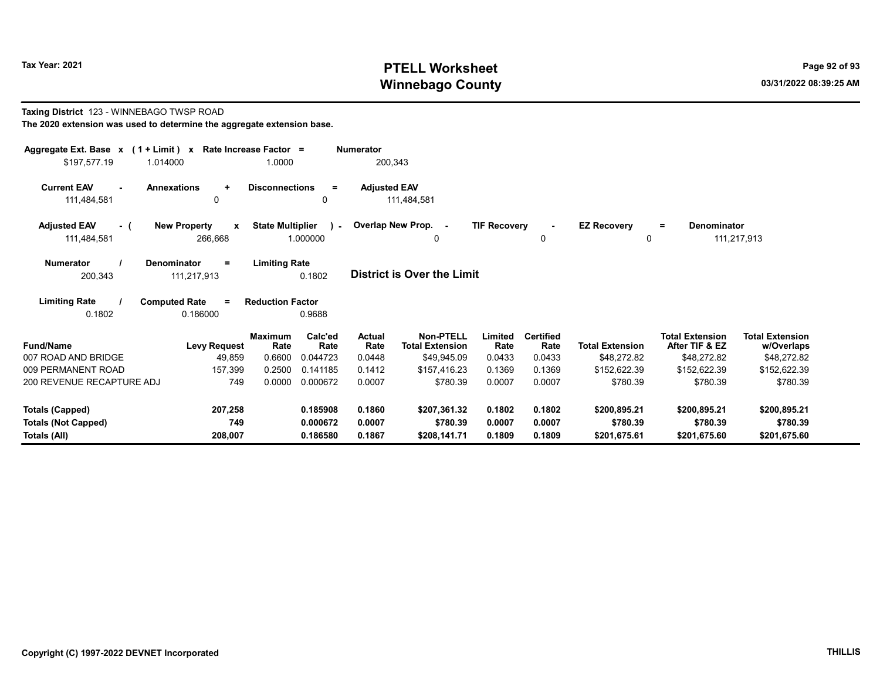Taxing District 123 - WINNEBAGO TWSP ROAD

# Tax Year: 2021 201 Winnebago County and the county of the county of the county of the county of the county of the county of the county of the county of the county of the county of the county of the county of the county of the county of the c

w/Overlaps

#### The 2020 extension was used to determine the aggregate extension base. Aggregate Ext. Base x ( 1 + Limit ) x Rate Increase Factor = Numerator \$197,577.19 1.014000 1.0000 200,343 Current EAV - Annexations + Disconnections = Adjusted EAV 111,484,581 0 0 111,484,581 Adjusted EAV - ( New Property x State Multiplier 111,484,581 266,668 1.000000 Numerator / Denominator = Limiting Rate District is Over the Limit Limiting Rate / Computed Rate = 200,343 111,217,913 0.1802 0.1802 0.186000 Reduction Factor 0.9688 Fund/Name **Example 2 Levy Request** Rate Rate Rate Total Extension Rate Limited Total Extension After TIF & EZ Total Extension Rate Total Extension Total Extension Maximum Calc'ed Actual **Rate** Calc'ed Rate Non-PTELL Limited Certified 007 ROAD AND BRIDGE 49.859 0.6600 0.044723 0.0448 \$49.945.09 0.0433 0.0433 \$48.272.82 \$48.272.82 \$48.272.82 009 PERMANENT ROAD 157,399 0.2500 0.141185 0.1412 \$157,416.23 0.1369 0.1369 \$152,622.39 \$152,622.39 \$152,622.39 200 REVENUE RECAPTURE ADJ 749 0.0000 0.000672 0.0007 \$780.39 0.0007 0.0007 \$780.39 \$780.39 \$780.39 Totals (Capped) 207,258 0.185908 0.1860 \$207,361.32 0.1802 0.1802 \$200,895.21 \$200,895.21 \$200,895.21 Totals (Not Capped) 749 0.000672 0.0007 \$780.39 0.0007 0.0007 \$780.39 \$780.39 \$780.39 0 Overlap New Prop. - TIF Recovery - EZ Recovery 0 0 = Denominator 111,217,913  $\lambda$  -

Totals (All) 208,007 0.186580 0.1867 \$208,141.71 0.1809 0.1809 \$201,675.61 \$201,675.60 \$201,675.60

Copyright (C) 1997-2022 DEVNET Incorporated THILLIS